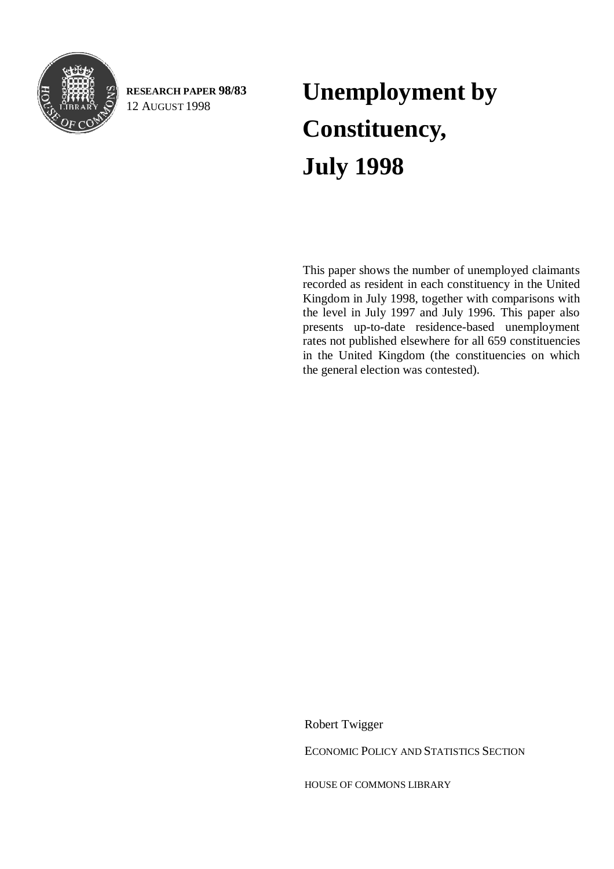<span id="page-0-0"></span>

**RESEARCH PAPER 98/83**

# RESEARCH PAPER 98/83 **Unemployment by** 12 AUGUST 1998 **Constituency, July 1998**

This paper shows the number of unemployed claimants recorded as resident in each constituency in the United Kingdom in July 1998, together with comparisons with the level in July 1997 and July 1996. This paper also presents up-to-date residence-based unemployment rates not published elsewhere for all 659 constituencies in the United Kingdom (the constituencies on which the general election was contested).

Robert Twigger

ECONOMIC POLICY AND STATISTICS SECTION

HOUSE OF COMMONS LIBRARY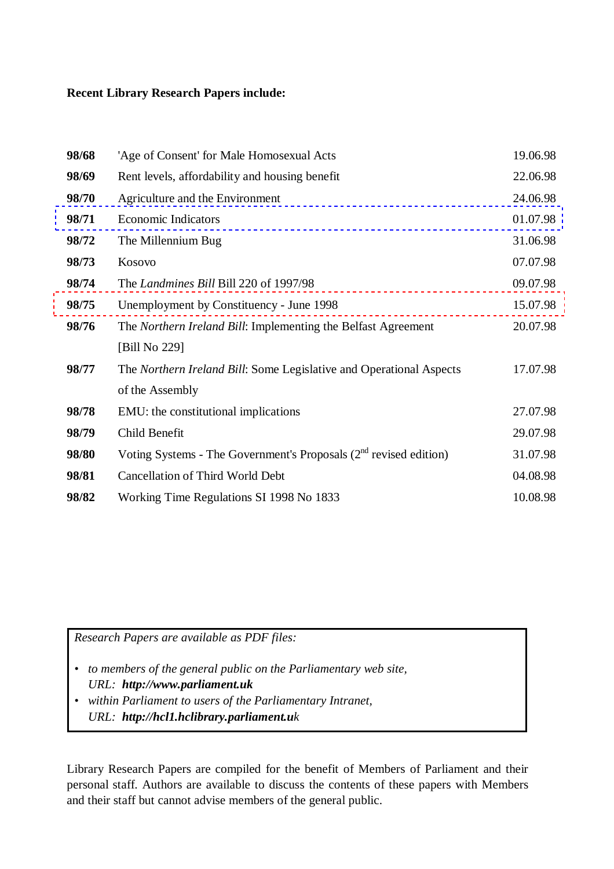#### **Recent Library Research Papers include:**

| 'Age of Consent' for Male Homosexual Acts                              | 19.06.98 |
|------------------------------------------------------------------------|----------|
| Rent levels, affordability and housing benefit                         | 22.06.98 |
| Agriculture and the Environment                                        | 24.06.98 |
| <b>Economic Indicators</b>                                             | 01.07.98 |
| The Millennium Bug                                                     | 31.06.98 |
| Kosovo                                                                 | 07.07.98 |
| The Landmines Bill Bill 220 of 1997/98                                 | 09.07.98 |
| Unemployment by Constituency - June 1998                               | 15.07.98 |
| The Northern Ireland Bill: Implementing the Belfast Agreement          | 20.07.98 |
| [Bill No 229]                                                          |          |
| The Northern Ireland Bill: Some Legislative and Operational Aspects    | 17.07.98 |
| of the Assembly                                                        |          |
| EMU: the constitutional implications                                   | 27.07.98 |
| Child Benefit                                                          | 29.07.98 |
| Voting Systems - The Government's Proposals $(2^{nd}$ revised edition) | 31.07.98 |
| <b>Cancellation of Third World Debt</b>                                | 04.08.98 |
| Working Time Regulations SI 1998 No 1833                               | 10.08.98 |
|                                                                        |          |

*Research Papers are available as PDF files:*

- *to members of the general public on the Parliamentary web site, URL: http://www.parliament.uk*
- *within Parliament to users of the Parliamentary Intranet, URL: http://hcl1.hclibrary.parliament.uk*

Library Research Papers are compiled for the benefit of Members of Parliament and their personal staff. Authors are available to discuss the contents of these papers with Members and their staff but cannot advise members of the general public.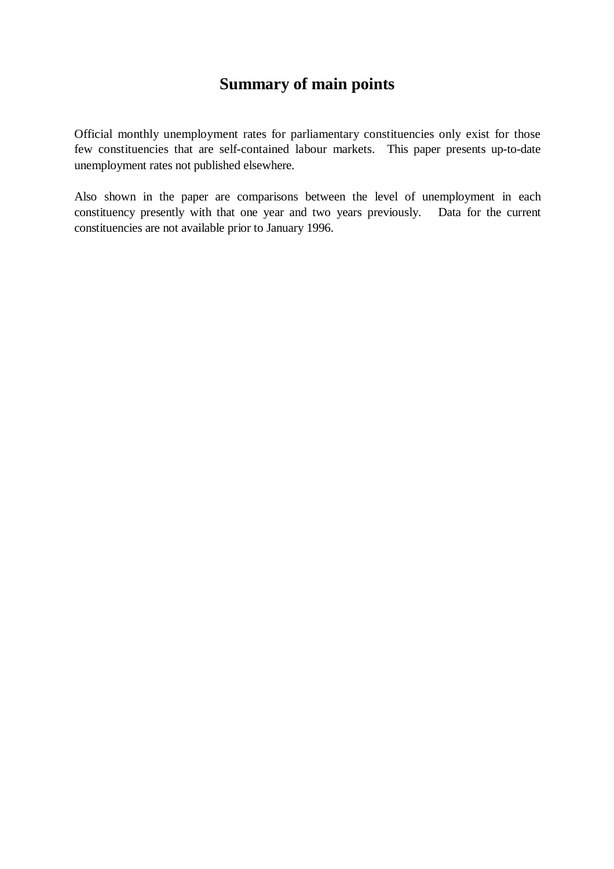# **Summary of main points**

Official monthly unemployment rates for parliamentary constituencies only exist for those few constituencies that are self-contained labour markets. This paper presents up-to-date unemployment rates not published elsewhere.

Also shown in the paper are comparisons between the level of unemployment in each constituency presently with that one year and two years previously. Data for the current constituencies are not available prior to January 1996.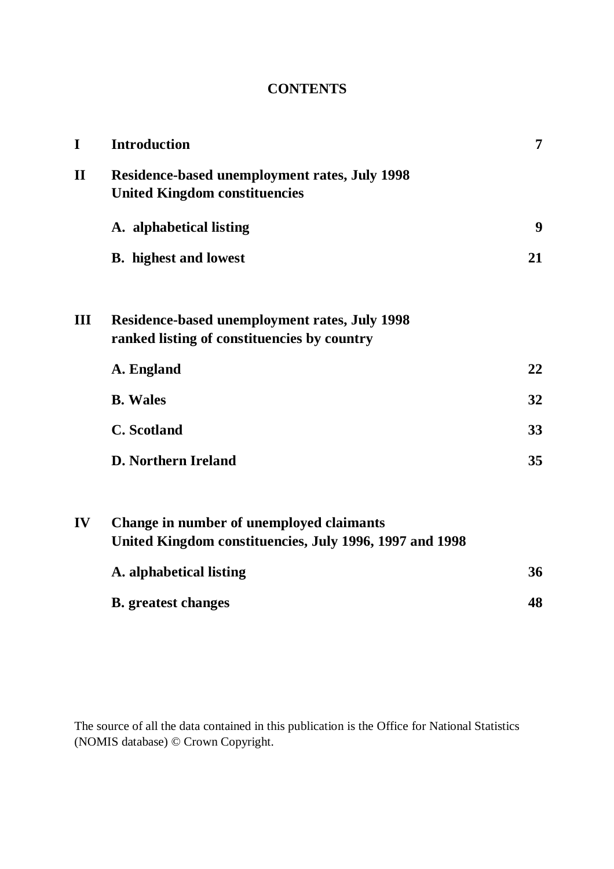# **CONTENTS**

| I            | <b>Introduction</b>                                                                                 | 7  |
|--------------|-----------------------------------------------------------------------------------------------------|----|
| $\mathbf{I}$ | <b>Residence-based unemployment rates, July 1998</b><br><b>United Kingdom constituencies</b>        |    |
|              | A. alphabetical listing                                                                             | 9  |
|              | <b>B.</b> highest and lowest                                                                        | 21 |
| Ш            | <b>Residence-based unemployment rates, July 1998</b><br>ranked listing of constituencies by country |    |
|              | A. England                                                                                          | 22 |
|              | <b>B.</b> Wales                                                                                     | 32 |
|              | <b>C.</b> Scotland                                                                                  | 33 |
|              | <b>D. Northern Ireland</b>                                                                          | 35 |
| IV           | Change in number of unemployed claimants<br>United Kingdom constituencies, July 1996, 1997 and 1998 |    |
|              | A. alphabetical listing                                                                             | 36 |
|              | <b>B.</b> greatest changes                                                                          | 48 |

The source of all the data contained in this publication is the Office for National Statistics (NOMIS database) © Crown Copyright.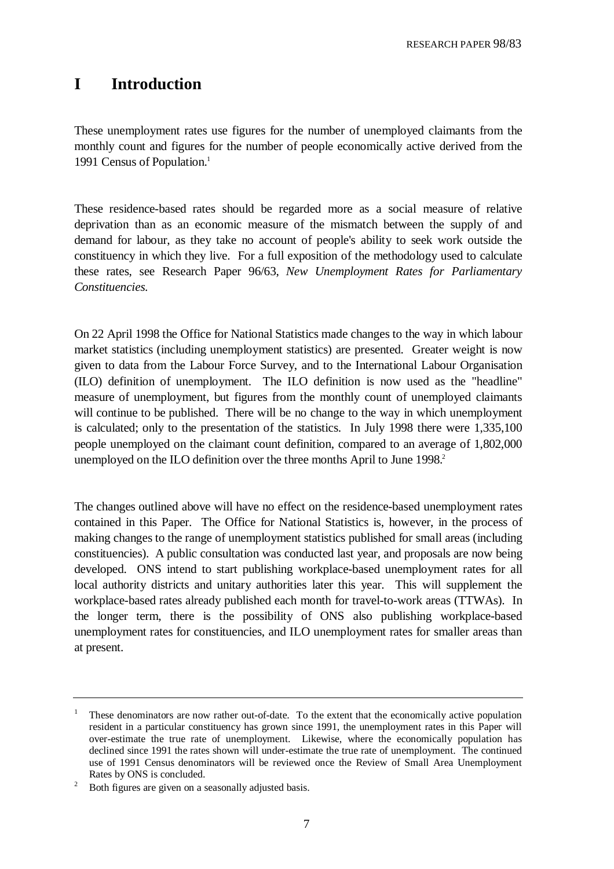## **I Introduction**

These unemployment rates use figures for the number of unemployed claimants from the monthly count and figures for the number of people economically active derived from the 1991 Census of Population.<sup>1</sup>

These residence-based rates should be regarded more as a social measure of relative deprivation than as an economic measure of the mismatch between the supply of and demand for labour, as they take no account of people's ability to seek work outside the constituency in which they live. For a full exposition of the methodology used to calculate these rates, see Research Paper 96/63, *New Unemployment Rates for Parliamentary Constituencies*.

On 22 April 1998 the Office for National Statistics made changes to the way in which labour market statistics (including unemployment statistics) are presented. Greater weight is now given to data from the Labour Force Survey, and to the International Labour Organisation (ILO) definition of unemployment. The ILO definition is now used as the "headline" measure of unemployment, but figures from the monthly count of unemployed claimants will continue to be published. There will be no change to the way in which unemployment is calculated; only to the presentation of the statistics. In July 1998 there were 1,335,100 people unemployed on the claimant count definition, compared to an average of 1,802,000 unemployed on the ILO definition over the three months April to June 1998.<sup>2</sup>

The changes outlined above will have no effect on the residence-based unemployment rates contained in this Paper. The Office for National Statistics is, however, in the process of making changes to the range of unemployment statistics published for small areas (including constituencies). A public consultation was conducted last year, and proposals are now being developed. ONS intend to start publishing workplace-based unemployment rates for all local authority districts and unitary authorities later this year. This will supplement the workplace-based rates already published each month for travel-to-work areas (TTWAs). In the longer term, there is the possibility of ONS also publishing workplace-based unemployment rates for constituencies, and ILO unemployment rates for smaller areas than at present.

<sup>1</sup> These denominators are now rather out-of-date. To the extent that the economically active population resident in a particular constituency has grown since 1991, the unemployment rates in this Paper will over-estimate the true rate of unemployment. Likewise, where the economically population has declined since 1991 the rates shown will under-estimate the true rate of unemployment. The continued use of 1991 Census denominators will be reviewed once the Review of Small Area Unemployment Rates by ONS is concluded.

<sup>2</sup> Both figures are given on a seasonally adjusted basis.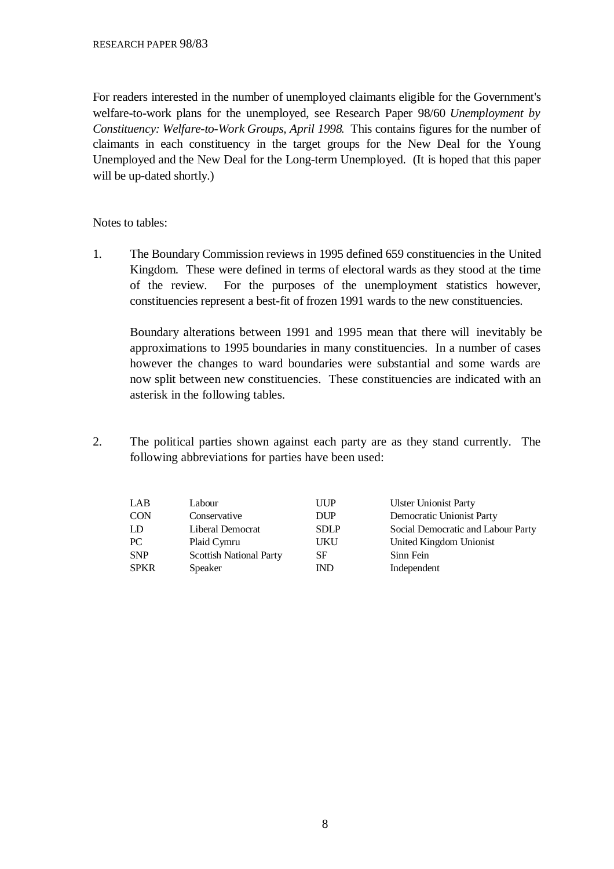For readers interested in the number of unemployed claimants eligible for the Government's welfare-to-work plans for the unemployed, see Research Paper 98/60 *Unemployment by Constituency: Welfare-to-Work Groups, April 1998*. This contains figures for the number of claimants in each constituency in the target groups for the New Deal for the Young Unemployed and the New Deal for the Long-term Unemployed. (It is hoped that this paper will be up-dated shortly.)

Notes to tables:

1. The Boundary Commission reviews in 1995 defined 659 constituencies in the United Kingdom. These were defined in terms of electoral wards as they stood at the time of the review. For the purposes of the unemployment statistics however, constituencies represent a best-fit of frozen 1991 wards to the new constituencies.

Boundary alterations between 1991 and 1995 mean that there will inevitably be approximations to 1995 boundaries in many constituencies. In a number of cases however the changes to ward boundaries were substantial and some wards are now split between new constituencies. These constituencies are indicated with an asterisk in the following tables.

2. The political parties shown against each party are as they stand currently. The following abbreviations for parties have been used:

| LAB         | Labour                         | <b>UUP</b>  | <b>Ulster Unionist Party</b>       |
|-------------|--------------------------------|-------------|------------------------------------|
| <b>CON</b>  | Conservative                   | DUP         | Democratic Unionist Party          |
| LD          | Liberal Democrat               | <b>SDLP</b> | Social Democratic and Labour Party |
| PC          | Plaid Cymru                    | UKU         | United Kingdom Unionist            |
| <b>SNP</b>  | <b>Scottish National Party</b> | SF          | Sinn Fein                          |
| <b>SPKR</b> | <b>Speaker</b>                 | <b>IND</b>  | Independent                        |
|             |                                |             |                                    |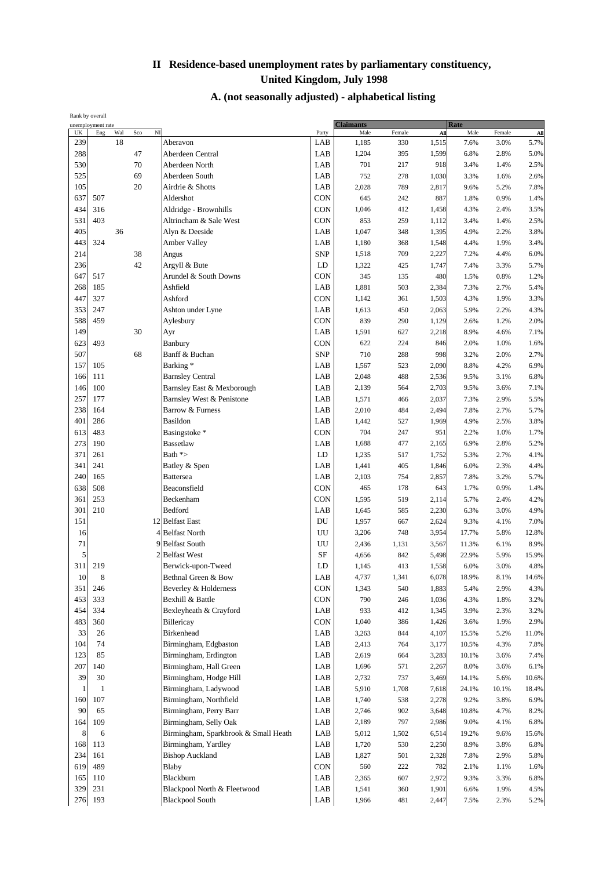| Rank by overall |                   |     |     |                                       |              |                          |        |       |             |        |       |
|-----------------|-------------------|-----|-----|---------------------------------------|--------------|--------------------------|--------|-------|-------------|--------|-------|
| UK              | unemployment rate | Wal | Sco | $\overline{M}$                        |              | <b>Claimants</b><br>Male |        |       | <b>Rate</b> |        |       |
|                 | Eng               | 18  |     | Aberavon                              | Party<br>LAB |                          | Female | All   | Male        | Female | All   |
| 239             |                   |     |     |                                       |              | 1,185                    | 330    | 1,515 | 7.6%        | 3.0%   | 5.7%  |
| 288             |                   |     | 47  | Aberdeen Central                      | LAB          | 1,204                    | 395    | 1,599 | 6.8%        | 2.8%   | 5.0%  |
| 530             |                   |     | 70  | Aberdeen North                        | LAB          | 701                      | 217    | 918   | 3.4%        | 1.4%   | 2.5%  |
| 525             |                   |     | 69  | Aberdeen South                        | LAB          | 752                      | 278    | 1,030 | 3.3%        | 1.6%   | 2.6%  |
| 105             |                   |     | 20  | Airdrie & Shotts                      | LAB          | 2,028                    | 789    | 2,817 | 9.6%        | 5.2%   | 7.8%  |
| 637             | 507               |     |     | Aldershot                             | CON          | 645                      | 242    | 887   | 1.8%        | 0.9%   | 1.4%  |
| 434             | 316               |     |     | Aldridge - Brownhills                 | <b>CON</b>   | 1,046                    | 412    | 1,458 | 4.3%        | 2.4%   | 3.5%  |
| 531             | 403               |     |     | Altrincham & Sale West                | CON          | 853                      | 259    | 1,112 | 3.4%        | 1.4%   | 2.5%  |
| 405             |                   | 36  |     | Alyn & Deeside                        | LAB          | 1,047                    | 348    | 1,395 | 4.9%        | 2.2%   | 3.8%  |
| 443             | 324               |     |     | <b>Amber Valley</b>                   | LAB          | 1,180                    | 368    | 1,548 | 4.4%        | 1.9%   | 3.4%  |
| 214             |                   |     | 38  | Angus                                 | <b>SNP</b>   | 1,518                    | 709    | 2,227 | 7.2%        | 4.4%   | 6.0%  |
| 236             |                   |     | 42  | Argyll & Bute                         | LD           | 1,322                    | 425    | 1,747 | 7.4%        | 3.3%   | 5.7%  |
| 647             | 517               |     |     | Arundel & South Downs                 | CON          | 345                      | 135    | 480   | 1.5%        | 0.8%   | 1.2%  |
| 268             |                   |     |     | Ashfield                              | LAB          |                          |        |       |             |        |       |
|                 | 185               |     |     |                                       |              | 1,881                    | 503    | 2,384 | 7.3%        | 2.7%   | 5.4%  |
| 447             | 327               |     |     | Ashford                               | CON          | 1,142                    | 361    | 1,503 | 4.3%        | 1.9%   | 3.3%  |
| 353             | 247               |     |     | Ashton under Lyne                     | LAB          | 1,613                    | 450    | 2,063 | 5.9%        | 2.2%   | 4.3%  |
| 588             | 459               |     |     | Aylesbury                             | <b>CON</b>   | 839                      | 290    | 1,129 | 2.6%        | 1.2%   | 2.0%  |
| 149             |                   |     | 30  | Ayr                                   | LAB          | 1,591                    | 627    | 2,218 | 8.9%        | 4.6%   | 7.1%  |
| 623             | 493               |     |     | Banbury                               | CON          | 622                      | 224    | 846   | 2.0%        | 1.0%   | 1.6%  |
| 507             |                   |     | 68  | Banff & Buchan                        | <b>SNP</b>   | 710                      | 288    | 998   | 3.2%        | 2.0%   | 2.7%  |
| 157             | 105               |     |     | Barking*                              | LAB          | 1,567                    | 523    | 2,090 | 8.8%        | 4.2%   | 6.9%  |
| 166             | 111               |     |     | <b>Barnsley Central</b>               | LAB          | 2,048                    | 488    | 2,536 | 9.5%        | 3.1%   | 6.8%  |
| 146             | 100               |     |     | Barnsley East & Mexborough            | LAB          | 2,139                    | 564    | 2,703 | 9.5%        | 3.6%   | 7.1%  |
| 257             | 177               |     |     | Barnsley West & Penistone             | LAB          | 1,571                    | 466    | 2,037 | 7.3%        | 2.9%   | 5.5%  |
| 238             | 164               |     |     | Barrow & Furness                      | LAB          | 2,010                    | 484    | 2,494 | 7.8%        | 2.7%   | 5.7%  |
| 401             | 286               |     |     | <b>Basildon</b>                       | LAB          | 1,442                    | 527    | 1,969 | 4.9%        | 2.5%   | 3.8%  |
| 613             | 483               |     |     | Basingstoke*                          | CON          | 704                      | 247    | 951   | 2.2%        | 1.0%   | 1.7%  |
| 273             | 190               |     |     |                                       |              |                          |        |       |             |        |       |
|                 |                   |     |     | Bassetlaw                             | LAB          | 1,688                    | 477    | 2,165 | 6.9%        | 2.8%   | 5.2%  |
| 371             | 261               |     |     | Bath $\approx$                        | LD           | 1,235                    | 517    | 1,752 | 5.3%        | 2.7%   | 4.1%  |
| 341             | 241               |     |     | Batley & Spen                         | LAB          | 1,441                    | 405    | 1,846 | 6.0%        | 2.3%   | 4.4%  |
| 240             | 165               |     |     | <b>Battersea</b>                      | LAB          | 2,103                    | 754    | 2,857 | 7.8%        | 3.2%   | 5.7%  |
| 638             | 508               |     |     | Beaconsfield                          | CON          | 465                      | 178    | 643   | 1.7%        | 0.9%   | 1.4%  |
| 361             | 253               |     |     | Beckenham                             | CON          | 1,595                    | 519    | 2,114 | 5.7%        | 2.4%   | 4.2%  |
| 301             | 210               |     |     | Bedford                               | LAB          | 1,645                    | 585    | 2,230 | 6.3%        | 3.0%   | 4.9%  |
| 151             |                   |     |     | 12 Belfast East                       | DU           | 1,957                    | 667    | 2,624 | 9.3%        | 4.1%   | 7.0%  |
| 16              |                   |     |     | 4 Belfast North                       | UU           | 3,206                    | 748    | 3,954 | 17.7%       | 5.8%   | 12.8% |
| 71              |                   |     |     | 9<br><b>Belfast South</b>             | UU           | 2,436                    | 1,131  | 3,567 | 11.3%       | 6.1%   | 8.9%  |
| 5               |                   |     |     | $\overline{2}$<br><b>Belfast West</b> | SF           | 4,656                    | 842    | 5,498 | 22.9%       | 5.9%   | 15.9% |
| 311             | 219               |     |     | Berwick-upon-Tweed                    | LD           | 1,145                    | 413    | 1,558 | 6.0%        | 3.0%   | 4.8%  |
| $10\,$          | 8                 |     |     | Bethnal Green & Bow                   | LAB          | 4,737                    | 1,341  | 6,078 | 18.9%       | 8.1%   | 14.6% |
| 351             | 246               |     |     | Beverley & Holderness                 | <b>CON</b>   | 1,343                    | 540    | 1,883 | 5.4%        | 2.9%   | 4.3%  |
| 453             | 333               |     |     | Bexhill & Battle                      | <b>CON</b>   | 790                      | 246    | 1,036 | 4.3%        | 1.8%   | 3.2%  |
| 454             | 334               |     |     | Bexleyheath & Crayford                | LAB          | 933                      | 412    | 1,345 | 3.9%        | 2.3%   | 3.2%  |
| 483             | 360               |     |     | Billericay                            | CON          |                          |        |       |             |        | 2.9%  |
|                 |                   |     |     |                                       |              | 1,040                    | 386    | 1,426 | 3.6%        | 1.9%   |       |
| 33              | 26                |     |     | Birkenhead                            | LAB          | 3,263                    | 844    | 4,107 | 15.5%       | 5.2%   | 11.0% |
| 104             | 74                |     |     | Birmingham, Edgbaston                 | LAB          | 2,413                    | 764    | 3,177 | 10.5%       | 4.3%   | 7.8%  |
| 123             | 85                |     |     | Birmingham, Erdington                 | LAB          | 2,619                    | 664    | 3,283 | 10.1%       | 3.6%   | 7.4%  |
| 207             | 140               |     |     | Birmingham, Hall Green                | LAB          | 1,696                    | 571    | 2,267 | 8.0%        | 3.6%   | 6.1%  |
| 39              | 30                |     |     | Birmingham, Hodge Hill                | LAB          | 2,732                    | 737    | 3,469 | 14.1%       | 5.6%   | 10.6% |
| $\mathbf{1}$    | 1                 |     |     | Birmingham, Ladywood                  | LAB          | 5,910                    | 1,708  | 7,618 | 24.1%       | 10.1%  | 18.4% |
| 160             | 107               |     |     | Birmingham, Northfield                | LAB          | 1,740                    | 538    | 2,278 | 9.2%        | 3.8%   | 6.9%  |
| 90              | 65                |     |     | Birmingham, Perry Barr                | LAB          | 2,746                    | 902    | 3,648 | 10.8%       | 4.7%   | 8.2%  |
| 164             | 109               |     |     | Birmingham, Selly Oak                 | LAB          | 2,189                    | 797    | 2,986 | 9.0%        | 4.1%   | 6.8%  |
| 8               | 6                 |     |     | Birmingham, Sparkbrook & Small Heath  | LAB          | 5,012                    | 1,502  | 6,514 | 19.2%       | 9.6%   | 15.6% |
| 168             | 113               |     |     | Birmingham, Yardley                   | LAB          | 1,720                    | 530    | 2,250 | 8.9%        | 3.8%   | 6.8%  |
| 234             | 161               |     |     | <b>Bishop Auckland</b>                | LAB          | 1,827                    | 501    | 2,328 | 7.8%        | 2.9%   | 5.8%  |
| 619             | 489               |     |     | Blaby                                 | CON          | 560                      | 222    | 782   | 2.1%        | 1.1%   | 1.6%  |
| 165             | 110               |     |     | Blackburn                             | LAB          | 2,365                    | 607    | 2,972 | 9.3%        | 3.3%   | 6.8%  |
| 329             | 231               |     |     | Blackpool North & Fleetwood           | LAB          |                          |        |       |             |        | 4.5%  |
|                 |                   |     |     |                                       |              | 1,541                    | 360    | 1,901 | 6.6%        | 1.9%   |       |
| 276             | 193               |     |     | <b>Blackpool South</b>                | LAB          | 1,966                    | 481    | 2,447 | 7.5%        | 2.3%   | 5.2%  |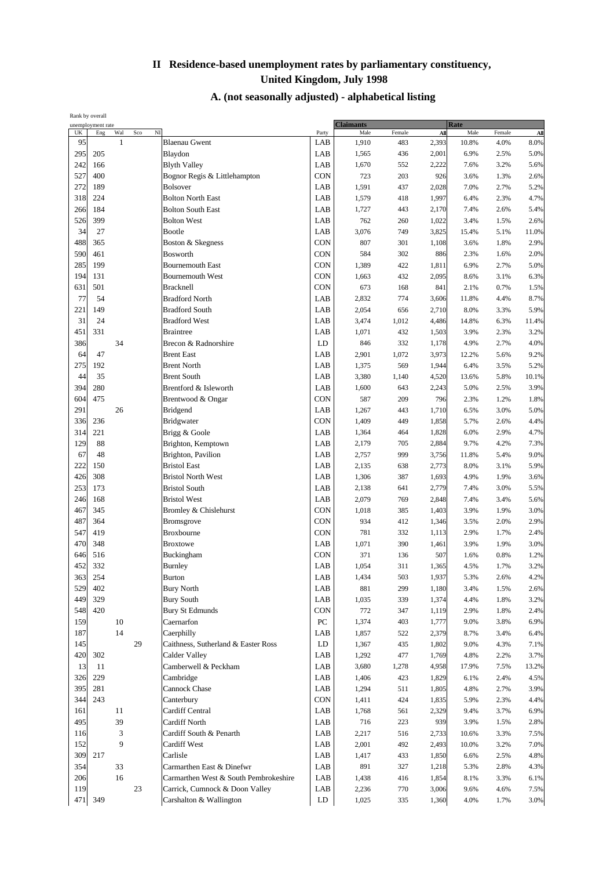| Rank by overall |                   |     |                       |                                       |                  |                  |        |       |             |        |       |
|-----------------|-------------------|-----|-----------------------|---------------------------------------|------------------|------------------|--------|-------|-------------|--------|-------|
|                 | unemployment rate |     |                       |                                       |                  | <b>Claimants</b> |        |       | <b>Rate</b> |        |       |
| UK              | Eng               | Wal | $\overline{N}$<br>Sco |                                       | Party            | Male             | Female | All   | Male        | Female | All   |
| 95              |                   | 1   |                       | <b>Blaenau Gwent</b>                  | LAB              | 1,910            | 483    | 2,393 | 10.8%       | 4.0%   | 8.0%  |
| 295             | 205               |     |                       | Blaydon                               | LAB              | 1,565            | 436    | 2,001 | 6.9%        | 2.5%   | 5.0%  |
| 242             | 166               |     |                       | <b>Blyth Valley</b>                   | LAB              | 1,670            | 552    | 2,222 | 7.6%        | 3.2%   | 5.6%  |
| 527             | 400               |     |                       | Bognor Regis & Littlehampton          | CON              | 723              | 203    | 926   | 3.6%        | 1.3%   | 2.6%  |
| 272             | 189               |     |                       | <b>Bolsover</b>                       | LAB              | 1,591            | 437    | 2,028 | 7.0%        | 2.7%   | 5.2%  |
| 318             | 224               |     |                       | <b>Bolton North East</b>              | LAB              | 1,579            | 418    | 1,997 | 6.4%        | 2.3%   | 4.7%  |
| 266             | 184               |     |                       | <b>Bolton South East</b>              | LAB              |                  |        |       |             |        |       |
|                 |                   |     |                       |                                       |                  | 1,727            | 443    | 2,170 | 7.4%        | 2.6%   | 5.4%  |
| 526             | 399               |     |                       | <b>Bolton West</b>                    | LAB              | 762              | 260    | 1,022 | 3.4%        | 1.5%   | 2.6%  |
| 34              | 27                |     |                       | Bootle                                | LAB              | 3,076            | 749    | 3,825 | 15.4%       | 5.1%   | 11.0% |
| 488             | 365               |     |                       | Boston & Skegness                     | CON              | 807              | 301    | 1,108 | 3.6%        | 1.8%   | 2.9%  |
| 590             | 461               |     |                       | <b>Bosworth</b>                       | <b>CON</b>       | 584              | 302    | 886   | 2.3%        | 1.6%   | 2.0%  |
| 285             | 199               |     |                       | <b>Bournemouth East</b>               | CON              | 1,389            | 422    | 1,811 | 6.9%        | 2.7%   | 5.0%  |
| 194             | 131               |     |                       | <b>Bournemouth West</b>               | <b>CON</b>       | 1,663            | 432    | 2,095 | 8.6%        | 3.1%   | 6.3%  |
| 631             | 501               |     |                       | <b>Bracknell</b>                      | <b>CON</b>       | 673              | 168    | 841   | 2.1%        | 0.7%   | 1.5%  |
| 77              |                   |     |                       |                                       |                  |                  |        |       |             |        |       |
|                 | 54                |     |                       | <b>Bradford North</b>                 | LAB              | 2,832            | 774    | 3,606 | 11.8%       | 4.4%   | 8.7%  |
| 221             | 149               |     |                       | <b>Bradford South</b>                 | LAB              | 2,054            | 656    | 2,710 | 8.0%        | 3.3%   | 5.9%  |
| 31              | 24                |     |                       | <b>Bradford West</b>                  | LAB              | 3,474            | 1,012  | 4,486 | 14.8%       | 6.3%   | 11.4% |
| 451             | 331               |     |                       | <b>Braintree</b>                      | LAB              | 1,071            | 432    | 1,503 | 3.9%        | 2.3%   | 3.2%  |
| 386             |                   | 34  |                       | Brecon & Radnorshire                  | LD               | 846              | 332    | 1,178 | 4.9%        | 2.7%   | 4.0%  |
| 64              | 47                |     |                       | <b>Brent East</b>                     | LAB              | 2,901            | 1,072  | 3,973 | 12.2%       | 5.6%   | 9.2%  |
| 275             | 192               |     |                       | <b>Brent North</b>                    | LAB              | 1,375            | 569    | 1,944 | 6.4%        | 3.5%   | 5.2%  |
| 44              | 35                |     |                       | <b>Brent South</b>                    | LAB              | 3,380            |        | 4,520 | 13.6%       | 5.8%   | 10.1% |
|                 |                   |     |                       |                                       |                  |                  | 1,140  |       |             |        |       |
| 394             | 280               |     |                       | Brentford & Isleworth                 | LAB              | 1,600            | 643    | 2,243 | 5.0%        | 2.5%   | 3.9%  |
| 604             | 475               |     |                       | Brentwood & Ongar                     | CON              | 587              | 209    | 796   | 2.3%        | 1.2%   | 1.8%  |
| 291             |                   | 26  |                       | Bridgend                              | LAB              | 1,267            | 443    | 1,710 | 6.5%        | 3.0%   | 5.0%  |
| 336             | 236               |     |                       | <b>Bridgwater</b>                     | <b>CON</b>       | 1,409            | 449    | 1,858 | 5.7%        | 2.6%   | 4.4%  |
| 314             | 221               |     |                       | Brigg & Goole                         | LAB              | 1,364            | 464    | 1,828 | 6.0%        | 2.9%   | 4.7%  |
| 129             | 88                |     |                       | Brighton, Kemptown                    | LAB              | 2,179            | 705    | 2,884 | 9.7%        | 4.2%   | 7.3%  |
| 67              | 48                |     |                       | Brighton, Pavilion                    | LAB              | 2,757            | 999    | 3,756 | 11.8%       | 5.4%   | 9.0%  |
| 222             |                   |     |                       | <b>Bristol East</b>                   |                  |                  |        |       |             |        |       |
|                 | 150               |     |                       |                                       | LAB              | 2,135            | 638    | 2,773 | 8.0%        | 3.1%   | 5.9%  |
| 426             | 308               |     |                       | <b>Bristol North West</b>             | LAB              | 1,306            | 387    | 1,693 | 4.9%        | 1.9%   | 3.6%  |
| 253             | 173               |     |                       | <b>Bristol South</b>                  | LAB              | 2,138            | 641    | 2,779 | 7.4%        | 3.0%   | 5.5%  |
| 246             | 168               |     |                       | <b>Bristol West</b>                   | LAB              | 2,079            | 769    | 2,848 | 7.4%        | 3.4%   | 5.6%  |
| 467             | 345               |     |                       | Bromley & Chislehurst                 | <b>CON</b>       | 1,018            | 385    | 1,403 | 3.9%        | 1.9%   | 3.0%  |
| 487             | 364               |     |                       | <b>Bromsgrove</b>                     | <b>CON</b>       | 934              | 412    | 1,346 | 3.5%        | 2.0%   | 2.9%  |
| 547             | 419               |     |                       | <b>Broxbourne</b>                     | CON              | 781              | 332    | 1,113 | 2.9%        | 1.7%   | 2.4%  |
| 470             | 348               |     |                       | <b>Broxtowe</b>                       | LAB              | 1,071            | 390    | 1,461 | 3.9%        | 1.9%   | 3.0%  |
|                 |                   |     |                       |                                       |                  |                  |        |       |             |        |       |
| 646             | 516               |     |                       | Buckingham                            | CON              | 371              | 136    | 507   | 1.6%        | 0.8%   | 1.2%  |
| 452             | 332               |     |                       | Burnley                               | LAB              | 1,054            | 311    | 1,365 | 4.5%        | 1.7%   | 3.2%  |
| 363             | 254               |     |                       | $\ensuremath{\mathsf{Burton}}$        | LAB              | 1,434            | 503    | 1,937 | 5.3%        | 2.6%   | 4.2%  |
| 529             | 402               |     |                       | <b>Bury North</b>                     | LAB              | 881              | 299    | 1,180 | 3.4%        | 1.5%   | 2.6%  |
| 449             | 329               |     |                       | <b>Bury South</b>                     | LAB              | 1,035            | 339    | 1,374 | 4.4%        | 1.8%   | 3.2%  |
| 548             | 420               |     |                       | <b>Bury St Edmunds</b>                | CON              | $772\,$          | 347    | 1,119 | 2.9%        | 1.8%   | 2.4%  |
| 159             |                   | 10  |                       | Caernarfon                            | ${\rm P}{\bf C}$ | 1,374            | 403    | 1,777 | 9.0%        | 3.8%   | 6.9%  |
| 187             |                   | 14  |                       | Caerphilly                            | LAB              | 1,857            | 522    | 2,379 | 8.7%        | 3.4%   | 6.4%  |
|                 |                   |     |                       |                                       |                  |                  |        |       |             |        |       |
| 145             |                   |     | 29                    | Caithness, Sutherland & Easter Ross   | LD               | 1,367            | 435    | 1,802 | 9.0%        | 4.3%   | 7.1%  |
| 420             | 302               |     |                       | Calder Valley                         | LAB              | 1,292            | 477    | 1,769 | 4.8%        | 2.2%   | 3.7%  |
| 13              | 11                |     |                       | Camberwell & Peckham                  | LAB              | 3,680            | 1,278  | 4,958 | 17.9%       | 7.5%   | 13.2% |
| 326             | 229               |     |                       | Cambridge                             | LAB              | 1,406            | 423    | 1,829 | 6.1%        | 2.4%   | 4.5%  |
| 395             | 281               |     |                       | <b>Cannock Chase</b>                  | LAB              | 1,294            | 511    | 1,805 | 4.8%        | 2.7%   | 3.9%  |
| 344             | 243               |     |                       | Canterbury                            | CON              | 1,411            | 424    | 1,835 | 5.9%        | 2.3%   | 4.4%  |
| 161             |                   | 11  |                       | Cardiff Central                       | LAB              | 1,768            | 561    | 2,329 | 9.4%        | 3.7%   | 6.9%  |
| 495             |                   | 39  |                       | <b>Cardiff North</b>                  | LAB              | 716              | 223    | 939   | 3.9%        | 1.5%   | 2.8%  |
|                 |                   |     |                       |                                       |                  |                  |        |       |             |        |       |
| 116             |                   | 3   |                       | Cardiff South & Penarth               | LAB              | 2,217            | 516    | 2,733 | 10.6%       | 3.3%   | 7.5%  |
| 152             |                   | 9   |                       | <b>Cardiff West</b>                   | LAB              | 2,001            | 492    | 2,493 | 10.0%       | 3.2%   | 7.0%  |
| 309             | 217               |     |                       | Carlisle                              | LAB              | 1,417            | 433    | 1,850 | 6.6%        | 2.5%   | 4.8%  |
| 354             |                   | 33  |                       | Carmarthen East & Dinefwr             | LAB              | 891              | 327    | 1,218 | 5.3%        | 2.8%   | 4.3%  |
| 206             |                   | 16  |                       | Carmarthen West & South Pembrokeshire | LAB              | 1,438            | 416    | 1,854 | 8.1%        | 3.3%   | 6.1%  |
| 119             |                   |     | 23                    | Carrick, Cumnock & Doon Valley        | LAB              | 2,236            | 770    | 3,006 | 9.6%        | 4.6%   | 7.5%  |
|                 | 471 349           |     |                       | Carshalton & Wallington               | LD               | 1,025            | 335    | 1,360 | 4.0%        | 1.7%   | 3.0%  |
|                 |                   |     |                       |                                       |                  |                  |        |       |             |        |       |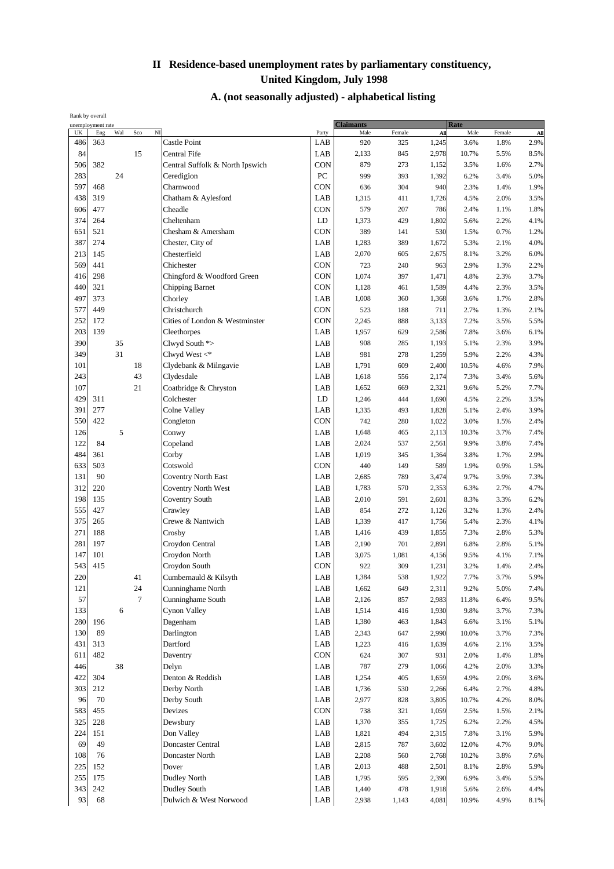| unemployment rate<br>$N$ I<br>UK<br>Eng<br>Wal<br>Sco<br>Male<br>Male<br>All<br>Party<br>Female<br>All<br>Female<br><b>Castle Point</b><br>LAB<br>486<br>363<br>2.9%<br>920<br>325<br>1,245<br>3.6%<br>1.8%<br>84<br>15<br>Central Fife<br>LAB<br>2,978<br>2,133<br>845<br>10.7%<br>5.5%<br>8.5%<br>CON<br>382<br>Central Suffolk & North Ipswich<br>2.7%<br>506<br>879<br>273<br>1,152<br>3.5%<br>1.6%<br>283<br>PC<br>24<br>Ceredigion<br>5.0%<br>999<br>393<br>1,392<br>6.2%<br>3.4%<br>597<br>468<br><b>CON</b><br>636<br>304<br>940<br>2.3%<br>1.4%<br>1.9%<br>Charnwood<br>438<br>319<br>LAB<br>1,315<br>411<br>4.5%<br>2.0%<br>3.5%<br>Chatham & Aylesford<br>1,726<br>CON<br>606<br>477<br>579<br>1.8%<br>Cheadle<br>207<br>786<br>2.4%<br>1.1%<br>LD<br>374<br>264<br>Cheltenham<br>1,373<br>429<br>5.6%<br>2.2%<br>4.1%<br>1,802<br>651<br>521<br>Chesham & Amersham<br><b>CON</b><br>389<br>141<br>530<br>1.5%<br>0.7%<br>1.2%<br>4.0%<br>387<br>274<br>Chester, City of<br>LAB<br>1,283<br>389<br>1,672<br>5.3%<br>2.1%<br>Chesterfield<br>LAB<br>6.0%<br>213<br>145<br>2,070<br>605<br>2,675<br>8.1%<br>3.2%<br>CON<br>569<br>441<br>Chichester<br>723<br>240<br>963<br>2.9%<br>1.3%<br>2.2%<br>CON<br>416<br>298<br>Chingford & Woodford Green<br>1,074<br>1,471<br>4.8%<br>2.3%<br>3.7%<br>397<br>440<br>321<br><b>CON</b><br><b>Chipping Barnet</b><br>1,128<br>461<br>1,589<br>4.4%<br>2.3%<br>3.5%<br>497<br>373<br>LAB<br>1,008<br>360<br>1,368<br>3.6%<br>1.7%<br>2.8%<br>Chorley<br>CON<br>577<br>449<br>Christchurch<br>523<br>188<br>711<br>2.7%<br>1.3%<br>2.1%<br>CON<br>252<br>Cities of London & Westminster<br>5.5%<br>172<br>2,245<br>888<br>3,133<br>7.2%<br>3.5%<br>203<br>LAB<br>139<br>Cleethorpes<br>1,957<br>629<br>2,586<br>7.8%<br>3.6%<br>6.1%<br>390<br>35<br>Clwyd South *><br>LAB<br>3.9%<br>908<br>285<br>1,193<br>5.1%<br>2.3%<br>349<br>31<br>Clwyd West $\lt^*$<br>LAB<br>981<br>278<br>1,259<br>5.9%<br>2.2%<br>4.3%<br>LAB<br>7.9%<br>101<br>18<br>Clydebank & Milngavie<br>1,791<br>609<br>2,400<br>10.5%<br>4.6%<br>243<br>43<br>LAB<br>Clydesdale<br>1,618<br>7.3%<br>5.6%<br>556<br>2,174<br>3.4%<br>107<br>21<br>LAB<br>Coatbridge & Chryston<br>1,652<br>9.6%<br>7.7%<br>669<br>2,321<br>5.2%<br>429<br>LD<br>311<br>Colchester<br>444<br>1,690<br>4.5%<br>2.2%<br>3.5%<br>1,246<br>3.9%<br>391<br>277<br>LAB<br>1,335<br>493<br>1,828<br>5.1%<br>2.4%<br>Colne Valley<br>CON<br>550<br>422<br>742<br>280<br>1,022<br>3.0%<br>1.5%<br>2.4%<br>Congleton<br>5<br>126<br>LAB<br>Conwy<br>1,648<br>465<br>10.3%<br>3.7%<br>7.4%<br>2,113<br>122<br>LAB<br>84<br>Copeland<br>2,024<br>537<br>3.8%<br>7.4%<br>2,561<br>9.9%<br>LAB<br>484<br>361<br>Corby<br>1,019<br>345<br>1,364<br>3.8%<br>1.7%<br>2.9%<br>CON<br>633<br>503<br>Cotswold<br>440<br>149<br>589<br>1.9%<br>0.9%<br>1.5%<br>131<br>90<br>Coventry North East<br>LAB<br>2,685<br>789<br>3,474<br>9.7%<br>3.9%<br>7.3%<br>312<br>4.7%<br>LAB<br>1,783<br>570<br>2.7%<br>220<br><b>Coventry North West</b><br>2,353<br>6.3%<br>198<br>LAB<br>135<br>Coventry South<br>2,010<br>6.2%<br>591<br>2,601<br>8.3%<br>3.3%<br>555<br>LAB<br>427<br>Crawley<br>854<br>272<br>1,126<br>3.2%<br>1.3%<br>2.4%<br>375<br>265<br>Crewe & Nantwich<br>LAB<br>1,339<br>417<br>1,756<br>5.4%<br>2.3%<br>4.1%<br>LAB<br>271<br>188<br>1,416<br>439<br>7.3%<br>2.8%<br>5.3%<br>Crosby<br>1,855<br>281<br>Croydon Central<br>LAB<br>2,190<br>701<br>2,891<br>6.8%<br>2.8%<br>5.1%<br>197<br>147<br>101<br>LAB<br>Croydon North<br>3,075<br>1,081<br>4.1%<br>7.1%<br>4,156<br>9.5%<br>543<br><b>CON</b><br>415<br>Croydon South<br>922<br>309<br>1,231<br>3.2%<br>1.4%<br>2.4%<br>220<br>$41\,$<br>LAB<br>Cumbernauld & Kilsyth<br>1,384<br>538<br>1,922<br>5.9%<br>7.7%<br>3.7%<br>121<br>24<br>LAB<br>1,662<br>649<br>2,311<br>7.4%<br>Cunninghame North<br>9.2%<br>5.0%<br>57<br>$\tau$<br>2,126<br>9.5%<br>Cunninghame South<br>LAB<br>857<br>2,983<br>6.4%<br>11.8%<br>133<br>6<br>Cynon Valley<br>LAB<br>1,514<br>416<br>1,930<br>3.7%<br>7.3%<br>9.8%<br>280<br>LAB<br>196<br>Dagenham<br>1,380<br>463<br>1,843<br>6.6%<br>3.1%<br>5.1%<br>130<br>Darlington<br>89<br>LAB<br>7.3%<br>2,343<br>647<br>2,990<br>10.0%<br>3.7%<br>Dartford<br>LAB<br>431<br>313<br>1,223<br>416<br>1,639<br>4.6%<br>2.1%<br>3.5%<br>482<br><b>CON</b><br>624<br>307<br>1.8%<br>611<br>931<br>2.0%<br>1.4%<br>Daventry<br>446<br>38<br>Delyn<br>LAB<br>787<br>279<br>4.2%<br>2.0%<br>3.3%<br>1,066<br>422<br>304<br>Denton & Reddish<br>LAB<br>3.6%<br>1,254<br>405<br>1,659<br>4.9%<br>2.0%<br>303<br>212<br>Derby North<br>LAB<br>4.8%<br>1,736<br>530<br>2,266<br>6.4%<br>2.7%<br>70<br>LAB<br>96<br>Derby South<br>2,977<br>8.0%<br>828<br>3,805<br>10.7%<br>4.2%<br>583<br><b>CON</b><br>738<br>455<br>Devizes<br>321<br>1,059<br>2.5%<br>1.5%<br>2.1%<br>325<br>228<br>Dewsbury<br>LAB<br>1,370<br>355<br>2.2%<br>4.5%<br>1,725<br>6.2%<br>224<br>LAB<br>151<br>Don Valley<br>5.9%<br>1,821<br>494<br>2,315<br>7.8%<br>3.1%<br>69<br>49<br>Doncaster Central<br>LAB<br>9.0%<br>2,815<br>787<br>3,602<br>12.0%<br>4.7%<br>108<br>LAB<br>76<br>Doncaster North<br>2,208<br>560<br>2,768<br>10.2%<br>3.8%<br>7.6%<br>225<br>5.9%<br>152<br>Dover<br>LAB<br>2,013<br>488<br>2,501<br>8.1%<br>2.8%<br>255<br>175<br><b>Dudley North</b><br>LAB<br>1,795<br>595<br>5.5%<br>2,390<br>6.9%<br>3.4%<br>343<br>242<br>Dudley South<br>LAB<br>1,918<br>4.4%<br>1,440<br>478<br>5.6%<br>2.6%<br>93<br>68<br>${\rm LAB}$<br>Dulwich & West Norwood<br>4,081<br>$8.1\%$<br>2,938<br>1,143<br>10.9%<br>4.9% | Rank by overall |  |  |  |  |  |           |  |  |             |  |  |
|--------------------------------------------------------------------------------------------------------------------------------------------------------------------------------------------------------------------------------------------------------------------------------------------------------------------------------------------------------------------------------------------------------------------------------------------------------------------------------------------------------------------------------------------------------------------------------------------------------------------------------------------------------------------------------------------------------------------------------------------------------------------------------------------------------------------------------------------------------------------------------------------------------------------------------------------------------------------------------------------------------------------------------------------------------------------------------------------------------------------------------------------------------------------------------------------------------------------------------------------------------------------------------------------------------------------------------------------------------------------------------------------------------------------------------------------------------------------------------------------------------------------------------------------------------------------------------------------------------------------------------------------------------------------------------------------------------------------------------------------------------------------------------------------------------------------------------------------------------------------------------------------------------------------------------------------------------------------------------------------------------------------------------------------------------------------------------------------------------------------------------------------------------------------------------------------------------------------------------------------------------------------------------------------------------------------------------------------------------------------------------------------------------------------------------------------------------------------------------------------------------------------------------------------------------------------------------------------------------------------------------------------------------------------------------------------------------------------------------------------------------------------------------------------------------------------------------------------------------------------------------------------------------------------------------------------------------------------------------------------------------------------------------------------------------------------------------------------------------------------------------------------------------------------------------------------------------------------------------------------------------------------------------------------------------------------------------------------------------------------------------------------------------------------------------------------------------------------------------------------------------------------------------------------------------------------------------------------------------------------------------------------------------------------------------------------------------------------------------------------------------------------------------------------------------------------------------------------------------------------------------------------------------------------------------------------------------------------------------------------------------------------------------------------------------------------------------------------------------------------------------------------------------------------------------------------------------------------------------------------------------------------------------------------------------------------------------------------------------------------------------------------------------------------------------------------------------------------------------------------------------------------------------------------------------------------------------------------------------------------------------------------------------------------------------------------------------------------------------------------------------------------------------------------------------------------------------------------------------------------------------------------------------------------------------------------------------------------------------------------------------------------------------------------------------------------------------------------------------------------------------------------------------------------------------------------------------------------------------------------------------------------------------------------------------------------------------------------------------------------------------------------------------------------------------------------------------------------------------------------------------------------------------------------------------------------------------|-----------------|--|--|--|--|--|-----------|--|--|-------------|--|--|
|                                                                                                                                                                                                                                                                                                                                                                                                                                                                                                                                                                                                                                                                                                                                                                                                                                                                                                                                                                                                                                                                                                                                                                                                                                                                                                                                                                                                                                                                                                                                                                                                                                                                                                                                                                                                                                                                                                                                                                                                                                                                                                                                                                                                                                                                                                                                                                                                                                                                                                                                                                                                                                                                                                                                                                                                                                                                                                                                                                                                                                                                                                                                                                                                                                                                                                                                                                                                                                                                                                                                                                                                                                                                                                                                                                                                                                                                                                                                                                                                                                                                                                                                                                                                                                                                                                                                                                                                                                                                                                                                                                                                                                                                                                                                                                                                                                                                                                                                                                                                                                                                                                                                                                                                                                                                                                                                                                                                                                                                                                                                                                                |                 |  |  |  |  |  | Claimants |  |  | <b>Rate</b> |  |  |
|                                                                                                                                                                                                                                                                                                                                                                                                                                                                                                                                                                                                                                                                                                                                                                                                                                                                                                                                                                                                                                                                                                                                                                                                                                                                                                                                                                                                                                                                                                                                                                                                                                                                                                                                                                                                                                                                                                                                                                                                                                                                                                                                                                                                                                                                                                                                                                                                                                                                                                                                                                                                                                                                                                                                                                                                                                                                                                                                                                                                                                                                                                                                                                                                                                                                                                                                                                                                                                                                                                                                                                                                                                                                                                                                                                                                                                                                                                                                                                                                                                                                                                                                                                                                                                                                                                                                                                                                                                                                                                                                                                                                                                                                                                                                                                                                                                                                                                                                                                                                                                                                                                                                                                                                                                                                                                                                                                                                                                                                                                                                                                                |                 |  |  |  |  |  |           |  |  |             |  |  |
|                                                                                                                                                                                                                                                                                                                                                                                                                                                                                                                                                                                                                                                                                                                                                                                                                                                                                                                                                                                                                                                                                                                                                                                                                                                                                                                                                                                                                                                                                                                                                                                                                                                                                                                                                                                                                                                                                                                                                                                                                                                                                                                                                                                                                                                                                                                                                                                                                                                                                                                                                                                                                                                                                                                                                                                                                                                                                                                                                                                                                                                                                                                                                                                                                                                                                                                                                                                                                                                                                                                                                                                                                                                                                                                                                                                                                                                                                                                                                                                                                                                                                                                                                                                                                                                                                                                                                                                                                                                                                                                                                                                                                                                                                                                                                                                                                                                                                                                                                                                                                                                                                                                                                                                                                                                                                                                                                                                                                                                                                                                                                                                |                 |  |  |  |  |  |           |  |  |             |  |  |
|                                                                                                                                                                                                                                                                                                                                                                                                                                                                                                                                                                                                                                                                                                                                                                                                                                                                                                                                                                                                                                                                                                                                                                                                                                                                                                                                                                                                                                                                                                                                                                                                                                                                                                                                                                                                                                                                                                                                                                                                                                                                                                                                                                                                                                                                                                                                                                                                                                                                                                                                                                                                                                                                                                                                                                                                                                                                                                                                                                                                                                                                                                                                                                                                                                                                                                                                                                                                                                                                                                                                                                                                                                                                                                                                                                                                                                                                                                                                                                                                                                                                                                                                                                                                                                                                                                                                                                                                                                                                                                                                                                                                                                                                                                                                                                                                                                                                                                                                                                                                                                                                                                                                                                                                                                                                                                                                                                                                                                                                                                                                                                                |                 |  |  |  |  |  |           |  |  |             |  |  |
|                                                                                                                                                                                                                                                                                                                                                                                                                                                                                                                                                                                                                                                                                                                                                                                                                                                                                                                                                                                                                                                                                                                                                                                                                                                                                                                                                                                                                                                                                                                                                                                                                                                                                                                                                                                                                                                                                                                                                                                                                                                                                                                                                                                                                                                                                                                                                                                                                                                                                                                                                                                                                                                                                                                                                                                                                                                                                                                                                                                                                                                                                                                                                                                                                                                                                                                                                                                                                                                                                                                                                                                                                                                                                                                                                                                                                                                                                                                                                                                                                                                                                                                                                                                                                                                                                                                                                                                                                                                                                                                                                                                                                                                                                                                                                                                                                                                                                                                                                                                                                                                                                                                                                                                                                                                                                                                                                                                                                                                                                                                                                                                |                 |  |  |  |  |  |           |  |  |             |  |  |
|                                                                                                                                                                                                                                                                                                                                                                                                                                                                                                                                                                                                                                                                                                                                                                                                                                                                                                                                                                                                                                                                                                                                                                                                                                                                                                                                                                                                                                                                                                                                                                                                                                                                                                                                                                                                                                                                                                                                                                                                                                                                                                                                                                                                                                                                                                                                                                                                                                                                                                                                                                                                                                                                                                                                                                                                                                                                                                                                                                                                                                                                                                                                                                                                                                                                                                                                                                                                                                                                                                                                                                                                                                                                                                                                                                                                                                                                                                                                                                                                                                                                                                                                                                                                                                                                                                                                                                                                                                                                                                                                                                                                                                                                                                                                                                                                                                                                                                                                                                                                                                                                                                                                                                                                                                                                                                                                                                                                                                                                                                                                                                                |                 |  |  |  |  |  |           |  |  |             |  |  |
|                                                                                                                                                                                                                                                                                                                                                                                                                                                                                                                                                                                                                                                                                                                                                                                                                                                                                                                                                                                                                                                                                                                                                                                                                                                                                                                                                                                                                                                                                                                                                                                                                                                                                                                                                                                                                                                                                                                                                                                                                                                                                                                                                                                                                                                                                                                                                                                                                                                                                                                                                                                                                                                                                                                                                                                                                                                                                                                                                                                                                                                                                                                                                                                                                                                                                                                                                                                                                                                                                                                                                                                                                                                                                                                                                                                                                                                                                                                                                                                                                                                                                                                                                                                                                                                                                                                                                                                                                                                                                                                                                                                                                                                                                                                                                                                                                                                                                                                                                                                                                                                                                                                                                                                                                                                                                                                                                                                                                                                                                                                                                                                |                 |  |  |  |  |  |           |  |  |             |  |  |
|                                                                                                                                                                                                                                                                                                                                                                                                                                                                                                                                                                                                                                                                                                                                                                                                                                                                                                                                                                                                                                                                                                                                                                                                                                                                                                                                                                                                                                                                                                                                                                                                                                                                                                                                                                                                                                                                                                                                                                                                                                                                                                                                                                                                                                                                                                                                                                                                                                                                                                                                                                                                                                                                                                                                                                                                                                                                                                                                                                                                                                                                                                                                                                                                                                                                                                                                                                                                                                                                                                                                                                                                                                                                                                                                                                                                                                                                                                                                                                                                                                                                                                                                                                                                                                                                                                                                                                                                                                                                                                                                                                                                                                                                                                                                                                                                                                                                                                                                                                                                                                                                                                                                                                                                                                                                                                                                                                                                                                                                                                                                                                                |                 |  |  |  |  |  |           |  |  |             |  |  |
|                                                                                                                                                                                                                                                                                                                                                                                                                                                                                                                                                                                                                                                                                                                                                                                                                                                                                                                                                                                                                                                                                                                                                                                                                                                                                                                                                                                                                                                                                                                                                                                                                                                                                                                                                                                                                                                                                                                                                                                                                                                                                                                                                                                                                                                                                                                                                                                                                                                                                                                                                                                                                                                                                                                                                                                                                                                                                                                                                                                                                                                                                                                                                                                                                                                                                                                                                                                                                                                                                                                                                                                                                                                                                                                                                                                                                                                                                                                                                                                                                                                                                                                                                                                                                                                                                                                                                                                                                                                                                                                                                                                                                                                                                                                                                                                                                                                                                                                                                                                                                                                                                                                                                                                                                                                                                                                                                                                                                                                                                                                                                                                |                 |  |  |  |  |  |           |  |  |             |  |  |
|                                                                                                                                                                                                                                                                                                                                                                                                                                                                                                                                                                                                                                                                                                                                                                                                                                                                                                                                                                                                                                                                                                                                                                                                                                                                                                                                                                                                                                                                                                                                                                                                                                                                                                                                                                                                                                                                                                                                                                                                                                                                                                                                                                                                                                                                                                                                                                                                                                                                                                                                                                                                                                                                                                                                                                                                                                                                                                                                                                                                                                                                                                                                                                                                                                                                                                                                                                                                                                                                                                                                                                                                                                                                                                                                                                                                                                                                                                                                                                                                                                                                                                                                                                                                                                                                                                                                                                                                                                                                                                                                                                                                                                                                                                                                                                                                                                                                                                                                                                                                                                                                                                                                                                                                                                                                                                                                                                                                                                                                                                                                                                                |                 |  |  |  |  |  |           |  |  |             |  |  |
|                                                                                                                                                                                                                                                                                                                                                                                                                                                                                                                                                                                                                                                                                                                                                                                                                                                                                                                                                                                                                                                                                                                                                                                                                                                                                                                                                                                                                                                                                                                                                                                                                                                                                                                                                                                                                                                                                                                                                                                                                                                                                                                                                                                                                                                                                                                                                                                                                                                                                                                                                                                                                                                                                                                                                                                                                                                                                                                                                                                                                                                                                                                                                                                                                                                                                                                                                                                                                                                                                                                                                                                                                                                                                                                                                                                                                                                                                                                                                                                                                                                                                                                                                                                                                                                                                                                                                                                                                                                                                                                                                                                                                                                                                                                                                                                                                                                                                                                                                                                                                                                                                                                                                                                                                                                                                                                                                                                                                                                                                                                                                                                |                 |  |  |  |  |  |           |  |  |             |  |  |
|                                                                                                                                                                                                                                                                                                                                                                                                                                                                                                                                                                                                                                                                                                                                                                                                                                                                                                                                                                                                                                                                                                                                                                                                                                                                                                                                                                                                                                                                                                                                                                                                                                                                                                                                                                                                                                                                                                                                                                                                                                                                                                                                                                                                                                                                                                                                                                                                                                                                                                                                                                                                                                                                                                                                                                                                                                                                                                                                                                                                                                                                                                                                                                                                                                                                                                                                                                                                                                                                                                                                                                                                                                                                                                                                                                                                                                                                                                                                                                                                                                                                                                                                                                                                                                                                                                                                                                                                                                                                                                                                                                                                                                                                                                                                                                                                                                                                                                                                                                                                                                                                                                                                                                                                                                                                                                                                                                                                                                                                                                                                                                                |                 |  |  |  |  |  |           |  |  |             |  |  |
|                                                                                                                                                                                                                                                                                                                                                                                                                                                                                                                                                                                                                                                                                                                                                                                                                                                                                                                                                                                                                                                                                                                                                                                                                                                                                                                                                                                                                                                                                                                                                                                                                                                                                                                                                                                                                                                                                                                                                                                                                                                                                                                                                                                                                                                                                                                                                                                                                                                                                                                                                                                                                                                                                                                                                                                                                                                                                                                                                                                                                                                                                                                                                                                                                                                                                                                                                                                                                                                                                                                                                                                                                                                                                                                                                                                                                                                                                                                                                                                                                                                                                                                                                                                                                                                                                                                                                                                                                                                                                                                                                                                                                                                                                                                                                                                                                                                                                                                                                                                                                                                                                                                                                                                                                                                                                                                                                                                                                                                                                                                                                                                |                 |  |  |  |  |  |           |  |  |             |  |  |
|                                                                                                                                                                                                                                                                                                                                                                                                                                                                                                                                                                                                                                                                                                                                                                                                                                                                                                                                                                                                                                                                                                                                                                                                                                                                                                                                                                                                                                                                                                                                                                                                                                                                                                                                                                                                                                                                                                                                                                                                                                                                                                                                                                                                                                                                                                                                                                                                                                                                                                                                                                                                                                                                                                                                                                                                                                                                                                                                                                                                                                                                                                                                                                                                                                                                                                                                                                                                                                                                                                                                                                                                                                                                                                                                                                                                                                                                                                                                                                                                                                                                                                                                                                                                                                                                                                                                                                                                                                                                                                                                                                                                                                                                                                                                                                                                                                                                                                                                                                                                                                                                                                                                                                                                                                                                                                                                                                                                                                                                                                                                                                                |                 |  |  |  |  |  |           |  |  |             |  |  |
|                                                                                                                                                                                                                                                                                                                                                                                                                                                                                                                                                                                                                                                                                                                                                                                                                                                                                                                                                                                                                                                                                                                                                                                                                                                                                                                                                                                                                                                                                                                                                                                                                                                                                                                                                                                                                                                                                                                                                                                                                                                                                                                                                                                                                                                                                                                                                                                                                                                                                                                                                                                                                                                                                                                                                                                                                                                                                                                                                                                                                                                                                                                                                                                                                                                                                                                                                                                                                                                                                                                                                                                                                                                                                                                                                                                                                                                                                                                                                                                                                                                                                                                                                                                                                                                                                                                                                                                                                                                                                                                                                                                                                                                                                                                                                                                                                                                                                                                                                                                                                                                                                                                                                                                                                                                                                                                                                                                                                                                                                                                                                                                |                 |  |  |  |  |  |           |  |  |             |  |  |
|                                                                                                                                                                                                                                                                                                                                                                                                                                                                                                                                                                                                                                                                                                                                                                                                                                                                                                                                                                                                                                                                                                                                                                                                                                                                                                                                                                                                                                                                                                                                                                                                                                                                                                                                                                                                                                                                                                                                                                                                                                                                                                                                                                                                                                                                                                                                                                                                                                                                                                                                                                                                                                                                                                                                                                                                                                                                                                                                                                                                                                                                                                                                                                                                                                                                                                                                                                                                                                                                                                                                                                                                                                                                                                                                                                                                                                                                                                                                                                                                                                                                                                                                                                                                                                                                                                                                                                                                                                                                                                                                                                                                                                                                                                                                                                                                                                                                                                                                                                                                                                                                                                                                                                                                                                                                                                                                                                                                                                                                                                                                                                                |                 |  |  |  |  |  |           |  |  |             |  |  |
|                                                                                                                                                                                                                                                                                                                                                                                                                                                                                                                                                                                                                                                                                                                                                                                                                                                                                                                                                                                                                                                                                                                                                                                                                                                                                                                                                                                                                                                                                                                                                                                                                                                                                                                                                                                                                                                                                                                                                                                                                                                                                                                                                                                                                                                                                                                                                                                                                                                                                                                                                                                                                                                                                                                                                                                                                                                                                                                                                                                                                                                                                                                                                                                                                                                                                                                                                                                                                                                                                                                                                                                                                                                                                                                                                                                                                                                                                                                                                                                                                                                                                                                                                                                                                                                                                                                                                                                                                                                                                                                                                                                                                                                                                                                                                                                                                                                                                                                                                                                                                                                                                                                                                                                                                                                                                                                                                                                                                                                                                                                                                                                |                 |  |  |  |  |  |           |  |  |             |  |  |
|                                                                                                                                                                                                                                                                                                                                                                                                                                                                                                                                                                                                                                                                                                                                                                                                                                                                                                                                                                                                                                                                                                                                                                                                                                                                                                                                                                                                                                                                                                                                                                                                                                                                                                                                                                                                                                                                                                                                                                                                                                                                                                                                                                                                                                                                                                                                                                                                                                                                                                                                                                                                                                                                                                                                                                                                                                                                                                                                                                                                                                                                                                                                                                                                                                                                                                                                                                                                                                                                                                                                                                                                                                                                                                                                                                                                                                                                                                                                                                                                                                                                                                                                                                                                                                                                                                                                                                                                                                                                                                                                                                                                                                                                                                                                                                                                                                                                                                                                                                                                                                                                                                                                                                                                                                                                                                                                                                                                                                                                                                                                                                                |                 |  |  |  |  |  |           |  |  |             |  |  |
|                                                                                                                                                                                                                                                                                                                                                                                                                                                                                                                                                                                                                                                                                                                                                                                                                                                                                                                                                                                                                                                                                                                                                                                                                                                                                                                                                                                                                                                                                                                                                                                                                                                                                                                                                                                                                                                                                                                                                                                                                                                                                                                                                                                                                                                                                                                                                                                                                                                                                                                                                                                                                                                                                                                                                                                                                                                                                                                                                                                                                                                                                                                                                                                                                                                                                                                                                                                                                                                                                                                                                                                                                                                                                                                                                                                                                                                                                                                                                                                                                                                                                                                                                                                                                                                                                                                                                                                                                                                                                                                                                                                                                                                                                                                                                                                                                                                                                                                                                                                                                                                                                                                                                                                                                                                                                                                                                                                                                                                                                                                                                                                |                 |  |  |  |  |  |           |  |  |             |  |  |
|                                                                                                                                                                                                                                                                                                                                                                                                                                                                                                                                                                                                                                                                                                                                                                                                                                                                                                                                                                                                                                                                                                                                                                                                                                                                                                                                                                                                                                                                                                                                                                                                                                                                                                                                                                                                                                                                                                                                                                                                                                                                                                                                                                                                                                                                                                                                                                                                                                                                                                                                                                                                                                                                                                                                                                                                                                                                                                                                                                                                                                                                                                                                                                                                                                                                                                                                                                                                                                                                                                                                                                                                                                                                                                                                                                                                                                                                                                                                                                                                                                                                                                                                                                                                                                                                                                                                                                                                                                                                                                                                                                                                                                                                                                                                                                                                                                                                                                                                                                                                                                                                                                                                                                                                                                                                                                                                                                                                                                                                                                                                                                                |                 |  |  |  |  |  |           |  |  |             |  |  |
|                                                                                                                                                                                                                                                                                                                                                                                                                                                                                                                                                                                                                                                                                                                                                                                                                                                                                                                                                                                                                                                                                                                                                                                                                                                                                                                                                                                                                                                                                                                                                                                                                                                                                                                                                                                                                                                                                                                                                                                                                                                                                                                                                                                                                                                                                                                                                                                                                                                                                                                                                                                                                                                                                                                                                                                                                                                                                                                                                                                                                                                                                                                                                                                                                                                                                                                                                                                                                                                                                                                                                                                                                                                                                                                                                                                                                                                                                                                                                                                                                                                                                                                                                                                                                                                                                                                                                                                                                                                                                                                                                                                                                                                                                                                                                                                                                                                                                                                                                                                                                                                                                                                                                                                                                                                                                                                                                                                                                                                                                                                                                                                |                 |  |  |  |  |  |           |  |  |             |  |  |
|                                                                                                                                                                                                                                                                                                                                                                                                                                                                                                                                                                                                                                                                                                                                                                                                                                                                                                                                                                                                                                                                                                                                                                                                                                                                                                                                                                                                                                                                                                                                                                                                                                                                                                                                                                                                                                                                                                                                                                                                                                                                                                                                                                                                                                                                                                                                                                                                                                                                                                                                                                                                                                                                                                                                                                                                                                                                                                                                                                                                                                                                                                                                                                                                                                                                                                                                                                                                                                                                                                                                                                                                                                                                                                                                                                                                                                                                                                                                                                                                                                                                                                                                                                                                                                                                                                                                                                                                                                                                                                                                                                                                                                                                                                                                                                                                                                                                                                                                                                                                                                                                                                                                                                                                                                                                                                                                                                                                                                                                                                                                                                                |                 |  |  |  |  |  |           |  |  |             |  |  |
|                                                                                                                                                                                                                                                                                                                                                                                                                                                                                                                                                                                                                                                                                                                                                                                                                                                                                                                                                                                                                                                                                                                                                                                                                                                                                                                                                                                                                                                                                                                                                                                                                                                                                                                                                                                                                                                                                                                                                                                                                                                                                                                                                                                                                                                                                                                                                                                                                                                                                                                                                                                                                                                                                                                                                                                                                                                                                                                                                                                                                                                                                                                                                                                                                                                                                                                                                                                                                                                                                                                                                                                                                                                                                                                                                                                                                                                                                                                                                                                                                                                                                                                                                                                                                                                                                                                                                                                                                                                                                                                                                                                                                                                                                                                                                                                                                                                                                                                                                                                                                                                                                                                                                                                                                                                                                                                                                                                                                                                                                                                                                                                |                 |  |  |  |  |  |           |  |  |             |  |  |
|                                                                                                                                                                                                                                                                                                                                                                                                                                                                                                                                                                                                                                                                                                                                                                                                                                                                                                                                                                                                                                                                                                                                                                                                                                                                                                                                                                                                                                                                                                                                                                                                                                                                                                                                                                                                                                                                                                                                                                                                                                                                                                                                                                                                                                                                                                                                                                                                                                                                                                                                                                                                                                                                                                                                                                                                                                                                                                                                                                                                                                                                                                                                                                                                                                                                                                                                                                                                                                                                                                                                                                                                                                                                                                                                                                                                                                                                                                                                                                                                                                                                                                                                                                                                                                                                                                                                                                                                                                                                                                                                                                                                                                                                                                                                                                                                                                                                                                                                                                                                                                                                                                                                                                                                                                                                                                                                                                                                                                                                                                                                                                                |                 |  |  |  |  |  |           |  |  |             |  |  |
|                                                                                                                                                                                                                                                                                                                                                                                                                                                                                                                                                                                                                                                                                                                                                                                                                                                                                                                                                                                                                                                                                                                                                                                                                                                                                                                                                                                                                                                                                                                                                                                                                                                                                                                                                                                                                                                                                                                                                                                                                                                                                                                                                                                                                                                                                                                                                                                                                                                                                                                                                                                                                                                                                                                                                                                                                                                                                                                                                                                                                                                                                                                                                                                                                                                                                                                                                                                                                                                                                                                                                                                                                                                                                                                                                                                                                                                                                                                                                                                                                                                                                                                                                                                                                                                                                                                                                                                                                                                                                                                                                                                                                                                                                                                                                                                                                                                                                                                                                                                                                                                                                                                                                                                                                                                                                                                                                                                                                                                                                                                                                                                |                 |  |  |  |  |  |           |  |  |             |  |  |
|                                                                                                                                                                                                                                                                                                                                                                                                                                                                                                                                                                                                                                                                                                                                                                                                                                                                                                                                                                                                                                                                                                                                                                                                                                                                                                                                                                                                                                                                                                                                                                                                                                                                                                                                                                                                                                                                                                                                                                                                                                                                                                                                                                                                                                                                                                                                                                                                                                                                                                                                                                                                                                                                                                                                                                                                                                                                                                                                                                                                                                                                                                                                                                                                                                                                                                                                                                                                                                                                                                                                                                                                                                                                                                                                                                                                                                                                                                                                                                                                                                                                                                                                                                                                                                                                                                                                                                                                                                                                                                                                                                                                                                                                                                                                                                                                                                                                                                                                                                                                                                                                                                                                                                                                                                                                                                                                                                                                                                                                                                                                                                                |                 |  |  |  |  |  |           |  |  |             |  |  |
|                                                                                                                                                                                                                                                                                                                                                                                                                                                                                                                                                                                                                                                                                                                                                                                                                                                                                                                                                                                                                                                                                                                                                                                                                                                                                                                                                                                                                                                                                                                                                                                                                                                                                                                                                                                                                                                                                                                                                                                                                                                                                                                                                                                                                                                                                                                                                                                                                                                                                                                                                                                                                                                                                                                                                                                                                                                                                                                                                                                                                                                                                                                                                                                                                                                                                                                                                                                                                                                                                                                                                                                                                                                                                                                                                                                                                                                                                                                                                                                                                                                                                                                                                                                                                                                                                                                                                                                                                                                                                                                                                                                                                                                                                                                                                                                                                                                                                                                                                                                                                                                                                                                                                                                                                                                                                                                                                                                                                                                                                                                                                                                |                 |  |  |  |  |  |           |  |  |             |  |  |
|                                                                                                                                                                                                                                                                                                                                                                                                                                                                                                                                                                                                                                                                                                                                                                                                                                                                                                                                                                                                                                                                                                                                                                                                                                                                                                                                                                                                                                                                                                                                                                                                                                                                                                                                                                                                                                                                                                                                                                                                                                                                                                                                                                                                                                                                                                                                                                                                                                                                                                                                                                                                                                                                                                                                                                                                                                                                                                                                                                                                                                                                                                                                                                                                                                                                                                                                                                                                                                                                                                                                                                                                                                                                                                                                                                                                                                                                                                                                                                                                                                                                                                                                                                                                                                                                                                                                                                                                                                                                                                                                                                                                                                                                                                                                                                                                                                                                                                                                                                                                                                                                                                                                                                                                                                                                                                                                                                                                                                                                                                                                                                                |                 |  |  |  |  |  |           |  |  |             |  |  |
|                                                                                                                                                                                                                                                                                                                                                                                                                                                                                                                                                                                                                                                                                                                                                                                                                                                                                                                                                                                                                                                                                                                                                                                                                                                                                                                                                                                                                                                                                                                                                                                                                                                                                                                                                                                                                                                                                                                                                                                                                                                                                                                                                                                                                                                                                                                                                                                                                                                                                                                                                                                                                                                                                                                                                                                                                                                                                                                                                                                                                                                                                                                                                                                                                                                                                                                                                                                                                                                                                                                                                                                                                                                                                                                                                                                                                                                                                                                                                                                                                                                                                                                                                                                                                                                                                                                                                                                                                                                                                                                                                                                                                                                                                                                                                                                                                                                                                                                                                                                                                                                                                                                                                                                                                                                                                                                                                                                                                                                                                                                                                                                |                 |  |  |  |  |  |           |  |  |             |  |  |
|                                                                                                                                                                                                                                                                                                                                                                                                                                                                                                                                                                                                                                                                                                                                                                                                                                                                                                                                                                                                                                                                                                                                                                                                                                                                                                                                                                                                                                                                                                                                                                                                                                                                                                                                                                                                                                                                                                                                                                                                                                                                                                                                                                                                                                                                                                                                                                                                                                                                                                                                                                                                                                                                                                                                                                                                                                                                                                                                                                                                                                                                                                                                                                                                                                                                                                                                                                                                                                                                                                                                                                                                                                                                                                                                                                                                                                                                                                                                                                                                                                                                                                                                                                                                                                                                                                                                                                                                                                                                                                                                                                                                                                                                                                                                                                                                                                                                                                                                                                                                                                                                                                                                                                                                                                                                                                                                                                                                                                                                                                                                                                                |                 |  |  |  |  |  |           |  |  |             |  |  |
|                                                                                                                                                                                                                                                                                                                                                                                                                                                                                                                                                                                                                                                                                                                                                                                                                                                                                                                                                                                                                                                                                                                                                                                                                                                                                                                                                                                                                                                                                                                                                                                                                                                                                                                                                                                                                                                                                                                                                                                                                                                                                                                                                                                                                                                                                                                                                                                                                                                                                                                                                                                                                                                                                                                                                                                                                                                                                                                                                                                                                                                                                                                                                                                                                                                                                                                                                                                                                                                                                                                                                                                                                                                                                                                                                                                                                                                                                                                                                                                                                                                                                                                                                                                                                                                                                                                                                                                                                                                                                                                                                                                                                                                                                                                                                                                                                                                                                                                                                                                                                                                                                                                                                                                                                                                                                                                                                                                                                                                                                                                                                                                |                 |  |  |  |  |  |           |  |  |             |  |  |
|                                                                                                                                                                                                                                                                                                                                                                                                                                                                                                                                                                                                                                                                                                                                                                                                                                                                                                                                                                                                                                                                                                                                                                                                                                                                                                                                                                                                                                                                                                                                                                                                                                                                                                                                                                                                                                                                                                                                                                                                                                                                                                                                                                                                                                                                                                                                                                                                                                                                                                                                                                                                                                                                                                                                                                                                                                                                                                                                                                                                                                                                                                                                                                                                                                                                                                                                                                                                                                                                                                                                                                                                                                                                                                                                                                                                                                                                                                                                                                                                                                                                                                                                                                                                                                                                                                                                                                                                                                                                                                                                                                                                                                                                                                                                                                                                                                                                                                                                                                                                                                                                                                                                                                                                                                                                                                                                                                                                                                                                                                                                                                                |                 |  |  |  |  |  |           |  |  |             |  |  |
|                                                                                                                                                                                                                                                                                                                                                                                                                                                                                                                                                                                                                                                                                                                                                                                                                                                                                                                                                                                                                                                                                                                                                                                                                                                                                                                                                                                                                                                                                                                                                                                                                                                                                                                                                                                                                                                                                                                                                                                                                                                                                                                                                                                                                                                                                                                                                                                                                                                                                                                                                                                                                                                                                                                                                                                                                                                                                                                                                                                                                                                                                                                                                                                                                                                                                                                                                                                                                                                                                                                                                                                                                                                                                                                                                                                                                                                                                                                                                                                                                                                                                                                                                                                                                                                                                                                                                                                                                                                                                                                                                                                                                                                                                                                                                                                                                                                                                                                                                                                                                                                                                                                                                                                                                                                                                                                                                                                                                                                                                                                                                                                |                 |  |  |  |  |  |           |  |  |             |  |  |
|                                                                                                                                                                                                                                                                                                                                                                                                                                                                                                                                                                                                                                                                                                                                                                                                                                                                                                                                                                                                                                                                                                                                                                                                                                                                                                                                                                                                                                                                                                                                                                                                                                                                                                                                                                                                                                                                                                                                                                                                                                                                                                                                                                                                                                                                                                                                                                                                                                                                                                                                                                                                                                                                                                                                                                                                                                                                                                                                                                                                                                                                                                                                                                                                                                                                                                                                                                                                                                                                                                                                                                                                                                                                                                                                                                                                                                                                                                                                                                                                                                                                                                                                                                                                                                                                                                                                                                                                                                                                                                                                                                                                                                                                                                                                                                                                                                                                                                                                                                                                                                                                                                                                                                                                                                                                                                                                                                                                                                                                                                                                                                                |                 |  |  |  |  |  |           |  |  |             |  |  |
|                                                                                                                                                                                                                                                                                                                                                                                                                                                                                                                                                                                                                                                                                                                                                                                                                                                                                                                                                                                                                                                                                                                                                                                                                                                                                                                                                                                                                                                                                                                                                                                                                                                                                                                                                                                                                                                                                                                                                                                                                                                                                                                                                                                                                                                                                                                                                                                                                                                                                                                                                                                                                                                                                                                                                                                                                                                                                                                                                                                                                                                                                                                                                                                                                                                                                                                                                                                                                                                                                                                                                                                                                                                                                                                                                                                                                                                                                                                                                                                                                                                                                                                                                                                                                                                                                                                                                                                                                                                                                                                                                                                                                                                                                                                                                                                                                                                                                                                                                                                                                                                                                                                                                                                                                                                                                                                                                                                                                                                                                                                                                                                |                 |  |  |  |  |  |           |  |  |             |  |  |
|                                                                                                                                                                                                                                                                                                                                                                                                                                                                                                                                                                                                                                                                                                                                                                                                                                                                                                                                                                                                                                                                                                                                                                                                                                                                                                                                                                                                                                                                                                                                                                                                                                                                                                                                                                                                                                                                                                                                                                                                                                                                                                                                                                                                                                                                                                                                                                                                                                                                                                                                                                                                                                                                                                                                                                                                                                                                                                                                                                                                                                                                                                                                                                                                                                                                                                                                                                                                                                                                                                                                                                                                                                                                                                                                                                                                                                                                                                                                                                                                                                                                                                                                                                                                                                                                                                                                                                                                                                                                                                                                                                                                                                                                                                                                                                                                                                                                                                                                                                                                                                                                                                                                                                                                                                                                                                                                                                                                                                                                                                                                                                                |                 |  |  |  |  |  |           |  |  |             |  |  |
|                                                                                                                                                                                                                                                                                                                                                                                                                                                                                                                                                                                                                                                                                                                                                                                                                                                                                                                                                                                                                                                                                                                                                                                                                                                                                                                                                                                                                                                                                                                                                                                                                                                                                                                                                                                                                                                                                                                                                                                                                                                                                                                                                                                                                                                                                                                                                                                                                                                                                                                                                                                                                                                                                                                                                                                                                                                                                                                                                                                                                                                                                                                                                                                                                                                                                                                                                                                                                                                                                                                                                                                                                                                                                                                                                                                                                                                                                                                                                                                                                                                                                                                                                                                                                                                                                                                                                                                                                                                                                                                                                                                                                                                                                                                                                                                                                                                                                                                                                                                                                                                                                                                                                                                                                                                                                                                                                                                                                                                                                                                                                                                |                 |  |  |  |  |  |           |  |  |             |  |  |
|                                                                                                                                                                                                                                                                                                                                                                                                                                                                                                                                                                                                                                                                                                                                                                                                                                                                                                                                                                                                                                                                                                                                                                                                                                                                                                                                                                                                                                                                                                                                                                                                                                                                                                                                                                                                                                                                                                                                                                                                                                                                                                                                                                                                                                                                                                                                                                                                                                                                                                                                                                                                                                                                                                                                                                                                                                                                                                                                                                                                                                                                                                                                                                                                                                                                                                                                                                                                                                                                                                                                                                                                                                                                                                                                                                                                                                                                                                                                                                                                                                                                                                                                                                                                                                                                                                                                                                                                                                                                                                                                                                                                                                                                                                                                                                                                                                                                                                                                                                                                                                                                                                                                                                                                                                                                                                                                                                                                                                                                                                                                                                                |                 |  |  |  |  |  |           |  |  |             |  |  |
|                                                                                                                                                                                                                                                                                                                                                                                                                                                                                                                                                                                                                                                                                                                                                                                                                                                                                                                                                                                                                                                                                                                                                                                                                                                                                                                                                                                                                                                                                                                                                                                                                                                                                                                                                                                                                                                                                                                                                                                                                                                                                                                                                                                                                                                                                                                                                                                                                                                                                                                                                                                                                                                                                                                                                                                                                                                                                                                                                                                                                                                                                                                                                                                                                                                                                                                                                                                                                                                                                                                                                                                                                                                                                                                                                                                                                                                                                                                                                                                                                                                                                                                                                                                                                                                                                                                                                                                                                                                                                                                                                                                                                                                                                                                                                                                                                                                                                                                                                                                                                                                                                                                                                                                                                                                                                                                                                                                                                                                                                                                                                                                |                 |  |  |  |  |  |           |  |  |             |  |  |
|                                                                                                                                                                                                                                                                                                                                                                                                                                                                                                                                                                                                                                                                                                                                                                                                                                                                                                                                                                                                                                                                                                                                                                                                                                                                                                                                                                                                                                                                                                                                                                                                                                                                                                                                                                                                                                                                                                                                                                                                                                                                                                                                                                                                                                                                                                                                                                                                                                                                                                                                                                                                                                                                                                                                                                                                                                                                                                                                                                                                                                                                                                                                                                                                                                                                                                                                                                                                                                                                                                                                                                                                                                                                                                                                                                                                                                                                                                                                                                                                                                                                                                                                                                                                                                                                                                                                                                                                                                                                                                                                                                                                                                                                                                                                                                                                                                                                                                                                                                                                                                                                                                                                                                                                                                                                                                                                                                                                                                                                                                                                                                                |                 |  |  |  |  |  |           |  |  |             |  |  |
|                                                                                                                                                                                                                                                                                                                                                                                                                                                                                                                                                                                                                                                                                                                                                                                                                                                                                                                                                                                                                                                                                                                                                                                                                                                                                                                                                                                                                                                                                                                                                                                                                                                                                                                                                                                                                                                                                                                                                                                                                                                                                                                                                                                                                                                                                                                                                                                                                                                                                                                                                                                                                                                                                                                                                                                                                                                                                                                                                                                                                                                                                                                                                                                                                                                                                                                                                                                                                                                                                                                                                                                                                                                                                                                                                                                                                                                                                                                                                                                                                                                                                                                                                                                                                                                                                                                                                                                                                                                                                                                                                                                                                                                                                                                                                                                                                                                                                                                                                                                                                                                                                                                                                                                                                                                                                                                                                                                                                                                                                                                                                                                |                 |  |  |  |  |  |           |  |  |             |  |  |
|                                                                                                                                                                                                                                                                                                                                                                                                                                                                                                                                                                                                                                                                                                                                                                                                                                                                                                                                                                                                                                                                                                                                                                                                                                                                                                                                                                                                                                                                                                                                                                                                                                                                                                                                                                                                                                                                                                                                                                                                                                                                                                                                                                                                                                                                                                                                                                                                                                                                                                                                                                                                                                                                                                                                                                                                                                                                                                                                                                                                                                                                                                                                                                                                                                                                                                                                                                                                                                                                                                                                                                                                                                                                                                                                                                                                                                                                                                                                                                                                                                                                                                                                                                                                                                                                                                                                                                                                                                                                                                                                                                                                                                                                                                                                                                                                                                                                                                                                                                                                                                                                                                                                                                                                                                                                                                                                                                                                                                                                                                                                                                                |                 |  |  |  |  |  |           |  |  |             |  |  |
|                                                                                                                                                                                                                                                                                                                                                                                                                                                                                                                                                                                                                                                                                                                                                                                                                                                                                                                                                                                                                                                                                                                                                                                                                                                                                                                                                                                                                                                                                                                                                                                                                                                                                                                                                                                                                                                                                                                                                                                                                                                                                                                                                                                                                                                                                                                                                                                                                                                                                                                                                                                                                                                                                                                                                                                                                                                                                                                                                                                                                                                                                                                                                                                                                                                                                                                                                                                                                                                                                                                                                                                                                                                                                                                                                                                                                                                                                                                                                                                                                                                                                                                                                                                                                                                                                                                                                                                                                                                                                                                                                                                                                                                                                                                                                                                                                                                                                                                                                                                                                                                                                                                                                                                                                                                                                                                                                                                                                                                                                                                                                                                |                 |  |  |  |  |  |           |  |  |             |  |  |
|                                                                                                                                                                                                                                                                                                                                                                                                                                                                                                                                                                                                                                                                                                                                                                                                                                                                                                                                                                                                                                                                                                                                                                                                                                                                                                                                                                                                                                                                                                                                                                                                                                                                                                                                                                                                                                                                                                                                                                                                                                                                                                                                                                                                                                                                                                                                                                                                                                                                                                                                                                                                                                                                                                                                                                                                                                                                                                                                                                                                                                                                                                                                                                                                                                                                                                                                                                                                                                                                                                                                                                                                                                                                                                                                                                                                                                                                                                                                                                                                                                                                                                                                                                                                                                                                                                                                                                                                                                                                                                                                                                                                                                                                                                                                                                                                                                                                                                                                                                                                                                                                                                                                                                                                                                                                                                                                                                                                                                                                                                                                                                                |                 |  |  |  |  |  |           |  |  |             |  |  |
|                                                                                                                                                                                                                                                                                                                                                                                                                                                                                                                                                                                                                                                                                                                                                                                                                                                                                                                                                                                                                                                                                                                                                                                                                                                                                                                                                                                                                                                                                                                                                                                                                                                                                                                                                                                                                                                                                                                                                                                                                                                                                                                                                                                                                                                                                                                                                                                                                                                                                                                                                                                                                                                                                                                                                                                                                                                                                                                                                                                                                                                                                                                                                                                                                                                                                                                                                                                                                                                                                                                                                                                                                                                                                                                                                                                                                                                                                                                                                                                                                                                                                                                                                                                                                                                                                                                                                                                                                                                                                                                                                                                                                                                                                                                                                                                                                                                                                                                                                                                                                                                                                                                                                                                                                                                                                                                                                                                                                                                                                                                                                                                |                 |  |  |  |  |  |           |  |  |             |  |  |
|                                                                                                                                                                                                                                                                                                                                                                                                                                                                                                                                                                                                                                                                                                                                                                                                                                                                                                                                                                                                                                                                                                                                                                                                                                                                                                                                                                                                                                                                                                                                                                                                                                                                                                                                                                                                                                                                                                                                                                                                                                                                                                                                                                                                                                                                                                                                                                                                                                                                                                                                                                                                                                                                                                                                                                                                                                                                                                                                                                                                                                                                                                                                                                                                                                                                                                                                                                                                                                                                                                                                                                                                                                                                                                                                                                                                                                                                                                                                                                                                                                                                                                                                                                                                                                                                                                                                                                                                                                                                                                                                                                                                                                                                                                                                                                                                                                                                                                                                                                                                                                                                                                                                                                                                                                                                                                                                                                                                                                                                                                                                                                                |                 |  |  |  |  |  |           |  |  |             |  |  |
|                                                                                                                                                                                                                                                                                                                                                                                                                                                                                                                                                                                                                                                                                                                                                                                                                                                                                                                                                                                                                                                                                                                                                                                                                                                                                                                                                                                                                                                                                                                                                                                                                                                                                                                                                                                                                                                                                                                                                                                                                                                                                                                                                                                                                                                                                                                                                                                                                                                                                                                                                                                                                                                                                                                                                                                                                                                                                                                                                                                                                                                                                                                                                                                                                                                                                                                                                                                                                                                                                                                                                                                                                                                                                                                                                                                                                                                                                                                                                                                                                                                                                                                                                                                                                                                                                                                                                                                                                                                                                                                                                                                                                                                                                                                                                                                                                                                                                                                                                                                                                                                                                                                                                                                                                                                                                                                                                                                                                                                                                                                                                                                |                 |  |  |  |  |  |           |  |  |             |  |  |
|                                                                                                                                                                                                                                                                                                                                                                                                                                                                                                                                                                                                                                                                                                                                                                                                                                                                                                                                                                                                                                                                                                                                                                                                                                                                                                                                                                                                                                                                                                                                                                                                                                                                                                                                                                                                                                                                                                                                                                                                                                                                                                                                                                                                                                                                                                                                                                                                                                                                                                                                                                                                                                                                                                                                                                                                                                                                                                                                                                                                                                                                                                                                                                                                                                                                                                                                                                                                                                                                                                                                                                                                                                                                                                                                                                                                                                                                                                                                                                                                                                                                                                                                                                                                                                                                                                                                                                                                                                                                                                                                                                                                                                                                                                                                                                                                                                                                                                                                                                                                                                                                                                                                                                                                                                                                                                                                                                                                                                                                                                                                                                                |                 |  |  |  |  |  |           |  |  |             |  |  |
|                                                                                                                                                                                                                                                                                                                                                                                                                                                                                                                                                                                                                                                                                                                                                                                                                                                                                                                                                                                                                                                                                                                                                                                                                                                                                                                                                                                                                                                                                                                                                                                                                                                                                                                                                                                                                                                                                                                                                                                                                                                                                                                                                                                                                                                                                                                                                                                                                                                                                                                                                                                                                                                                                                                                                                                                                                                                                                                                                                                                                                                                                                                                                                                                                                                                                                                                                                                                                                                                                                                                                                                                                                                                                                                                                                                                                                                                                                                                                                                                                                                                                                                                                                                                                                                                                                                                                                                                                                                                                                                                                                                                                                                                                                                                                                                                                                                                                                                                                                                                                                                                                                                                                                                                                                                                                                                                                                                                                                                                                                                                                                                |                 |  |  |  |  |  |           |  |  |             |  |  |
|                                                                                                                                                                                                                                                                                                                                                                                                                                                                                                                                                                                                                                                                                                                                                                                                                                                                                                                                                                                                                                                                                                                                                                                                                                                                                                                                                                                                                                                                                                                                                                                                                                                                                                                                                                                                                                                                                                                                                                                                                                                                                                                                                                                                                                                                                                                                                                                                                                                                                                                                                                                                                                                                                                                                                                                                                                                                                                                                                                                                                                                                                                                                                                                                                                                                                                                                                                                                                                                                                                                                                                                                                                                                                                                                                                                                                                                                                                                                                                                                                                                                                                                                                                                                                                                                                                                                                                                                                                                                                                                                                                                                                                                                                                                                                                                                                                                                                                                                                                                                                                                                                                                                                                                                                                                                                                                                                                                                                                                                                                                                                                                |                 |  |  |  |  |  |           |  |  |             |  |  |
|                                                                                                                                                                                                                                                                                                                                                                                                                                                                                                                                                                                                                                                                                                                                                                                                                                                                                                                                                                                                                                                                                                                                                                                                                                                                                                                                                                                                                                                                                                                                                                                                                                                                                                                                                                                                                                                                                                                                                                                                                                                                                                                                                                                                                                                                                                                                                                                                                                                                                                                                                                                                                                                                                                                                                                                                                                                                                                                                                                                                                                                                                                                                                                                                                                                                                                                                                                                                                                                                                                                                                                                                                                                                                                                                                                                                                                                                                                                                                                                                                                                                                                                                                                                                                                                                                                                                                                                                                                                                                                                                                                                                                                                                                                                                                                                                                                                                                                                                                                                                                                                                                                                                                                                                                                                                                                                                                                                                                                                                                                                                                                                |                 |  |  |  |  |  |           |  |  |             |  |  |
|                                                                                                                                                                                                                                                                                                                                                                                                                                                                                                                                                                                                                                                                                                                                                                                                                                                                                                                                                                                                                                                                                                                                                                                                                                                                                                                                                                                                                                                                                                                                                                                                                                                                                                                                                                                                                                                                                                                                                                                                                                                                                                                                                                                                                                                                                                                                                                                                                                                                                                                                                                                                                                                                                                                                                                                                                                                                                                                                                                                                                                                                                                                                                                                                                                                                                                                                                                                                                                                                                                                                                                                                                                                                                                                                                                                                                                                                                                                                                                                                                                                                                                                                                                                                                                                                                                                                                                                                                                                                                                                                                                                                                                                                                                                                                                                                                                                                                                                                                                                                                                                                                                                                                                                                                                                                                                                                                                                                                                                                                                                                                                                |                 |  |  |  |  |  |           |  |  |             |  |  |
|                                                                                                                                                                                                                                                                                                                                                                                                                                                                                                                                                                                                                                                                                                                                                                                                                                                                                                                                                                                                                                                                                                                                                                                                                                                                                                                                                                                                                                                                                                                                                                                                                                                                                                                                                                                                                                                                                                                                                                                                                                                                                                                                                                                                                                                                                                                                                                                                                                                                                                                                                                                                                                                                                                                                                                                                                                                                                                                                                                                                                                                                                                                                                                                                                                                                                                                                                                                                                                                                                                                                                                                                                                                                                                                                                                                                                                                                                                                                                                                                                                                                                                                                                                                                                                                                                                                                                                                                                                                                                                                                                                                                                                                                                                                                                                                                                                                                                                                                                                                                                                                                                                                                                                                                                                                                                                                                                                                                                                                                                                                                                                                |                 |  |  |  |  |  |           |  |  |             |  |  |
|                                                                                                                                                                                                                                                                                                                                                                                                                                                                                                                                                                                                                                                                                                                                                                                                                                                                                                                                                                                                                                                                                                                                                                                                                                                                                                                                                                                                                                                                                                                                                                                                                                                                                                                                                                                                                                                                                                                                                                                                                                                                                                                                                                                                                                                                                                                                                                                                                                                                                                                                                                                                                                                                                                                                                                                                                                                                                                                                                                                                                                                                                                                                                                                                                                                                                                                                                                                                                                                                                                                                                                                                                                                                                                                                                                                                                                                                                                                                                                                                                                                                                                                                                                                                                                                                                                                                                                                                                                                                                                                                                                                                                                                                                                                                                                                                                                                                                                                                                                                                                                                                                                                                                                                                                                                                                                                                                                                                                                                                                                                                                                                |                 |  |  |  |  |  |           |  |  |             |  |  |
|                                                                                                                                                                                                                                                                                                                                                                                                                                                                                                                                                                                                                                                                                                                                                                                                                                                                                                                                                                                                                                                                                                                                                                                                                                                                                                                                                                                                                                                                                                                                                                                                                                                                                                                                                                                                                                                                                                                                                                                                                                                                                                                                                                                                                                                                                                                                                                                                                                                                                                                                                                                                                                                                                                                                                                                                                                                                                                                                                                                                                                                                                                                                                                                                                                                                                                                                                                                                                                                                                                                                                                                                                                                                                                                                                                                                                                                                                                                                                                                                                                                                                                                                                                                                                                                                                                                                                                                                                                                                                                                                                                                                                                                                                                                                                                                                                                                                                                                                                                                                                                                                                                                                                                                                                                                                                                                                                                                                                                                                                                                                                                                |                 |  |  |  |  |  |           |  |  |             |  |  |
|                                                                                                                                                                                                                                                                                                                                                                                                                                                                                                                                                                                                                                                                                                                                                                                                                                                                                                                                                                                                                                                                                                                                                                                                                                                                                                                                                                                                                                                                                                                                                                                                                                                                                                                                                                                                                                                                                                                                                                                                                                                                                                                                                                                                                                                                                                                                                                                                                                                                                                                                                                                                                                                                                                                                                                                                                                                                                                                                                                                                                                                                                                                                                                                                                                                                                                                                                                                                                                                                                                                                                                                                                                                                                                                                                                                                                                                                                                                                                                                                                                                                                                                                                                                                                                                                                                                                                                                                                                                                                                                                                                                                                                                                                                                                                                                                                                                                                                                                                                                                                                                                                                                                                                                                                                                                                                                                                                                                                                                                                                                                                                                |                 |  |  |  |  |  |           |  |  |             |  |  |
|                                                                                                                                                                                                                                                                                                                                                                                                                                                                                                                                                                                                                                                                                                                                                                                                                                                                                                                                                                                                                                                                                                                                                                                                                                                                                                                                                                                                                                                                                                                                                                                                                                                                                                                                                                                                                                                                                                                                                                                                                                                                                                                                                                                                                                                                                                                                                                                                                                                                                                                                                                                                                                                                                                                                                                                                                                                                                                                                                                                                                                                                                                                                                                                                                                                                                                                                                                                                                                                                                                                                                                                                                                                                                                                                                                                                                                                                                                                                                                                                                                                                                                                                                                                                                                                                                                                                                                                                                                                                                                                                                                                                                                                                                                                                                                                                                                                                                                                                                                                                                                                                                                                                                                                                                                                                                                                                                                                                                                                                                                                                                                                |                 |  |  |  |  |  |           |  |  |             |  |  |
|                                                                                                                                                                                                                                                                                                                                                                                                                                                                                                                                                                                                                                                                                                                                                                                                                                                                                                                                                                                                                                                                                                                                                                                                                                                                                                                                                                                                                                                                                                                                                                                                                                                                                                                                                                                                                                                                                                                                                                                                                                                                                                                                                                                                                                                                                                                                                                                                                                                                                                                                                                                                                                                                                                                                                                                                                                                                                                                                                                                                                                                                                                                                                                                                                                                                                                                                                                                                                                                                                                                                                                                                                                                                                                                                                                                                                                                                                                                                                                                                                                                                                                                                                                                                                                                                                                                                                                                                                                                                                                                                                                                                                                                                                                                                                                                                                                                                                                                                                                                                                                                                                                                                                                                                                                                                                                                                                                                                                                                                                                                                                                                |                 |  |  |  |  |  |           |  |  |             |  |  |
|                                                                                                                                                                                                                                                                                                                                                                                                                                                                                                                                                                                                                                                                                                                                                                                                                                                                                                                                                                                                                                                                                                                                                                                                                                                                                                                                                                                                                                                                                                                                                                                                                                                                                                                                                                                                                                                                                                                                                                                                                                                                                                                                                                                                                                                                                                                                                                                                                                                                                                                                                                                                                                                                                                                                                                                                                                                                                                                                                                                                                                                                                                                                                                                                                                                                                                                                                                                                                                                                                                                                                                                                                                                                                                                                                                                                                                                                                                                                                                                                                                                                                                                                                                                                                                                                                                                                                                                                                                                                                                                                                                                                                                                                                                                                                                                                                                                                                                                                                                                                                                                                                                                                                                                                                                                                                                                                                                                                                                                                                                                                                                                |                 |  |  |  |  |  |           |  |  |             |  |  |
|                                                                                                                                                                                                                                                                                                                                                                                                                                                                                                                                                                                                                                                                                                                                                                                                                                                                                                                                                                                                                                                                                                                                                                                                                                                                                                                                                                                                                                                                                                                                                                                                                                                                                                                                                                                                                                                                                                                                                                                                                                                                                                                                                                                                                                                                                                                                                                                                                                                                                                                                                                                                                                                                                                                                                                                                                                                                                                                                                                                                                                                                                                                                                                                                                                                                                                                                                                                                                                                                                                                                                                                                                                                                                                                                                                                                                                                                                                                                                                                                                                                                                                                                                                                                                                                                                                                                                                                                                                                                                                                                                                                                                                                                                                                                                                                                                                                                                                                                                                                                                                                                                                                                                                                                                                                                                                                                                                                                                                                                                                                                                                                |                 |  |  |  |  |  |           |  |  |             |  |  |
|                                                                                                                                                                                                                                                                                                                                                                                                                                                                                                                                                                                                                                                                                                                                                                                                                                                                                                                                                                                                                                                                                                                                                                                                                                                                                                                                                                                                                                                                                                                                                                                                                                                                                                                                                                                                                                                                                                                                                                                                                                                                                                                                                                                                                                                                                                                                                                                                                                                                                                                                                                                                                                                                                                                                                                                                                                                                                                                                                                                                                                                                                                                                                                                                                                                                                                                                                                                                                                                                                                                                                                                                                                                                                                                                                                                                                                                                                                                                                                                                                                                                                                                                                                                                                                                                                                                                                                                                                                                                                                                                                                                                                                                                                                                                                                                                                                                                                                                                                                                                                                                                                                                                                                                                                                                                                                                                                                                                                                                                                                                                                                                |                 |  |  |  |  |  |           |  |  |             |  |  |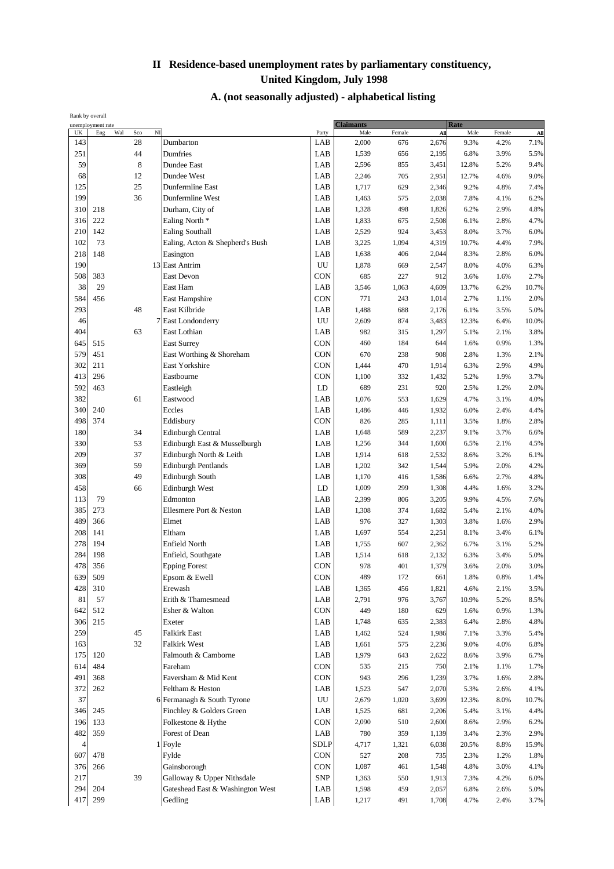| Rank by overall |                   |     |     |                     |                                  |                  |                  |        |       |             |        |       |
|-----------------|-------------------|-----|-----|---------------------|----------------------------------|------------------|------------------|--------|-------|-------------|--------|-------|
|                 | unemployment rate |     |     |                     |                                  |                  | <b>Claimants</b> |        |       | <b>Rate</b> |        |       |
| UK              | Eng               | Wal | Sco | $\overline{\rm NI}$ |                                  | Party            | Male             | Female | All   | Male        | Female | All   |
| 143             |                   |     | 28  |                     | Dumbarton                        | LAB              | 2,000            | 676    | 2,676 | 9.3%        | 4.2%   | 7.1%  |
| 251             |                   |     | 44  |                     | Dumfries                         | LAB              | 1,539            | 656    | 2,195 | 6.8%        | 3.9%   | 5.5%  |
| 59              |                   |     | 8   |                     | Dundee East                      | LAB              | 2,596            | 855    | 3,451 | 12.8%       | 5.2%   | 9.4%  |
| 68              |                   |     | 12  |                     | <b>Dundee West</b>               | LAB              | 2,246            | 705    | 2,951 | 12.7%       | 4.6%   | 9.0%  |
| 125             |                   |     | 25  |                     | <b>Dunfermline East</b>          | LAB              | 1,717            | 629    | 2,346 | 9.2%        | 4.8%   | 7.4%  |
| 199             |                   |     | 36  |                     | Dunfermline West                 | LAB              | 1,463            | 575    | 2,038 | 7.8%        | 4.1%   | 6.2%  |
|                 |                   |     |     |                     |                                  |                  |                  |        |       |             |        |       |
| 310             | 218               |     |     |                     | Durham, City of                  | LAB              | 1,328            | 498    | 1,826 | 6.2%        | 2.9%   | 4.8%  |
| 316             | 222               |     |     |                     | Ealing North *                   | LAB              | 1,833            | 675    | 2,508 | 6.1%        | 2.8%   | 4.7%  |
| 210             | 142               |     |     |                     | <b>Ealing Southall</b>           | LAB              | 2,529            | 924    | 3,453 | 8.0%        | 3.7%   | 6.0%  |
| 102             | 73                |     |     |                     | Ealing, Acton & Shepherd's Bush  | LAB              | 3,225            | 1,094  | 4,319 | 10.7%       | 4.4%   | 7.9%  |
| 218             | 148               |     |     |                     | Easington                        | LAB              | 1,638            | 406    | 2,044 | 8.3%        | 2.8%   | 6.0%  |
| 190             |                   |     |     |                     | 13 East Antrim                   | UU               | 1,878            | 669    | 2,547 | 8.0%        | 4.0%   | 6.3%  |
| 508             | 383               |     |     |                     | East Devon                       | CON              | 685              | 227    | 912   | 3.6%        | 1.6%   | 2.7%  |
| 38              | 29                |     |     |                     |                                  |                  |                  |        |       |             |        |       |
|                 |                   |     |     |                     | East Ham                         | LAB              | 3,546            | 1,063  | 4,609 | 13.7%       | 6.2%   | 10.7% |
| 584             | 456               |     |     |                     | East Hampshire                   | CON              | 771              | 243    | 1,014 | 2.7%        | 1.1%   | 2.0%  |
| 293             |                   |     | 48  |                     | East Kilbride                    | LAB              | 1,488            | 688    | 2,176 | 6.1%        | 3.5%   | 5.0%  |
| 46              |                   |     |     | 7                   | East Londonderry                 | UU               | 2,609            | 874    | 3,483 | 12.3%       | 6.4%   | 10.0% |
| 404             |                   |     | 63  |                     | East Lothian                     | LAB              | 982              | 315    | 1,297 | 5.1%        | 2.1%   | 3.8%  |
| 645             | 515               |     |     |                     | <b>East Surrey</b>               | <b>CON</b>       | 460              | 184    | 644   | 1.6%        | 0.9%   | 1.3%  |
| 579             | 451               |     |     |                     | East Worthing & Shoreham         | <b>CON</b>       | 670              | 238    | 908   | 2.8%        | 1.3%   | 2.1%  |
|                 |                   |     |     |                     |                                  |                  |                  |        |       |             |        |       |
| 302             | 211               |     |     |                     | East Yorkshire                   | CON              | 1,444            | 470    | 1,914 | 6.3%        | 2.9%   | 4.9%  |
| 413             | 296               |     |     |                     | Eastbourne                       | CON              | 1,100            | 332    | 1,432 | 5.2%        | 1.9%   | 3.7%  |
| 592             | 463               |     |     |                     | Eastleigh                        | LD               | 689              | 231    | 920   | 2.5%        | 1.2%   | 2.0%  |
| 382             |                   |     | 61  |                     | Eastwood                         | LAB              | 1,076            | 553    | 1,629 | 4.7%        | 3.1%   | 4.0%  |
| 340             | 240               |     |     |                     | Eccles                           | LAB              | 1,486            | 446    | 1,932 | 6.0%        | 2.4%   | 4.4%  |
| 498             | 374               |     |     |                     | Eddisbury                        | CON              | 826              | 285    | 1,111 | 3.5%        | 1.8%   | 2.8%  |
| 180             |                   |     | 34  |                     | <b>Edinburgh Central</b>         | LAB              | 1,648            | 589    | 2,237 | 9.1%        | 3.7%   | 6.6%  |
| 330             |                   |     | 53  |                     | Edinburgh East & Musselburgh     | LAB              |                  |        |       |             |        |       |
|                 |                   |     |     |                     |                                  |                  | 1,256            | 344    | 1,600 | 6.5%        | 2.1%   | 4.5%  |
| 209             |                   |     | 37  |                     | Edinburgh North & Leith          | LAB              | 1,914            | 618    | 2,532 | 8.6%        | 3.2%   | 6.1%  |
| 369             |                   |     | 59  |                     | <b>Edinburgh Pentlands</b>       | LAB              | 1,202            | 342    | 1,544 | 5.9%        | 2.0%   | 4.2%  |
| 308             |                   |     | 49  |                     | <b>Edinburgh South</b>           | LAB              | 1,170            | 416    | 1,586 | 6.6%        | 2.7%   | 4.8%  |
| 458             |                   |     | 66  |                     | <b>Edinburgh West</b>            | LD               | 1,009            | 299    | 1,308 | 4.4%        | 1.6%   | 3.2%  |
| 113             | 79                |     |     |                     | Edmonton                         | LAB              | 2,399            | 806    | 3,205 | 9.9%        | 4.5%   | 7.6%  |
| 385             | 273               |     |     |                     | Ellesmere Port & Neston          | LAB              | 1,308            | 374    | 1,682 | 5.4%        | 2.1%   | 4.0%  |
| 489             | 366               |     |     |                     | Elmet                            | LAB              | 976              | 327    | 1,303 | 3.8%        | 1.6%   | 2.9%  |
|                 |                   |     |     |                     |                                  |                  |                  |        |       |             |        |       |
| 208             | 141               |     |     |                     | Eltham                           | LAB              | 1,697            | 554    | 2,251 | 8.1%        | 3.4%   | 6.1%  |
| 278             | 194               |     |     |                     | Enfield North                    | LAB              | 1,755            | 607    | 2,362 | 6.7%        | 3.1%   | 5.2%  |
| 284             | 198               |     |     |                     | Enfield, Southgate               | LAB              | 1,514            | 618    | 2,132 | 6.3%        | 3.4%   | 5.0%  |
| 478             | 356               |     |     |                     | <b>Epping Forest</b>             | CON              | 978              | 401    | 1,379 | 3.6%        | 2.0%   | 3.0%  |
| 639             | 509               |     |     |                     | Epsom & Ewell                    | CON              | 489              | 172    | 661   | 1.8%        | 0.8%   | 1.4%  |
| 428             | 310               |     |     |                     | Erewash                          | LAB              | 1,365            | 456    | 1,821 | 4.6%        | 2.1%   | 3.5%  |
| 81              | 57                |     |     |                     | Erith & Thamesmead               | LAB              | 2,791            | 976    | 3,767 | 10.9%       | 5.2%   | 8.5%  |
| 642             |                   |     |     |                     |                                  |                  |                  |        |       |             |        |       |
|                 | 512               |     |     |                     | Esher & Walton                   | CON              | 449              | 180    | 629   | 1.6%        | 0.9%   | 1.3%  |
| 306             | 215               |     |     |                     | Exeter                           | LAB              | 1,748            | 635    | 2,383 | 6.4%        | 2.8%   | 4.8%  |
| 259             |                   |     | 45  |                     | <b>Falkirk East</b>              | LAB              | 1,462            | 524    | 1,986 | 7.1%        | 3.3%   | 5.4%  |
| 163             |                   |     | 32  |                     | Falkirk West                     | LAB              | 1,661            | 575    | 2,236 | 9.0%        | 4.0%   | 6.8%  |
| 175             | 120               |     |     |                     | Falmouth & Camborne              | LAB              | 1,979            | 643    | 2,622 | 8.6%        | 3.9%   | 6.7%  |
| 614             | 484               |     |     |                     | Fareham                          | CON              | 535              | 215    | 750   | 2.1%        | 1.1%   | 1.7%  |
| 491             | 368               |     |     |                     | Faversham & Mid Kent             | <b>CON</b>       | 943              | 296    | 1,239 | 3.7%        | 1.6%   | 2.8%  |
| 372             | 262               |     |     |                     | Feltham & Heston                 | LAB              |                  |        |       |             |        |       |
|                 |                   |     |     |                     |                                  |                  | 1,523            | 547    | 2,070 | 5.3%        | 2.6%   | 4.1%  |
| 37              |                   |     |     |                     | 6 Fermanagh & South Tyrone       | ${\rm U}{\rm U}$ | 2,679            | 1,020  | 3,699 | 12.3%       | 8.0%   | 10.7% |
| 346             | 245               |     |     |                     | Finchley & Golders Green         | LAB              | 1,525            | 681    | 2,206 | 5.4%        | 3.1%   | 4.4%  |
| 196             | 133               |     |     |                     | Folkestone & Hythe               | CON              | 2,090            | 510    | 2,600 | 8.6%        | 2.9%   | 6.2%  |
| 482             | 359               |     |     |                     | Forest of Dean                   | LAB              | 780              | 359    | 1,139 | 3.4%        | 2.3%   | 2.9%  |
| $\overline{4}$  |                   |     |     |                     | 1 Foyle                          | <b>SDLP</b>      | 4,717            | 1,321  | 6,038 | 20.5%       | 8.8%   | 15.9% |
| 607             | 478               |     |     |                     | Fylde                            | CON              | 527              | 208    | 735   | 2.3%        | 1.2%   | 1.8%  |
| 376             | 266               |     |     |                     | Gainsborough                     | <b>CON</b>       | 1,087            | 461    | 1,548 | 4.8%        | 3.0%   | 4.1%  |
|                 |                   |     |     |                     |                                  |                  |                  |        |       |             |        |       |
| 217             |                   |     | 39  |                     | Galloway & Upper Nithsdale       | <b>SNP</b>       | 1,363            | 550    | 1,913 | 7.3%        | 4.2%   | 6.0%  |
| 294             | 204               |     |     |                     | Gateshead East & Washington West | LAB              | 1,598            | 459    | 2,057 | 6.8%        | 2.6%   | 5.0%  |
| 417             | 299               |     |     |                     | Gedling                          | LAB              | 1,217            | 491    | 1,708 | 4.7%        | 2.4%   | 3.7%  |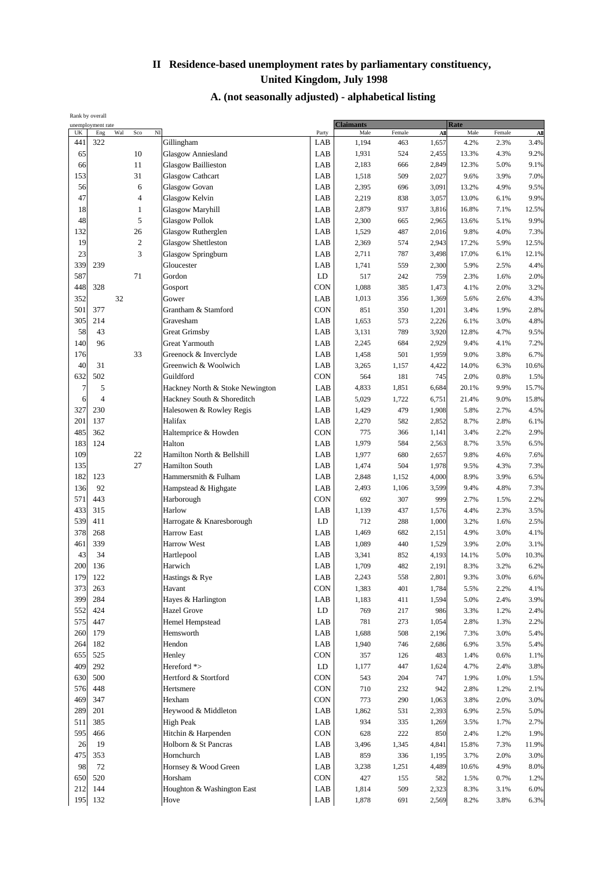| Rank by overall |                   |     |                |                                 |             |                  |        |       |       |        |         |
|-----------------|-------------------|-----|----------------|---------------------------------|-------------|------------------|--------|-------|-------|--------|---------|
|                 | unemployment rate | Wal |                | $\overline{\rm NI}$             |             | <b>Claimants</b> |        |       | Rate  |        |         |
| UK              | Eng               |     | Sco            |                                 | Party       | Male             | Female | All   | Male  | Female | All     |
| 441             | 322               |     |                | Gillingham                      | LAB         | 1,194            | 463    | 1,657 | 4.2%  | 2.3%   | 3.4%    |
| 65              |                   |     | 10             | Glasgow Anniesland              | LAB         | 1,931            | 524    | 2,455 | 13.3% | 4.3%   | 9.2%    |
| 66              |                   |     | 11             | <b>Glasgow Baillieston</b>      | LAB         | 2,183            | 666    | 2,849 | 12.3% | 5.0%   | 9.1%    |
| 153             |                   |     | 31             | <b>Glasgow Cathcart</b>         | LAB         | 1,518            | 509    | 2,027 | 9.6%  | 3.9%   | 7.0%    |
| 56              |                   |     | 6              | <b>Glasgow Govan</b>            | LAB         | 2,395            | 696    | 3,091 | 13.2% | 4.9%   | 9.5%    |
| 47              |                   |     | $\overline{4}$ | Glasgow Kelvin                  | LAB         | 2,219            | 838    | 3,057 | 13.0% | 6.1%   | 9.9%    |
| 18              |                   |     | $\mathbf{1}$   | Glasgow Maryhill                | LAB         | 2,879            | 937    | 3,816 | 16.8% | 7.1%   | 12.5%   |
| 48              |                   |     | 5              |                                 | LAB         |                  |        |       |       |        |         |
|                 |                   |     |                | Glasgow Pollok                  |             | 2,300            | 665    | 2,965 | 13.6% | 5.1%   | 9.9%    |
| 132             |                   |     | 26             | Glasgow Rutherglen              | LAB         | 1,529            | 487    | 2,016 | 9.8%  | 4.0%   | 7.3%    |
| 19              |                   |     | $\overline{c}$ | <b>Glasgow Shettleston</b>      | LAB         | 2,369            | 574    | 2,943 | 17.2% | 5.9%   | 12.5%   |
| 23              |                   |     | 3              | Glasgow Springburn              | LAB         | 2,711            | 787    | 3,498 | 17.0% | 6.1%   | 12.1%   |
| 339             | 239               |     |                | Gloucester                      | LAB         | 1,741            | 559    | 2,300 | 5.9%  | 2.5%   | 4.4%    |
| 587             |                   |     | 71             | Gordon                          | LD          | 517              | 242    | 759   | 2.3%  | 1.6%   | 2.0%    |
| 448             | 328               |     |                | Gosport                         | CON         | 1,088            | 385    | 1,473 | 4.1%  | 2.0%   | 3.2%    |
| 352             |                   | 32  |                | Gower                           | LAB         | 1,013            | 356    | 1,369 | 5.6%  | 2.6%   | 4.3%    |
| 501             | 377               |     |                | Grantham & Stamford             | <b>CON</b>  | 851              | 350    | 1,201 | 3.4%  | 1.9%   | 2.8%    |
|                 |                   |     |                |                                 |             |                  |        |       |       |        |         |
| 305             | 214               |     |                | Gravesham                       | LAB         | 1,653            | 573    | 2,226 | 6.1%  | 3.0%   | 4.8%    |
| 58              | 43                |     |                | <b>Great Grimsby</b>            | LAB         | 3,131            | 789    | 3,920 | 12.8% | 4.7%   | 9.5%    |
| 140             | 96                |     |                | <b>Great Yarmouth</b>           | LAB         | 2,245            | 684    | 2,929 | 9.4%  | 4.1%   | 7.2%    |
| 176             |                   |     | 33             | Greenock & Inverclyde           | LAB         | 1,458            | 501    | 1,959 | 9.0%  | 3.8%   | 6.7%    |
| 40              | 31                |     |                | Greenwich & Woolwich            | LAB         | 3,265            | 1,157  | 4,422 | 14.0% | 6.3%   | 10.6%   |
| 632             | 502               |     |                | Guildford                       | CON         | 564              | 181    | 745   | 2.0%  | 0.8%   | 1.5%    |
| 7               | 5                 |     |                | Hackney North & Stoke Newington | LAB         |                  |        | 6,684 | 20.1% | 9.9%   | 15.7%   |
|                 |                   |     |                |                                 |             | 4,833            | 1,851  |       |       |        |         |
| 6               | $\overline{4}$    |     |                | Hackney South & Shoreditch      | LAB         | 5,029            | 1,722  | 6,751 | 21.4% | 9.0%   | 15.8%   |
| 327             | 230               |     |                | Halesowen & Rowley Regis        | LAB         | 1,429            | 479    | 1,908 | 5.8%  | 2.7%   | 4.5%    |
| 201             | 137               |     |                | Halifax                         | LAB         | 2,270            | 582    | 2,852 | 8.7%  | 2.8%   | 6.1%    |
| 485             | 362               |     |                | Haltemprice & Howden            | <b>CON</b>  | 775              | 366    | 1,141 | 3.4%  | 2.2%   | 2.9%    |
| 183             | 124               |     |                | Halton                          | LAB         | 1,979            | 584    | 2,563 | 8.7%  | 3.5%   | 6.5%    |
| 109             |                   |     | 22             | Hamilton North & Bellshill      | LAB         | 1,977            | 680    | 2,657 | 9.8%  | 4.6%   | 7.6%    |
| 135             |                   |     | 27             | <b>Hamilton South</b>           | LAB         | 1,474            | 504    | 1,978 | 9.5%  | 4.3%   | 7.3%    |
| 182             |                   |     |                |                                 |             |                  |        |       |       |        |         |
|                 | 123               |     |                | Hammersmith & Fulham            | LAB         | 2,848            | 1,152  | 4,000 | 8.9%  | 3.9%   | 6.5%    |
| 136             | 92                |     |                | Hampstead & Highgate            | LAB         | 2,493            | 1,106  | 3,599 | 9.4%  | 4.8%   | 7.3%    |
| 571             | 443               |     |                | Harborough                      | CON         | 692              | 307    | 999   | 2.7%  | 1.5%   | 2.2%    |
| 433             | 315               |     |                | Harlow                          | LAB         | 1,139            | 437    | 1,576 | 4.4%  | 2.3%   | 3.5%    |
| 539             | 411               |     |                | Harrogate & Knaresborough       | LD          | 712              | 288    | 1,000 | 3.2%  | 1.6%   | 2.5%    |
| 378             | 268               |     |                | <b>Harrow East</b>              | LAB         | 1,469            | 682    | 2,151 | 4.9%  | 3.0%   | 4.1%    |
| 461             | 339               |     |                | <b>Harrow West</b>              | LAB         | 1,089            | 440    | 1,529 | 3.9%  | 2.0%   | 3.1%    |
| 43              | 34                |     |                | Hartlepool                      | LAB         | 3,341            | 852    | 4,193 | 14.1% | 5.0%   | 10.3%   |
| 200             | 136               |     |                | Harwich                         | LAB         | 1,709            | 482    | 2,191 | 8.3%  | 3.2%   | 6.2%    |
|                 |                   |     |                |                                 |             |                  |        |       |       |        |         |
| 179             | 122               |     |                | Hastings & Rye                  | ${\rm LAB}$ | 2,243            | 558    | 2,801 | 9.3%  | 3.0%   | $6.6\%$ |
| 373             | 263               |     |                | Havant                          | CON         | 1,383            | 401    | 1,784 | 5.5%  | 2.2%   | 4.1%    |
| 399             | 284               |     |                | Hayes & Harlington              | LAB         | 1,183            | 411    | 1,594 | 5.0%  | 2.4%   | 3.9%    |
| 552             | 424               |     |                | <b>Hazel Grove</b>              | LD          | 769              | 217    | 986   | 3.3%  | 1.2%   | 2.4%    |
| 575             | 447               |     |                | Hemel Hempstead                 | LAB         | 781              | 273    | 1,054 | 2.8%  | 1.3%   | 2.2%    |
| 260             | 179               |     |                | Hemsworth                       | LAB         | 1,688            | 508    | 2,196 | 7.3%  | 3.0%   | 5.4%    |
| 264             | 182               |     |                | Hendon                          | LAB         | 1,940            | 746    | 2,686 | 6.9%  | 3.5%   | 5.4%    |
| 655             | 525               |     |                | Henley                          | CON         | 357              | 126    | 483   |       | 0.6%   | 1.1%    |
|                 |                   |     |                |                                 |             |                  |        |       | 1.4%  |        |         |
| 409             | 292               |     |                | Hereford *>                     | LD          | 1,177            | 447    | 1,624 | 4.7%  | 2.4%   | 3.8%    |
| 630             | 500               |     |                | Hertford & Stortford            | CON         | 543              | 204    | 747   | 1.9%  | 1.0%   | 1.5%    |
| 576             | 448               |     |                | Hertsmere                       | CON         | 710              | 232    | 942   | 2.8%  | 1.2%   | 2.1%    |
| 469             | 347               |     |                | Hexham                          | CON         | 773              | 290    | 1,063 | 3.8%  | 2.0%   | 3.0%    |
| 289             | 201               |     |                | Heywood & Middleton             | LAB         | 1,862            | 531    | 2,393 | 6.9%  | 2.5%   | 5.0%    |
| 511             | 385               |     |                | <b>High Peak</b>                | LAB         | 934              | 335    | 1,269 | 3.5%  | 1.7%   | 2.7%    |
| 595             | 466               |     |                | Hitchin & Harpenden             | CON         | 628              | 222    | 850   | 2.4%  | 1.2%   | 1.9%    |
|                 |                   |     |                |                                 |             |                  |        |       |       |        |         |
| 26              | 19                |     |                | Holborn & St Pancras            | LAB         | 3,496            | 1,345  | 4,841 | 15.8% | 7.3%   | 11.9%   |
| 475             | 353               |     |                | Hornchurch                      | ${\rm LAB}$ | 859              | 336    | 1,195 | 3.7%  | 2.0%   | 3.0%    |
| 98              | 72                |     |                | Hornsey & Wood Green            | LAB         | 3,238            | 1,251  | 4,489 | 10.6% | 4.9%   | 8.0%    |
| 650             | 520               |     |                | Horsham                         | CON         | 427              | 155    | 582   | 1.5%  | 0.7%   | 1.2%    |
| 212             | 144               |     |                | Houghton & Washington East      | LAB         | 1,814            | 509    | 2,323 | 8.3%  | 3.1%   | 6.0%    |
| 195             | 132               |     |                | Hove                            | LAB         | 1,878            | 691    | 2,569 | 8.2%  | 3.8%   | 6.3%    |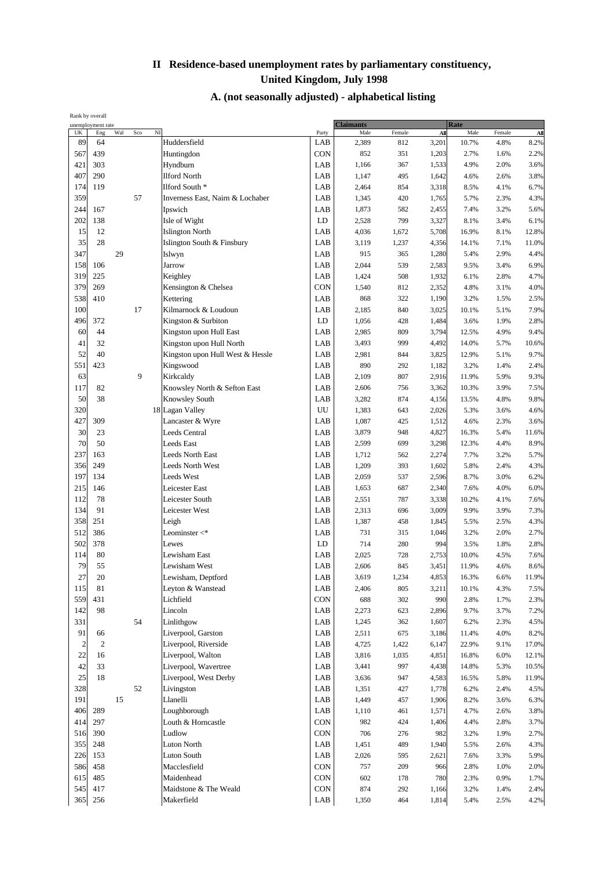| Rank by overall |                   |     |           |                                  |             |                  |        |       |             |        |          |
|-----------------|-------------------|-----|-----------|----------------------------------|-------------|------------------|--------|-------|-------------|--------|----------|
|                 | unemployment rate |     |           |                                  |             | <b>Claimants</b> |        |       | <b>Rate</b> |        |          |
| UK              | Eng               | Wal | NI<br>Sco |                                  | Party       | Male             | Female | All   | Male        | Female | All      |
| 89              | 64                |     |           | Huddersfield                     | LAB         | 2,389            | 812    | 3,201 | 10.7%       | 4.8%   | 8.2%     |
| 567             | 439               |     |           | Huntingdon                       | <b>CON</b>  | 852              | 351    | 1,203 | 2.7%        | 1.6%   | 2.2%     |
| 421             | 303               |     |           | Hyndburn                         | LAB         | 1,166            | 367    | 1,533 | 4.9%        | 2.0%   | 3.6%     |
| 407             | 290               |     |           | <b>Ilford North</b>              | LAB         | 1,147            | 495    | 1,642 | 4.6%        | 2.6%   | 3.8%     |
| 174             | 119               |     |           | Ilford South *                   | LAB         | 2,464            | 854    | 3,318 | 8.5%        | 4.1%   | 6.7%     |
| 359             |                   |     | 57        | Inverness East, Nairn & Lochaber | LAB         | 1,345            | 420    | 1,765 | 5.7%        | 2.3%   | 4.3%     |
|                 |                   |     |           |                                  |             |                  |        |       |             |        |          |
| 244             | 167               |     |           | Ipswich                          | LAB         | 1,873            | 582    | 2,455 | 7.4%        | 3.2%   | 5.6%     |
| 202             | 138               |     |           | Isle of Wight                    | LD          | 2,528            | 799    | 3,327 | 8.1%        | 3.4%   | 6.1%     |
| 15              | 12                |     |           | <b>Islington North</b>           | LAB         | 4,036            | 1,672  | 5,708 | 16.9%       | 8.1%   | 12.8%    |
| 35              | 28                |     |           | Islington South & Finsbury       | LAB         | 3,119            | 1,237  | 4,356 | 14.1%       | 7.1%   | 11.0%    |
| 347             |                   | 29  |           | Islwyn                           | LAB         | 915              | 365    | 1,280 | 5.4%        | 2.9%   | 4.4%     |
| 158             | 106               |     |           | Jarrow                           | LAB         | 2,044            | 539    | 2,583 | 9.5%        | 3.4%   | 6.9%     |
| 319             | 225               |     |           | Keighley                         | LAB         | 1,424            | 508    | 1,932 | 6.1%        | 2.8%   | 4.7%     |
| 379             | 269               |     |           |                                  | <b>CON</b>  |                  |        |       |             |        |          |
|                 |                   |     |           | Kensington & Chelsea             |             | 1,540            | 812    | 2,352 | 4.8%        | 3.1%   | 4.0%     |
| 538             | 410               |     |           | Kettering                        | LAB         | 868              | 322    | 1,190 | 3.2%        | 1.5%   | 2.5%     |
| 100             |                   |     | 17        | Kilmarnock & Loudoun             | LAB         | 2,185            | 840    | 3,025 | 10.1%       | 5.1%   | 7.9%     |
| 496             | 372               |     |           | Kingston & Surbiton              | LD          | 1,056            | 428    | 1,484 | 3.6%        | 1.9%   | 2.8%     |
| 60              | 44                |     |           | Kingston upon Hull East          | LAB         | 2,985            | 809    | 3,794 | 12.5%       | 4.9%   | 9.4%     |
| 41              | 32                |     |           | Kingston upon Hull North         | LAB         | 3,493            | 999    | 4,492 | 14.0%       | 5.7%   | 10.6%    |
| 52              | 40                |     |           | Kingston upon Hull West & Hessle | LAB         | 2,981            | 844    | 3,825 | 12.9%       | 5.1%   | 9.7%     |
|                 |                   |     |           |                                  |             |                  |        |       |             |        |          |
| 551             | 423               |     |           | Kingswood                        | LAB         | 890              | 292    | 1,182 | 3.2%        | 1.4%   | 2.4%     |
| 63              |                   |     | 9         | Kirkcaldy                        | LAB         | 2,109            | 807    | 2,916 | 11.9%       | 5.9%   | 9.3%     |
| 117             | 82                |     |           | Knowsley North & Sefton East     | LAB         | 2,606            | 756    | 3,362 | 10.3%       | 3.9%   | 7.5%     |
| 50              | 38                |     |           | Knowsley South                   | LAB         | 3,282            | 874    | 4,156 | 13.5%       | 4.8%   | 9.8%     |
| 320             |                   |     |           | 18 Lagan Valley                  | UU          | 1,383            | 643    | 2,026 | 5.3%        | 3.6%   | 4.6%     |
| 427             | 309               |     |           | Lancaster & Wyre                 | LAB         | 1,087            | 425    | 1,512 | 4.6%        | 2.3%   | 3.6%     |
| 30              | 23                |     |           | <b>Leeds Central</b>             | LAB         | 3,879            | 948    | 4,827 | 16.3%       | 5.4%   | 11.6%    |
|                 |                   |     |           |                                  |             |                  |        |       |             |        |          |
| 70              | 50                |     |           | <b>Leeds East</b>                | LAB         | 2,599            | 699    | 3,298 | 12.3%       | 4.4%   | 8.9%     |
| 237             | 163               |     |           | Leeds North East                 | LAB         | 1,712            | 562    | 2,274 | 7.7%        | 3.2%   | 5.7%     |
| 356             | 249               |     |           | <b>Leeds North West</b>          | LAB         | 1,209            | 393    | 1,602 | 5.8%        | 2.4%   | 4.3%     |
| 197             | 134               |     |           | <b>Leeds West</b>                | LAB         | 2,059            | 537    | 2,596 | 8.7%        | 3.0%   | 6.2%     |
| 215             | 146               |     |           | Leicester East                   | LAB         | 1,653            | 687    | 2,340 | 7.6%        | 4.0%   | 6.0%     |
| 112             | 78                |     |           | Leicester South                  | LAB         | 2,551            | 787    | 3,338 | 10.2%       | 4.1%   | 7.6%     |
| 134             | 91                |     |           |                                  | LAB         |                  |        |       |             |        |          |
|                 |                   |     |           | Leicester West                   |             | 2,313            | 696    | 3,009 | 9.9%        | 3.9%   | 7.3%     |
| 358             | 251               |     |           | Leigh                            | LAB         | 1,387            | 458    | 1,845 | 5.5%        | 2.5%   | 4.3%     |
| 512             | 386               |     |           | Leominster $\lt^*$               | LAB         | 731              | 315    | 1,046 | 3.2%        | 2.0%   | 2.7%     |
| 502             | 378               |     |           | Lewes                            | LD          | 714              | 280    | 994   | 3.5%        | 1.8%   | 2.8%     |
| 114             | 80                |     |           | Lewisham East                    | LAB         | 2,025            | 728    | 2,753 | 10.0%       | 4.5%   | 7.6%     |
| 79              | 55                |     |           | Lewisham West                    | LAB         | 2,606            | 845    | 3,451 | 11.9%       | 4.6%   | 8.6%     |
| $27\,$          | $20\,$            |     |           | Lewisham, Deptford               | ${\rm LAB}$ | 3,619            | 1,234  | 4,853 | 16.3%       | 6.6%   | $11.9\%$ |
|                 |                   |     |           |                                  |             |                  |        |       |             |        |          |
| 115             | 81                |     |           | Leyton & Wanstead                | LAB         | 2,406            | 805    | 3,211 | 10.1%       | 4.3%   | 7.5%     |
| 559             | 431               |     |           | Lichfield                        | CON         | 688              | 302    | 990   | 2.8%        | 1.7%   | 2.3%     |
| 142             | 98                |     |           | Lincoln                          | LAB         | 2,273            | 623    | 2,896 | 9.7%        | 3.7%   | 7.2%     |
| 331             |                   |     | 54        | Linlithgow                       | LAB         | 1,245            | 362    | 1,607 | 6.2%        | 2.3%   | 4.5%     |
| 91              | 66                |     |           | Liverpool, Garston               | LAB         | 2,511            | 675    | 3,186 | 11.4%       | 4.0%   | 8.2%     |
| $\sqrt{2}$      | $\sqrt{2}$        |     |           | Liverpool, Riverside             | LAB         | 4,725            | 1,422  | 6,147 | 22.9%       | 9.1%   | 17.0%    |
| $22\,$          |                   |     |           |                                  |             |                  |        |       |             |        | 12.1%    |
|                 | 16                |     |           | Liverpool, Walton                | LAB         | 3,816            | 1,035  | 4,851 | 16.8%       | 6.0%   |          |
| 42              | 33                |     |           | Liverpool, Wavertree             | LAB         | 3,441            | 997    | 4,438 | 14.8%       | 5.3%   | 10.5%    |
| 25              | 18                |     |           | Liverpool, West Derby            | LAB         | 3,636            | 947    | 4,583 | 16.5%       | 5.8%   | 11.9%    |
| 328             |                   |     | 52        | Livingston                       | LAB         | 1,351            | 427    | 1,778 | 6.2%        | 2.4%   | 4.5%     |
| 191             |                   | 15  |           | Llanelli                         | LAB         | 1,449            | 457    | 1,906 | 8.2%        | 3.6%   | 6.3%     |
| 406             | 289               |     |           | Loughborough                     | LAB         | 1,110            | 461    | 1,571 | 4.7%        | 2.6%   | 3.8%     |
| 414             | 297               |     |           | Louth & Horncastle               | CON         | 982              | 424    | 1,406 | 4.4%        | 2.8%   | 3.7%     |
|                 |                   |     |           | Ludlow                           |             |                  |        |       |             |        |          |
| 516             | 390               |     |           |                                  | <b>CON</b>  | 706              | 276    | 982   | 3.2%        | 1.9%   | 2.7%     |
| 355             | 248               |     |           | <b>Luton North</b>               | LAB         | 1,451            | 489    | 1,940 | 5.5%        | 2.6%   | 4.3%     |
| 226             | 153               |     |           | <b>Luton South</b>               | LAB         | 2,026            | 595    | 2,621 | 7.6%        | 3.3%   | 5.9%     |
| 586             | 458               |     |           | Macclesfield                     | CON         | 757              | 209    | 966   | 2.8%        | 1.0%   | 2.0%     |
| 615             | 485               |     |           | Maidenhead                       | CON         | 602              | 178    | 780   | 2.3%        | 0.9%   | 1.7%     |
| 545             | 417               |     |           | Maidstone & The Weald            | <b>CON</b>  | 874              | 292    | 1,166 | 3.2%        | 1.4%   | 2.4%     |
| 365             | 256               |     |           | Makerfield                       | LAB         | 1,350            | 464    | 1,814 | 5.4%        | 2.5%   | 4.2%     |
|                 |                   |     |           |                                  |             |                  |        |       |             |        |          |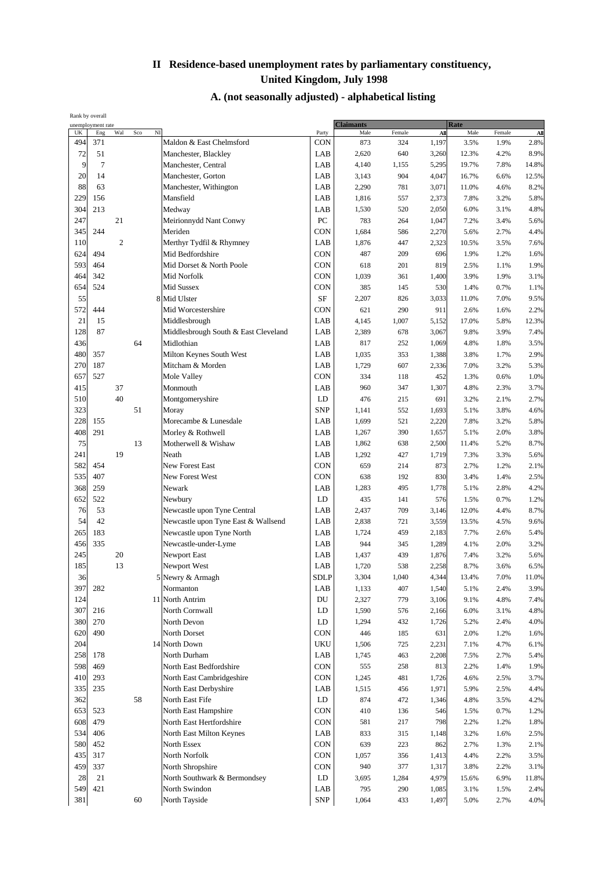| Rank by overall | unemployment rate |                |           |             |                                      | <b>Claimants</b>       |       |        | Rate  |       |              |          |
|-----------------|-------------------|----------------|-----------|-------------|--------------------------------------|------------------------|-------|--------|-------|-------|--------------|----------|
| UK              | Eng               | Wal            | $\rm Sco$ | $_{\rm NI}$ |                                      | Party                  | Male  | Female | All   | Male  | Female       | All      |
| 494             | 371               |                |           |             | Maldon & East Chelmsford             | <b>CON</b>             | 873   | 324    | 1,197 | 3.5%  | 1.9%         | 2.8%     |
| 72              | 51                |                |           |             | Manchester, Blackley                 | LAB                    | 2,620 | 640    | 3,260 | 12.3% | 4.2%         | 8.9%     |
| 9               | $\tau$            |                |           |             | Manchester, Central                  | LAB                    | 4,140 | 1,155  | 5,295 | 19.7% | 7.8%         | 14.8%    |
| 20              | 14                |                |           |             | Manchester, Gorton                   | LAB                    | 3,143 | 904    | 4,047 | 16.7% | 6.6%         | 12.5%    |
| 88              | 63                |                |           |             | Manchester, Withington               | LAB                    | 2,290 | 781    | 3,071 | 11.0% | 4.6%         | 8.2%     |
| 229             | 156               |                |           |             | Mansfield                            | LAB                    | 1,816 | 557    | 2,373 | 7.8%  | 3.2%         | 5.8%     |
| 304             | 213               |                |           |             | Medway                               | LAB                    | 1,530 | 520    | 2,050 | 6.0%  | 3.1%         | 4.8%     |
| 247             |                   | 21             |           |             | Meirionnydd Nant Conwy               | ${\rm P}{\bf C}$       | 783   | 264    | 1,047 | 7.2%  | 3.4%         | 5.6%     |
| 345             | 244               |                |           |             | Meriden                              | CON                    | 1,684 | 586    | 2,270 | 5.6%  | 2.7%         | 4.4%     |
| 110             |                   | $\overline{2}$ |           |             | Merthyr Tydfil & Rhymney             | LAB                    | 1,876 | 447    | 2,323 | 10.5% | 3.5%         | 7.6%     |
| 624             | 494               |                |           |             | Mid Bedfordshire                     | CON                    | 487   | 209    | 696   | 1.9%  | 1.2%         | 1.6%     |
| 593             | 464               |                |           |             | Mid Dorset & North Poole             | <b>CON</b>             | 618   | 201    | 819   | 2.5%  | 1.1%         | 1.9%     |
| 464             | 342               |                |           |             | Mid Norfolk                          | CON                    | 1,039 | 361    | 1,400 | 3.9%  | 1.9%         | 3.1%     |
| 654             | 524               |                |           |             | Mid Sussex                           | CON                    | 385   | 145    | 530   | 1.4%  | 0.7%         | 1.1%     |
| 55              |                   |                |           |             | 8 Mid Ulster                         | SF                     | 2,207 | 826    | 3,033 | 11.0% | 7.0%         | 9.5%     |
| 572             | 444               |                |           |             | Mid Worcestershire                   | <b>CON</b>             | 621   | 290    | 911   | 2.6%  | 1.6%         | 2.2%     |
| 21              | 15                |                |           |             | Middlesbrough                        | LAB                    | 4,145 | 1,007  | 5,152 | 17.0% | 5.8%         | 12.3%    |
| 128             | 87                |                |           |             | Middlesbrough South & East Cleveland | LAB                    | 2,389 | 678    | 3,067 | 9.8%  | 3.9%         | 7.4%     |
| 436             |                   |                | 64        |             | Midlothian                           | LAB                    | 817   | 252    | 1,069 | 4.8%  | 1.8%         | 3.5%     |
| 480             | 357               |                |           |             | Milton Keynes South West             | LAB                    | 1,035 | 353    | 1,388 | 3.8%  | 1.7%         | 2.9%     |
| 270             | 187               |                |           |             | Mitcham & Morden                     | LAB                    | 1,729 | 607    | 2,336 | 7.0%  | 3.2%         | 5.3%     |
| 657             | 527               |                |           |             | Mole Valley                          | <b>CON</b>             | 334   | 118    | 452   | 1.3%  | 0.6%         | 1.0%     |
| 415             |                   | 37             |           |             | Monmouth                             | LAB                    | 960   | 347    | 1,307 | 4.8%  | 2.3%         | 3.7%     |
| 510             |                   | 40             |           |             | Montgomeryshire                      | LD                     | 476   | 215    | 691   | 3.2%  | 2.1%         | 2.7%     |
| 323             |                   |                | 51        |             | Moray                                | <b>SNP</b>             | 1,141 | 552    | 1,693 | 5.1%  | 3.8%         | 4.6%     |
| 228             | 155               |                |           |             | Morecambe & Lunesdale                | LAB                    | 1,699 | 521    | 2,220 | 7.8%  | 3.2%         | 5.8%     |
| 408             | 291               |                |           |             | Morley & Rothwell                    | LAB                    | 1,267 | 390    | 1,657 | 5.1%  | 2.0%         | 3.8%     |
| 75              |                   |                | 13        |             | Motherwell & Wishaw                  | LAB                    | 1,862 | 638    | 2,500 | 11.4% | 5.2%         | 8.7%     |
| 241             |                   | 19             |           |             | Neath                                | LAB                    | 1,292 | 427    | 1,719 | 7.3%  | 3.3%         | 5.6%     |
| 582             | 454               |                |           |             | New Forest East                      | <b>CON</b>             | 659   | 214    | 873   | 2.7%  | 1.2%         | 2.1%     |
| 535             | 407               |                |           |             | New Forest West                      | <b>CON</b>             | 638   | 192    | 830   | 3.4%  | 1.4%         | 2.5%     |
| 368             | 259               |                |           |             | Newark                               | LAB                    | 1,283 | 495    | 1,778 | 5.1%  | 2.8%         | 4.2%     |
| 652             | 522               |                |           |             | Newbury                              | LD                     | 435   | 141    | 576   | 1.5%  | 0.7%         | 1.2%     |
| 76              | 53                |                |           |             | Newcastle upon Tyne Central          | LAB                    | 2,437 | 709    | 3,146 | 12.0% | 4.4%         | 8.7%     |
| 54              | 42                |                |           |             | Newcastle upon Tyne East & Wallsend  | LAB                    | 2,838 | 721    | 3,559 | 13.5% |              | 9.6%     |
| 265             | 183               |                |           |             | Newcastle upon Tyne North            | LAB                    | 1,724 | 459    | 2,183 | 7.7%  | 4.5%<br>2.6% | 5.4%     |
| 456             | 335               |                |           |             | Newcastle-under-Lyme                 | LAB                    | 944   | 345    | 1,289 | 4.1%  | 2.0%         | 3.2%     |
| 245             |                   | 20             |           |             | Newport East                         | LAB                    | 1,437 | 439    | 1,876 | 7.4%  | 3.2%         | 5.6%     |
| 185             |                   | 13             |           |             | Newport West                         | LAB                    | 1,720 | 538    | 2,258 | 8.7%  | 3.6%         | 6.5%     |
| 36              |                   |                |           |             |                                      |                        |       |        |       |       |              |          |
|                 |                   |                |           |             | 5 Newry & Armagh                     | SDLP                   | 3,304 | 1,040  | 4,344 | 13.4% | 7.0%         | $11.0\%$ |
| 397             | 282               |                |           |             | Normanton                            | LAB                    | 1,133 | 407    | 1,540 | 5.1%  | 2.4%         | 3.9%     |
| 124             |                   |                |           |             | 11 North Antrim                      | DU                     | 2,327 | 779    | 3,106 | 9.1%  | 4.8%         | 7.4%     |
| 307             | 216               |                |           |             | North Cornwall                       | LD                     | 1,590 | 576    | 2,166 | 6.0%  | 3.1%         | 4.8%     |
| 380             | 270               |                |           |             | North Devon                          | $\mathbf{L}\mathbf{D}$ | 1,294 | 432    | 1,726 | 5.2%  | 2.4%         | 4.0%     |
| 620             | 490               |                |           |             | North Dorset                         | CON                    | 446   | 185    | 631   | 2.0%  | 1.2%         | 1.6%     |
| 204             |                   |                |           |             | 14 North Down                        | <b>UKU</b>             | 1,506 | 725    | 2,231 | 7.1%  | 4.7%         | 6.1%     |
| 258             | 178               |                |           |             | North Durham                         | LAB                    | 1,745 | 463    | 2,208 | 7.5%  | 2.7%         | 5.4%     |
| 598             | 469               |                |           |             | North East Bedfordshire              | <b>CON</b>             | 555   | 258    | 813   | 2.2%  | 1.4%         | 1.9%     |
| 410             | 293               |                |           |             | North East Cambridgeshire            | <b>CON</b>             | 1,245 | 481    | 1,726 | 4.6%  | 2.5%         | 3.7%     |
| 335             | 235               |                |           |             | North East Derbyshire                | LAB                    | 1,515 | 456    | 1,971 | 5.9%  | 2.5%         | 4.4%     |
| 362             |                   |                | 58        |             | North East Fife                      | LD                     | 874   | 472    | 1,346 | 4.8%  | 3.5%         | 4.2%     |
| 653             | 523               |                |           |             | North East Hampshire                 | <b>CON</b>             | 410   | 136    | 546   | 1.5%  | 0.7%         | 1.2%     |
| 608             | 479               |                |           |             | North East Hertfordshire             | <b>CON</b>             | 581   | 217    | 798   | 2.2%  | 1.2%         | 1.8%     |
| 534             | 406               |                |           |             | North East Milton Keynes             | LAB                    | 833   | 315    | 1,148 | 3.2%  | 1.6%         | 2.5%     |
| 580             | 452               |                |           |             | North Essex                          | CON                    | 639   | 223    | 862   | 2.7%  | 1.3%         | 2.1%     |
| 435             | 317               |                |           |             | North Norfolk                        | CON                    | 1,057 | 356    | 1,413 | 4.4%  | 2.2%         | 3.5%     |
| 459             | 337               |                |           |             | North Shropshire                     | <b>CON</b>             | 940   | 377    | 1,317 | 3.8%  | 2.2%         | 3.1%     |
| 28              | 21                |                |           |             | North Southwark & Bermondsey         | LD                     | 3,695 | 1,284  | 4,979 | 15.6% | 6.9%         | 11.8%    |
| 549             | 421               |                |           |             | North Swindon                        | LAB                    | 795   | 290    | 1,085 | 3.1%  | 1.5%         | 2.4%     |
| 381             |                   |                | 60        |             | North Tayside                        | <b>SNP</b>             | 1,064 | 433    | 1,497 | 5.0%  | 2.7%         | $4.0\%$  |
|                 |                   |                |           |             |                                      |                        |       |        |       |       |              |          |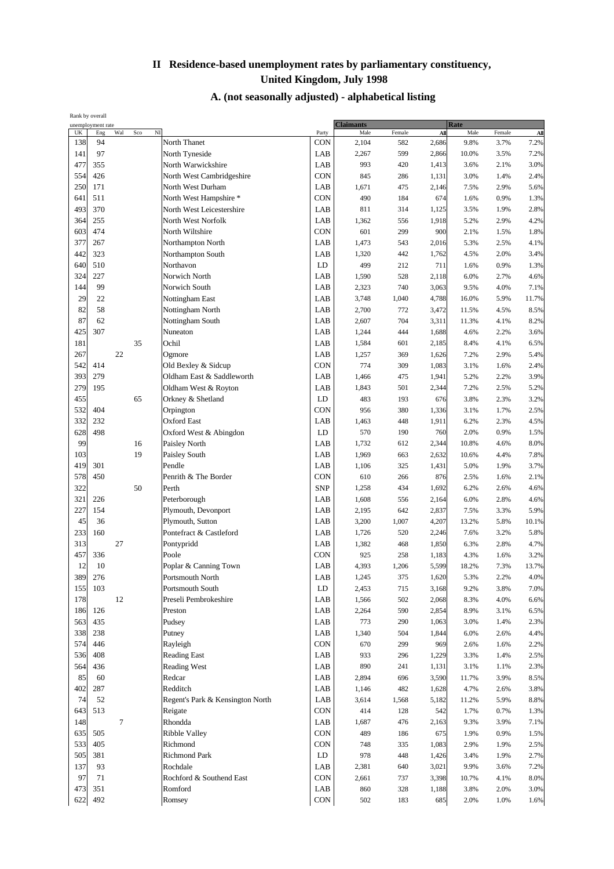| Rank by overall<br>unemployment rate |     |        |     |                                  |            |                          |              |                |                     |              |               |
|--------------------------------------|-----|--------|-----|----------------------------------|------------|--------------------------|--------------|----------------|---------------------|--------------|---------------|
| UK                                   | Eng | Wal    | Sco | $N$ I                            | Party      | <b>Claimants</b><br>Male | Female       | All            | <b>Rate</b><br>Male | Female       | All           |
| 138                                  | 94  |        |     | North Thanet                     | CON        | 2,104                    | 582          | 2,686          | 9.8%                | 3.7%         | 7.2%          |
| 141                                  | 97  |        |     | North Tyneside                   | LAB        | 2,267                    | 599          | 2,866          | 10.0%               | 3.5%         | 7.2%          |
| 477                                  | 355 |        |     | North Warwickshire               | LAB        | 993                      | 420          | 1,413          | 3.6%                | 2.1%         | 3.0%          |
| 554                                  | 426 |        |     | North West Cambridgeshire        | <b>CON</b> | 845                      | 286          | 1,131          | 3.0%                | 1.4%         | 2.4%          |
| 250                                  | 171 |        |     | North West Durham                | LAB        | 1,671                    | 475          | 2,146          | 7.5%                | 2.9%         | 5.6%          |
| 641                                  | 511 |        |     | North West Hampshire *           | CON        | 490                      | 184          | 674            | 1.6%                | 0.9%         | 1.3%          |
| 493                                  | 370 |        |     | North West Leicestershire        | LAB        | 811                      | 314          | 1,125          | 3.5%                | 1.9%         | 2.8%          |
| 364                                  | 255 |        |     | North West Norfolk               | LAB        | 1,362                    | 556          | 1,918          | 5.2%                | 2.9%         | 4.2%          |
| 603                                  | 474 |        |     | North Wiltshire                  | CON        | 601                      | 299          | 900            | 2.1%                | 1.5%         | 1.8%          |
| 377                                  | 267 |        |     | Northampton North                | LAB        | 1,473                    | 543          | 2,016          | 5.3%                | 2.5%         | 4.1%          |
| 442                                  | 323 |        |     | Northampton South                | LAB        | 1,320                    | 442          | 1,762          | 4.5%                | 2.0%         | 3.4%          |
| 640                                  | 510 |        |     | Northavon                        | LD         | 499                      | 212          | 711            | 1.6%                | 0.9%         | 1.3%          |
| 324                                  | 227 |        |     | Norwich North                    | LAB        | 1,590                    | 528          | 2,118          | 6.0%                | 2.7%         | 4.6%          |
| 144                                  | 99  |        |     | Norwich South                    | LAB        | 2,323                    | 740          | 3,063          | 9.5%                | 4.0%         | 7.1%          |
| 29                                   | 22  |        |     | Nottingham East                  | LAB        | 3,748                    | 1,040        | 4,788          | 16.0%               | 5.9%         | 11.7%         |
| 82                                   | 58  |        |     | Nottingham North                 | LAB        | 2,700                    | 772          | 3,472          | 11.5%               | 4.5%         | 8.5%          |
| 87                                   | 62  |        |     | Nottingham South                 | LAB        | 2,607                    | 704          | 3,311          | 11.3%               | 4.1%         | 8.2%          |
| 425                                  | 307 |        |     | Nuneaton                         | LAB        | 1,244                    | 444          | 1,688          | 4.6%                | 2.2%         | 3.6%          |
| 181                                  |     |        | 35  | Ochil                            | LAB        | 1,584                    | 601          | 2,185          | 8.4%                | 4.1%         | 6.5%          |
| 267                                  |     | 22     |     | Ogmore                           | LAB        | 1,257                    | 369          | 1,626          | 7.2%                | 2.9%         | 5.4%          |
| 542                                  | 414 |        |     | Old Bexley & Sidcup              | CON        | 774                      | 309          | 1,083          | 3.1%                | 1.6%         | 2.4%          |
| 393                                  | 279 |        |     | Oldham East & Saddleworth        | LAB        | 1,466                    | 475          | 1,941          | 5.2%                | 2.2%         | 3.9%          |
| 279                                  | 195 |        |     | Oldham West & Royton             | LAB        | 1,843                    | 501          | 2,344          | 7.2%                | 2.5%         | 5.2%          |
| 455                                  |     |        | 65  | Orkney & Shetland                | LD         | 483                      | 193          | 676            | 3.8%                | 2.3%         | 3.2%          |
| 532                                  | 404 |        |     | Orpington                        | CON        | 956                      | 380          | 1,336          | 3.1%                | 1.7%         | 2.5%          |
| 332                                  | 232 |        |     | <b>Oxford East</b>               | LAB        | 1,463                    | 448          | 1,911          | 6.2%                | 2.3%         | 4.5%          |
| 628                                  | 498 |        |     | Oxford West & Abingdon           | LD         | 570                      | 190          | 760            | 2.0%                | 0.9%         | 1.5%          |
| 99                                   |     |        | 16  | Paisley North                    | LAB        | 1,732                    | 612          | 2,344          | 10.8%               | 4.6%         | 8.0%          |
| 103                                  |     |        | 19  | Paisley South                    | LAB        | 1,969                    | 663          | 2,632          | 10.6%               | 4.4%         | 7.8%          |
| 419                                  | 301 |        |     | Pendle                           | LAB        | 1,106                    | 325          | 1,431          | 5.0%                | 1.9%         | 3.7%          |
| 578                                  | 450 |        |     | Penrith & The Border             | CON        | 610                      | 266          | 876            | 2.5%                | 1.6%         | 2.1%          |
| 322                                  |     |        | 50  | Perth                            | <b>SNP</b> | 1,258                    | 434          | 1,692          | 6.2%                | 2.6%         | 4.6%          |
| 321                                  | 226 |        |     | Peterborough                     | LAB        | 1,608                    | 556          | 2,164          | 6.0%                | 2.8%         | 4.6%          |
| 227                                  | 154 |        |     | Plymouth, Devonport              | LAB        | 2,195                    | 642          | 2,837          | 7.5%                | 3.3%         | 5.9%          |
| 45                                   | 36  |        |     | Plymouth, Sutton                 | LAB        | 3,200                    | 1,007        | 4,207          | 13.2%               | 5.8%         | 10.1%         |
| 233                                  | 160 |        |     | Pontefract & Castleford          | LAB        | 1,726                    | 520          | 2,246          | 7.6%                | 3.2%         | 5.8%          |
| 313<br>457                           | 336 | 27     |     | Pontypridd<br>Poole              | LAB<br>CON | 1,382                    | 468          | 1,850          | 6.3%                | 2.8%         | 4.7%          |
| 12                                   | 10  |        |     | Poplar & Canning Town            | LAB        | 925<br>4,393             | 258<br>1,206 | 1,183<br>5,599 | 4.3%<br>18.2%       | 1.6%<br>7.3% | 3.2%          |
| 389                                  | 276 |        |     | Portsmouth North                 | LAB        | 1,245                    |              | 1,620          |                     |              | 13.7%<br>4.0% |
| 155                                  | 103 |        |     | Portsmouth South                 | LD         | 2,453                    | 375<br>715   | 3,168          | 5.3%<br>9.2%        | 2.2%<br>3.8% | 7.0%          |
| 178                                  |     | 12     |     | Preseli Pembrokeshire            | LAB        | 1,566                    | 502          | 2,068          | 8.3%                | 4.0%         | 6.6%          |
| 186                                  | 126 |        |     | Preston                          | LAB        | 2,264                    | 590          | 2,854          | 8.9%                | 3.1%         | 6.5%          |
| 563                                  | 435 |        |     | Pudsey                           | LAB        | 773                      | 290          | 1,063          | 3.0%                | 1.4%         | 2.3%          |
| 338                                  | 238 |        |     | Putney                           | LAB        | 1,340                    | 504          | 1,844          | 6.0%                | 2.6%         | 4.4%          |
| 574                                  | 446 |        |     | Rayleigh                         | CON        | 670                      | 299          | 969            | 2.6%                | 1.6%         | 2.2%          |
| 536                                  | 408 |        |     | <b>Reading East</b>              | LAB        | 933                      | 296          | 1,229          | 3.3%                | 1.4%         | 2.5%          |
| 564                                  | 436 |        |     | Reading West                     | LAB        | 890                      | 241          | 1,131          | 3.1%                | 1.1%         | 2.3%          |
| 85                                   | 60  |        |     | Redcar                           | LAB        | 2,894                    | 696          | 3,590          | 11.7%               | 3.9%         | 8.5%          |
| 402                                  | 287 |        |     | Redditch                         | LAB        | 1,146                    | 482          | 1,628          | 4.7%                | 2.6%         | 3.8%          |
| 74                                   | 52  |        |     | Regent's Park & Kensington North | LAB        | 3,614                    | 1,568        | 5,182          | 11.2%               | 5.9%         | 8.8%          |
| 643                                  | 513 |        |     | Reigate                          | CON        | 414                      | 128          | 542            | 1.7%                | 0.7%         | 1.3%          |
| 148                                  |     | $\tau$ |     | Rhondda                          | LAB        | 1,687                    | 476          | 2,163          | 9.3%                | 3.9%         | 7.1%          |
| 635                                  | 505 |        |     | Ribble Valley                    | CON        | 489                      | 186          | 675            | 1.9%                | 0.9%         | 1.5%          |
| 533                                  | 405 |        |     | Richmond                         | CON        | 748                      | 335          | 1,083          | 2.9%                | 1.9%         | 2.5%          |
| 505                                  | 381 |        |     | <b>Richmond Park</b>             | LD         | 978                      | 448          | 1,426          | 3.4%                | 1.9%         | 2.7%          |
| 137                                  | 93  |        |     | Rochdale                         | LAB        | 2,381                    | 640          | 3,021          | 9.9%                | 3.6%         | 7.2%          |
| 97                                   | 71  |        |     | Rochford & Southend East         | <b>CON</b> | 2,661                    | 737          | 3,398          | 10.7%               | 4.1%         | 8.0%          |
| 473                                  | 351 |        |     | Romford                          | LAB        | 860                      | 328          | 1,188          | 3.8%                | 2.0%         | 3.0%          |
| 622                                  | 492 |        |     | Romsey                           | CON        | 502                      | 183          | 685            | 2.0%                | 1.0%         | 1.6%          |
|                                      |     |        |     |                                  |            |                          |              |                |                     |              |               |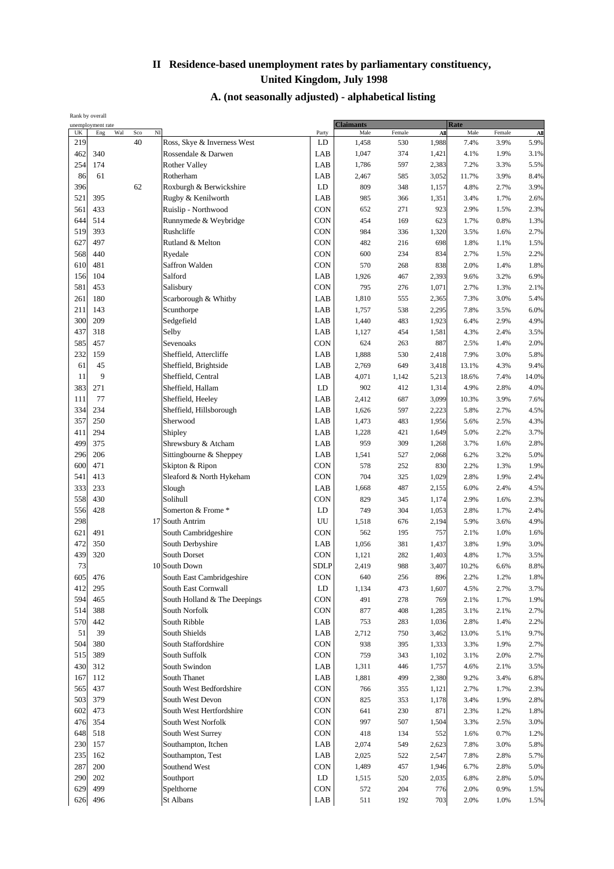| Rank by overall |                                 |              |                              |             |                          |        |       |                     |        |       |
|-----------------|---------------------------------|--------------|------------------------------|-------------|--------------------------|--------|-------|---------------------|--------|-------|
| UK              | unemployment rate<br>Wal<br>Eng | $N$ I<br>Sco |                              | Party       | <b>Claimants</b><br>Male | Female | All   | <b>Rate</b><br>Male | Female | All   |
| 219             |                                 | 40           | Ross, Skye & Inverness West  | LD          | 1,458                    | 530    | 1,988 | 7.4%                | 3.9%   | 5.9%  |
| 462             | 340                             |              | Rossendale & Darwen          | LAB         | 1,047                    | 374    | 1,421 | 4.1%                | 1.9%   | 3.1%  |
| 254             | 174                             |              | <b>Rother Valley</b>         | LAB         | 1,786                    | 597    | 2,383 | 7.2%                | 3.3%   | 5.5%  |
| 86              | 61                              |              | Rotherham                    | LAB         | 2,467                    | 585    | 3,052 | 11.7%               | 3.9%   | 8.4%  |
| 396             |                                 | 62           | Roxburgh & Berwickshire      | LD          | 809                      | 348    | 1,157 | 4.8%                | 2.7%   | 3.9%  |
| 521             | 395                             |              | Rugby & Kenilworth           | LAB         | 985                      | 366    | 1,351 | 3.4%                | 1.7%   | 2.6%  |
| 561             | 433                             |              | Ruislip - Northwood          | <b>CON</b>  | 652                      | 271    | 923   | 2.9%                | 1.5%   | 2.3%  |
| 644             | 514                             |              | Runnymede & Weybridge        | <b>CON</b>  | 454                      | 169    | 623   | 1.7%                | 0.8%   | 1.3%  |
| 519             | 393                             |              | Rushcliffe                   | CON         | 984                      | 336    | 1,320 | 3.5%                | 1.6%   | 2.7%  |
| 627             | 497                             |              | Rutland & Melton             | <b>CON</b>  | 482                      | 216    | 698   | 1.8%                | 1.1%   | 1.5%  |
| 568             | 440                             |              | Ryedale                      | <b>CON</b>  | 600                      | 234    | 834   | 2.7%                | 1.5%   | 2.2%  |
| 610             | 481                             |              | Saffron Walden               | <b>CON</b>  | 570                      | 268    | 838   | 2.0%                | 1.4%   | 1.8%  |
| 156             | 104                             |              | Salford                      | LAB         | 1,926                    | 467    | 2,393 | 9.6%                | 3.2%   | 6.9%  |
| 581             | 453                             |              | Salisbury                    | <b>CON</b>  | 795                      | 276    | 1,071 | 2.7%                | 1.3%   | 2.1%  |
| 261             | 180                             |              | Scarborough & Whitby         | LAB         | 1,810                    | 555    | 2,365 | 7.3%                | 3.0%   | 5.4%  |
| 211             | 143                             |              | Scunthorpe                   | LAB         | 1,757                    | 538    | 2,295 | 7.8%                | 3.5%   | 6.0%  |
| 300             | 209                             |              | Sedgefield                   | LAB         | 1,440                    | 483    | 1,923 | 6.4%                | 2.9%   | 4.9%  |
| 437             | 318                             |              | Selby                        | LAB         | 1,127                    | 454    | 1,581 | 4.3%                | 2.4%   | 3.5%  |
| 585             | 457                             |              | Sevenoaks                    | CON         | 624                      | 263    | 887   | 2.5%                | 1.4%   | 2.0%  |
| 232             | 159                             |              | Sheffield, Attercliffe       | LAB         | 1,888                    | 530    | 2,418 | 7.9%                | 3.0%   | 5.8%  |
| 61              | 45                              |              | Sheffield, Brightside        | LAB         | 2,769                    | 649    | 3,418 | 13.1%               | 4.3%   | 9.4%  |
| 11              | 9                               |              | Sheffield, Central           | LAB         | 4,071                    | 1,142  | 5,213 | 18.6%               | 7.4%   | 14.0% |
| 383             | 271                             |              | Sheffield, Hallam            | LD          | 902                      | 412    | 1,314 | 4.9%                | 2.8%   | 4.0%  |
| 111             | 77                              |              | Sheffield, Heeley            | LAB         | 2,412                    | 687    | 3,099 | 10.3%               | 3.9%   | 7.6%  |
| 334             | 234                             |              | Sheffield, Hillsborough      | LAB         | 1,626                    | 597    | 2,223 | 5.8%                | 2.7%   | 4.5%  |
| 357             | 250                             |              | Sherwood                     | LAB         | 1,473                    | 483    | 1,956 | 5.6%                | 2.5%   | 4.3%  |
| 411             | 294                             |              | Shipley                      | LAB         | 1,228                    | 421    | 1,649 | 5.0%                | 2.2%   | 3.7%  |
| 499             | 375                             |              | Shrewsbury & Atcham          | LAB         | 959                      | 309    | 1,268 | 3.7%                | 1.6%   | 2.8%  |
| 296             | 206                             |              | Sittingbourne & Sheppey      | LAB         | 1,541                    | 527    | 2,068 | 6.2%                | 3.2%   | 5.0%  |
| 600             | 471                             |              | Skipton & Ripon              | <b>CON</b>  | 578                      | 252    | 830   | 2.2%                | 1.3%   | 1.9%  |
| 541             | 413                             |              | Sleaford & North Hykeham     | CON         | 704                      | 325    | 1,029 | 2.8%                | 1.9%   | 2.4%  |
| 333             | 233                             |              | Slough                       | LAB         | 1,668                    | 487    | 2,155 | 6.0%                | 2.4%   | 4.5%  |
| 558             | 430                             |              | Solihull                     | CON         | 829                      | 345    | 1,174 | 2.9%                | 1.6%   | 2.3%  |
| 556             | 428                             |              | Somerton & Frome *           | LD          | 749                      | 304    | 1,053 | 2.8%                | 1.7%   | 2.4%  |
| 298             |                                 |              | 17 South Antrim              | UU          | 1,518                    | 676    | 2,194 | 5.9%                | 3.6%   | 4.9%  |
| 621             | 491                             |              | South Cambridgeshire         | <b>CON</b>  | 562                      | 195    | 757   | 2.1%                | 1.0%   | 1.6%  |
| 472             | 350                             |              | South Derbyshire             | LAB         | 1,056                    | 381    | 1,437 | 3.8%                | 1.9%   | 3.0%  |
| 439             | 320                             |              | South Dorset                 | CON         | 1,121                    | 282    | 1,403 | 4.8%                | 1.7%   | 3.5%  |
| 73              |                                 |              | 10 South Down                | <b>SDLP</b> | 2,419                    | 988    | 3,407 | 10.2%               | 6.6%   | 8.8%  |
| 605             | 476                             |              | South East Cambridgeshire    | CON         | 640                      | 256    | 896   | 2.2%                | 1.2%   | 1.8%  |
| 412             | 295                             |              | South East Cornwall          | LD          | 1,134                    | 473    | 1,607 | 4.5%                | 2.7%   | 3.7%  |
| 594             | 465                             |              | South Holland & The Deepings | CON         | 491                      | 278    | 769   | 2.1%                | 1.7%   | 1.9%  |
| 514             | 388                             |              | South Norfolk                | CON         | 877                      | 408    | 1,285 | 3.1%                | 2.1%   | 2.7%  |
| 570             | 442                             |              | South Ribble                 | LAB         | 753                      | 283    | 1,036 | 2.8%                | 1.4%   | 2.2%  |
| 51              | 39                              |              | South Shields                | LAB         | 2,712                    | 750    | 3,462 | 13.0%               | 5.1%   | 9.7%  |
| 504             | 380                             |              | South Staffordshire          | <b>CON</b>  | 938                      | 395    | 1,333 | 3.3%                | 1.9%   | 2.7%  |
| 515             | 389                             |              | South Suffolk                | CON         | 759                      | 343    | 1,102 | 3.1%                | 2.0%   | 2.7%  |
| 430             | 312                             |              | South Swindon                | LAB         | 1,311                    | 446    | 1,757 | 4.6%                | 2.1%   | 3.5%  |
| 167             | 112                             |              | South Thanet                 | LAB         | 1,881                    | 499    | 2,380 | 9.2%                | 3.4%   | 6.8%  |
| 565             | 437                             |              | South West Bedfordshire      | CON         | 766                      | 355    | 1,121 | 2.7%                | 1.7%   | 2.3%  |
| 503             | 379                             |              | South West Devon             | <b>CON</b>  | 825                      | 353    | 1,178 | 3.4%                | 1.9%   | 2.8%  |
| 602             | 473                             |              | South West Hertfordshire     | <b>CON</b>  | 641                      | 230    | 871   | 2.3%                | 1.2%   | 1.8%  |
| 476             | 354                             |              | South West Norfolk           | <b>CON</b>  | 997                      | 507    | 1,504 | 3.3%                | 2.5%   | 3.0%  |
| 648             | 518                             |              | South West Surrey            | <b>CON</b>  | 418                      | 134    | 552   | 1.6%                | 0.7%   | 1.2%  |
| 230             | 157                             |              | Southampton, Itchen          | LAB         | 2,074                    | 549    | 2,623 | 7.8%                | 3.0%   | 5.8%  |
| 235             | 162                             |              | Southampton, Test            | LAB         | 2,025                    | 522    | 2,547 | 7.8%                | 2.8%   | 5.7%  |
| 287             | 200                             |              | Southend West                | CON         | 1,489                    | 457    | 1,946 | 6.7%                | 2.8%   | 5.0%  |
| 290             | 202                             |              | Southport                    | LD          | 1,515                    | 520    | 2,035 | 6.8%                | 2.8%   | 5.0%  |
| 629             | 499                             |              | Spelthorne                   | CON         | 572                      | 204    | 776   | 2.0%                | 0.9%   | 1.5%  |
| 626             | 496                             |              | St Albans                    | LAB         | 511                      | 192    | 703   | 2.0%                | 1.0%   | 1.5%  |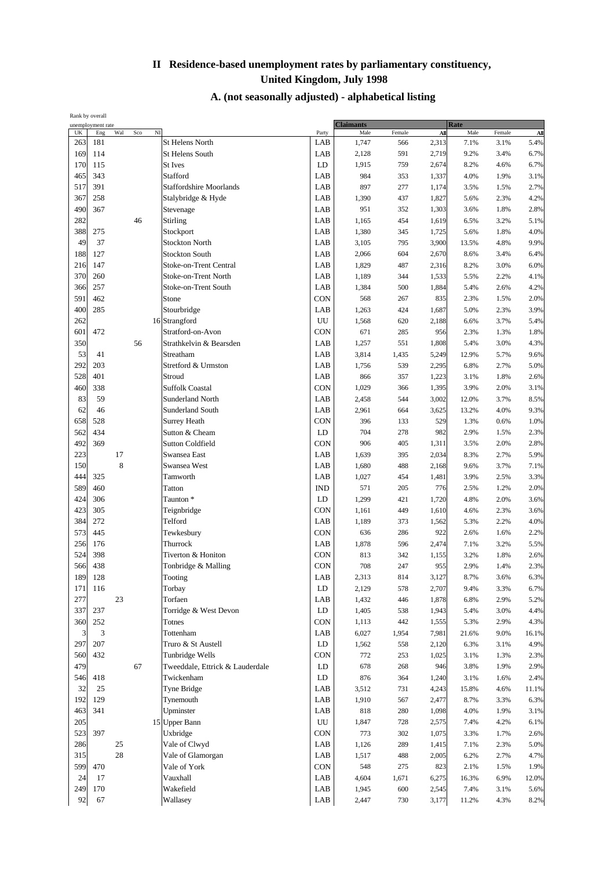| Rank by overall |                   |     |     |                |                                 |             |                  |        |       |       |        |       |
|-----------------|-------------------|-----|-----|----------------|---------------------------------|-------------|------------------|--------|-------|-------|--------|-------|
|                 | unemployment rate |     |     |                |                                 |             | <b>Claimants</b> |        |       | Rate  |        |       |
| UK              | Eng               | Wal | Sco | $\overline{M}$ |                                 | Party       | Male             | Female | All   | Male  | Female | All   |
| 263             | 181               |     |     |                | <b>St Helens North</b>          | LAB         | 1,747            | 566    | 2,313 | 7.1%  | 3.1%   | 5.4%  |
| 169             | 114               |     |     |                | <b>St Helens South</b>          | LAB         | 2,128            | 591    | 2,719 | 9.2%  | 3.4%   | 6.7%  |
| 170             | 115               |     |     |                | <b>St Ives</b>                  | LD          | 1,915            | 759    | 2,674 | 8.2%  | 4.6%   | 6.7%  |
| 465             | 343               |     |     |                | Stafford                        | LAB         | 984              | 353    | 1,337 | 4.0%  | 1.9%   | 3.1%  |
| 517             | 391               |     |     |                | <b>Staffordshire Moorlands</b>  | LAB         | 897              | 277    | 1,174 | 3.5%  | 1.5%   | 2.7%  |
| 367             | 258               |     |     |                | Stalybridge & Hyde              | LAB         | 1,390            | 437    | 1,827 | 5.6%  | 2.3%   | 4.2%  |
|                 |                   |     |     |                |                                 |             |                  |        |       |       |        |       |
| 490             | 367               |     |     |                | Stevenage                       | LAB         | 951              | 352    | 1,303 | 3.6%  | 1.8%   | 2.8%  |
| 282             |                   |     | 46  |                | Stirling                        | LAB         | 1,165            | 454    | 1,619 | 6.5%  | 3.2%   | 5.1%  |
| 388             | 275               |     |     |                | Stockport                       | LAB         | 1,380            | 345    | 1,725 | 5.6%  | 1.8%   | 4.0%  |
| 49              | 37                |     |     |                | <b>Stockton North</b>           | LAB         | 3,105            | 795    | 3,900 | 13.5% | 4.8%   | 9.9%  |
| 188             | 127               |     |     |                | <b>Stockton South</b>           | LAB         | 2,066            | 604    | 2,670 | 8.6%  | 3.4%   | 6.4%  |
| 216             | 147               |     |     |                | Stoke-on-Trent Central          | LAB         | 1,829            | 487    | 2,316 | 8.2%  | 3.0%   | 6.0%  |
| 370             | 260               |     |     |                | Stoke-on-Trent North            | LAB         | 1,189            | 344    | 1,533 | 5.5%  | 2.2%   | 4.1%  |
|                 |                   |     |     |                |                                 |             |                  |        |       |       |        |       |
| 366             | 257               |     |     |                | Stoke-on-Trent South            | LAB         | 1,384            | 500    | 1,884 | 5.4%  | 2.6%   | 4.2%  |
| 591             | 462               |     |     |                | Stone                           | <b>CON</b>  | 568              | 267    | 835   | 2.3%  | 1.5%   | 2.0%  |
| 400             | 285               |     |     |                | Stourbridge                     | LAB         | 1,263            | 424    | 1,687 | 5.0%  | 2.3%   | 3.9%  |
| 262             |                   |     |     |                | 16 Strangford                   | UU          | 1,568            | 620    | 2,188 | 6.6%  | 3.7%   | 5.4%  |
| 601             | 472               |     |     |                | Stratford-on-Avon               | <b>CON</b>  | 671              | 285    | 956   | 2.3%  | 1.3%   | 1.8%  |
| 350             |                   |     | 56  |                | Strathkelvin & Bearsden         | LAB         | 1,257            | 551    | 1,808 | 5.4%  | 3.0%   | 4.3%  |
| 53              | 41                |     |     |                | Streatham                       | LAB         | 3,814            | 1,435  | 5,249 | 12.9% | 5.7%   | 9.6%  |
| 292             |                   |     |     |                |                                 | LAB         |                  |        |       | 6.8%  |        |       |
|                 | 203               |     |     |                | Stretford & Urmston             |             | 1,756            | 539    | 2,295 |       | 2.7%   | 5.0%  |
| 528             | 401               |     |     |                | Stroud                          | LAB         | 866              | 357    | 1,223 | 3.1%  | 1.8%   | 2.6%  |
| 460             | 338               |     |     |                | <b>Suffolk Coastal</b>          | CON         | 1,029            | 366    | 1,395 | 3.9%  | 2.0%   | 3.1%  |
| 83              | 59                |     |     |                | <b>Sunderland North</b>         | LAB         | 2,458            | 544    | 3,002 | 12.0% | 3.7%   | 8.5%  |
| 62              | 46                |     |     |                | <b>Sunderland South</b>         | LAB         | 2,961            | 664    | 3,625 | 13.2% | 4.0%   | 9.3%  |
| 658             | 528               |     |     |                | <b>Surrey Heath</b>             | <b>CON</b>  | 396              | 133    | 529   | 1.3%  | 0.6%   | 1.0%  |
| 562             | 434               |     |     |                | Sutton & Cheam                  | LD          | 704              | 278    | 982   | 2.9%  | 1.5%   | 2.3%  |
| 492             | 369               |     |     |                | <b>Sutton Coldfield</b>         | <b>CON</b>  | 906              | 405    | 1,311 | 3.5%  | 2.0%   | 2.8%  |
|                 |                   |     |     |                |                                 |             |                  |        |       |       |        |       |
| 223             |                   | 17  |     |                | Swansea East                    | LAB         | 1,639            | 395    | 2,034 | 8.3%  | 2.7%   | 5.9%  |
| 150             |                   | 8   |     |                | Swansea West                    | LAB         | 1,680            | 488    | 2,168 | 9.6%  | 3.7%   | 7.1%  |
| 444             | 325               |     |     |                | Tamworth                        | LAB         | 1,027            | 454    | 1,481 | 3.9%  | 2.5%   | 3.3%  |
| 589             | 460               |     |     |                | Tatton                          | <b>IND</b>  | 571              | 205    | 776   | 2.5%  | 1.2%   | 2.0%  |
| 424             | 306               |     |     |                | Taunton <sup>*</sup>            | LD          | 1,299            | 421    | 1,720 | 4.8%  | 2.0%   | 3.6%  |
| 423             | 305               |     |     |                | Teignbridge                     | <b>CON</b>  | 1,161            | 449    | 1,610 | 4.6%  | 2.3%   | 3.6%  |
| 384             | 272               |     |     |                | Telford                         | LAB         | 1,189            | 373    | 1,562 | 5.3%  | 2.2%   | 4.0%  |
| 573             |                   |     |     |                |                                 | <b>CON</b>  |                  | 286    |       | 2.6%  |        |       |
|                 | 445               |     |     |                | Tewkesbury                      |             | 636              |        | 922   |       | 1.6%   | 2.2%  |
| 256             | 176               |     |     |                | Thurrock                        | LAB         | 1,878            | 596    | 2,474 | 7.1%  | 3.2%   | 5.5%  |
| 524             | 398               |     |     |                | Tiverton & Honiton              | CON         | 813              | 342    | 1,155 | 3.2%  | 1.8%   | 2.6%  |
| 566             | 438               |     |     |                | Tonbridge & Malling             | <b>CON</b>  | 708              | 247    | 955   | 2.9%  | 1.4%   | 2.3%  |
| 189             | 128               |     |     |                | Tooting                         | ${\rm LAB}$ | 2,313            | 814    | 3,127 | 8.7%  | 3.6%   | 6.3%  |
| 171             | 116               |     |     |                | Torbay                          | LD          | 2,129            | 578    | 2,707 | 9.4%  | 3.3%   | 6.7%  |
| 277             |                   | 23  |     |                | Torfaen                         | LAB         | 1,432            | 446    | 1,878 | 6.8%  | 2.9%   | 5.2%  |
| 337             | 237               |     |     |                | Torridge & West Devon           | LD          | 1,405            | 538    | 1,943 | 5.4%  | 3.0%   | 4.4%  |
|                 |                   |     |     |                |                                 |             |                  |        |       |       |        |       |
| 360             | 252               |     |     |                | Totnes                          | CON         | 1,113            | 442    | 1,555 | 5.3%  | 2.9%   | 4.3%  |
| 3               | 3                 |     |     |                | Tottenham                       | LAB         | 6,027            | 1,954  | 7,981 | 21.6% | 9.0%   | 16.1% |
| 297             | 207               |     |     |                | Truro & St Austell              | LD          | 1,562            | 558    | 2,120 | 6.3%  | 3.1%   | 4.9%  |
| 560             | 432               |     |     |                | Tunbridge Wells                 | CON         | 772              | 253    | 1,025 | 3.1%  | 1.3%   | 2.3%  |
| 479             |                   |     | 67  |                | Tweeddale, Ettrick & Lauderdale | LD          | 678              | 268    | 946   | 3.8%  | 1.9%   | 2.9%  |
| 546             | 418               |     |     |                | Twickenham                      | LD          | 876              | 364    | 1,240 | 3.1%  | 1.6%   | 2.4%  |
| 32              | 25                |     |     |                | Tyne Bridge                     | LAB         | 3,512            | 731    | 4,243 | 15.8% | 4.6%   | 11.1% |
|                 |                   |     |     |                |                                 |             |                  |        |       |       |        |       |
| 192             | 129               |     |     |                | Tynemouth                       | LAB         | 1,910            | 567    | 2,477 | 8.7%  | 3.3%   | 6.3%  |
| 463             | 341               |     |     |                | Upminster                       | LAB         | 818              | 280    | 1,098 | 4.0%  | 1.9%   | 3.1%  |
| 205             |                   |     |     |                | 15 Upper Bann                   | UU          | 1,847            | 728    | 2,575 | 7.4%  | 4.2%   | 6.1%  |
| 523             | 397               |     |     |                | Uxbridge                        | <b>CON</b>  | 773              | 302    | 1,075 | 3.3%  | 1.7%   | 2.6%  |
| 286             |                   | 25  |     |                | Vale of Clwyd                   | LAB         | 1,126            | 289    | 1,415 | 7.1%  | 2.3%   | 5.0%  |
| 315             |                   | 28  |     |                | Vale of Glamorgan               | LAB         | 1,517            | 488    | 2,005 | 6.2%  | 2.7%   | 4.7%  |
| 599             | 470               |     |     |                | Vale of York                    | CON         | 548              | 275    | 823   | 2.1%  | 1.5%   | 1.9%  |
| 24              | 17                |     |     |                | Vauxhall                        | LAB         | 4,604            | 1,671  | 6,275 | 16.3% | 6.9%   | 12.0% |
|                 |                   |     |     |                |                                 |             |                  |        |       |       |        |       |
| 249             | 170               |     |     |                | Wakefield                       | LAB         | 1,945            | 600    | 2,545 | 7.4%  | 3.1%   | 5.6%  |
| 92              | 67                |     |     |                | Wallasey                        | LAB         | 2,447            | 730    | 3,177 | 11.2% | 4.3%   | 8.2%  |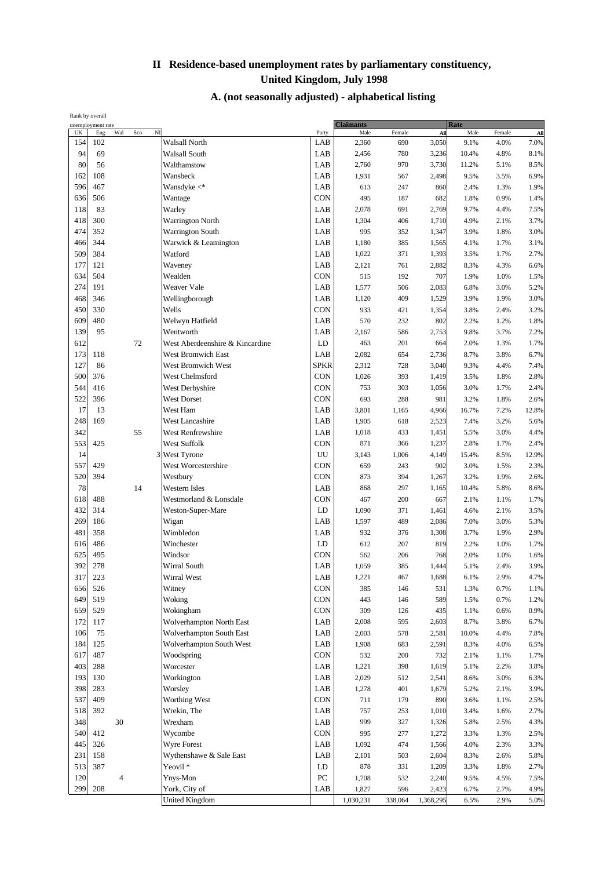| Rank by overall |                                 |                |       |                                 |                  |                          |         |           |                     |        |       |
|-----------------|---------------------------------|----------------|-------|---------------------------------|------------------|--------------------------|---------|-----------|---------------------|--------|-------|
| UK              | unemployment rate<br>Wal<br>Eng | Sco            | $N$ I |                                 | Party            | <b>Claimants</b><br>Male | Female  | All       | <b>Rate</b><br>Male | Female | All   |
| 154             | 102                             |                |       | Walsall North                   | LAB              | 2,360                    | 690     | 3,050     | 9.1%                | 4.0%   | 7.0%  |
| 94              | 69                              |                |       | Walsall South                   | LAB              | 2,456                    | 780     | 3,236     | 10.4%               | 4.8%   | 8.1%  |
| 80              | 56                              |                |       | Walthamstow                     | LAB              | 2,760                    | 970     | 3,730     | 11.2%               | 5.1%   | 8.5%  |
| 162             | 108                             |                |       | Wansbeck                        | LAB              | 1,931                    | 567     | 2,498     | 9.5%                | 3.5%   | 6.9%  |
| 596             | 467                             |                |       | Wansdyke $\lt^*$                | LAB              | 613                      | 247     | 860       | 2.4%                | 1.3%   | 1.9%  |
| 636             | 506                             |                |       | Wantage                         | <b>CON</b>       | 495                      | 187     | 682       | 1.8%                | 0.9%   | 1.4%  |
| 118             | 83                              |                |       | Warley                          | LAB              | 2,078                    | 691     | 2,769     | 9.7%                | 4.4%   | 7.5%  |
| 418             | 300                             |                |       | <b>Warrington North</b>         | LAB              | 1,304                    | 406     | 1,710     | 4.9%                | 2.1%   | 3.7%  |
| 474             | 352                             |                |       | <b>Warrington South</b>         | LAB              | 995                      | 352     | 1,347     | 3.9%                | 1.8%   | 3.0%  |
| 466             | 344                             |                |       | Warwick & Leamington            | LAB              | 1,180                    | 385     | 1,565     | 4.1%                | 1.7%   | 3.1%  |
| 509             | 384                             |                |       | Watford                         | LAB              | 1,022                    | 371     | 1,393     | 3.5%                | 1.7%   | 2.7%  |
| 177             | 121                             |                |       | Waveney                         | LAB              | 2,121                    | 761     | 2,882     | 8.3%                | 4.3%   | 6.6%  |
| 634             | 504                             |                |       | Wealden                         | CON              | 515                      | 192     | 707       | 1.9%                | 1.0%   | 1.5%  |
| 274             | 191                             |                |       | Weaver Vale                     | LAB              | 1,577                    | 506     | 2,083     | 6.8%                | 3.0%   | 5.2%  |
| 468             | 346                             |                |       | Wellingborough                  | LAB              | 1,120                    | 409     | 1,529     | 3.9%                | 1.9%   | 3.0%  |
| 450             | 330                             |                |       | Wells                           | <b>CON</b>       | 933                      | 421     | 1,354     | 3.8%                | 2.4%   | 3.2%  |
| 609             | 480                             |                |       | Welwyn Hatfield                 | LAB              | 570                      | 232     | 802       | 2.2%                | 1.2%   | 1.8%  |
| 139             | 95                              |                |       | Wentworth                       | LAB              | 2,167                    | 586     | 2,753     | 9.8%                | 3.7%   | 7.2%  |
| 612             |                                 | 72             |       | West Aberdeenshire & Kincardine | LD               | 463                      | 201     | 664       | 2.0%                | 1.3%   | 1.7%  |
| 173             | 118                             |                |       | <b>West Bromwich East</b>       | LAB              | 2,082                    | 654     | 2,736     | 8.7%                | 3.8%   | 6.7%  |
| 127             | 86                              |                |       | <b>West Bromwich West</b>       | <b>SPKR</b>      | 2,312                    | 728     | 3,040     | 9.3%                | 4.4%   | 7.4%  |
| 500             | 376                             |                |       | West Chelmsford                 | <b>CON</b>       | 1,026                    | 393     | 1,419     | 3.5%                | 1.8%   | 2.8%  |
| 544             | 416                             |                |       | West Derbyshire                 | <b>CON</b>       | 753                      | 303     | 1,056     | 3.0%                | 1.7%   | 2.4%  |
| 522             | 396                             |                |       | <b>West Dorset</b>              | <b>CON</b>       | 693                      | 288     | 981       | 3.2%                | 1.8%   | 2.6%  |
| 17              | 13                              |                |       | West Ham                        | LAB              | 3,801                    | 1,165   | 4,966     | 16.7%               | 7.2%   | 12.8% |
| 248             | 169                             |                |       | <b>West Lancashire</b>          | LAB              | 1,905                    | 618     | 2,523     | 7.4%                | 3.2%   | 5.6%  |
| 342             |                                 | 55             |       | West Renfrewshire               | LAB              | 1,018                    | 433     | 1,451     | 5.5%                | 3.0%   | 4.4%  |
| 553             | 425                             |                |       | West Suffolk                    | CON              | 871                      | 366     | 1,237     | 2.8%                | 1.7%   | 2.4%  |
| 14              |                                 |                |       | 3 West Tyrone                   | UU               | 3,143                    | 1,006   | 4,149     | 15.4%               | 8.5%   | 12.9% |
| 557             | 429                             |                |       | West Worcestershire             | CON              | 659                      | 243     | 902       | 3.0%                | 1.5%   | 2.3%  |
| 520             | 394                             |                |       | Westbury                        | <b>CON</b>       | 873                      | 394     | 1,267     | 3.2%                | 1.9%   | 2.6%  |
| 78              |                                 | 14             |       | <b>Western Isles</b>            | LAB              | 868                      | 297     | 1,165     | 10.4%               | 5.8%   | 8.6%  |
| 618             | 488                             |                |       | Westmorland & Lonsdale          | CON              | 467                      | 200     | 667       | 2.1%                | 1.1%   | 1.7%  |
| 432             | 314                             |                |       | Weston-Super-Mare               | LD               | 1,090                    | 371     | 1,461     | 4.6%                | 2.1%   | 3.5%  |
| 269             | 186                             |                |       | Wigan                           | LAB              | 1,597                    | 489     | 2,086     | 7.0%                | 3.0%   | 5.3%  |
| 481             | 358                             |                |       | Wimbledon                       | LAB              | 932                      | 376     | 1,308     | 3.7%                | 1.9%   | 2.9%  |
| 616             | 486                             |                |       | Winchester                      | LD               | 612                      | 207     | 819       | 2.2%                | 1.0%   | 1.7%  |
| 625             | 495                             |                |       | Windsor                         | CON              | 562                      | 206     | 768       | 2.0%                | 1.0%   | 1.6%  |
| 392             | 278                             |                |       | Wirral South                    | LAB              | 1,059                    | 385     | 1,444     | 5.1%                | 2.4%   | 3.9%  |
| 317             | 223                             |                |       | Wirral West                     | LAB              | 1,221                    | 467     | 1,688     | 6.1%                | 2.9%   | 4.7%  |
| 656             | 526                             |                |       | Witney                          | CON              | 385                      | 146     | 531       | 1.3%                | 0.7%   | 1.1%  |
| 649             | 519                             |                |       | Woking                          | CON              | 443                      | 146     | 589       | 1.5%                | 0.7%   | 1.2%  |
| 659             | 529                             |                |       | Wokingham                       | CON              | 309                      | 126     | 435       | 1.1%                | 0.6%   | 0.9%  |
| 172             | 117                             |                |       | Wolverhampton North East        | LAB              | 2,008                    | 595     | 2,603     | 8.7%                | 3.8%   | 6.7%  |
| 106             | 75                              |                |       | Wolverhampton South East        | LAB              | 2,003                    | 578     | 2,581     | 10.0%               | 4.4%   | 7.8%  |
| 184             | 125                             |                |       | Wolverhampton South West        | LAB              | 1,908                    | 683     | 2,591     | 8.3%                | 4.0%   | 6.5%  |
| 617             | 487                             |                |       | Woodspring                      | <b>CON</b>       | 532                      | 200     | 732       | 2.1%                | 1.1%   | 1.7%  |
| 403             | 288                             |                |       | Worcester                       | LAB              | 1,221                    | 398     | 1,619     | 5.1%                | 2.2%   | 3.8%  |
| 193             | 130                             |                |       | Workington                      | LAB              | 2,029                    | 512     | 2,541     | 8.6%                | 3.0%   | 6.3%  |
| 398             | 283                             |                |       | Worsley                         | LAB              | 1,278                    | 401     | 1,679     | 5.2%                | 2.1%   | 3.9%  |
| 537             | 409                             |                |       | Worthing West                   | CON              | 711                      | 179     | 890       | 3.6%                | 1.1%   | 2.5%  |
| 518             | 392                             |                |       | Wrekin, The                     | LAB              | 757                      | 253     | 1,010     | 3.4%                | 1.6%   | 2.7%  |
| 348             | 30                              |                |       | Wrexham                         | LAB              | 999                      | 327     | 1,326     | 5.8%                | 2.5%   | 4.3%  |
| 540             | 412                             |                |       | Wycombe                         | CON              | 995                      | 277     | 1,272     | 3.3%                | 1.3%   | 2.5%  |
| 445             | 326                             |                |       | Wyre Forest                     | LAB              | 1,092                    | 474     | 1,566     | 4.0%                | 2.3%   | 3.3%  |
| 231             | 158                             |                |       | Wythenshawe & Sale East         | LAB              | 2,101                    | 503     | 2,604     | 8.3%                | 2.6%   | 5.8%  |
| 513             | 387                             |                |       | Yeovil <sup>*</sup>             | ${\rm LD}$       | 878                      | 331     | 1,209     | 3.3%                | 1.8%   | 2.7%  |
| 120             |                                 | $\overline{4}$ |       | Ynys-Mon                        | ${\rm P}{\bf C}$ | 1,708                    | 532     | 2,240     | 9.5%                | 4.5%   | 7.5%  |
| 299             | 208                             |                |       | York, City of                   | LAB              | 1,827                    | 596     | 2,423     | 6.7%                | 2.7%   | 4.9%  |
|                 |                                 |                |       | <b>United Kingdom</b>           |                  | 1,030,231                | 338,064 | 1,368,295 | 6.5%                | 2.9%   | 5.0%  |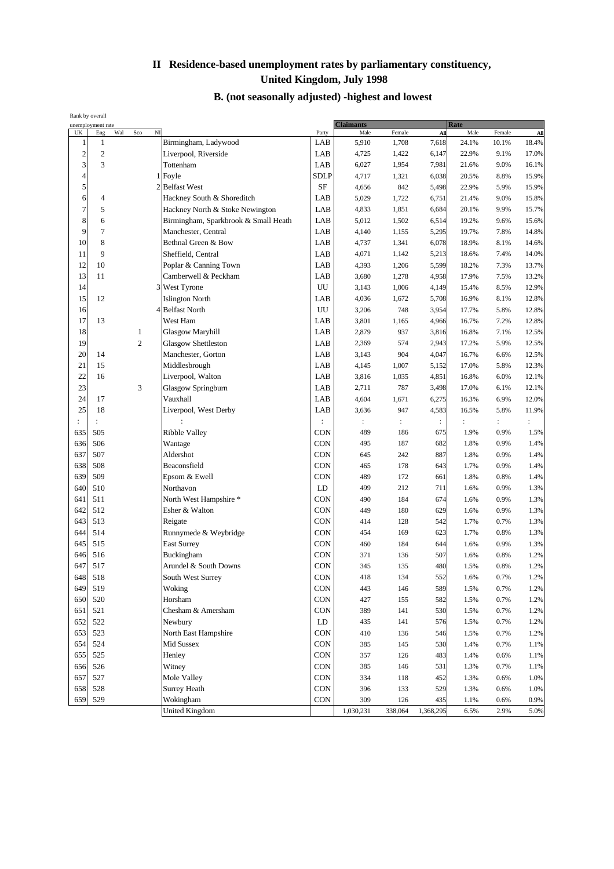#### **B. (not seasonally adjusted) -highest and lowest**

|                         | Rank by overall<br>unemployment rate |     |                |   |                                      | <b>Claimants</b> |                      |                      | <b>Rate</b>    |                |                |                      |
|-------------------------|--------------------------------------|-----|----------------|---|--------------------------------------|------------------|----------------------|----------------------|----------------|----------------|----------------|----------------------|
| UK                      | Eng                                  | Wal | Sco            | N |                                      | Party            | Male                 | Female               | All            | Male           | Female         | All                  |
| 1                       | $\mathbf{1}$                         |     |                |   | Birmingham, Ladywood                 | LAB              | 5,910                | 1,708                | 7,618          | 24.1%          | 10.1%          | 18.4%                |
| $\overline{\mathbf{c}}$ | $\mathfrak{2}$                       |     |                |   | Liverpool, Riverside                 | LAB              | 4,725                | 1,422                | 6,147          | 22.9%          | 9.1%           | 17.0%                |
| 3                       | 3                                    |     |                |   | Tottenham                            | LAB              | 6,027                | 1,954                | 7,981          | 21.6%          | 9.0%           | 16.1%                |
| 4                       |                                      |     |                |   | 1 Foyle                              | <b>SDLP</b>      | 4,717                | 1,321                | 6,038          | 20.5%          | 8.8%           | 15.9%                |
| 5                       |                                      |     |                |   | 2 Belfast West                       | SF               | 4,656                | 842                  | 5,498          | 22.9%          | 5.9%           | 15.9%                |
| 6                       | 4                                    |     |                |   | Hackney South & Shoreditch           | LAB              | 5,029                | 1,722                | 6,751          | 21.4%          | 9.0%           | 15.8%                |
| 7                       | 5                                    |     |                |   | Hackney North & Stoke Newington      | LAB              | 4,833                | 1,851                | 6,684          | 20.1%          | 9.9%           | 15.7%                |
| 8                       | 6                                    |     |                |   | Birmingham, Sparkbrook & Small Heath | LAB              | 5,012                | 1,502                | 6,514          | 19.2%          | 9.6%           | 15.6%                |
| 9                       | $\tau$                               |     |                |   | Manchester, Central                  | LAB              | 4,140                | 1,155                | 5,295          | 19.7%          | 7.8%           | 14.8%                |
| 10                      | 8                                    |     |                |   | Bethnal Green & Bow                  | LAB              | 4,737                | 1,341                | 6,078          | 18.9%          | 8.1%           | 14.6%                |
| 11                      | 9                                    |     |                |   | Sheffield, Central                   | LAB              | 4,071                | 1,142                | 5,213          | 18.6%          | 7.4%           | 14.0%                |
| 12                      | 10                                   |     |                |   | Poplar & Canning Town                | LAB              | 4,393                | 1,206                | 5,599          | 18.2%          | 7.3%           | 13.7%                |
| 13                      | 11                                   |     |                |   | Camberwell & Peckham                 | LAB              | 3,680                | 1,278                | 4,958          | 17.9%          | 7.5%           | 13.2%                |
| 14                      |                                      |     |                |   | 3 West Tyrone                        | UU               | 3,143                | 1,006                | 4,149          | 15.4%          | 8.5%           | 12.9%                |
| 15                      | 12                                   |     |                |   | <b>Islington North</b>               | LAB              | 4,036                | 1,672                | 5,708          | 16.9%          | 8.1%           | 12.8%                |
| 16                      |                                      |     |                |   | 4 Belfast North                      | UU               | 3,206                | 748                  | 3,954          | 17.7%          | 5.8%           | 12.8%                |
| 17                      | 13                                   |     |                |   | West Ham                             | LAB              | 3,801                | 1,165                | 4,966          | 16.7%          | 7.2%           | 12.8%                |
| 18                      |                                      |     | 1              |   | Glasgow Maryhill                     | LAB              | 2,879                | 937                  | 3,816          | 16.8%          | 7.1%           | 12.5%                |
| 19                      |                                      |     | $\overline{c}$ |   | Glasgow Shettleston                  | LAB              | 2,369                | 574                  | 2,943          | 17.2%          | 5.9%           | 12.5%                |
| 20                      | 14                                   |     |                |   | Manchester, Gorton                   | LAB              | 3,143                | 904                  | 4,047          | 16.7%          | 6.6%           | 12.5%                |
| 21                      | 15                                   |     |                |   | Middlesbrough                        | LAB              | 4,145                | 1,007                | 5,152          | 17.0%          | 5.8%           | 12.3%                |
| 22                      | 16                                   |     |                |   | Liverpool, Walton                    | LAB              | 3,816                | 1,035                | 4,851          | 16.8%          | 6.0%           | 12.1%                |
| 23                      |                                      |     | 3              |   | Glasgow Springburn                   | LAB              | 2,711                | 787                  | 3,498          | 17.0%          | 6.1%           | 12.1%                |
| 24                      | 17                                   |     |                |   | Vauxhall                             | LAB              | 4,604                | 1,671                | 6,275          | 16.3%          | 6.9%           | 12.0%                |
| 25                      | 18                                   |     |                |   | Liverpool, West Derby                | LAB              | 3,636                | 947                  | 4,583          | 16.5%          | 5.8%           | 11.9%                |
| $\ddot{\cdot}$          |                                      |     |                |   |                                      |                  | $\ddot{\phantom{a}}$ | $\ddot{\phantom{a}}$ | $\ddot{\cdot}$ | $\ddot{\cdot}$ | $\ddot{\cdot}$ | $\ddot{\phantom{a}}$ |
| 635                     | 505                                  |     |                |   | Ribble Valley                        | <b>CON</b>       | 489                  | 186                  | 675            | 1.9%           | 0.9%           | 1.5%                 |
| 636                     | 506                                  |     |                |   | Wantage                              | <b>CON</b>       | 495                  | 187                  | 682            | 1.8%           | 0.9%           | 1.4%                 |
| 637                     | 507                                  |     |                |   | Aldershot                            | <b>CON</b>       | 645                  | 242                  | 887            | 1.8%           | 0.9%           | 1.4%                 |
| 638                     | 508                                  |     |                |   | Beaconsfield                         | CON              | 465                  | 178                  | 643            | 1.7%           | 0.9%           | 1.4%                 |
| 639                     | 509                                  |     |                |   | Epsom & Ewell                        | CON              | 489                  | 172                  | 661            | 1.8%           | 0.8%           | 1.4%                 |
| 640                     | 510                                  |     |                |   | Northavon                            | LD               | 499                  | 212                  | 711            | 1.6%           | 0.9%           | 1.3%                 |
| 641                     | 511                                  |     |                |   | North West Hampshire *               | CON              | 490                  | 184                  | 674            | 1.6%           | 0.9%           | 1.3%                 |
| 642                     | 512                                  |     |                |   | Esher & Walton                       | CON              | 449                  | 180                  | 629            | 1.6%           | 0.9%           | 1.3%                 |
| 643                     | 513                                  |     |                |   | Reigate                              | <b>CON</b>       | 414                  | 128                  | 542            | 1.7%           | 0.7%           | 1.3%                 |
| 644                     | 514                                  |     |                |   | Runnymede & Weybridge                | <b>CON</b>       | 454                  | 169                  | 623            | 1.7%           | 0.8%           | 1.3%                 |
| 645                     | 515                                  |     |                |   | <b>East Surrey</b>                   | <b>CON</b>       | 460                  | 184                  | 644            | 1.6%           | 0.9%           | 1.3%                 |
| 646                     | 516                                  |     |                |   | Buckingham                           | CON              | 371                  | 136                  | 507            | 1.6%           | 0.8%           | 1.2%                 |
| 647                     | 517                                  |     |                |   | Arundel & South Downs                | <b>CON</b>       | 345                  | 135                  | 480            | 1.5%           | 0.8%           | 1.2%                 |
| 648                     | 518                                  |     |                |   | South West Surrey                    | CON              | 418                  | 134                  | 552            | 1.6%           | 0.7%           | 1.2%                 |
| 649                     | 519                                  |     |                |   | Woking                               | <b>CON</b>       | 443                  | 146                  | 589            | 1.5%           | 0.7%           | 1.2%                 |
| 650                     | 520                                  |     |                |   | Horsham                              | <b>CON</b>       | 427                  | 155                  | 582            | 1.5%           | 0.7%           | 1.2%                 |
| 651                     | 521                                  |     |                |   | Chesham & Amersham                   | CON              | 389                  | 141                  | 530            | 1.5%           | 0.7%           | 1.2%                 |
| 652                     | 522                                  |     |                |   | Newbury                              | LD               | 435                  | 141                  | 576            | 1.5%           | 0.7%           | 1.2%                 |
| 653                     | 523                                  |     |                |   | North East Hampshire                 | CON              | 410                  | 136                  | 546            | 1.5%           | 0.7%           | 1.2%                 |
| 654                     | 524                                  |     |                |   | Mid Sussex                           | CON              | 385                  | 145                  | 530            | 1.4%           | 0.7%           | 1.1%                 |
| 655                     | 525                                  |     |                |   | Henley                               | <b>CON</b>       | 357                  | 126                  | 483            | 1.4%           | 0.6%           | 1.1%                 |
| 656                     | 526                                  |     |                |   | Witney                               | <b>CON</b>       | 385                  | 146                  | 531            | 1.3%           | 0.7%           | 1.1%                 |
| 657                     | 527                                  |     |                |   | Mole Valley                          | <b>CON</b>       | 334                  | 118                  | 452            | 1.3%           | 0.6%           | 1.0%                 |
| 658                     | 528                                  |     |                |   | <b>Surrey Heath</b>                  | CON              | 396                  | 133                  | 529            | 1.3%           | 0.6%           | 1.0%                 |
| 659                     | 529                                  |     |                |   | Wokingham                            | <b>CON</b>       | 309                  | 126                  | 435            | 1.1%           | 0.6%           | 0.9%                 |
|                         |                                      |     |                |   | <b>United Kingdom</b>                |                  | 1,030,231            | 338,064              | 1,368,295      | 6.5%           | 2.9%           | 5.0%                 |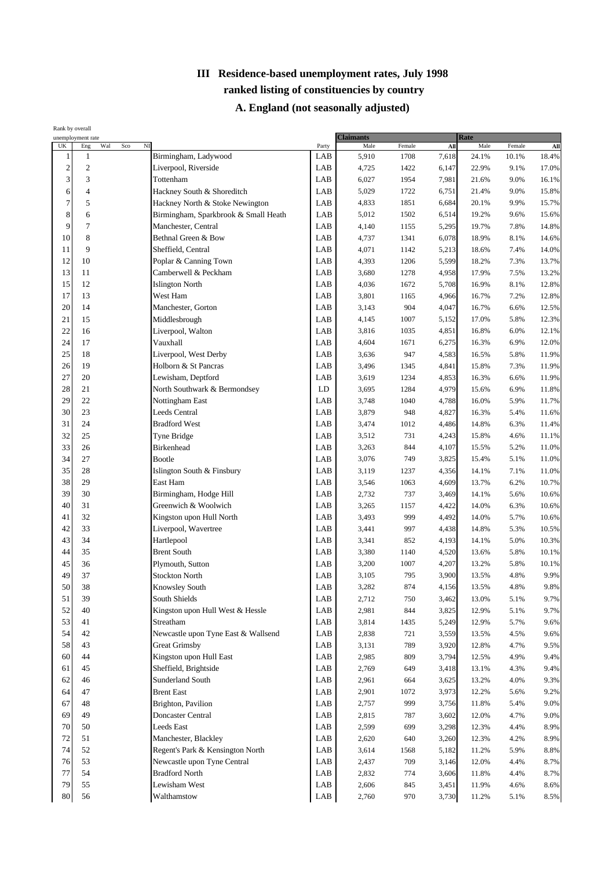|                         | Rank by overall                                         |                                      |             |                          |        |                |                |              |              |
|-------------------------|---------------------------------------------------------|--------------------------------------|-------------|--------------------------|--------|----------------|----------------|--------------|--------------|
| UK                      | unemployment rate<br>Wal<br>$\operatorname{Sco}$<br>Eng | $_{\rm NI}$                          | Party       | <b>Claimants</b><br>Male | Female | All            | Rate<br>Male   | Female       | All          |
| 1                       | $\mathbf{1}$                                            | Birmingham, Ladywood                 | LAB         | 5,910                    | 1708   | 7,618          | 24.1%          | 10.1%        | 18.4%        |
| $\overline{\mathbf{c}}$ | $\overline{c}$                                          | Liverpool, Riverside                 | LAB         | 4,725                    | 1422   | 6,147          | 22.9%          | 9.1%         | 17.0%        |
| 3                       | 3                                                       | Tottenham                            | LAB         | 6,027                    | 1954   | 7,981          | 21.6%          | 9.0%         | 16.1%        |
| 6                       | $\overline{4}$                                          | Hackney South & Shoreditch           | LAB         | 5,029                    | 1722   | 6,751          | 21.4%          | 9.0%         | 15.8%        |
| $\overline{7}$          | 5                                                       | Hackney North & Stoke Newington      | LAB         | 4,833                    | 1851   | 6,684          | 20.1%          | 9.9%         | 15.7%        |
| 8                       | 6                                                       | Birmingham, Sparkbrook & Small Heath | LAB         | 5,012                    | 1502   | 6,514          | 19.2%          | 9.6%         | 15.6%        |
| 9                       | 7                                                       | Manchester, Central                  | LAB         | 4,140                    | 1155   | 5,295          | 19.7%          | 7.8%         | 14.8%        |
| 10                      | 8                                                       | Bethnal Green & Bow                  | LAB         | 4,737                    | 1341   | 6,078          | 18.9%          | 8.1%         | 14.6%        |
| 11                      | 9                                                       | Sheffield, Central                   | LAB         | 4,071                    | 1142   | 5,213          | 18.6%          | 7.4%         | 14.0%        |
| 12                      | 10                                                      | Poplar & Canning Town                | LAB         | 4,393                    | 1206   | 5,599          | 18.2%          | 7.3%         | 13.7%        |
| 13                      | 11                                                      | Camberwell & Peckham                 | LAB         | 3,680                    | 1278   | 4,958          | 17.9%          | 7.5%         | 13.2%        |
| 15                      | 12                                                      | <b>Islington North</b>               | LAB         | 4,036                    | 1672   | 5,708          | 16.9%          | 8.1%         | 12.8%        |
| 17                      | 13                                                      | West Ham                             | LAB         | 3,801                    | 1165   | 4,966          | 16.7%          | 7.2%         | 12.8%        |
| 20                      | 14                                                      | Manchester, Gorton                   | LAB         | 3,143                    | 904    | 4,047          | 16.7%          | 6.6%         | 12.5%        |
| 21                      | 15                                                      | Middlesbrough                        | LAB         | 4,145                    | 1007   | 5,152          | 17.0%          | 5.8%         | 12.3%        |
| 22                      | 16                                                      | Liverpool, Walton                    | LAB         | 3,816                    | 1035   | 4,851          | 16.8%          | 6.0%         | 12.1%        |
| 24                      | 17                                                      | Vauxhall                             | LAB         | 4,604                    | 1671   | 6,275          | 16.3%          | 6.9%         | 12.0%        |
| 25                      | 18                                                      | Liverpool, West Derby                | LAB         | 3,636                    | 947    | 4,583          | 16.5%          | 5.8%         | 11.9%        |
| 26                      | 19                                                      | Holborn & St Pancras                 | LAB         | 3,496                    | 1345   | 4,841          | 15.8%          | 7.3%         | 11.9%        |
| 27                      | 20                                                      | Lewisham, Deptford                   | LAB         | 3,619                    | 1234   | 4,853          | 16.3%          | 6.6%         | 11.9%        |
| 28                      | 21                                                      | North Southwark & Bermondsey         | LD          | 3,695                    | 1284   | 4,979          | 15.6%          | 6.9%         | 11.8%        |
| 29                      | 22                                                      | Nottingham East                      | LAB         | 3,748                    | 1040   | 4,788          | 16.0%          | 5.9%         | 11.7%        |
| 30                      | 23                                                      | <b>Leeds Central</b>                 | LAB         | 3,879                    | 948    | 4,827          | 16.3%          | 5.4%         | 11.6%        |
| 31                      | 24                                                      | <b>Bradford West</b>                 | LAB         | 3,474                    | 1012   | 4,486          | 14.8%          | 6.3%         | 11.4%        |
| 32                      | 25                                                      | Tyne Bridge                          | LAB         | 3,512                    | 731    | 4,243          | 15.8%          | 4.6%         | 11.1%        |
| 33                      | 26                                                      | <b>Birkenhead</b>                    | LAB         | 3,263                    | 844    | 4,107          | 15.5%          | 5.2%         | 11.0%        |
| 34                      | 27                                                      | <b>Bootle</b>                        | LAB         | 3,076                    | 749    | 3,825          | 15.4%          | 5.1%         | 11.0%        |
| 35                      | 28                                                      | Islington South & Finsbury           | LAB         | 3,119                    | 1237   | 4,356          | 14.1%          | 7.1%         | 11.0%        |
| 38                      | 29                                                      | East Ham                             | LAB         | 3,546                    | 1063   | 4,609          | 13.7%          | 6.2%         | 10.7%        |
| 39                      | 30                                                      | Birmingham, Hodge Hill               | LAB         | 2,732                    | 737    | 3,469          | 14.1%          | 5.6%         | 10.6%        |
| 40                      | 31                                                      | Greenwich & Woolwich                 | LAB         | 3,265                    | 1157   | 4,422          | 14.0%          | 6.3%         | 10.6%        |
| 41                      | 32                                                      | Kingston upon Hull North             | LAB         | 3,493                    | 999    | 4,492          | 14.0%          | 5.7%         | 10.6%        |
| 42                      | 33                                                      | Liverpool, Wavertree                 | LAB         | 3,441                    | 997    | 4,438          | 14.8%          | 5.3%         | 10.5%        |
| 43                      | 34                                                      | Hartlepool                           | LAB         | 3,341                    | 852    | 4,193          | 14.1%          | 5.0%         | 10.3%        |
| 44                      | 35                                                      | <b>Brent South</b>                   | LAB         | 3,380                    | 1140   | 4,520          | 13.6%          | 5.8%         | 10.1%        |
| 45                      | 36                                                      | Plymouth, Sutton                     | $\rm LAB$   | 3,200                    | 1007   | 4,207          | 13.2%          | 5.8%         | 10.1%        |
| 49                      | 37                                                      | <b>Stockton North</b>                | LAB         | 3,105                    | 795    | 3,900          | 13.5%          | 4.8%         | 9.9%         |
| 50                      | 38                                                      | Knowsley South                       | ${\rm LAB}$ | 3,282                    | 874    | 4,156          | 13.5%          | 4.8%         | $9.8\%$      |
| 51                      | 39                                                      | South Shields                        | LAB         | 2,712                    | 750    | 3,462          | 13.0%          | 5.1%         | 9.7%         |
| 52                      | 40                                                      | Kingston upon Hull West & Hessle     | LAB         | 2,981                    | 844    | 3,825          | 12.9%          | 5.1%         | 9.7%         |
| 53                      | 41                                                      | Streatham                            | LAB         | 3,814                    | 1435   | 5,249          | 12.9%          | 5.7%         | 9.6%         |
| 54                      | 42                                                      | Newcastle upon Tyne East & Wallsend  | LAB         | 2,838                    | 721    | 3,559          | 13.5%          | 4.5%         | 9.6%         |
| 58                      | 43                                                      | <b>Great Grimsby</b>                 | LAB         | 3,131                    | 789    | 3,920          | 12.8%          | 4.7%         | 9.5%         |
| 60                      | 44                                                      | Kingston upon Hull East              | LAB         | 2,985                    | 809    | 3,794          | 12.5%          | 4.9%         | 9.4%         |
| 61                      | 45                                                      | Sheffield, Brightside                | LAB         | 2,769                    | 649    | 3,418          | 13.1%          | 4.3%         | 9.4%         |
| 62                      | 46                                                      | Sunderland South                     | LAB         | 2,961                    | 664    | 3,625          | 13.2%          | 4.0%         | 9.3%         |
| 64                      | 47                                                      | <b>Brent East</b>                    | LAB         | 2,901                    | 1072   | 3,973          | 12.2%          | 5.6%         | 9.2%         |
| 67                      | 48                                                      | Brighton, Pavilion                   | LAB         | 2,757                    | 999    |                | 11.8%          | 5.4%         | 9.0%         |
| 69                      | 49                                                      | <b>Doncaster Central</b>             | LAB         | 2,815                    | 787    | 3,756<br>3,602 | 12.0%          | 4.7%         | 9.0%         |
| 70                      | 50                                                      | Leeds East                           | LAB         | 2,599                    | 699    | 3,298          | 12.3%          | 4.4%         | 8.9%         |
| 72                      | 51                                                      | Manchester, Blackley                 | LAB         | 2,620                    | 640    | 3,260          | 12.3%          | 4.2%         | 8.9%         |
| 74                      | 52                                                      | Regent's Park & Kensington North     | LAB         | 3,614                    | 1568   | 5,182          | 11.2%          | 5.9%         | 8.8%         |
| 76                      | 53                                                      | Newcastle upon Tyne Central          | LAB         |                          | 709    |                |                |              |              |
| 77                      | 54                                                      | <b>Bradford North</b>                | LAB         | 2,437                    | 774    | 3,146          | 12.0%          | 4.4%         | 8.7%         |
| 79                      | 55                                                      | Lewisham West                        | LAB         | 2,832<br>2,606           | 845    | 3,606          | 11.8%<br>11.9% | 4.4%<br>4.6% | 8.7%<br>8.6% |
| 80                      | 56                                                      | Walthamstow                          | LAB         | 2,760                    | 970    | 3,451<br>3,730 | 11.2%          | 5.1%         | 8.5%         |
|                         |                                                         |                                      |             |                          |        |                |                |              |              |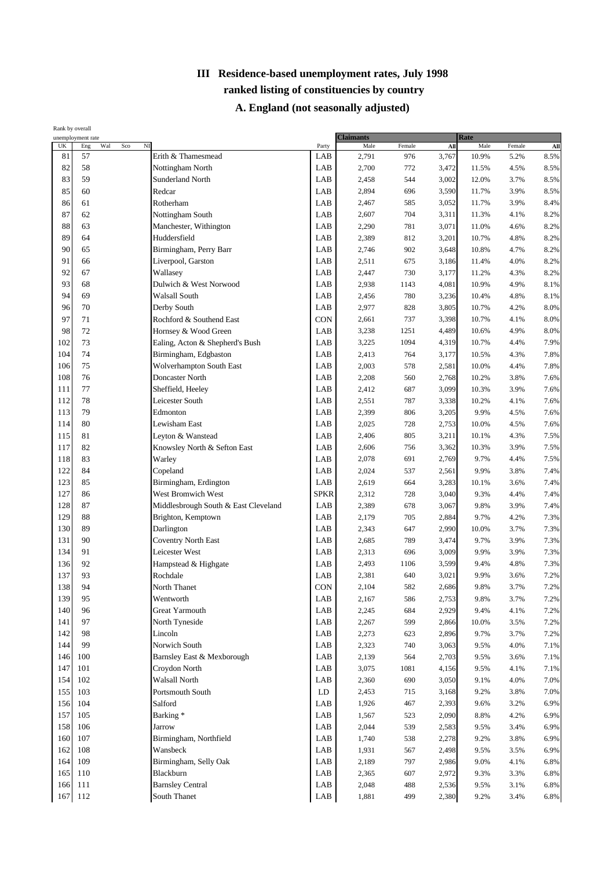|     | Rank by overall<br>unemployment rate |                                      |             | <b>Claimants</b> |        |       | Rate  |        |                 |
|-----|--------------------------------------|--------------------------------------|-------------|------------------|--------|-------|-------|--------|-----------------|
| UK  | Wal<br>$_{\rm NI}$<br>Eng<br>Sco     |                                      | Party       | Male             | Female | All   | Male  | Female | A <sub>II</sub> |
| 81  | 57                                   | Erith & Thamesmead                   | LAB         | 2,791            | 976    | 3,767 | 10.9% | 5.2%   | 8.5%            |
| 82  | 58                                   | Nottingham North                     | LAB         | 2,700            | 772    | 3,472 | 11.5% | 4.5%   | 8.5%            |
| 83  | 59                                   | Sunderland North                     | LAB         | 2,458            | 544    | 3,002 | 12.0% | 3.7%   | 8.5%            |
| 85  | 60                                   | Redcar                               | LAB         | 2,894            | 696    | 3,590 | 11.7% | 3.9%   | 8.5%            |
| 86  | 61                                   | Rotherham                            | LAB         | 2,467            | 585    | 3,052 | 11.7% | 3.9%   | 8.4%            |
| 87  | 62                                   | Nottingham South                     | LAB         | 2,607            | 704    | 3,311 | 11.3% | 4.1%   | 8.2%            |
| 88  | 63                                   | Manchester, Withington               | LAB         | 2,290            | 781    | 3,071 | 11.0% | 4.6%   | 8.2%            |
| 89  | 64                                   | Huddersfield                         | LAB         | 2,389            | 812    | 3,201 | 10.7% | 4.8%   | 8.2%            |
| 90  | 65                                   | Birmingham, Perry Barr               | LAB         | 2,746            | 902    | 3,648 | 10.8% | 4.7%   | 8.2%            |
| 91  | 66                                   | Liverpool, Garston                   | LAB         | 2,511            | 675    | 3,186 | 11.4% | 4.0%   | 8.2%            |
| 92  | 67                                   | Wallasey                             | LAB         | 2,447            | 730    | 3,177 | 11.2% | 4.3%   | 8.2%            |
| 93  | 68                                   | Dulwich & West Norwood               | LAB         | 2,938            | 1143   | 4,081 | 10.9% | 4.9%   | 8.1%            |
| 94  | 69                                   | Walsall South                        | LAB         | 2,456            | 780    | 3,236 | 10.4% | 4.8%   | 8.1%            |
| 96  | 70                                   | Derby South                          | LAB         | 2,977            | 828    | 3,805 | 10.7% | 4.2%   | 8.0%            |
| 97  | 71                                   | Rochford & Southend East             | CON         | 2,661            | 737    | 3,398 | 10.7% | 4.1%   | 8.0%            |
| 98  | 72                                   | Hornsey & Wood Green                 | LAB         | 3,238            | 1251   | 4,489 | 10.6% | 4.9%   | 8.0%            |
| 102 | 73                                   | Ealing, Acton & Shepherd's Bush      | LAB         | 3,225            | 1094   | 4,319 | 10.7% | 4.4%   | 7.9%            |
| 104 | 74                                   | Birmingham, Edgbaston                | LAB         | 2,413            | 764    | 3,177 | 10.5% | 4.3%   | 7.8%            |
| 106 | 75                                   | Wolverhampton South East             | LAB         | 2,003            | 578    | 2,581 | 10.0% | 4.4%   | 7.8%            |
| 108 | 76                                   | Doncaster North                      | LAB         | 2,208            | 560    | 2,768 | 10.2% | 3.8%   | 7.6%            |
| 111 | 77                                   | Sheffield, Heeley                    | LAB         | 2,412            | 687    | 3,099 | 10.3% | 3.9%   | 7.6%            |
| 112 | 78                                   | Leicester South                      | LAB         | 2,551            | 787    | 3,338 | 10.2% | 4.1%   | 7.6%            |
| 113 | 79                                   | Edmonton                             | LAB         | 2,399            | 806    | 3,205 | 9.9%  | 4.5%   | 7.6%            |
| 114 | 80                                   | Lewisham East                        | LAB         | 2,025            | 728    | 2,753 | 10.0% | 4.5%   | 7.6%            |
| 115 | 81                                   | Leyton & Wanstead                    | LAB         | 2,406            | 805    | 3,211 | 10.1% | 4.3%   | 7.5%            |
| 117 | 82                                   | Knowsley North & Sefton East         | LAB         | 2,606            | 756    | 3,362 | 10.3% | 3.9%   | 7.5%            |
| 118 | 83                                   | Warley                               | LAB         | 2,078            | 691    | 2,769 | 9.7%  | 4.4%   | 7.5%            |
| 122 | 84                                   |                                      |             |                  |        |       |       |        |                 |
|     |                                      | Copeland                             | LAB         | 2,024            | 537    | 2,561 | 9.9%  | 3.8%   | 7.4%            |
| 123 | 85                                   | Birmingham, Erdington                | LAB         | 2,619            | 664    | 3,283 | 10.1% | 3.6%   | 7.4%            |
| 127 | 86                                   | West Bromwich West                   | <b>SPKR</b> | 2,312            | 728    | 3,040 | 9.3%  | 4.4%   | 7.4%            |
| 128 | 87                                   | Middlesbrough South & East Cleveland | LAB         | 2,389            | 678    | 3,067 | 9.8%  | 3.9%   | 7.4%            |
| 129 | 88                                   | Brighton, Kemptown                   | LAB         | 2,179            | 705    | 2,884 | 9.7%  | 4.2%   | 7.3%            |
| 130 | 89                                   | Darlington                           | LAB         | 2,343            | 647    | 2,990 | 10.0% | 3.7%   | 7.3%            |
| 131 | 90                                   | <b>Coventry North East</b>           | LAB         | 2,685            | 789    | 3,474 | 9.7%  | 3.9%   | 7.3%            |
| 134 | 91                                   | Leicester West                       | LAB         | 2,313            | 696    | 3,009 | 9.9%  | 3.9%   | 7.3%            |
| 136 | 92                                   | Hampstead & Highgate                 | LAB         | 2,493            | 1106   | 3,599 | 9.4%  | 4.8%   | 7.3%            |
| 137 | 93                                   | Rochdale                             | LAB         | 2,381            | 640    | 3,021 | 9.9%  | 3.6%   | 7.2%            |
| 138 | 94                                   | North Thanet                         | <b>CON</b>  | 2,104            | 582    | 2.686 | 9.8%  | 3.7%   | 7.2%            |
| 139 | 95                                   | Wentworth                            | LAB         | 2,167            | 586    | 2,753 | 9.8%  | 3.7%   | 7.2%            |
| 140 | 96                                   | Great Yarmouth                       | LAB         | 2,245            | 684    | 2,929 | 9.4%  | 4.1%   | 7.2%            |
| 141 | 97                                   | North Tyneside                       | LAB         | 2,267            | 599    | 2,866 | 10.0% | 3.5%   | 7.2%            |
| 142 | 98                                   | Lincoln                              | LAB         | 2,273            | 623    | 2,896 | 9.7%  | 3.7%   | 7.2%            |
| 144 | 99                                   | Norwich South                        | LAB         | 2,323            | 740    | 3,063 | 9.5%  | 4.0%   | 7.1%            |
| 146 | 100                                  | Barnsley East & Mexborough           | LAB         | 2,139            | 564    | 2,703 | 9.5%  | 3.6%   | 7.1%            |
| 147 | 101                                  | Croydon North                        | LAB         | 3,075            | 1081   | 4,156 | 9.5%  | 4.1%   | 7.1%            |
| 154 | 102                                  | Walsall North                        | LAB         | 2,360            | 690    | 3,050 | 9.1%  | 4.0%   | 7.0%            |
| 155 | 103                                  | Portsmouth South                     | LD          | 2,453            | 715    | 3,168 | 9.2%  | 3.8%   | 7.0%            |
| 156 | 104                                  | Salford                              | LAB         | 1,926            | 467    | 2,393 | 9.6%  | 3.2%   | 6.9%            |
| 157 | 105                                  | Barking*                             | LAB         | 1,567            | 523    | 2,090 | 8.8%  | 4.2%   | 6.9%            |
| 158 | 106                                  | Jarrow                               | LAB         | 2,044            | 539    | 2,583 | 9.5%  | 3.4%   | 6.9%            |
| 160 | 107                                  | Birmingham, Northfield               | LAB         | 1,740            | 538    | 2,278 | 9.2%  | 3.8%   | 6.9%            |
| 162 | 108                                  | Wansbeck                             | LAB         | 1,931            | 567    | 2,498 | 9.5%  | 3.5%   | 6.9%            |
| 164 | 109                                  | Birmingham, Selly Oak                | LAB         | 2,189            | 797    | 2,986 | 9.0%  | 4.1%   | 6.8%            |
| 165 | 110                                  | Blackburn                            | LAB         | 2,365            | 607    | 2,972 | 9.3%  | 3.3%   | 6.8%            |
| 166 | 111                                  | <b>Barnsley Central</b>              | LAB         | 2,048            | 488    |       | 9.5%  |        |                 |
|     |                                      |                                      |             |                  |        | 2,536 |       | 3.1%   | 6.8%            |
| 167 | 112                                  | South Thanet                         | LAB         | 1,881            | 499    | 2,380 | 9.2%  | 3.4%   | 6.8%            |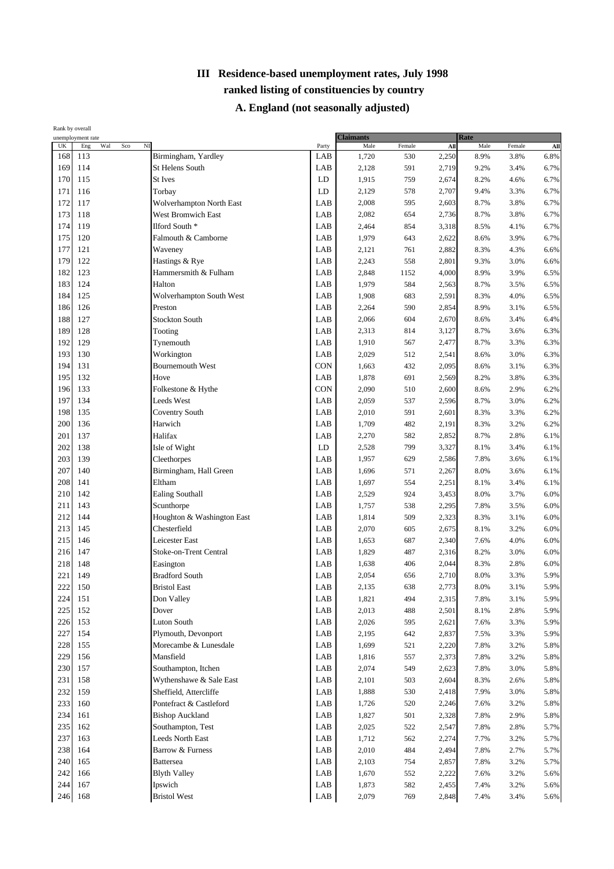| Rank by overall                 | unemployment rate                |                            |            | <b>Claimants</b> |        |       | Rate    |        |             |
|---------------------------------|----------------------------------|----------------------------|------------|------------------|--------|-------|---------|--------|-------------|
| $\ensuremath{\text{UK}}\xspace$ | $_{\rm NI}$<br>Wal<br>Sco<br>Eng |                            | Party      | Male             | Female | AII   | Male    | Female | ${\bf All}$ |
| 168                             | 113                              | Birmingham, Yardley        | LAB        | 1,720            | 530    | 2,250 | 8.9%    | 3.8%   | 6.8%        |
| 169                             | 114                              | <b>St Helens South</b>     | LAB        | 2,128            | 591    | 2,719 | 9.2%    | 3.4%   | 6.7%        |
| 170                             | 115                              | <b>St Ives</b>             | LD         | 1,915            | 759    | 2,674 | 8.2%    | 4.6%   | 6.7%        |
| 171                             | 116                              | Torbay                     | LD         | 2,129            | 578    | 2,707 | 9.4%    | 3.3%   | 6.7%        |
| 172                             | 117                              | Wolverhampton North East   | LAB        | 2,008            | 595    | 2,603 | 8.7%    | 3.8%   | 6.7%        |
| 173                             | 118                              | West Bromwich East         | LAB        | 2,082            | 654    | 2,736 | 8.7%    | 3.8%   | 6.7%        |
| 174                             | 119                              | Ilford South *             | LAB        | 2,464            | 854    | 3,318 | 8.5%    | 4.1%   | 6.7%        |
| 175                             | 120                              | Falmouth & Camborne        | LAB        | 1,979            | 643    | 2,622 | 8.6%    | 3.9%   | 6.7%        |
| 177                             | 121                              | Waveney                    | LAB        | 2,121            | 761    | 2,882 | 8.3%    | 4.3%   | 6.6%        |
| 179                             | 122                              | Hastings & Rye             | LAB        | 2,243            | 558    | 2,801 | 9.3%    | 3.0%   | 6.6%        |
| 182                             | 123                              | Hammersmith & Fulham       | LAB        | 2,848            | 1152   | 4,000 | 8.9%    | 3.9%   | 6.5%        |
| 183                             | 124                              | Halton                     | LAB        | 1,979            | 584    | 2,563 | 8.7%    | 3.5%   | 6.5%        |
| 184                             | 125                              | Wolverhampton South West   | LAB        | 1,908            | 683    | 2,591 | 8.3%    | 4.0%   | 6.5%        |
| 186                             | 126                              | Preston                    | LAB        | 2,264            | 590    | 2,854 | 8.9%    | 3.1%   | 6.5%        |
| 188                             | 127                              | <b>Stockton South</b>      | LAB        | 2,066            | 604    | 2,670 | 8.6%    | 3.4%   | 6.4%        |
| 189                             | 128                              | Tooting                    | LAB        | 2,313            | 814    | 3,127 | 8.7%    | 3.6%   | 6.3%        |
| 192                             | 129                              | Tynemouth                  | LAB        | 1,910            | 567    | 2,477 | 8.7%    | 3.3%   | 6.3%        |
| 193                             | 130                              | Workington                 | LAB        | 2,029            | 512    | 2,541 | 8.6%    | 3.0%   | 6.3%        |
| 194                             | 131                              | <b>Bournemouth West</b>    | CON        | 1,663            | 432    | 2,095 | 8.6%    | 3.1%   | 6.3%        |
| 195                             | 132                              | Hove                       | LAB        | 1,878            | 691    |       | 8.2%    |        | 6.3%        |
| 196                             | 133                              |                            | <b>CON</b> |                  |        | 2,569 |         | 3.8%   |             |
|                                 |                                  | Folkestone & Hythe         |            | 2,090            | 510    | 2,600 | 8.6%    | 2.9%   | 6.2%        |
| 197                             | 134                              | Leeds West                 | LAB        | 2,059            | 537    | 2,596 | 8.7%    | 3.0%   | 6.2%        |
| 198                             | 135                              | <b>Coventry South</b>      | LAB        | 2,010            | 591    | 2,601 | 8.3%    | 3.3%   | 6.2%        |
| 200                             | 136                              | Harwich                    | LAB        | 1,709            | 482    | 2,191 | 8.3%    | 3.2%   | 6.2%        |
| 201                             | 137                              | Halifax                    | LAB        | 2,270            | 582    | 2,852 | 8.7%    | 2.8%   | 6.1%        |
| 202                             | 138                              | Isle of Wight              | LD         | 2,528            | 799    | 3,327 | 8.1%    | 3.4%   | 6.1%        |
| 203                             | 139                              | Cleethorpes                | LAB        | 1,957            | 629    | 2,586 | 7.8%    | 3.6%   | 6.1%        |
| 207                             | 140                              | Birmingham, Hall Green     | LAB        | 1,696            | 571    | 2,267 | 8.0%    | 3.6%   | 6.1%        |
| 208                             | 141                              | Eltham                     | LAB        | 1,697            | 554    | 2,251 | 8.1%    | 3.4%   | 6.1%        |
| 210                             | 142                              | Ealing Southall            | LAB        | 2,529            | 924    | 3,453 | 8.0%    | 3.7%   | 6.0%        |
| 211                             | 143                              | Scunthorpe                 | LAB        | 1,757            | 538    | 2,295 | 7.8%    | 3.5%   | 6.0%        |
| 212                             | 144                              | Houghton & Washington East | LAB        | 1,814            | 509    | 2,323 | 8.3%    | 3.1%   | 6.0%        |
| 213                             | 145                              | Chesterfield               | LAB        | 2,070            | 605    | 2,675 | 8.1%    | 3.2%   | 6.0%        |
| 215                             | 146                              | Leicester East             | LAB        | 1,653            | 687    | 2,340 | 7.6%    | 4.0%   | 6.0%        |
| 216                             | 147                              | Stoke-on-Trent Central     | LAB        | 1,829            | 487    | 2,316 | 8.2%    | 3.0%   | 6.0%        |
| 218                             | 148                              | Easington                  | LAB        | 1,638            | 406    | 2,044 | 8.3%    | 2.8%   | 6.0%        |
| 221                             | 149                              | <b>Bradford South</b>      | LAB        | 2,054            | 656    | 2,710 | 8.0%    | 3.3%   | 5.9%        |
| 222                             | 150                              | <b>Bristol East</b>        | LAB        | 2,135            | 638    | 2,773 | $8.0\%$ | 3.1%   | 5.9%        |
| 224                             | 151                              | Don Valley                 | LAB        | 1,821            | 494    | 2,315 | 7.8%    | 3.1%   | 5.9%        |
| 225                             | 152                              | Dover                      | LAB        | 2,013            | 488    | 2,501 | 8.1%    | 2.8%   | 5.9%        |
| 226                             | 153                              | <b>Luton South</b>         | LAB        | 2,026            | 595    | 2,621 | 7.6%    | 3.3%   | 5.9%        |
| 227                             | 154                              | Plymouth, Devonport        | LAB        | 2,195            | 642    | 2,837 | 7.5%    | 3.3%   | 5.9%        |
| 228                             | 155                              | Morecambe & Lunesdale      | LAB        | 1,699            | 521    | 2,220 | 7.8%    | 3.2%   | 5.8%        |
| 229                             | 156                              | Mansfield                  | LAB        | 1,816            | 557    | 2,373 | 7.8%    | 3.2%   | 5.8%        |
| 230                             | 157                              | Southampton, Itchen        | LAB        | 2,074            | 549    | 2,623 | 7.8%    | 3.0%   | 5.8%        |
| 231                             | 158                              | Wythenshawe & Sale East    | LAB        | 2,101            | 503    | 2,604 | 8.3%    | 2.6%   | 5.8%        |
| 232                             | 159                              | Sheffield, Attercliffe     | LAB        | 1,888            | 530    | 2,418 | 7.9%    | 3.0%   | 5.8%        |
| 233                             | 160                              | Pontefract & Castleford    | LAB        | 1,726            | 520    | 2,246 | 7.6%    | 3.2%   | 5.8%        |
| 234                             | 161                              | <b>Bishop Auckland</b>     | LAB        | 1,827            | 501    | 2,328 | 7.8%    | 2.9%   | 5.8%        |
| 235                             | 162                              | Southampton, Test          | LAB        | 2,025            | 522    | 2,547 | 7.8%    | 2.8%   | 5.7%        |
| 237                             | 163                              | Leeds North East           | LAB        | 1,712            | 562    | 2,274 | 7.7%    | 3.2%   | 5.7%        |
| 238                             | 164                              | Barrow & Furness           | LAB        | 2,010            | 484    | 2,494 | 7.8%    | 2.7%   | 5.7%        |
| 240                             | 165                              | <b>Battersea</b>           | LAB        | 2,103            | 754    | 2,857 | 7.8%    | 3.2%   | 5.7%        |
| 242                             | 166                              | <b>Blyth Valley</b>        | LAB        | 1,670            | 552    | 2,222 | 7.6%    | 3.2%   | 5.6%        |
| 244                             | 167                              | Ipswich                    | LAB        | 1,873            | 582    | 2,455 | 7.4%    | 3.2%   | 5.6%        |
| 246                             | 168                              | <b>Bristol West</b>        | LAB        | 2,079            | 769    | 2,848 | 7.4%    | 3.4%   | 5.6%        |
|                                 |                                  |                            |            |                  |        |       |         |        |             |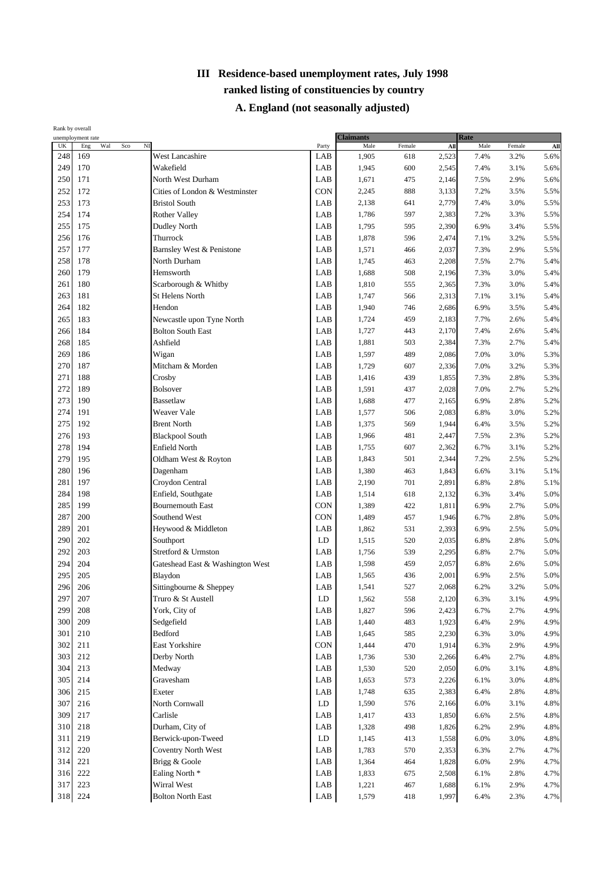| Rank by overall | unemployment rate                   |                                  | <b>Claimants</b> |       |        | Rate  |      |        |             |
|-----------------|-------------------------------------|----------------------------------|------------------|-------|--------|-------|------|--------|-------------|
| UK              | $\overline{M}$<br>Wal<br>Sco<br>Eng |                                  | Party            | Male  | Female | All   | Male | Female | ${\bf All}$ |
| 248             | 169                                 | West Lancashire                  | LAB              | 1,905 | 618    | 2,523 | 7.4% | 3.2%   | 5.6%        |
| 249             | 170                                 | Wakefield                        | LAB              | 1,945 | 600    | 2,545 | 7.4% | 3.1%   | 5.6%        |
| 250             | 171                                 | North West Durham                | LAB              | 1,671 | 475    | 2,146 | 7.5% | 2.9%   | 5.6%        |
| 252             | 172                                 | Cities of London & Westminster   | <b>CON</b>       | 2,245 | 888    | 3,133 | 7.2% | 3.5%   | 5.5%        |
| 253             | 173                                 | <b>Bristol South</b>             | LAB              | 2,138 | 641    | 2,779 | 7.4% | 3.0%   | 5.5%        |
| 254             | 174                                 | <b>Rother Valley</b>             | LAB              | 1,786 | 597    | 2,383 | 7.2% | 3.3%   | 5.5%        |
| 255             | 175                                 | <b>Dudley North</b>              | LAB              | 1,795 | 595    | 2,390 | 6.9% | 3.4%   | 5.5%        |
| 256             | 176                                 | Thurrock                         | LAB              | 1,878 | 596    | 2,474 | 7.1% | 3.2%   | 5.5%        |
| 257             | 177                                 | Barnsley West & Penistone        | LAB              | 1,571 | 466    | 2,037 | 7.3% | 2.9%   | 5.5%        |
| 258             | 178                                 | North Durham                     | LAB              | 1,745 | 463    | 2,208 | 7.5% | 2.7%   | 5.4%        |
| 260             | 179                                 | Hemsworth                        | LAB              | 1,688 | 508    | 2,196 | 7.3% | 3.0%   | 5.4%        |
| 261             | 180                                 | Scarborough & Whitby             | LAB              | 1,810 | 555    | 2,365 | 7.3% | 3.0%   | 5.4%        |
| 263             | 181                                 | <b>St Helens North</b>           | LAB              | 1,747 | 566    | 2,313 | 7.1% | 3.1%   | 5.4%        |
| 264             | 182                                 | Hendon                           | LAB              | 1,940 | 746    | 2,686 | 6.9% | 3.5%   | 5.4%        |
| 265             | 183                                 | Newcastle upon Tyne North        | LAB              | 1,724 | 459    | 2,183 | 7.7% | 2.6%   | 5.4%        |
| 266             | 184                                 | <b>Bolton South East</b>         | LAB              | 1,727 | 443    | 2,170 | 7.4% | 2.6%   | 5.4%        |
| 268             | 185                                 | Ashfield                         | LAB              | 1,881 | 503    | 2,384 | 7.3% | 2.7%   | 5.4%        |
| 269             | 186                                 | Wigan                            | LAB              | 1,597 | 489    | 2,086 | 7.0% | 3.0%   | 5.3%        |
| 270             | 187                                 | Mitcham & Morden                 | LAB              | 1,729 | 607    | 2,336 | 7.0% | 3.2%   | 5.3%        |
| 271             | 188                                 | Crosby                           | LAB              | 1,416 | 439    | 1,855 | 7.3% | 2.8%   | 5.3%        |
| 272             | 189                                 | <b>Bolsover</b>                  | LAB              | 1,591 | 437    | 2,028 | 7.0% | 2.7%   | 5.2%        |
| 273             | 190                                 | <b>Bassetlaw</b>                 | LAB              | 1,688 | 477    | 2,165 | 6.9% | 2.8%   | 5.2%        |
| 274             | 191                                 | <b>Weaver Vale</b>               | LAB              | 1,577 | 506    | 2,083 | 6.8% | 3.0%   | 5.2%        |
| 275             | 192                                 | <b>Brent North</b>               | LAB              | 1,375 | 569    | 1,944 | 6.4% | 3.5%   | 5.2%        |
| 276             | 193                                 | <b>Blackpool South</b>           | LAB              | 1,966 | 481    | 2,447 | 7.5% | 2.3%   | 5.2%        |
| 278             | 194                                 | <b>Enfield North</b>             | LAB              | 1,755 | 607    | 2,362 | 6.7% | 3.1%   | 5.2%        |
| 279             | 195                                 | Oldham West & Royton             | LAB              | 1,843 | 501    | 2,344 | 7.2% | 2.5%   | 5.2%        |
| 280             | 196                                 | Dagenham                         | LAB              | 1,380 | 463    | 1,843 | 6.6% | 3.1%   | 5.1%        |
| 281             | 197                                 | Croydon Central                  | LAB              | 2,190 | 701    | 2,891 | 6.8% | 2.8%   | 5.1%        |
| 284             | 198                                 | Enfield, Southgate               | LAB              | 1,514 | 618    | 2,132 | 6.3% | 3.4%   | 5.0%        |
| 285             | 199                                 | <b>Bournemouth East</b>          | CON              | 1,389 | 422    | 1,811 | 6.9% | 2.7%   | 5.0%        |
| 287             | 200                                 | Southend West                    | CON              | 1,489 | 457    | 1,946 | 6.7% | 2.8%   | 5.0%        |
| 289             | 201                                 | Heywood & Middleton              | LAB              | 1,862 | 531    | 2,393 | 6.9% | 2.5%   | 5.0%        |
| 290             | 202                                 | Southport                        | LD               | 1,515 | 520    | 2,035 | 6.8% | 2.8%   | 5.0%        |
| 292             | 203                                 | Stretford & Urmston              | LAB              | 1,756 | 539    | 2,295 | 6.8% | 2.7%   | 5.0%        |
| 294             | 204                                 | Gateshead East & Washington West | LAB              | 1,598 | 459    | 2,057 | 6.8% | 2.6%   | 5.0%        |
| 295             | 205                                 | Blaydon                          | LAB              | 1,565 | 436    | 2,001 | 6.9% | 2.5%   | 5.0%        |
| 296             | 206                                 | Sittingbourne & Sheppey          | LAB              | 1,541 | 527    | 2,068 | 6.2% | 3.2%   | 5.0%        |
| 297             | 207                                 | Truro & St Austell               | LD               | 1,562 | 558    | 2,120 | 6.3% | 3.1%   | 4.9%        |
| 299             | 208                                 | York, City of                    | LAB              | 1,827 | 596    | 2,423 | 6.7% | 2.7%   | 4.9%        |
| 300             | 209                                 | Sedgefield                       | LAB              | 1,440 | 483    | 1,923 | 6.4% | 2.9%   | 4.9%        |
| 301             | 210                                 | Bedford                          | LAB              | 1,645 | 585    | 2,230 | 6.3% | 3.0%   | 4.9%        |
| 302             | 211                                 | East Yorkshire                   | CON              | 1,444 | 470    | 1,914 | 6.3% | 2.9%   | 4.9%        |
| 303             | 212                                 | Derby North                      | LAB              | 1,736 | 530    | 2,266 | 6.4% | 2.7%   | 4.8%        |
| 304             | 213                                 | Medway                           | LAB              | 1,530 | 520    | 2,050 | 6.0% | 3.1%   | 4.8%        |
| 305             | 214                                 | Gravesham                        | LAB              | 1,653 | 573    | 2,226 | 6.1% | 3.0%   | 4.8%        |
| 306             | 215                                 | Exeter                           | LAB              | 1,748 | 635    | 2,383 | 6.4% | 2.8%   | 4.8%        |
| 307             | 216                                 | North Cornwall                   | LD               | 1,590 | 576    | 2,166 | 6.0% | 3.1%   | 4.8%        |
| 309             | 217                                 | Carlisle                         | LAB              | 1,417 | 433    | 1,850 | 6.6% | 2.5%   | 4.8%        |
| 310             | 218                                 | Durham, City of                  | LAB              | 1,328 | 498    | 1,826 | 6.2% | 2.9%   | 4.8%        |
| 311             | 219                                 | Berwick-upon-Tweed               | LD               | 1,145 | 413    | 1,558 | 6.0% | 3.0%   | 4.8%        |
| 312             | 220                                 | Coventry North West              | LAB              | 1,783 | 570    | 2,353 | 6.3% | 2.7%   | 4.7%        |
| 314             | 221                                 | Brigg & Goole                    | LAB              | 1,364 | 464    | 1,828 | 6.0% | 2.9%   | 4.7%        |
| 316             | 222                                 | Ealing North *                   | LAB              | 1,833 | 675    | 2,508 | 6.1% | 2.8%   | 4.7%        |
| 317             | 223                                 | Wirral West                      | LAB              | 1,221 | 467    | 1,688 | 6.1% | 2.9%   | 4.7%        |
|                 | 318 224                             | <b>Bolton North East</b>         | LAB              | 1,579 | 418    | 1,997 | 6.4% | 2.3%   | 4.7%        |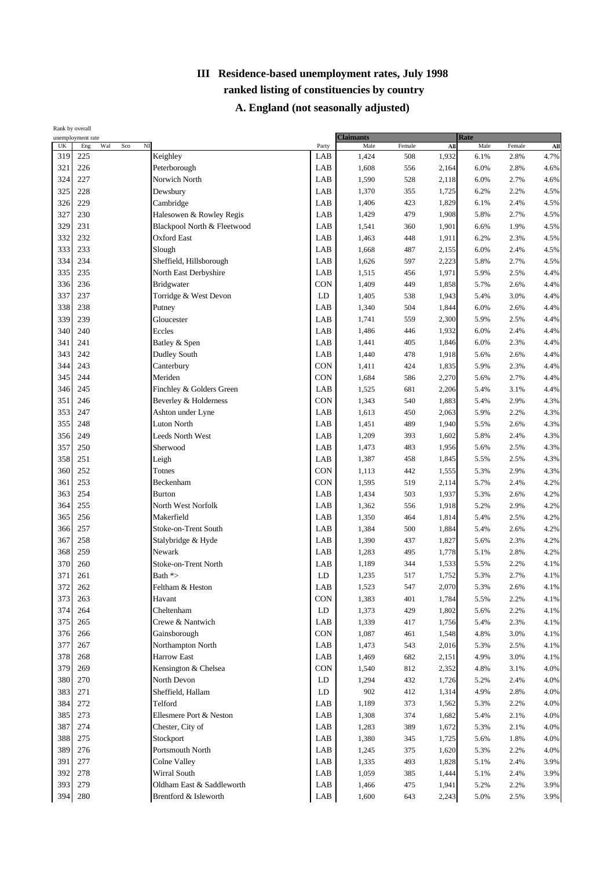| UK<br>Wal<br>$_{\rm NI}$<br>Male<br>Male<br>Eng<br>Sco<br>Party<br>Female<br>$\mathbf{All}$<br>Female<br>319<br>225<br>Keighley<br>LAB<br>4.7%<br>1,424<br>508<br>1,932<br>6.1%<br>2.8%<br>226<br>321<br>Peterborough<br>LAB<br>1,608<br>6.0%<br>556<br>2,164<br>2.8%<br>324<br>227<br>LAB<br>1,590<br>528<br>2.7%<br>Norwich North<br>2,118<br>6.0%<br>325<br>228<br>LAB<br>1,370<br>Dewsbury<br>355<br>1,725<br>6.2%<br>2.2%<br>326<br>229<br>LAB<br>1,406<br>423<br>4.5%<br>Cambridge<br>1,829<br>6.1%<br>2.4%<br>327<br>230<br>Halesowen & Rowley Regis<br>LAB<br>1,429<br>479<br>5.8%<br>2.7%<br>4.5%<br>1,908<br>329<br>231<br>LAB<br>1,541<br>360<br>4.5%<br>Blackpool North & Fleetwood<br>1,901<br>6.6%<br>1.9%<br>332<br>232<br><b>Oxford East</b><br>LAB<br>1,463<br>448<br>6.2%<br>4.5%<br>1,911<br>2.3%<br>333<br>233<br>LAB<br>Slough<br>1,668<br>487<br>6.0%<br>2,155<br>2.4%<br>334<br>234<br>Sheffield, Hillsborough<br>LAB<br>4.5%<br>1,626<br>597<br>2,223<br>5.8%<br>2.7%<br>235<br>335<br>North East Derbyshire<br>LAB<br>1,515<br>456<br>1,971<br>5.9%<br>2.5%<br>236<br>CON<br>336<br>Bridgwater<br>1,409<br>449<br>5.7%<br>1,858<br>2.6%<br>337<br>237<br>LD<br>Torridge & West Devon<br>1,405<br>538<br>1,943<br>5.4%<br>3.0%<br>338<br>238<br>LAB<br>1,340<br>504<br>6.0%<br>Putney<br>1,844<br>2.6%<br>339<br>239<br>LAB<br>1,741<br>Gloucester<br>559<br>2,300<br>5.9%<br>2.5%<br>340<br>240<br>Eccles<br>LAB<br>1,486<br>1,932<br>6.0%<br>2.4%<br>446<br>341<br>241<br>LAB<br>1,441<br>6.0%<br>Batley & Spen<br>405<br>1,846<br>2.3%<br>343<br>242<br>Dudley South<br>LAB<br>478<br>1,918<br>5.6%<br>1,440<br>2.6%<br>344<br>243<br>CON<br>Canterbury<br>1,411<br>424<br>5.9%<br>1,835<br>2.3%<br>Meriden<br>345<br>244<br>CON<br>1,684<br>586<br>5.6%<br>2.7%<br>2,270<br>Finchley & Golders Green<br>LAB<br>346<br>245<br>1,525<br>681<br>5.4%<br>2,206<br>3.1%<br>351<br>CON<br>246<br>Beverley & Holderness<br>1,343<br>540<br>2.9%<br>4.3%<br>1,883<br>5.4%<br>353<br>247<br>Ashton under Lyne<br>LAB<br>1,613<br>450<br>5.9%<br>2.2%<br>4.3%<br>2,063<br>355<br>248<br><b>Luton North</b><br>LAB<br>1,451<br>489<br>5.5%<br>4.3%<br>1,940<br>2.6%<br>356<br>249<br>Leeds North West<br>LAB<br>1,209<br>393<br>1,602<br>5.8%<br>2.4%<br>357<br>250<br>LAB<br>483<br>4.3%<br>Sherwood<br>1,473<br>1,956<br>5.6%<br>2.5%<br>358<br>251<br>Leigh<br>LAB<br>1,387<br>458<br>1,845<br>5.5%<br>2.5%<br>252<br>Totnes<br>CON<br>442<br>360<br>1,113<br>1,555<br>5.3%<br>2.9%<br>253<br>Beckenham<br>CON<br>1,595<br>519<br>5.7%<br>361<br>2,114<br>2.4%<br>254<br>363<br><b>Burton</b><br>LAB<br>1,434<br>503<br>1,937<br>5.3%<br>2.6%<br>255<br>North West Norfolk<br>LAB<br>364<br>1,362<br>556<br>5.2%<br>2.9%<br>4.2%<br>1,918<br>256<br>Makerfield<br>365<br>LAB<br>1,350<br>464<br>1,814<br>5.4%<br>2.5%<br>366<br>257<br>LAB<br>Stoke-on-Trent South<br>1,384<br>500<br>1,884<br>5.4%<br>2.6%<br>367<br>258<br>LAB<br>Stalybridge & Hyde<br>1,390<br>437<br>1,827<br>5.6%<br>2.3%<br>368<br>259<br>Newark<br>LAB<br>1,283<br>495<br>1,778<br>5.1%<br>2.8%<br>Stoke-on-Trent North<br>370<br>260<br>LAB<br>1,189<br>344<br>1,533<br>5.5%<br>2.2%<br>LD<br>5.3%<br>371<br>261<br>Bath *><br>1,235<br>517<br>1,752<br>2.7%<br>372<br>262<br>LAB<br>2,070<br>Feltham & Heston<br>1,523<br>547<br>5.3%<br>2.6%<br><b>CON</b><br>1,383<br>401<br>1,784<br>2.2%<br>373<br>263<br>5.5%<br>Havant<br>1,373<br>374<br>264<br>Cheltenham<br>LD<br>429<br>1,802<br>5.6%<br>2.2%<br>375<br>265<br>Crewe & Nantwich<br>LAB<br>1,339<br>5.4%<br>2.3%<br>417<br>1,756<br>376<br>266<br>Gainsborough<br>CON<br>1,087<br>1,548<br>4.8%<br>461<br>3.0%<br>377<br>267<br>Northampton North<br>LAB<br>1,473<br>543<br>2,016<br>5.3%<br>2.5%<br>378<br>268<br><b>Harrow East</b><br>LAB<br>1,469<br>682<br>4.9%<br>2,151<br>3.0%<br>379<br>269<br>Kensington & Chelsea<br>CON<br>1,540<br>812<br>2,352<br>4.8%<br>3.1%<br>270<br>North Devon<br>380<br>LD<br>1,294<br>432<br>4.0%<br>1,726<br>5.2%<br>2.4%<br>271<br>Sheffield, Hallam<br>383<br>LD<br>902<br>4.0%<br>412<br>1,314<br>4.9%<br>2.8%<br>272<br>Telford<br>1,189<br>373<br>4.0%<br>384<br>LAB<br>1,562<br>5.3%<br>2.2%<br>273<br>Ellesmere Port & Neston<br>4.0%<br>385<br>LAB<br>1,308<br>374<br>1,682<br>5.4%<br>2.1%<br>387<br>274<br>Chester, City of<br>LAB<br>4.0%<br>1,283<br>389<br>1,672<br>5.3%<br>2.1%<br>388<br>275<br>Stockport<br>LAB<br>1,380<br>345<br>1,725<br>5.6%<br>1.8%<br>389<br>276<br>Portsmouth North<br>LAB<br>1,245<br>375<br>1,620<br>5.3%<br>2.2%<br>391<br>277<br>Colne Valley<br>LAB<br>1,335<br>493<br>1,828<br>5.1%<br>2.4%<br>392<br>278<br>Wirral South<br>LAB<br>1,059<br>385<br>1,444<br>5.1%<br>2.4%<br>393<br>279<br>Oldham East & Saddleworth<br>LAB<br>1,466<br>475<br>1,941<br>5.2%<br>2.2%<br>Brentford & Isleworth | Rank by overall | unemployment rate |  | <b>Claimants</b> |       |     | Rate  |      |      |      |
|-----------------------------------------------------------------------------------------------------------------------------------------------------------------------------------------------------------------------------------------------------------------------------------------------------------------------------------------------------------------------------------------------------------------------------------------------------------------------------------------------------------------------------------------------------------------------------------------------------------------------------------------------------------------------------------------------------------------------------------------------------------------------------------------------------------------------------------------------------------------------------------------------------------------------------------------------------------------------------------------------------------------------------------------------------------------------------------------------------------------------------------------------------------------------------------------------------------------------------------------------------------------------------------------------------------------------------------------------------------------------------------------------------------------------------------------------------------------------------------------------------------------------------------------------------------------------------------------------------------------------------------------------------------------------------------------------------------------------------------------------------------------------------------------------------------------------------------------------------------------------------------------------------------------------------------------------------------------------------------------------------------------------------------------------------------------------------------------------------------------------------------------------------------------------------------------------------------------------------------------------------------------------------------------------------------------------------------------------------------------------------------------------------------------------------------------------------------------------------------------------------------------------------------------------------------------------------------------------------------------------------------------------------------------------------------------------------------------------------------------------------------------------------------------------------------------------------------------------------------------------------------------------------------------------------------------------------------------------------------------------------------------------------------------------------------------------------------------------------------------------------------------------------------------------------------------------------------------------------------------------------------------------------------------------------------------------------------------------------------------------------------------------------------------------------------------------------------------------------------------------------------------------------------------------------------------------------------------------------------------------------------------------------------------------------------------------------------------------------------------------------------------------------------------------------------------------------------------------------------------------------------------------------------------------------------------------------------------------------------------------------------------------------------------------------------------------------------------------------------------------------------------------------------------------------------------------------------------------------------------------------------------------------------------------------------------------------------------------------------------------------------------------------------------------------------------------------------------------------------------------------------------------------------------------------------------------------------------------------------------------------------------------------------------------------------------------------------------------------------------------------------------------------------------------------------------------------------------|-----------------|-------------------|--|------------------|-------|-----|-------|------|------|------|
|                                                                                                                                                                                                                                                                                                                                                                                                                                                                                                                                                                                                                                                                                                                                                                                                                                                                                                                                                                                                                                                                                                                                                                                                                                                                                                                                                                                                                                                                                                                                                                                                                                                                                                                                                                                                                                                                                                                                                                                                                                                                                                                                                                                                                                                                                                                                                                                                                                                                                                                                                                                                                                                                                                                                                                                                                                                                                                                                                                                                                                                                                                                                                                                                                                                                                                                                                                                                                                                                                                                                                                                                                                                                                                                                                                                                                                                                                                                                                                                                                                                                                                                                                                                                                                                                                                                                                                                                                                                                                                                                                                                                                                                                                                                                                                                                                                         |                 |                   |  |                  |       |     |       |      |      | All  |
|                                                                                                                                                                                                                                                                                                                                                                                                                                                                                                                                                                                                                                                                                                                                                                                                                                                                                                                                                                                                                                                                                                                                                                                                                                                                                                                                                                                                                                                                                                                                                                                                                                                                                                                                                                                                                                                                                                                                                                                                                                                                                                                                                                                                                                                                                                                                                                                                                                                                                                                                                                                                                                                                                                                                                                                                                                                                                                                                                                                                                                                                                                                                                                                                                                                                                                                                                                                                                                                                                                                                                                                                                                                                                                                                                                                                                                                                                                                                                                                                                                                                                                                                                                                                                                                                                                                                                                                                                                                                                                                                                                                                                                                                                                                                                                                                                                         |                 |                   |  |                  |       |     |       |      |      |      |
|                                                                                                                                                                                                                                                                                                                                                                                                                                                                                                                                                                                                                                                                                                                                                                                                                                                                                                                                                                                                                                                                                                                                                                                                                                                                                                                                                                                                                                                                                                                                                                                                                                                                                                                                                                                                                                                                                                                                                                                                                                                                                                                                                                                                                                                                                                                                                                                                                                                                                                                                                                                                                                                                                                                                                                                                                                                                                                                                                                                                                                                                                                                                                                                                                                                                                                                                                                                                                                                                                                                                                                                                                                                                                                                                                                                                                                                                                                                                                                                                                                                                                                                                                                                                                                                                                                                                                                                                                                                                                                                                                                                                                                                                                                                                                                                                                                         |                 |                   |  |                  |       |     |       |      |      | 4.6% |
|                                                                                                                                                                                                                                                                                                                                                                                                                                                                                                                                                                                                                                                                                                                                                                                                                                                                                                                                                                                                                                                                                                                                                                                                                                                                                                                                                                                                                                                                                                                                                                                                                                                                                                                                                                                                                                                                                                                                                                                                                                                                                                                                                                                                                                                                                                                                                                                                                                                                                                                                                                                                                                                                                                                                                                                                                                                                                                                                                                                                                                                                                                                                                                                                                                                                                                                                                                                                                                                                                                                                                                                                                                                                                                                                                                                                                                                                                                                                                                                                                                                                                                                                                                                                                                                                                                                                                                                                                                                                                                                                                                                                                                                                                                                                                                                                                                         |                 |                   |  |                  |       |     |       |      |      | 4.6% |
|                                                                                                                                                                                                                                                                                                                                                                                                                                                                                                                                                                                                                                                                                                                                                                                                                                                                                                                                                                                                                                                                                                                                                                                                                                                                                                                                                                                                                                                                                                                                                                                                                                                                                                                                                                                                                                                                                                                                                                                                                                                                                                                                                                                                                                                                                                                                                                                                                                                                                                                                                                                                                                                                                                                                                                                                                                                                                                                                                                                                                                                                                                                                                                                                                                                                                                                                                                                                                                                                                                                                                                                                                                                                                                                                                                                                                                                                                                                                                                                                                                                                                                                                                                                                                                                                                                                                                                                                                                                                                                                                                                                                                                                                                                                                                                                                                                         |                 |                   |  |                  |       |     |       |      |      | 4.5% |
|                                                                                                                                                                                                                                                                                                                                                                                                                                                                                                                                                                                                                                                                                                                                                                                                                                                                                                                                                                                                                                                                                                                                                                                                                                                                                                                                                                                                                                                                                                                                                                                                                                                                                                                                                                                                                                                                                                                                                                                                                                                                                                                                                                                                                                                                                                                                                                                                                                                                                                                                                                                                                                                                                                                                                                                                                                                                                                                                                                                                                                                                                                                                                                                                                                                                                                                                                                                                                                                                                                                                                                                                                                                                                                                                                                                                                                                                                                                                                                                                                                                                                                                                                                                                                                                                                                                                                                                                                                                                                                                                                                                                                                                                                                                                                                                                                                         |                 |                   |  |                  |       |     |       |      |      |      |
|                                                                                                                                                                                                                                                                                                                                                                                                                                                                                                                                                                                                                                                                                                                                                                                                                                                                                                                                                                                                                                                                                                                                                                                                                                                                                                                                                                                                                                                                                                                                                                                                                                                                                                                                                                                                                                                                                                                                                                                                                                                                                                                                                                                                                                                                                                                                                                                                                                                                                                                                                                                                                                                                                                                                                                                                                                                                                                                                                                                                                                                                                                                                                                                                                                                                                                                                                                                                                                                                                                                                                                                                                                                                                                                                                                                                                                                                                                                                                                                                                                                                                                                                                                                                                                                                                                                                                                                                                                                                                                                                                                                                                                                                                                                                                                                                                                         |                 |                   |  |                  |       |     |       |      |      |      |
|                                                                                                                                                                                                                                                                                                                                                                                                                                                                                                                                                                                                                                                                                                                                                                                                                                                                                                                                                                                                                                                                                                                                                                                                                                                                                                                                                                                                                                                                                                                                                                                                                                                                                                                                                                                                                                                                                                                                                                                                                                                                                                                                                                                                                                                                                                                                                                                                                                                                                                                                                                                                                                                                                                                                                                                                                                                                                                                                                                                                                                                                                                                                                                                                                                                                                                                                                                                                                                                                                                                                                                                                                                                                                                                                                                                                                                                                                                                                                                                                                                                                                                                                                                                                                                                                                                                                                                                                                                                                                                                                                                                                                                                                                                                                                                                                                                         |                 |                   |  |                  |       |     |       |      |      |      |
|                                                                                                                                                                                                                                                                                                                                                                                                                                                                                                                                                                                                                                                                                                                                                                                                                                                                                                                                                                                                                                                                                                                                                                                                                                                                                                                                                                                                                                                                                                                                                                                                                                                                                                                                                                                                                                                                                                                                                                                                                                                                                                                                                                                                                                                                                                                                                                                                                                                                                                                                                                                                                                                                                                                                                                                                                                                                                                                                                                                                                                                                                                                                                                                                                                                                                                                                                                                                                                                                                                                                                                                                                                                                                                                                                                                                                                                                                                                                                                                                                                                                                                                                                                                                                                                                                                                                                                                                                                                                                                                                                                                                                                                                                                                                                                                                                                         |                 |                   |  |                  |       |     |       |      |      |      |
|                                                                                                                                                                                                                                                                                                                                                                                                                                                                                                                                                                                                                                                                                                                                                                                                                                                                                                                                                                                                                                                                                                                                                                                                                                                                                                                                                                                                                                                                                                                                                                                                                                                                                                                                                                                                                                                                                                                                                                                                                                                                                                                                                                                                                                                                                                                                                                                                                                                                                                                                                                                                                                                                                                                                                                                                                                                                                                                                                                                                                                                                                                                                                                                                                                                                                                                                                                                                                                                                                                                                                                                                                                                                                                                                                                                                                                                                                                                                                                                                                                                                                                                                                                                                                                                                                                                                                                                                                                                                                                                                                                                                                                                                                                                                                                                                                                         |                 |                   |  |                  |       |     |       |      |      | 4.5% |
|                                                                                                                                                                                                                                                                                                                                                                                                                                                                                                                                                                                                                                                                                                                                                                                                                                                                                                                                                                                                                                                                                                                                                                                                                                                                                                                                                                                                                                                                                                                                                                                                                                                                                                                                                                                                                                                                                                                                                                                                                                                                                                                                                                                                                                                                                                                                                                                                                                                                                                                                                                                                                                                                                                                                                                                                                                                                                                                                                                                                                                                                                                                                                                                                                                                                                                                                                                                                                                                                                                                                                                                                                                                                                                                                                                                                                                                                                                                                                                                                                                                                                                                                                                                                                                                                                                                                                                                                                                                                                                                                                                                                                                                                                                                                                                                                                                         |                 |                   |  |                  |       |     |       |      |      |      |
|                                                                                                                                                                                                                                                                                                                                                                                                                                                                                                                                                                                                                                                                                                                                                                                                                                                                                                                                                                                                                                                                                                                                                                                                                                                                                                                                                                                                                                                                                                                                                                                                                                                                                                                                                                                                                                                                                                                                                                                                                                                                                                                                                                                                                                                                                                                                                                                                                                                                                                                                                                                                                                                                                                                                                                                                                                                                                                                                                                                                                                                                                                                                                                                                                                                                                                                                                                                                                                                                                                                                                                                                                                                                                                                                                                                                                                                                                                                                                                                                                                                                                                                                                                                                                                                                                                                                                                                                                                                                                                                                                                                                                                                                                                                                                                                                                                         |                 |                   |  |                  |       |     |       |      |      | 4.4% |
|                                                                                                                                                                                                                                                                                                                                                                                                                                                                                                                                                                                                                                                                                                                                                                                                                                                                                                                                                                                                                                                                                                                                                                                                                                                                                                                                                                                                                                                                                                                                                                                                                                                                                                                                                                                                                                                                                                                                                                                                                                                                                                                                                                                                                                                                                                                                                                                                                                                                                                                                                                                                                                                                                                                                                                                                                                                                                                                                                                                                                                                                                                                                                                                                                                                                                                                                                                                                                                                                                                                                                                                                                                                                                                                                                                                                                                                                                                                                                                                                                                                                                                                                                                                                                                                                                                                                                                                                                                                                                                                                                                                                                                                                                                                                                                                                                                         |                 |                   |  |                  |       |     |       |      |      | 4.4% |
|                                                                                                                                                                                                                                                                                                                                                                                                                                                                                                                                                                                                                                                                                                                                                                                                                                                                                                                                                                                                                                                                                                                                                                                                                                                                                                                                                                                                                                                                                                                                                                                                                                                                                                                                                                                                                                                                                                                                                                                                                                                                                                                                                                                                                                                                                                                                                                                                                                                                                                                                                                                                                                                                                                                                                                                                                                                                                                                                                                                                                                                                                                                                                                                                                                                                                                                                                                                                                                                                                                                                                                                                                                                                                                                                                                                                                                                                                                                                                                                                                                                                                                                                                                                                                                                                                                                                                                                                                                                                                                                                                                                                                                                                                                                                                                                                                                         |                 |                   |  |                  |       |     |       |      |      | 4.4% |
|                                                                                                                                                                                                                                                                                                                                                                                                                                                                                                                                                                                                                                                                                                                                                                                                                                                                                                                                                                                                                                                                                                                                                                                                                                                                                                                                                                                                                                                                                                                                                                                                                                                                                                                                                                                                                                                                                                                                                                                                                                                                                                                                                                                                                                                                                                                                                                                                                                                                                                                                                                                                                                                                                                                                                                                                                                                                                                                                                                                                                                                                                                                                                                                                                                                                                                                                                                                                                                                                                                                                                                                                                                                                                                                                                                                                                                                                                                                                                                                                                                                                                                                                                                                                                                                                                                                                                                                                                                                                                                                                                                                                                                                                                                                                                                                                                                         |                 |                   |  |                  |       |     |       |      |      | 4.4% |
|                                                                                                                                                                                                                                                                                                                                                                                                                                                                                                                                                                                                                                                                                                                                                                                                                                                                                                                                                                                                                                                                                                                                                                                                                                                                                                                                                                                                                                                                                                                                                                                                                                                                                                                                                                                                                                                                                                                                                                                                                                                                                                                                                                                                                                                                                                                                                                                                                                                                                                                                                                                                                                                                                                                                                                                                                                                                                                                                                                                                                                                                                                                                                                                                                                                                                                                                                                                                                                                                                                                                                                                                                                                                                                                                                                                                                                                                                                                                                                                                                                                                                                                                                                                                                                                                                                                                                                                                                                                                                                                                                                                                                                                                                                                                                                                                                                         |                 |                   |  |                  |       |     |       |      |      | 4.4% |
|                                                                                                                                                                                                                                                                                                                                                                                                                                                                                                                                                                                                                                                                                                                                                                                                                                                                                                                                                                                                                                                                                                                                                                                                                                                                                                                                                                                                                                                                                                                                                                                                                                                                                                                                                                                                                                                                                                                                                                                                                                                                                                                                                                                                                                                                                                                                                                                                                                                                                                                                                                                                                                                                                                                                                                                                                                                                                                                                                                                                                                                                                                                                                                                                                                                                                                                                                                                                                                                                                                                                                                                                                                                                                                                                                                                                                                                                                                                                                                                                                                                                                                                                                                                                                                                                                                                                                                                                                                                                                                                                                                                                                                                                                                                                                                                                                                         |                 |                   |  |                  |       |     |       |      |      | 4.4% |
|                                                                                                                                                                                                                                                                                                                                                                                                                                                                                                                                                                                                                                                                                                                                                                                                                                                                                                                                                                                                                                                                                                                                                                                                                                                                                                                                                                                                                                                                                                                                                                                                                                                                                                                                                                                                                                                                                                                                                                                                                                                                                                                                                                                                                                                                                                                                                                                                                                                                                                                                                                                                                                                                                                                                                                                                                                                                                                                                                                                                                                                                                                                                                                                                                                                                                                                                                                                                                                                                                                                                                                                                                                                                                                                                                                                                                                                                                                                                                                                                                                                                                                                                                                                                                                                                                                                                                                                                                                                                                                                                                                                                                                                                                                                                                                                                                                         |                 |                   |  |                  |       |     |       |      |      | 4.4% |
|                                                                                                                                                                                                                                                                                                                                                                                                                                                                                                                                                                                                                                                                                                                                                                                                                                                                                                                                                                                                                                                                                                                                                                                                                                                                                                                                                                                                                                                                                                                                                                                                                                                                                                                                                                                                                                                                                                                                                                                                                                                                                                                                                                                                                                                                                                                                                                                                                                                                                                                                                                                                                                                                                                                                                                                                                                                                                                                                                                                                                                                                                                                                                                                                                                                                                                                                                                                                                                                                                                                                                                                                                                                                                                                                                                                                                                                                                                                                                                                                                                                                                                                                                                                                                                                                                                                                                                                                                                                                                                                                                                                                                                                                                                                                                                                                                                         |                 |                   |  |                  |       |     |       |      |      | 4.4% |
|                                                                                                                                                                                                                                                                                                                                                                                                                                                                                                                                                                                                                                                                                                                                                                                                                                                                                                                                                                                                                                                                                                                                                                                                                                                                                                                                                                                                                                                                                                                                                                                                                                                                                                                                                                                                                                                                                                                                                                                                                                                                                                                                                                                                                                                                                                                                                                                                                                                                                                                                                                                                                                                                                                                                                                                                                                                                                                                                                                                                                                                                                                                                                                                                                                                                                                                                                                                                                                                                                                                                                                                                                                                                                                                                                                                                                                                                                                                                                                                                                                                                                                                                                                                                                                                                                                                                                                                                                                                                                                                                                                                                                                                                                                                                                                                                                                         |                 |                   |  |                  |       |     |       |      |      | 4.4% |
|                                                                                                                                                                                                                                                                                                                                                                                                                                                                                                                                                                                                                                                                                                                                                                                                                                                                                                                                                                                                                                                                                                                                                                                                                                                                                                                                                                                                                                                                                                                                                                                                                                                                                                                                                                                                                                                                                                                                                                                                                                                                                                                                                                                                                                                                                                                                                                                                                                                                                                                                                                                                                                                                                                                                                                                                                                                                                                                                                                                                                                                                                                                                                                                                                                                                                                                                                                                                                                                                                                                                                                                                                                                                                                                                                                                                                                                                                                                                                                                                                                                                                                                                                                                                                                                                                                                                                                                                                                                                                                                                                                                                                                                                                                                                                                                                                                         |                 |                   |  |                  |       |     |       |      |      | 4.4% |
|                                                                                                                                                                                                                                                                                                                                                                                                                                                                                                                                                                                                                                                                                                                                                                                                                                                                                                                                                                                                                                                                                                                                                                                                                                                                                                                                                                                                                                                                                                                                                                                                                                                                                                                                                                                                                                                                                                                                                                                                                                                                                                                                                                                                                                                                                                                                                                                                                                                                                                                                                                                                                                                                                                                                                                                                                                                                                                                                                                                                                                                                                                                                                                                                                                                                                                                                                                                                                                                                                                                                                                                                                                                                                                                                                                                                                                                                                                                                                                                                                                                                                                                                                                                                                                                                                                                                                                                                                                                                                                                                                                                                                                                                                                                                                                                                                                         |                 |                   |  |                  |       |     |       |      |      | 4.4% |
|                                                                                                                                                                                                                                                                                                                                                                                                                                                                                                                                                                                                                                                                                                                                                                                                                                                                                                                                                                                                                                                                                                                                                                                                                                                                                                                                                                                                                                                                                                                                                                                                                                                                                                                                                                                                                                                                                                                                                                                                                                                                                                                                                                                                                                                                                                                                                                                                                                                                                                                                                                                                                                                                                                                                                                                                                                                                                                                                                                                                                                                                                                                                                                                                                                                                                                                                                                                                                                                                                                                                                                                                                                                                                                                                                                                                                                                                                                                                                                                                                                                                                                                                                                                                                                                                                                                                                                                                                                                                                                                                                                                                                                                                                                                                                                                                                                         |                 |                   |  |                  |       |     |       |      |      |      |
|                                                                                                                                                                                                                                                                                                                                                                                                                                                                                                                                                                                                                                                                                                                                                                                                                                                                                                                                                                                                                                                                                                                                                                                                                                                                                                                                                                                                                                                                                                                                                                                                                                                                                                                                                                                                                                                                                                                                                                                                                                                                                                                                                                                                                                                                                                                                                                                                                                                                                                                                                                                                                                                                                                                                                                                                                                                                                                                                                                                                                                                                                                                                                                                                                                                                                                                                                                                                                                                                                                                                                                                                                                                                                                                                                                                                                                                                                                                                                                                                                                                                                                                                                                                                                                                                                                                                                                                                                                                                                                                                                                                                                                                                                                                                                                                                                                         |                 |                   |  |                  |       |     |       |      |      |      |
|                                                                                                                                                                                                                                                                                                                                                                                                                                                                                                                                                                                                                                                                                                                                                                                                                                                                                                                                                                                                                                                                                                                                                                                                                                                                                                                                                                                                                                                                                                                                                                                                                                                                                                                                                                                                                                                                                                                                                                                                                                                                                                                                                                                                                                                                                                                                                                                                                                                                                                                                                                                                                                                                                                                                                                                                                                                                                                                                                                                                                                                                                                                                                                                                                                                                                                                                                                                                                                                                                                                                                                                                                                                                                                                                                                                                                                                                                                                                                                                                                                                                                                                                                                                                                                                                                                                                                                                                                                                                                                                                                                                                                                                                                                                                                                                                                                         |                 |                   |  |                  |       |     |       |      |      |      |
|                                                                                                                                                                                                                                                                                                                                                                                                                                                                                                                                                                                                                                                                                                                                                                                                                                                                                                                                                                                                                                                                                                                                                                                                                                                                                                                                                                                                                                                                                                                                                                                                                                                                                                                                                                                                                                                                                                                                                                                                                                                                                                                                                                                                                                                                                                                                                                                                                                                                                                                                                                                                                                                                                                                                                                                                                                                                                                                                                                                                                                                                                                                                                                                                                                                                                                                                                                                                                                                                                                                                                                                                                                                                                                                                                                                                                                                                                                                                                                                                                                                                                                                                                                                                                                                                                                                                                                                                                                                                                                                                                                                                                                                                                                                                                                                                                                         |                 |                   |  |                  |       |     |       |      |      | 4.3% |
|                                                                                                                                                                                                                                                                                                                                                                                                                                                                                                                                                                                                                                                                                                                                                                                                                                                                                                                                                                                                                                                                                                                                                                                                                                                                                                                                                                                                                                                                                                                                                                                                                                                                                                                                                                                                                                                                                                                                                                                                                                                                                                                                                                                                                                                                                                                                                                                                                                                                                                                                                                                                                                                                                                                                                                                                                                                                                                                                                                                                                                                                                                                                                                                                                                                                                                                                                                                                                                                                                                                                                                                                                                                                                                                                                                                                                                                                                                                                                                                                                                                                                                                                                                                                                                                                                                                                                                                                                                                                                                                                                                                                                                                                                                                                                                                                                                         |                 |                   |  |                  |       |     |       |      |      |      |
|                                                                                                                                                                                                                                                                                                                                                                                                                                                                                                                                                                                                                                                                                                                                                                                                                                                                                                                                                                                                                                                                                                                                                                                                                                                                                                                                                                                                                                                                                                                                                                                                                                                                                                                                                                                                                                                                                                                                                                                                                                                                                                                                                                                                                                                                                                                                                                                                                                                                                                                                                                                                                                                                                                                                                                                                                                                                                                                                                                                                                                                                                                                                                                                                                                                                                                                                                                                                                                                                                                                                                                                                                                                                                                                                                                                                                                                                                                                                                                                                                                                                                                                                                                                                                                                                                                                                                                                                                                                                                                                                                                                                                                                                                                                                                                                                                                         |                 |                   |  |                  |       |     |       |      |      | 4.3% |
|                                                                                                                                                                                                                                                                                                                                                                                                                                                                                                                                                                                                                                                                                                                                                                                                                                                                                                                                                                                                                                                                                                                                                                                                                                                                                                                                                                                                                                                                                                                                                                                                                                                                                                                                                                                                                                                                                                                                                                                                                                                                                                                                                                                                                                                                                                                                                                                                                                                                                                                                                                                                                                                                                                                                                                                                                                                                                                                                                                                                                                                                                                                                                                                                                                                                                                                                                                                                                                                                                                                                                                                                                                                                                                                                                                                                                                                                                                                                                                                                                                                                                                                                                                                                                                                                                                                                                                                                                                                                                                                                                                                                                                                                                                                                                                                                                                         |                 |                   |  |                  |       |     |       |      |      | 4.3% |
|                                                                                                                                                                                                                                                                                                                                                                                                                                                                                                                                                                                                                                                                                                                                                                                                                                                                                                                                                                                                                                                                                                                                                                                                                                                                                                                                                                                                                                                                                                                                                                                                                                                                                                                                                                                                                                                                                                                                                                                                                                                                                                                                                                                                                                                                                                                                                                                                                                                                                                                                                                                                                                                                                                                                                                                                                                                                                                                                                                                                                                                                                                                                                                                                                                                                                                                                                                                                                                                                                                                                                                                                                                                                                                                                                                                                                                                                                                                                                                                                                                                                                                                                                                                                                                                                                                                                                                                                                                                                                                                                                                                                                                                                                                                                                                                                                                         |                 |                   |  |                  |       |     |       |      |      | 4.2% |
|                                                                                                                                                                                                                                                                                                                                                                                                                                                                                                                                                                                                                                                                                                                                                                                                                                                                                                                                                                                                                                                                                                                                                                                                                                                                                                                                                                                                                                                                                                                                                                                                                                                                                                                                                                                                                                                                                                                                                                                                                                                                                                                                                                                                                                                                                                                                                                                                                                                                                                                                                                                                                                                                                                                                                                                                                                                                                                                                                                                                                                                                                                                                                                                                                                                                                                                                                                                                                                                                                                                                                                                                                                                                                                                                                                                                                                                                                                                                                                                                                                                                                                                                                                                                                                                                                                                                                                                                                                                                                                                                                                                                                                                                                                                                                                                                                                         |                 |                   |  |                  |       |     |       |      |      | 4.2% |
|                                                                                                                                                                                                                                                                                                                                                                                                                                                                                                                                                                                                                                                                                                                                                                                                                                                                                                                                                                                                                                                                                                                                                                                                                                                                                                                                                                                                                                                                                                                                                                                                                                                                                                                                                                                                                                                                                                                                                                                                                                                                                                                                                                                                                                                                                                                                                                                                                                                                                                                                                                                                                                                                                                                                                                                                                                                                                                                                                                                                                                                                                                                                                                                                                                                                                                                                                                                                                                                                                                                                                                                                                                                                                                                                                                                                                                                                                                                                                                                                                                                                                                                                                                                                                                                                                                                                                                                                                                                                                                                                                                                                                                                                                                                                                                                                                                         |                 |                   |  |                  |       |     |       |      |      |      |
|                                                                                                                                                                                                                                                                                                                                                                                                                                                                                                                                                                                                                                                                                                                                                                                                                                                                                                                                                                                                                                                                                                                                                                                                                                                                                                                                                                                                                                                                                                                                                                                                                                                                                                                                                                                                                                                                                                                                                                                                                                                                                                                                                                                                                                                                                                                                                                                                                                                                                                                                                                                                                                                                                                                                                                                                                                                                                                                                                                                                                                                                                                                                                                                                                                                                                                                                                                                                                                                                                                                                                                                                                                                                                                                                                                                                                                                                                                                                                                                                                                                                                                                                                                                                                                                                                                                                                                                                                                                                                                                                                                                                                                                                                                                                                                                                                                         |                 |                   |  |                  |       |     |       |      |      | 4.2% |
|                                                                                                                                                                                                                                                                                                                                                                                                                                                                                                                                                                                                                                                                                                                                                                                                                                                                                                                                                                                                                                                                                                                                                                                                                                                                                                                                                                                                                                                                                                                                                                                                                                                                                                                                                                                                                                                                                                                                                                                                                                                                                                                                                                                                                                                                                                                                                                                                                                                                                                                                                                                                                                                                                                                                                                                                                                                                                                                                                                                                                                                                                                                                                                                                                                                                                                                                                                                                                                                                                                                                                                                                                                                                                                                                                                                                                                                                                                                                                                                                                                                                                                                                                                                                                                                                                                                                                                                                                                                                                                                                                                                                                                                                                                                                                                                                                                         |                 |                   |  |                  |       |     |       |      |      | 4.2% |
|                                                                                                                                                                                                                                                                                                                                                                                                                                                                                                                                                                                                                                                                                                                                                                                                                                                                                                                                                                                                                                                                                                                                                                                                                                                                                                                                                                                                                                                                                                                                                                                                                                                                                                                                                                                                                                                                                                                                                                                                                                                                                                                                                                                                                                                                                                                                                                                                                                                                                                                                                                                                                                                                                                                                                                                                                                                                                                                                                                                                                                                                                                                                                                                                                                                                                                                                                                                                                                                                                                                                                                                                                                                                                                                                                                                                                                                                                                                                                                                                                                                                                                                                                                                                                                                                                                                                                                                                                                                                                                                                                                                                                                                                                                                                                                                                                                         |                 |                   |  |                  |       |     |       |      |      | 4.2% |
|                                                                                                                                                                                                                                                                                                                                                                                                                                                                                                                                                                                                                                                                                                                                                                                                                                                                                                                                                                                                                                                                                                                                                                                                                                                                                                                                                                                                                                                                                                                                                                                                                                                                                                                                                                                                                                                                                                                                                                                                                                                                                                                                                                                                                                                                                                                                                                                                                                                                                                                                                                                                                                                                                                                                                                                                                                                                                                                                                                                                                                                                                                                                                                                                                                                                                                                                                                                                                                                                                                                                                                                                                                                                                                                                                                                                                                                                                                                                                                                                                                                                                                                                                                                                                                                                                                                                                                                                                                                                                                                                                                                                                                                                                                                                                                                                                                         |                 |                   |  |                  |       |     |       |      |      | 4.2% |
|                                                                                                                                                                                                                                                                                                                                                                                                                                                                                                                                                                                                                                                                                                                                                                                                                                                                                                                                                                                                                                                                                                                                                                                                                                                                                                                                                                                                                                                                                                                                                                                                                                                                                                                                                                                                                                                                                                                                                                                                                                                                                                                                                                                                                                                                                                                                                                                                                                                                                                                                                                                                                                                                                                                                                                                                                                                                                                                                                                                                                                                                                                                                                                                                                                                                                                                                                                                                                                                                                                                                                                                                                                                                                                                                                                                                                                                                                                                                                                                                                                                                                                                                                                                                                                                                                                                                                                                                                                                                                                                                                                                                                                                                                                                                                                                                                                         |                 |                   |  |                  |       |     |       |      |      | 4.1% |
|                                                                                                                                                                                                                                                                                                                                                                                                                                                                                                                                                                                                                                                                                                                                                                                                                                                                                                                                                                                                                                                                                                                                                                                                                                                                                                                                                                                                                                                                                                                                                                                                                                                                                                                                                                                                                                                                                                                                                                                                                                                                                                                                                                                                                                                                                                                                                                                                                                                                                                                                                                                                                                                                                                                                                                                                                                                                                                                                                                                                                                                                                                                                                                                                                                                                                                                                                                                                                                                                                                                                                                                                                                                                                                                                                                                                                                                                                                                                                                                                                                                                                                                                                                                                                                                                                                                                                                                                                                                                                                                                                                                                                                                                                                                                                                                                                                         |                 |                   |  |                  |       |     |       |      |      | 4.1% |
|                                                                                                                                                                                                                                                                                                                                                                                                                                                                                                                                                                                                                                                                                                                                                                                                                                                                                                                                                                                                                                                                                                                                                                                                                                                                                                                                                                                                                                                                                                                                                                                                                                                                                                                                                                                                                                                                                                                                                                                                                                                                                                                                                                                                                                                                                                                                                                                                                                                                                                                                                                                                                                                                                                                                                                                                                                                                                                                                                                                                                                                                                                                                                                                                                                                                                                                                                                                                                                                                                                                                                                                                                                                                                                                                                                                                                                                                                                                                                                                                                                                                                                                                                                                                                                                                                                                                                                                                                                                                                                                                                                                                                                                                                                                                                                                                                                         |                 |                   |  |                  |       |     |       |      |      | 4.1% |
|                                                                                                                                                                                                                                                                                                                                                                                                                                                                                                                                                                                                                                                                                                                                                                                                                                                                                                                                                                                                                                                                                                                                                                                                                                                                                                                                                                                                                                                                                                                                                                                                                                                                                                                                                                                                                                                                                                                                                                                                                                                                                                                                                                                                                                                                                                                                                                                                                                                                                                                                                                                                                                                                                                                                                                                                                                                                                                                                                                                                                                                                                                                                                                                                                                                                                                                                                                                                                                                                                                                                                                                                                                                                                                                                                                                                                                                                                                                                                                                                                                                                                                                                                                                                                                                                                                                                                                                                                                                                                                                                                                                                                                                                                                                                                                                                                                         |                 |                   |  |                  |       |     |       |      |      | 4.1% |
|                                                                                                                                                                                                                                                                                                                                                                                                                                                                                                                                                                                                                                                                                                                                                                                                                                                                                                                                                                                                                                                                                                                                                                                                                                                                                                                                                                                                                                                                                                                                                                                                                                                                                                                                                                                                                                                                                                                                                                                                                                                                                                                                                                                                                                                                                                                                                                                                                                                                                                                                                                                                                                                                                                                                                                                                                                                                                                                                                                                                                                                                                                                                                                                                                                                                                                                                                                                                                                                                                                                                                                                                                                                                                                                                                                                                                                                                                                                                                                                                                                                                                                                                                                                                                                                                                                                                                                                                                                                                                                                                                                                                                                                                                                                                                                                                                                         |                 |                   |  |                  |       |     |       |      |      | 4.1% |
|                                                                                                                                                                                                                                                                                                                                                                                                                                                                                                                                                                                                                                                                                                                                                                                                                                                                                                                                                                                                                                                                                                                                                                                                                                                                                                                                                                                                                                                                                                                                                                                                                                                                                                                                                                                                                                                                                                                                                                                                                                                                                                                                                                                                                                                                                                                                                                                                                                                                                                                                                                                                                                                                                                                                                                                                                                                                                                                                                                                                                                                                                                                                                                                                                                                                                                                                                                                                                                                                                                                                                                                                                                                                                                                                                                                                                                                                                                                                                                                                                                                                                                                                                                                                                                                                                                                                                                                                                                                                                                                                                                                                                                                                                                                                                                                                                                         |                 |                   |  |                  |       |     |       |      |      | 4.1% |
|                                                                                                                                                                                                                                                                                                                                                                                                                                                                                                                                                                                                                                                                                                                                                                                                                                                                                                                                                                                                                                                                                                                                                                                                                                                                                                                                                                                                                                                                                                                                                                                                                                                                                                                                                                                                                                                                                                                                                                                                                                                                                                                                                                                                                                                                                                                                                                                                                                                                                                                                                                                                                                                                                                                                                                                                                                                                                                                                                                                                                                                                                                                                                                                                                                                                                                                                                                                                                                                                                                                                                                                                                                                                                                                                                                                                                                                                                                                                                                                                                                                                                                                                                                                                                                                                                                                                                                                                                                                                                                                                                                                                                                                                                                                                                                                                                                         |                 |                   |  |                  |       |     |       |      |      | 4.1% |
|                                                                                                                                                                                                                                                                                                                                                                                                                                                                                                                                                                                                                                                                                                                                                                                                                                                                                                                                                                                                                                                                                                                                                                                                                                                                                                                                                                                                                                                                                                                                                                                                                                                                                                                                                                                                                                                                                                                                                                                                                                                                                                                                                                                                                                                                                                                                                                                                                                                                                                                                                                                                                                                                                                                                                                                                                                                                                                                                                                                                                                                                                                                                                                                                                                                                                                                                                                                                                                                                                                                                                                                                                                                                                                                                                                                                                                                                                                                                                                                                                                                                                                                                                                                                                                                                                                                                                                                                                                                                                                                                                                                                                                                                                                                                                                                                                                         |                 |                   |  |                  |       |     |       |      |      | 4.1% |
|                                                                                                                                                                                                                                                                                                                                                                                                                                                                                                                                                                                                                                                                                                                                                                                                                                                                                                                                                                                                                                                                                                                                                                                                                                                                                                                                                                                                                                                                                                                                                                                                                                                                                                                                                                                                                                                                                                                                                                                                                                                                                                                                                                                                                                                                                                                                                                                                                                                                                                                                                                                                                                                                                                                                                                                                                                                                                                                                                                                                                                                                                                                                                                                                                                                                                                                                                                                                                                                                                                                                                                                                                                                                                                                                                                                                                                                                                                                                                                                                                                                                                                                                                                                                                                                                                                                                                                                                                                                                                                                                                                                                                                                                                                                                                                                                                                         |                 |                   |  |                  |       |     |       |      |      | 4.1% |
|                                                                                                                                                                                                                                                                                                                                                                                                                                                                                                                                                                                                                                                                                                                                                                                                                                                                                                                                                                                                                                                                                                                                                                                                                                                                                                                                                                                                                                                                                                                                                                                                                                                                                                                                                                                                                                                                                                                                                                                                                                                                                                                                                                                                                                                                                                                                                                                                                                                                                                                                                                                                                                                                                                                                                                                                                                                                                                                                                                                                                                                                                                                                                                                                                                                                                                                                                                                                                                                                                                                                                                                                                                                                                                                                                                                                                                                                                                                                                                                                                                                                                                                                                                                                                                                                                                                                                                                                                                                                                                                                                                                                                                                                                                                                                                                                                                         |                 |                   |  |                  |       |     |       |      |      | 4.0% |
|                                                                                                                                                                                                                                                                                                                                                                                                                                                                                                                                                                                                                                                                                                                                                                                                                                                                                                                                                                                                                                                                                                                                                                                                                                                                                                                                                                                                                                                                                                                                                                                                                                                                                                                                                                                                                                                                                                                                                                                                                                                                                                                                                                                                                                                                                                                                                                                                                                                                                                                                                                                                                                                                                                                                                                                                                                                                                                                                                                                                                                                                                                                                                                                                                                                                                                                                                                                                                                                                                                                                                                                                                                                                                                                                                                                                                                                                                                                                                                                                                                                                                                                                                                                                                                                                                                                                                                                                                                                                                                                                                                                                                                                                                                                                                                                                                                         |                 |                   |  |                  |       |     |       |      |      |      |
|                                                                                                                                                                                                                                                                                                                                                                                                                                                                                                                                                                                                                                                                                                                                                                                                                                                                                                                                                                                                                                                                                                                                                                                                                                                                                                                                                                                                                                                                                                                                                                                                                                                                                                                                                                                                                                                                                                                                                                                                                                                                                                                                                                                                                                                                                                                                                                                                                                                                                                                                                                                                                                                                                                                                                                                                                                                                                                                                                                                                                                                                                                                                                                                                                                                                                                                                                                                                                                                                                                                                                                                                                                                                                                                                                                                                                                                                                                                                                                                                                                                                                                                                                                                                                                                                                                                                                                                                                                                                                                                                                                                                                                                                                                                                                                                                                                         |                 |                   |  |                  |       |     |       |      |      |      |
|                                                                                                                                                                                                                                                                                                                                                                                                                                                                                                                                                                                                                                                                                                                                                                                                                                                                                                                                                                                                                                                                                                                                                                                                                                                                                                                                                                                                                                                                                                                                                                                                                                                                                                                                                                                                                                                                                                                                                                                                                                                                                                                                                                                                                                                                                                                                                                                                                                                                                                                                                                                                                                                                                                                                                                                                                                                                                                                                                                                                                                                                                                                                                                                                                                                                                                                                                                                                                                                                                                                                                                                                                                                                                                                                                                                                                                                                                                                                                                                                                                                                                                                                                                                                                                                                                                                                                                                                                                                                                                                                                                                                                                                                                                                                                                                                                                         |                 |                   |  |                  |       |     |       |      |      |      |
|                                                                                                                                                                                                                                                                                                                                                                                                                                                                                                                                                                                                                                                                                                                                                                                                                                                                                                                                                                                                                                                                                                                                                                                                                                                                                                                                                                                                                                                                                                                                                                                                                                                                                                                                                                                                                                                                                                                                                                                                                                                                                                                                                                                                                                                                                                                                                                                                                                                                                                                                                                                                                                                                                                                                                                                                                                                                                                                                                                                                                                                                                                                                                                                                                                                                                                                                                                                                                                                                                                                                                                                                                                                                                                                                                                                                                                                                                                                                                                                                                                                                                                                                                                                                                                                                                                                                                                                                                                                                                                                                                                                                                                                                                                                                                                                                                                         |                 |                   |  |                  |       |     |       |      |      |      |
|                                                                                                                                                                                                                                                                                                                                                                                                                                                                                                                                                                                                                                                                                                                                                                                                                                                                                                                                                                                                                                                                                                                                                                                                                                                                                                                                                                                                                                                                                                                                                                                                                                                                                                                                                                                                                                                                                                                                                                                                                                                                                                                                                                                                                                                                                                                                                                                                                                                                                                                                                                                                                                                                                                                                                                                                                                                                                                                                                                                                                                                                                                                                                                                                                                                                                                                                                                                                                                                                                                                                                                                                                                                                                                                                                                                                                                                                                                                                                                                                                                                                                                                                                                                                                                                                                                                                                                                                                                                                                                                                                                                                                                                                                                                                                                                                                                         |                 |                   |  |                  |       |     |       |      |      |      |
|                                                                                                                                                                                                                                                                                                                                                                                                                                                                                                                                                                                                                                                                                                                                                                                                                                                                                                                                                                                                                                                                                                                                                                                                                                                                                                                                                                                                                                                                                                                                                                                                                                                                                                                                                                                                                                                                                                                                                                                                                                                                                                                                                                                                                                                                                                                                                                                                                                                                                                                                                                                                                                                                                                                                                                                                                                                                                                                                                                                                                                                                                                                                                                                                                                                                                                                                                                                                                                                                                                                                                                                                                                                                                                                                                                                                                                                                                                                                                                                                                                                                                                                                                                                                                                                                                                                                                                                                                                                                                                                                                                                                                                                                                                                                                                                                                                         |                 |                   |  |                  |       |     |       |      |      | 4.0% |
|                                                                                                                                                                                                                                                                                                                                                                                                                                                                                                                                                                                                                                                                                                                                                                                                                                                                                                                                                                                                                                                                                                                                                                                                                                                                                                                                                                                                                                                                                                                                                                                                                                                                                                                                                                                                                                                                                                                                                                                                                                                                                                                                                                                                                                                                                                                                                                                                                                                                                                                                                                                                                                                                                                                                                                                                                                                                                                                                                                                                                                                                                                                                                                                                                                                                                                                                                                                                                                                                                                                                                                                                                                                                                                                                                                                                                                                                                                                                                                                                                                                                                                                                                                                                                                                                                                                                                                                                                                                                                                                                                                                                                                                                                                                                                                                                                                         |                 |                   |  |                  |       |     |       |      |      | 4.0% |
|                                                                                                                                                                                                                                                                                                                                                                                                                                                                                                                                                                                                                                                                                                                                                                                                                                                                                                                                                                                                                                                                                                                                                                                                                                                                                                                                                                                                                                                                                                                                                                                                                                                                                                                                                                                                                                                                                                                                                                                                                                                                                                                                                                                                                                                                                                                                                                                                                                                                                                                                                                                                                                                                                                                                                                                                                                                                                                                                                                                                                                                                                                                                                                                                                                                                                                                                                                                                                                                                                                                                                                                                                                                                                                                                                                                                                                                                                                                                                                                                                                                                                                                                                                                                                                                                                                                                                                                                                                                                                                                                                                                                                                                                                                                                                                                                                                         |                 |                   |  |                  |       |     |       |      |      | 3.9% |
|                                                                                                                                                                                                                                                                                                                                                                                                                                                                                                                                                                                                                                                                                                                                                                                                                                                                                                                                                                                                                                                                                                                                                                                                                                                                                                                                                                                                                                                                                                                                                                                                                                                                                                                                                                                                                                                                                                                                                                                                                                                                                                                                                                                                                                                                                                                                                                                                                                                                                                                                                                                                                                                                                                                                                                                                                                                                                                                                                                                                                                                                                                                                                                                                                                                                                                                                                                                                                                                                                                                                                                                                                                                                                                                                                                                                                                                                                                                                                                                                                                                                                                                                                                                                                                                                                                                                                                                                                                                                                                                                                                                                                                                                                                                                                                                                                                         |                 |                   |  |                  |       |     |       |      |      | 3.9% |
|                                                                                                                                                                                                                                                                                                                                                                                                                                                                                                                                                                                                                                                                                                                                                                                                                                                                                                                                                                                                                                                                                                                                                                                                                                                                                                                                                                                                                                                                                                                                                                                                                                                                                                                                                                                                                                                                                                                                                                                                                                                                                                                                                                                                                                                                                                                                                                                                                                                                                                                                                                                                                                                                                                                                                                                                                                                                                                                                                                                                                                                                                                                                                                                                                                                                                                                                                                                                                                                                                                                                                                                                                                                                                                                                                                                                                                                                                                                                                                                                                                                                                                                                                                                                                                                                                                                                                                                                                                                                                                                                                                                                                                                                                                                                                                                                                                         |                 |                   |  |                  |       |     |       |      |      | 3.9% |
|                                                                                                                                                                                                                                                                                                                                                                                                                                                                                                                                                                                                                                                                                                                                                                                                                                                                                                                                                                                                                                                                                                                                                                                                                                                                                                                                                                                                                                                                                                                                                                                                                                                                                                                                                                                                                                                                                                                                                                                                                                                                                                                                                                                                                                                                                                                                                                                                                                                                                                                                                                                                                                                                                                                                                                                                                                                                                                                                                                                                                                                                                                                                                                                                                                                                                                                                                                                                                                                                                                                                                                                                                                                                                                                                                                                                                                                                                                                                                                                                                                                                                                                                                                                                                                                                                                                                                                                                                                                                                                                                                                                                                                                                                                                                                                                                                                         | 394             | 280               |  | LAB              | 1,600 | 643 | 2,243 | 5.0% | 2.5% | 3.9% |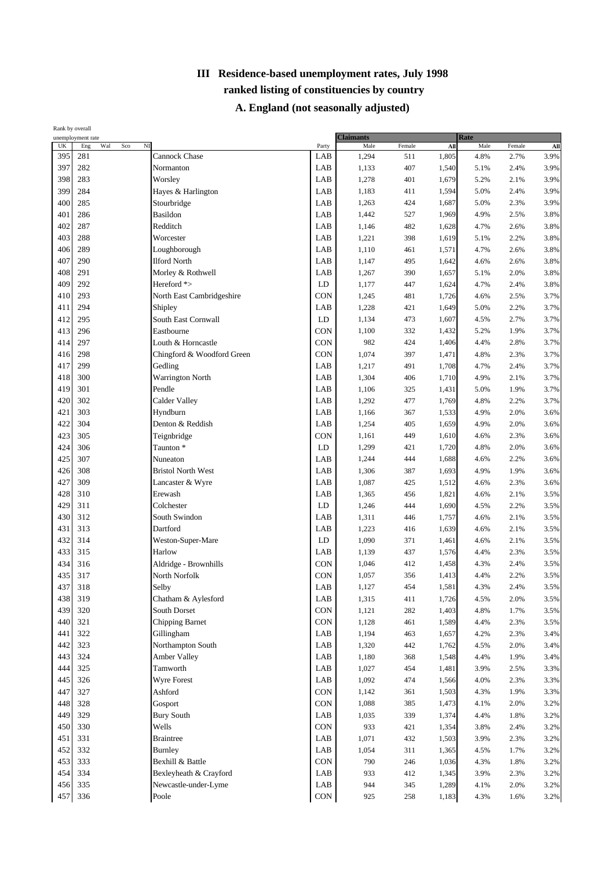|     | Rank by overall                                          |                            |            |                          |            |       |                     |        |      |
|-----|----------------------------------------------------------|----------------------------|------------|--------------------------|------------|-------|---------------------|--------|------|
| UK  | unemployment rate<br>N <sub>I</sub><br>Eng<br>Wal<br>Sco |                            | Party      | <b>Claimants</b><br>Male | Female     | All   | <b>Rate</b><br>Male | Female | AII  |
| 395 | 281                                                      | Cannock Chase              | LAB        | 1,294                    | 511        | 1,805 | 4.8%                | 2.7%   | 3.9% |
| 397 | 282                                                      | Normanton                  | LAB        | 1,133                    | 407        | 1,540 | 5.1%                | 2.4%   | 3.9% |
| 398 | 283                                                      | Worsley                    | LAB        | 1,278                    | 401        | 1,679 | 5.2%                | 2.1%   | 3.9% |
| 399 | 284                                                      | Hayes & Harlington         | LAB        | 1,183                    | 411        | 1,594 | 5.0%                | 2.4%   | 3.9% |
| 400 | 285                                                      | Stourbridge                | LAB        | 1,263                    | 424        | 1,687 | 5.0%                | 2.3%   | 3.9% |
| 401 | 286                                                      | Basildon                   | LAB        | 1,442                    | 527        | 1,969 | 4.9%                | 2.5%   | 3.8% |
| 402 | 287                                                      | Redditch                   | LAB        | 1,146                    | 482        | 1,628 | 4.7%                | 2.6%   | 3.8% |
| 403 | 288                                                      | Worcester                  | LAB        |                          | 398        | 1,619 |                     | 2.2%   | 3.8% |
| 406 | 289                                                      | Loughborough               | LAB        | 1,221                    |            |       | 5.1%                |        | 3.8% |
| 407 | 290                                                      | <b>Ilford North</b>        | LAB        | 1,110                    | 461        | 1,571 | 4.7%                | 2.6%   | 3.8% |
| 408 | 291                                                      | Morley & Rothwell          | LAB        | 1,147                    | 495        | 1,642 | 4.6%                | 2.6%   | 3.8% |
| 409 | 292                                                      | Hereford *>                | LD         | 1,267<br>1,177           | 390<br>447 | 1,657 | 5.1%                | 2.0%   | 3.8% |
|     | 293                                                      |                            | CON        |                          |            | 1,624 | 4.7%                | 2.4%   |      |
| 410 |                                                          | North East Cambridgeshire  |            | 1,245                    | 481        | 1,726 | 4.6%                | 2.5%   | 3.7% |
| 411 | 294                                                      | Shipley                    | LAB        | 1,228                    | 421        | 1,649 | 5.0%                | 2.2%   | 3.7% |
| 412 | 295                                                      | South East Cornwall        | LD         | 1,134                    | 473        | 1,607 | 4.5%                | 2.7%   | 3.7% |
| 413 | 296                                                      | Eastbourne                 | CON        | 1,100                    | 332        | 1,432 | 5.2%                | 1.9%   | 3.7% |
| 414 | 297                                                      | Louth & Horncastle         | CON        | 982                      | 424        | 1,406 | 4.4%                | 2.8%   | 3.7% |
| 416 | 298                                                      | Chingford & Woodford Green | CON        | 1,074                    | 397        | 1,471 | 4.8%                | 2.3%   | 3.7% |
| 417 | 299                                                      | Gedling                    | LAB        | 1,217                    | 491        | 1,708 | 4.7%                | 2.4%   | 3.7% |
| 418 | 300                                                      | Warrington North           | LAB        | 1,304                    | 406        | 1,710 | 4.9%                | 2.1%   | 3.7% |
| 419 | 301                                                      | Pendle                     | LAB        | 1,106                    | 325        | 1,431 | 5.0%                | 1.9%   | 3.7% |
| 420 | 302                                                      | <b>Calder Valley</b>       | LAB        | 1,292                    | 477        | 1,769 | 4.8%                | 2.2%   | 3.7% |
| 421 | 303                                                      | Hyndburn                   | LAB        | 1,166                    | 367        | 1,533 | 4.9%                | 2.0%   | 3.6% |
| 422 | 304                                                      | Denton & Reddish           | LAB        | 1,254                    | 405        | 1,659 | 4.9%                | 2.0%   | 3.6% |
| 423 | 305                                                      | Teignbridge                | CON        | 1,161                    | 449        | 1,610 | 4.6%                | 2.3%   | 3.6% |
| 424 | 306                                                      | Taunton <sup>*</sup>       | LD         | 1,299                    | 421        | 1,720 | 4.8%                | 2.0%   | 3.6% |
| 425 | 307                                                      | Nuneaton                   | LAB        | 1,244                    | 444        | 1,688 | 4.6%                | 2.2%   | 3.6% |
| 426 | 308                                                      | <b>Bristol North West</b>  | LAB        | 1,306                    | 387        | 1,693 | 4.9%                | 1.9%   | 3.6% |
| 427 | 309                                                      | Lancaster & Wyre           | LAB        | 1,087                    | 425        | 1,512 | 4.6%                | 2.3%   | 3.6% |
| 428 | 310                                                      | Erewash                    | LAB        | 1,365                    | 456        | 1,821 | 4.6%                | 2.1%   | 3.5% |
| 429 | 311                                                      | Colchester                 | LD         | 1,246                    | 444        | 1,690 | 4.5%                | 2.2%   | 3.5% |
| 430 | 312                                                      | South Swindon              | LAB        | 1,311                    | 446        | 1,757 | 4.6%                | 2.1%   | 3.5% |
| 431 | 313                                                      | Dartford                   | LAB        | 1,223                    | 416        | 1,639 | 4.6%                | 2.1%   | 3.5% |
| 432 | 314                                                      | Weston-Super-Mare          | LD         | 1,090                    | 371        | 1,461 | 4.6%                | 2.1%   | 3.5% |
| 433 | 315                                                      | Harlow                     | LAB        | 1,139                    | 437        | 1,576 | 4.4%                | 2.3%   | 3.5% |
| 434 | 316                                                      | Aldridge - Brownhills      | CON        | 1,046                    | 412        | 1,458 | 4.3%                | 2.4%   | 3.5% |
| 435 | 317                                                      | North Norfolk              | CON        | 1,057                    | 356        | 1,413 | 4.4%                | 2.2%   | 3.5% |
| 437 | 318                                                      | Selby                      | LAB        | 1,127                    | 454        | 1,581 | 4.3%                | 2.4%   | 3.5% |
| 438 | 319                                                      | Chatham & Aylesford        | LAB        | 1,315                    | 411        | 1,726 | 4.5%                | 2.0%   | 3.5% |
| 439 | 320                                                      | South Dorset               | CON        | 1,121                    | 282        | 1,403 | 4.8%                | 1.7%   | 3.5% |
| 440 | 321                                                      | Chipping Barnet            | CON        | 1,128                    | 461        | 1,589 | 4.4%                | 2.3%   | 3.5% |
| 441 | 322                                                      | Gillingham                 | LAB        | 1,194                    | 463        | 1,657 | 4.2%                | 2.3%   | 3.4% |
| 442 | 323                                                      | Northampton South          | LAB        | 1,320                    | 442        | 1,762 | 4.5%                | 2.0%   | 3.4% |
| 443 | 324                                                      | <b>Amber Valley</b>        | LAB        | 1,180                    | 368        | 1,548 | 4.4%                | 1.9%   | 3.4% |
| 444 | 325                                                      | Tamworth                   | LAB        | 1,027                    | 454        | 1,481 | 3.9%                | 2.5%   | 3.3% |
| 445 | 326                                                      | Wyre Forest                | LAB        | 1,092                    | 474        | 1,566 | 4.0%                | 2.3%   | 3.3% |
| 447 | 327                                                      | Ashford                    | <b>CON</b> | 1,142                    | 361        | 1,503 | 4.3%                | 1.9%   | 3.3% |
| 448 | 328                                                      | Gosport                    | CON        | 1,088                    | 385        | 1,473 | 4.1%                | 2.0%   | 3.2% |
| 449 | 329                                                      | <b>Bury South</b>          | LAB        | 1,035                    | 339        | 1,374 | 4.4%                | 1.8%   | 3.2% |
| 450 | 330                                                      | Wells                      | <b>CON</b> | 933                      | 421        | 1,354 | 3.8%                | 2.4%   | 3.2% |
| 451 | 331                                                      | <b>Braintree</b>           | LAB        | 1,071                    | 432        | 1,503 | 3.9%                | 2.3%   | 3.2% |
| 452 | 332                                                      | <b>Burnley</b>             | LAB        | 1,054                    | 311        | 1,365 | 4.5%                | 1.7%   | 3.2% |
|     | 333                                                      |                            |            |                          |            |       |                     |        |      |
| 453 |                                                          | Bexhill & Battle           | CON        | 790                      | 246        | 1,036 | 4.3%                | 1.8%   | 3.2% |
| 454 | 334                                                      | Bexleyheath & Crayford     | LAB        | 933                      | 412        | 1,345 | 3.9%                | 2.3%   | 3.2% |
| 456 | 335                                                      | Newcastle-under-Lyme       | LAB        | 944                      | 345        | 1,289 | 4.1%                | 2.0%   | 3.2% |
| 457 | 336                                                      | Poole                      | CON        | 925                      | 258        | 1,183 | 4.3%                | 1.6%   | 3.2% |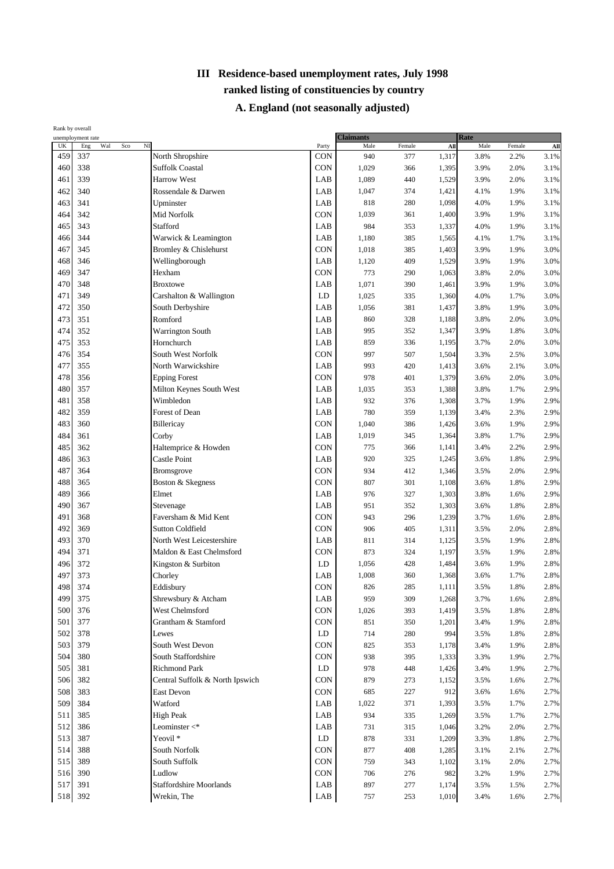|     | Rank by overall                                          |                                 |            |                          |        |       |              |        |                 |
|-----|----------------------------------------------------------|---------------------------------|------------|--------------------------|--------|-------|--------------|--------|-----------------|
| UK  | unemployment rate<br>N <sub>I</sub><br>Wal<br>Eng<br>Sco |                                 | Party      | <b>Claimants</b><br>Male | Female | AII   | Rate<br>Male | Female | A <sub>II</sub> |
| 459 | 337                                                      | North Shropshire                | <b>CON</b> | 940                      | 377    | 1,317 | 3.8%         | 2.2%   | 3.1%            |
| 460 | 338                                                      | <b>Suffolk Coastal</b>          | CON        | 1,029                    | 366    | 1,395 | 3.9%         | 2.0%   | 3.1%            |
| 461 | 339                                                      | <b>Harrow West</b>              | LAB        | 1,089                    | 440    | 1,529 | 3.9%         | 2.0%   | 3.1%            |
| 462 | 340                                                      | Rossendale & Darwen             | LAB        | 1,047                    | 374    | 1,421 | 4.1%         | 1.9%   | 3.1%            |
| 463 | 341                                                      | Upminster                       | LAB        | 818                      | 280    | 1,098 | 4.0%         | 1.9%   | 3.1%            |
| 464 | 342                                                      | Mid Norfolk                     | CON        | 1,039                    | 361    | 1,400 | 3.9%         | 1.9%   | 3.1%            |
| 465 | 343                                                      | Stafford                        | LAB        | 984                      | 353    | 1,337 | 4.0%         | 1.9%   | 3.1%            |
| 466 | 344                                                      | Warwick & Leamington            | LAB        | 1,180                    | 385    | 1,565 | 4.1%         | 1.7%   | 3.1%            |
| 467 | 345                                                      | Bromley & Chislehurst           | CON        | 1,018                    | 385    | 1,403 | 3.9%         | 1.9%   | 3.0%            |
| 468 | 346                                                      | Wellingborough                  | LAB        | 1,120                    | 409    | 1,529 | 3.9%         | 1.9%   | 3.0%            |
| 469 | 347                                                      | Hexham                          | CON        | 773                      | 290    | 1,063 | 3.8%         | 2.0%   | 3.0%            |
| 470 | 348                                                      | <b>Broxtowe</b>                 | LAB        | 1,071                    | 390    | 1,461 | 3.9%         | 1.9%   | 3.0%            |
| 471 | 349                                                      | Carshalton & Wallington         | LD         | 1,025                    | 335    | 1,360 | 4.0%         | 1.7%   | 3.0%            |
| 472 | 350                                                      | South Derbyshire                | LAB        | 1,056                    | 381    | 1,437 | 3.8%         | 1.9%   | 3.0%            |
| 473 | 351                                                      | Romford                         | LAB        | 860                      | 328    | 1,188 | 3.8%         | 2.0%   | 3.0%            |
| 474 | 352                                                      |                                 | LAB        | 995                      | 352    | 1,347 | 3.9%         | 1.8%   | 3.0%            |
| 475 | 353                                                      | Warrington South                | LAB        |                          | 336    |       | 3.7%         |        | 3.0%            |
|     |                                                          | Hornchurch                      |            | 859                      |        | 1,195 |              | 2.0%   |                 |
| 476 | 354                                                      | South West Norfolk              | CON        | 997                      | 507    | 1,504 | 3.3%         | 2.5%   | 3.0%            |
| 477 | 355                                                      | North Warwickshire              | LAB        | 993                      | 420    | 1,413 | 3.6%         | 2.1%   | 3.0%            |
| 478 | 356                                                      | <b>Epping Forest</b>            | CON        | 978                      | 401    | 1,379 | 3.6%         | 2.0%   | 3.0%            |
| 480 | 357                                                      | Milton Keynes South West        | LAB        | 1,035                    | 353    | 1,388 | 3.8%         | 1.7%   | 2.9%            |
| 481 | 358                                                      | Wimbledon                       | LAB        | 932                      | 376    | 1,308 | 3.7%         | 1.9%   | 2.9%            |
| 482 | 359                                                      | Forest of Dean                  | LAB        | 780                      | 359    | 1,139 | 3.4%         | 2.3%   | 2.9%            |
| 483 | 360                                                      | Billericay                      | CON        | 1,040                    | 386    | 1,426 | 3.6%         | 1.9%   | 2.9%            |
| 484 | 361                                                      | Corby                           | LAB        | 1,019                    | 345    | 1,364 | 3.8%         | 1.7%   | 2.9%            |
| 485 | 362                                                      | Haltemprice & Howden            | CON        | 775                      | 366    | 1,141 | 3.4%         | 2.2%   | 2.9%            |
| 486 | 363                                                      | Castle Point                    | LAB        | 920                      | 325    | 1,245 | 3.6%         | 1.8%   | 2.9%            |
| 487 | 364                                                      | Bromsgrove                      | CON        | 934                      | 412    | 1,346 | 3.5%         | 2.0%   | 2.9%            |
| 488 | 365                                                      | Boston & Skegness               | CON        | 807                      | 301    | 1,108 | 3.6%         | 1.8%   | 2.9%            |
| 489 | 366                                                      | Elmet                           | LAB        | 976                      | 327    | 1,303 | 3.8%         | 1.6%   | 2.9%            |
| 490 | 367                                                      | Stevenage                       | LAB        | 951                      | 352    | 1,303 | 3.6%         | 1.8%   | 2.8%            |
| 491 | 368                                                      | Faversham & Mid Kent            | CON        | 943                      | 296    | 1,239 | 3.7%         | 1.6%   | 2.8%            |
| 492 | 369                                                      | <b>Sutton Coldfield</b>         | CON        | 906                      | 405    | 1,311 | 3.5%         | 2.0%   | 2.8%            |
| 493 | 370                                                      | North West Leicestershire       | LAB        | 811                      | 314    | 1,125 | 3.5%         | 1.9%   | 2.8%            |
| 494 | 371                                                      | Maldon & East Chelmsford        | CON        | 873                      | 324    | 1,197 | 3.5%         | 1.9%   | 2.8%            |
| 496 | 372                                                      | Kingston & Surbiton             | LD         | 1,056                    | 428    | 1,484 | 3.6%         | 1.9%   | 2.8%            |
| 497 | 373                                                      | Chorley                         | LAB        | 1,008                    | 360    | 1,368 | 3.6%         | 1.7%   | 2.8%            |
| 498 | 374                                                      | Eddisbury                       | <b>CON</b> | 826                      | 285    | 1,111 | 3.5%         | 1.8%   | 2.8%            |
| 499 | 375                                                      | Shrewsbury & Atcham             | LAB        | 959                      | 309    | 1,268 | 3.7%         | 1.6%   | 2.8%            |
| 500 | 376                                                      | West Chelmsford                 | CON        | 1,026                    | 393    | 1,419 | 3.5%         | 1.8%   | 2.8%            |
| 501 | 377                                                      | Grantham & Stamford             | <b>CON</b> | 851                      | 350    | 1,201 | 3.4%         | 1.9%   | 2.8%            |
| 502 | 378                                                      | Lewes                           | LD         | 714                      | 280    | 994   | 3.5%         | 1.8%   | 2.8%            |
| 503 | 379                                                      | South West Devon                | CON        | 825                      | 353    | 1,178 | 3.4%         | 1.9%   | 2.8%            |
| 504 | 380                                                      | South Staffordshire             | CON        | 938                      | 395    | 1,333 | 3.3%         | 1.9%   | 2.7%            |
| 505 | 381                                                      | <b>Richmond Park</b>            | LD         | 978                      | 448    | 1,426 | 3.4%         | 1.9%   | 2.7%            |
| 506 | 382                                                      | Central Suffolk & North Ipswich | CON        | 879                      | 273    | 1,152 | 3.5%         | 1.6%   | 2.7%            |
| 508 | 383                                                      | East Devon                      | CON        | 685                      | 227    | 912   | 3.6%         | 1.6%   | 2.7%            |
| 509 | 384                                                      | Watford                         | LAB        | 1,022                    | 371    | 1,393 | 3.5%         | 1.7%   | 2.7%            |
| 511 | 385                                                      | <b>High Peak</b>                | LAB        | 934                      | 335    | 1,269 | 3.5%         | 1.7%   | 2.7%            |
| 512 | 386                                                      | Leominster $<^*$                | LAB        | 731                      | 315    | 1,046 | 3.2%         | 2.0%   | 2.7%            |
| 513 | 387                                                      | Yeovil <sup>*</sup>             | LD         | 878                      | 331    | 1,209 | 3.3%         | 1.8%   | 2.7%            |
| 514 | 388                                                      | South Norfolk                   | CON        | 877                      | 408    | 1,285 | 3.1%         | 2.1%   | 2.7%            |
| 515 | 389                                                      | South Suffolk                   | CON        | 759                      | 343    | 1,102 | 3.1%         | 2.0%   | 2.7%            |
| 516 | 390                                                      | Ludlow                          | CON        | 706                      | 276    | 982   | 3.2%         | 1.9%   | 2.7%            |
| 517 | 391                                                      | <b>Staffordshire Moorlands</b>  | LAB        | 897                      | 277    | 1,174 | 3.5%         | 1.5%   | 2.7%            |
| 518 | 392                                                      | Wrekin, The                     | LAB        | 757                      | 253    | 1,010 | 3.4%         | 1.6%   | 2.7%            |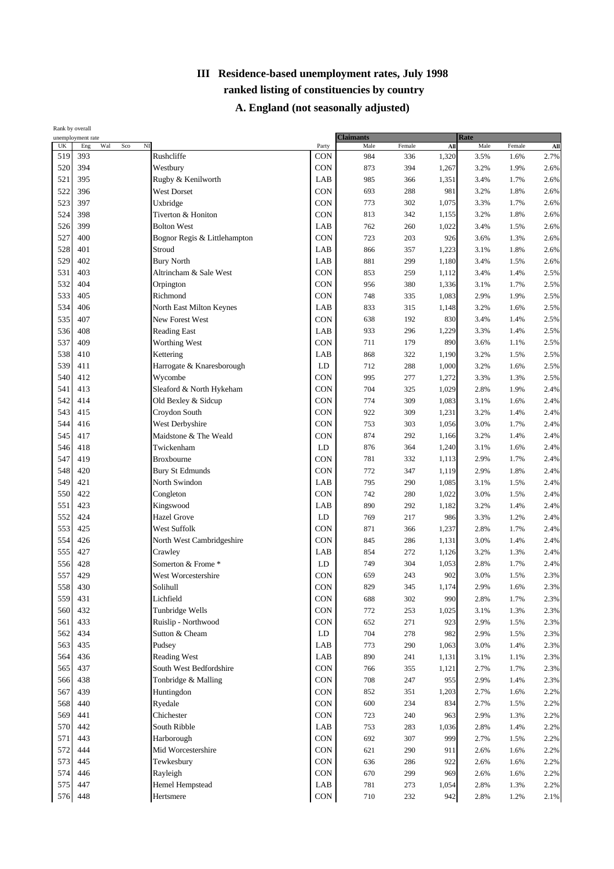| UK<br>Wal<br>Sco<br>$_{\rm NI}$<br>Male<br>Eng<br>Male<br>Female<br>All<br>Female<br>Party<br>Rushcliffe<br>393<br>CON<br>2.7%<br>519<br>984<br>1,320<br>3.5%<br>336<br>1.6%<br>520<br>394<br>Westbury<br>CON<br>873<br>394<br>1,267<br>3.2%<br>1.9%<br>395<br>LAB<br>985<br>3.4%<br>521<br>Rugby & Kenilworth<br>366<br>1,351<br>1.7%<br>CON<br>522<br>396<br><b>West Dorset</b><br>693<br>288<br>981<br>3.2%<br>1.8%<br>523<br>397<br>Uxbridge<br><b>CON</b><br>773<br>302<br>3.3%<br>1,075<br>1.7%<br><b>CON</b><br>524<br>398<br>Tiverton & Honiton<br>813<br>342<br>3.2%<br>1.8%<br>2.6%<br>1,155<br>399<br><b>Bolton West</b><br>LAB<br>762<br>526<br>260<br>1,022<br>3.4%<br>1.5%<br>CON<br>527<br>400<br>Bognor Regis & Littlehampton<br>723<br>203<br>3.6%<br>2.6%<br>926<br>1.3%<br>528<br>401<br>Stroud<br>LAB<br>866<br>1,223<br>3.1%<br>1.8%<br>357<br>529<br>402<br><b>Bury North</b><br>LAB<br>881<br>299<br>1,180<br>2.6%<br>3.4%<br>1.5%<br>403<br>CON<br>531<br>Altrincham & Sale West<br>853<br>259<br>1,112<br>3.4%<br>1.4%<br>532<br>404<br>CON<br>Orpington<br>380<br>956<br>1,336<br>3.1%<br>1.7%<br>533<br>405<br>Richmond<br><b>CON</b><br>748<br>2.9%<br>1.9%<br>335<br>1,083<br>534<br>406<br>LAB<br>833<br>2.5%<br>North East Milton Keynes<br>315<br>1,148<br>3.2%<br>1.6%<br>535<br>407<br>New Forest West<br><b>CON</b><br>638<br>830<br>2.5%<br>192<br>3.4%<br>1.4%<br>408<br>LAB<br>933<br>3.3%<br>536<br><b>Reading East</b><br>296<br>1,229<br>1.4%<br>537<br>409<br>Worthing West<br>CON<br>711<br>179<br>890<br>3.6%<br>1.1%<br>538<br>410<br>Kettering<br>LAB<br>868<br>2.5%<br>322<br>1,190<br>3.2%<br>1.5%<br>539<br>411<br>Harrogate & Knaresborough<br>LD<br>712<br>288<br>3.2%<br>1.6%<br>2.5%<br>1,000<br>CON<br>412<br>540<br>Wycombe<br>995<br>277<br>3.3%<br>1,272<br>1.3%<br>541<br>413<br>Sleaford & North Hykeham<br><b>CON</b><br>704<br>325<br>1,029<br>2.8%<br>1.9%<br>CON<br>542<br>414<br>Old Bexley & Sidcup<br>774<br>309<br>1,083<br>3.1%<br>1.6%<br>543<br>415<br>Croydon South<br><b>CON</b><br>922<br>309<br>1,231<br>3.2%<br>1.4%<br>2.4%<br>CON<br>416<br>West Derbyshire<br>544<br>753<br>3.0%<br>303<br>1,056<br>1.7%<br>545<br>417<br>Maidstone & The Weald<br>CON<br>874<br>292<br>3.2%<br>1,166<br>1.4%<br>418<br>Twickenham<br>LD<br>876<br>546<br>364<br>1,240<br>3.1%<br>1.6%<br>547<br>419<br><b>CON</b><br>781<br>332<br>2.9%<br>1.7%<br><b>Broxbourne</b><br>1,113<br><b>CON</b><br>548<br>420<br><b>Bury St Edmunds</b><br>772<br>347<br>1,119<br>2.9%<br>1.8%<br>549<br>421<br>North Swindon<br>LAB<br>795<br>290<br>1,085<br>3.1%<br>1.5%<br>CON<br>422<br>550<br>Congleton<br>742<br>280<br>3.0%<br>1,022<br>1.5%<br>551<br>423<br>LAB<br>Kingswood<br>890<br>292<br>3.2%<br>2.4%<br>1,182<br>1.4%<br>424<br><b>Hazel Grove</b><br>LD<br>552<br>769<br>217<br>986<br>3.3%<br>1.2%<br>CON<br>553<br>425<br>West Suffolk<br>871<br>366<br>1,237<br>2.8%<br>1.7%<br>554<br>426<br><b>CON</b><br>North West Cambridgeshire<br>845<br>3.0%<br>286<br>1,131<br>1.4%<br>555<br>427<br>LAB<br>Crawley<br>854<br>272<br>1,126<br>3.2%<br>1.3%<br>Somerton & Frome *<br>LD<br>556<br>428<br>749<br>304<br>1,053<br>2.8%<br>1.7%<br>429<br>557<br><b>CON</b><br>659<br>243<br>902<br>3.0%<br>1.5%<br>West Worcestershire<br>558<br>CON<br>430<br>829<br>345<br>1,174<br>2.9%<br>Solihull<br>1.6%<br>559<br>431<br>Lichfield<br>CON<br>688<br>302<br>990<br>2.8%<br>1.7%<br>432<br>Tunbridge Wells<br><b>CON</b><br>560<br>772<br>253<br>1,025<br>3.1%<br>1.3%<br>433<br>CON<br>561<br>Ruislip - Northwood<br>652<br>271<br>2.9%<br>923<br>1.5%<br>562<br>434<br>Sutton & Cheam<br>LD<br>704<br>278<br>982<br>2.9%<br>1.5%<br>563<br>435<br>Pudsey<br>LAB<br>773<br>290<br>1,063<br>3.0%<br>1.4%<br>564<br>436<br>Reading West<br>LAB<br>890<br>241<br>1,131<br>3.1%<br>1.1%<br>437<br>South West Bedfordshire<br>CON<br>565<br>355<br>766<br>1,121<br>2.7%<br>1.7%<br>438<br>CON<br>566<br>Tonbridge & Malling<br>708<br>247<br>955<br>2.9%<br>1.4%<br>CON<br>567<br>439<br>Huntingdon<br>852<br>351<br>1,203<br>2.7%<br>1.6%<br>568<br>440<br>CON<br>600<br>234<br>834<br>2.7%<br>1.5%<br>2.2%<br>Ryedale<br>Chichester<br>CON<br>569<br>441<br>723<br>240<br>963<br>2.9%<br>1.3%<br>570<br>442<br>South Ribble<br>LAB<br>753<br>2.8%<br>283<br>1,036<br>1.4%<br>443<br>Harborough<br><b>CON</b><br>692<br>307<br>999<br>571<br>2.7%<br>1.5%<br>CON<br>572<br>444<br>Mid Worcestershire<br>621<br>290<br>911<br>2.6%<br>1.6%<br>573<br><b>CON</b><br>445<br>Tewkesbury<br>636<br>286<br>922<br>2.6%<br>1.6%<br>574<br>446<br>CON<br>Rayleigh<br>670<br>299<br>969<br>2.6%<br>1.6%<br>575<br>447<br>Hemel Hempstead<br>LAB<br>781<br>273<br>2.8%<br>1,054<br>1.3%<br>576<br>Hertsmere<br>710<br>232<br>942<br>2.8%<br>1.2% | Rank by overall | unemployment rate |     | <b>Claimants</b> |  | Rate |             |
|-----------------------------------------------------------------------------------------------------------------------------------------------------------------------------------------------------------------------------------------------------------------------------------------------------------------------------------------------------------------------------------------------------------------------------------------------------------------------------------------------------------------------------------------------------------------------------------------------------------------------------------------------------------------------------------------------------------------------------------------------------------------------------------------------------------------------------------------------------------------------------------------------------------------------------------------------------------------------------------------------------------------------------------------------------------------------------------------------------------------------------------------------------------------------------------------------------------------------------------------------------------------------------------------------------------------------------------------------------------------------------------------------------------------------------------------------------------------------------------------------------------------------------------------------------------------------------------------------------------------------------------------------------------------------------------------------------------------------------------------------------------------------------------------------------------------------------------------------------------------------------------------------------------------------------------------------------------------------------------------------------------------------------------------------------------------------------------------------------------------------------------------------------------------------------------------------------------------------------------------------------------------------------------------------------------------------------------------------------------------------------------------------------------------------------------------------------------------------------------------------------------------------------------------------------------------------------------------------------------------------------------------------------------------------------------------------------------------------------------------------------------------------------------------------------------------------------------------------------------------------------------------------------------------------------------------------------------------------------------------------------------------------------------------------------------------------------------------------------------------------------------------------------------------------------------------------------------------------------------------------------------------------------------------------------------------------------------------------------------------------------------------------------------------------------------------------------------------------------------------------------------------------------------------------------------------------------------------------------------------------------------------------------------------------------------------------------------------------------------------------------------------------------------------------------------------------------------------------------------------------------------------------------------------------------------------------------------------------------------------------------------------------------------------------------------------------------------------------------------------------------------------------------------------------------------------------------------------------------------------------------------------------------------------------------------------------------------------------------------------------------------------------------------------------------------------------------------------------------------------------------------------------------------------------------------------------------------------------------------------------------------------------------------------------------------------------------------------------------------------------------------------------------------------------|-----------------|-------------------|-----|------------------|--|------|-------------|
|                                                                                                                                                                                                                                                                                                                                                                                                                                                                                                                                                                                                                                                                                                                                                                                                                                                                                                                                                                                                                                                                                                                                                                                                                                                                                                                                                                                                                                                                                                                                                                                                                                                                                                                                                                                                                                                                                                                                                                                                                                                                                                                                                                                                                                                                                                                                                                                                                                                                                                                                                                                                                                                                                                                                                                                                                                                                                                                                                                                                                                                                                                                                                                                                                                                                                                                                                                                                                                                                                                                                                                                                                                                                                                                                                                                                                                                                                                                                                                                                                                                                                                                                                                                                                                                                                                                                                                                                                                                                                                                                                                                                                                                                                                                                                                                               |                 |                   |     |                  |  |      | ${\bf All}$ |
|                                                                                                                                                                                                                                                                                                                                                                                                                                                                                                                                                                                                                                                                                                                                                                                                                                                                                                                                                                                                                                                                                                                                                                                                                                                                                                                                                                                                                                                                                                                                                                                                                                                                                                                                                                                                                                                                                                                                                                                                                                                                                                                                                                                                                                                                                                                                                                                                                                                                                                                                                                                                                                                                                                                                                                                                                                                                                                                                                                                                                                                                                                                                                                                                                                                                                                                                                                                                                                                                                                                                                                                                                                                                                                                                                                                                                                                                                                                                                                                                                                                                                                                                                                                                                                                                                                                                                                                                                                                                                                                                                                                                                                                                                                                                                                                               |                 |                   |     |                  |  |      |             |
|                                                                                                                                                                                                                                                                                                                                                                                                                                                                                                                                                                                                                                                                                                                                                                                                                                                                                                                                                                                                                                                                                                                                                                                                                                                                                                                                                                                                                                                                                                                                                                                                                                                                                                                                                                                                                                                                                                                                                                                                                                                                                                                                                                                                                                                                                                                                                                                                                                                                                                                                                                                                                                                                                                                                                                                                                                                                                                                                                                                                                                                                                                                                                                                                                                                                                                                                                                                                                                                                                                                                                                                                                                                                                                                                                                                                                                                                                                                                                                                                                                                                                                                                                                                                                                                                                                                                                                                                                                                                                                                                                                                                                                                                                                                                                                                               |                 |                   |     |                  |  |      | 2.6%        |
|                                                                                                                                                                                                                                                                                                                                                                                                                                                                                                                                                                                                                                                                                                                                                                                                                                                                                                                                                                                                                                                                                                                                                                                                                                                                                                                                                                                                                                                                                                                                                                                                                                                                                                                                                                                                                                                                                                                                                                                                                                                                                                                                                                                                                                                                                                                                                                                                                                                                                                                                                                                                                                                                                                                                                                                                                                                                                                                                                                                                                                                                                                                                                                                                                                                                                                                                                                                                                                                                                                                                                                                                                                                                                                                                                                                                                                                                                                                                                                                                                                                                                                                                                                                                                                                                                                                                                                                                                                                                                                                                                                                                                                                                                                                                                                                               |                 |                   |     |                  |  |      | 2.6%        |
|                                                                                                                                                                                                                                                                                                                                                                                                                                                                                                                                                                                                                                                                                                                                                                                                                                                                                                                                                                                                                                                                                                                                                                                                                                                                                                                                                                                                                                                                                                                                                                                                                                                                                                                                                                                                                                                                                                                                                                                                                                                                                                                                                                                                                                                                                                                                                                                                                                                                                                                                                                                                                                                                                                                                                                                                                                                                                                                                                                                                                                                                                                                                                                                                                                                                                                                                                                                                                                                                                                                                                                                                                                                                                                                                                                                                                                                                                                                                                                                                                                                                                                                                                                                                                                                                                                                                                                                                                                                                                                                                                                                                                                                                                                                                                                                               |                 |                   |     |                  |  |      | 2.6%        |
|                                                                                                                                                                                                                                                                                                                                                                                                                                                                                                                                                                                                                                                                                                                                                                                                                                                                                                                                                                                                                                                                                                                                                                                                                                                                                                                                                                                                                                                                                                                                                                                                                                                                                                                                                                                                                                                                                                                                                                                                                                                                                                                                                                                                                                                                                                                                                                                                                                                                                                                                                                                                                                                                                                                                                                                                                                                                                                                                                                                                                                                                                                                                                                                                                                                                                                                                                                                                                                                                                                                                                                                                                                                                                                                                                                                                                                                                                                                                                                                                                                                                                                                                                                                                                                                                                                                                                                                                                                                                                                                                                                                                                                                                                                                                                                                               |                 |                   |     |                  |  |      | 2.6%        |
|                                                                                                                                                                                                                                                                                                                                                                                                                                                                                                                                                                                                                                                                                                                                                                                                                                                                                                                                                                                                                                                                                                                                                                                                                                                                                                                                                                                                                                                                                                                                                                                                                                                                                                                                                                                                                                                                                                                                                                                                                                                                                                                                                                                                                                                                                                                                                                                                                                                                                                                                                                                                                                                                                                                                                                                                                                                                                                                                                                                                                                                                                                                                                                                                                                                                                                                                                                                                                                                                                                                                                                                                                                                                                                                                                                                                                                                                                                                                                                                                                                                                                                                                                                                                                                                                                                                                                                                                                                                                                                                                                                                                                                                                                                                                                                                               |                 |                   |     |                  |  |      |             |
|                                                                                                                                                                                                                                                                                                                                                                                                                                                                                                                                                                                                                                                                                                                                                                                                                                                                                                                                                                                                                                                                                                                                                                                                                                                                                                                                                                                                                                                                                                                                                                                                                                                                                                                                                                                                                                                                                                                                                                                                                                                                                                                                                                                                                                                                                                                                                                                                                                                                                                                                                                                                                                                                                                                                                                                                                                                                                                                                                                                                                                                                                                                                                                                                                                                                                                                                                                                                                                                                                                                                                                                                                                                                                                                                                                                                                                                                                                                                                                                                                                                                                                                                                                                                                                                                                                                                                                                                                                                                                                                                                                                                                                                                                                                                                                                               |                 |                   |     |                  |  |      | 2.6%        |
|                                                                                                                                                                                                                                                                                                                                                                                                                                                                                                                                                                                                                                                                                                                                                                                                                                                                                                                                                                                                                                                                                                                                                                                                                                                                                                                                                                                                                                                                                                                                                                                                                                                                                                                                                                                                                                                                                                                                                                                                                                                                                                                                                                                                                                                                                                                                                                                                                                                                                                                                                                                                                                                                                                                                                                                                                                                                                                                                                                                                                                                                                                                                                                                                                                                                                                                                                                                                                                                                                                                                                                                                                                                                                                                                                                                                                                                                                                                                                                                                                                                                                                                                                                                                                                                                                                                                                                                                                                                                                                                                                                                                                                                                                                                                                                                               |                 |                   |     |                  |  |      |             |
|                                                                                                                                                                                                                                                                                                                                                                                                                                                                                                                                                                                                                                                                                                                                                                                                                                                                                                                                                                                                                                                                                                                                                                                                                                                                                                                                                                                                                                                                                                                                                                                                                                                                                                                                                                                                                                                                                                                                                                                                                                                                                                                                                                                                                                                                                                                                                                                                                                                                                                                                                                                                                                                                                                                                                                                                                                                                                                                                                                                                                                                                                                                                                                                                                                                                                                                                                                                                                                                                                                                                                                                                                                                                                                                                                                                                                                                                                                                                                                                                                                                                                                                                                                                                                                                                                                                                                                                                                                                                                                                                                                                                                                                                                                                                                                                               |                 |                   |     |                  |  |      | 2.6%        |
|                                                                                                                                                                                                                                                                                                                                                                                                                                                                                                                                                                                                                                                                                                                                                                                                                                                                                                                                                                                                                                                                                                                                                                                                                                                                                                                                                                                                                                                                                                                                                                                                                                                                                                                                                                                                                                                                                                                                                                                                                                                                                                                                                                                                                                                                                                                                                                                                                                                                                                                                                                                                                                                                                                                                                                                                                                                                                                                                                                                                                                                                                                                                                                                                                                                                                                                                                                                                                                                                                                                                                                                                                                                                                                                                                                                                                                                                                                                                                                                                                                                                                                                                                                                                                                                                                                                                                                                                                                                                                                                                                                                                                                                                                                                                                                                               |                 |                   |     |                  |  |      |             |
|                                                                                                                                                                                                                                                                                                                                                                                                                                                                                                                                                                                                                                                                                                                                                                                                                                                                                                                                                                                                                                                                                                                                                                                                                                                                                                                                                                                                                                                                                                                                                                                                                                                                                                                                                                                                                                                                                                                                                                                                                                                                                                                                                                                                                                                                                                                                                                                                                                                                                                                                                                                                                                                                                                                                                                                                                                                                                                                                                                                                                                                                                                                                                                                                                                                                                                                                                                                                                                                                                                                                                                                                                                                                                                                                                                                                                                                                                                                                                                                                                                                                                                                                                                                                                                                                                                                                                                                                                                                                                                                                                                                                                                                                                                                                                                                               |                 |                   |     |                  |  |      | 2.5%        |
|                                                                                                                                                                                                                                                                                                                                                                                                                                                                                                                                                                                                                                                                                                                                                                                                                                                                                                                                                                                                                                                                                                                                                                                                                                                                                                                                                                                                                                                                                                                                                                                                                                                                                                                                                                                                                                                                                                                                                                                                                                                                                                                                                                                                                                                                                                                                                                                                                                                                                                                                                                                                                                                                                                                                                                                                                                                                                                                                                                                                                                                                                                                                                                                                                                                                                                                                                                                                                                                                                                                                                                                                                                                                                                                                                                                                                                                                                                                                                                                                                                                                                                                                                                                                                                                                                                                                                                                                                                                                                                                                                                                                                                                                                                                                                                                               |                 |                   |     |                  |  |      | 2.5%        |
|                                                                                                                                                                                                                                                                                                                                                                                                                                                                                                                                                                                                                                                                                                                                                                                                                                                                                                                                                                                                                                                                                                                                                                                                                                                                                                                                                                                                                                                                                                                                                                                                                                                                                                                                                                                                                                                                                                                                                                                                                                                                                                                                                                                                                                                                                                                                                                                                                                                                                                                                                                                                                                                                                                                                                                                                                                                                                                                                                                                                                                                                                                                                                                                                                                                                                                                                                                                                                                                                                                                                                                                                                                                                                                                                                                                                                                                                                                                                                                                                                                                                                                                                                                                                                                                                                                                                                                                                                                                                                                                                                                                                                                                                                                                                                                                               |                 |                   |     |                  |  |      | 2.5%        |
|                                                                                                                                                                                                                                                                                                                                                                                                                                                                                                                                                                                                                                                                                                                                                                                                                                                                                                                                                                                                                                                                                                                                                                                                                                                                                                                                                                                                                                                                                                                                                                                                                                                                                                                                                                                                                                                                                                                                                                                                                                                                                                                                                                                                                                                                                                                                                                                                                                                                                                                                                                                                                                                                                                                                                                                                                                                                                                                                                                                                                                                                                                                                                                                                                                                                                                                                                                                                                                                                                                                                                                                                                                                                                                                                                                                                                                                                                                                                                                                                                                                                                                                                                                                                                                                                                                                                                                                                                                                                                                                                                                                                                                                                                                                                                                                               |                 |                   |     |                  |  |      |             |
|                                                                                                                                                                                                                                                                                                                                                                                                                                                                                                                                                                                                                                                                                                                                                                                                                                                                                                                                                                                                                                                                                                                                                                                                                                                                                                                                                                                                                                                                                                                                                                                                                                                                                                                                                                                                                                                                                                                                                                                                                                                                                                                                                                                                                                                                                                                                                                                                                                                                                                                                                                                                                                                                                                                                                                                                                                                                                                                                                                                                                                                                                                                                                                                                                                                                                                                                                                                                                                                                                                                                                                                                                                                                                                                                                                                                                                                                                                                                                                                                                                                                                                                                                                                                                                                                                                                                                                                                                                                                                                                                                                                                                                                                                                                                                                                               |                 |                   |     |                  |  |      |             |
|                                                                                                                                                                                                                                                                                                                                                                                                                                                                                                                                                                                                                                                                                                                                                                                                                                                                                                                                                                                                                                                                                                                                                                                                                                                                                                                                                                                                                                                                                                                                                                                                                                                                                                                                                                                                                                                                                                                                                                                                                                                                                                                                                                                                                                                                                                                                                                                                                                                                                                                                                                                                                                                                                                                                                                                                                                                                                                                                                                                                                                                                                                                                                                                                                                                                                                                                                                                                                                                                                                                                                                                                                                                                                                                                                                                                                                                                                                                                                                                                                                                                                                                                                                                                                                                                                                                                                                                                                                                                                                                                                                                                                                                                                                                                                                                               |                 |                   |     |                  |  |      | 2.5%        |
|                                                                                                                                                                                                                                                                                                                                                                                                                                                                                                                                                                                                                                                                                                                                                                                                                                                                                                                                                                                                                                                                                                                                                                                                                                                                                                                                                                                                                                                                                                                                                                                                                                                                                                                                                                                                                                                                                                                                                                                                                                                                                                                                                                                                                                                                                                                                                                                                                                                                                                                                                                                                                                                                                                                                                                                                                                                                                                                                                                                                                                                                                                                                                                                                                                                                                                                                                                                                                                                                                                                                                                                                                                                                                                                                                                                                                                                                                                                                                                                                                                                                                                                                                                                                                                                                                                                                                                                                                                                                                                                                                                                                                                                                                                                                                                                               |                 |                   |     |                  |  |      | 2.5%        |
|                                                                                                                                                                                                                                                                                                                                                                                                                                                                                                                                                                                                                                                                                                                                                                                                                                                                                                                                                                                                                                                                                                                                                                                                                                                                                                                                                                                                                                                                                                                                                                                                                                                                                                                                                                                                                                                                                                                                                                                                                                                                                                                                                                                                                                                                                                                                                                                                                                                                                                                                                                                                                                                                                                                                                                                                                                                                                                                                                                                                                                                                                                                                                                                                                                                                                                                                                                                                                                                                                                                                                                                                                                                                                                                                                                                                                                                                                                                                                                                                                                                                                                                                                                                                                                                                                                                                                                                                                                                                                                                                                                                                                                                                                                                                                                                               |                 |                   |     |                  |  |      |             |
|                                                                                                                                                                                                                                                                                                                                                                                                                                                                                                                                                                                                                                                                                                                                                                                                                                                                                                                                                                                                                                                                                                                                                                                                                                                                                                                                                                                                                                                                                                                                                                                                                                                                                                                                                                                                                                                                                                                                                                                                                                                                                                                                                                                                                                                                                                                                                                                                                                                                                                                                                                                                                                                                                                                                                                                                                                                                                                                                                                                                                                                                                                                                                                                                                                                                                                                                                                                                                                                                                                                                                                                                                                                                                                                                                                                                                                                                                                                                                                                                                                                                                                                                                                                                                                                                                                                                                                                                                                                                                                                                                                                                                                                                                                                                                                                               |                 |                   |     |                  |  |      |             |
|                                                                                                                                                                                                                                                                                                                                                                                                                                                                                                                                                                                                                                                                                                                                                                                                                                                                                                                                                                                                                                                                                                                                                                                                                                                                                                                                                                                                                                                                                                                                                                                                                                                                                                                                                                                                                                                                                                                                                                                                                                                                                                                                                                                                                                                                                                                                                                                                                                                                                                                                                                                                                                                                                                                                                                                                                                                                                                                                                                                                                                                                                                                                                                                                                                                                                                                                                                                                                                                                                                                                                                                                                                                                                                                                                                                                                                                                                                                                                                                                                                                                                                                                                                                                                                                                                                                                                                                                                                                                                                                                                                                                                                                                                                                                                                                               |                 |                   |     |                  |  |      | 2.5%        |
|                                                                                                                                                                                                                                                                                                                                                                                                                                                                                                                                                                                                                                                                                                                                                                                                                                                                                                                                                                                                                                                                                                                                                                                                                                                                                                                                                                                                                                                                                                                                                                                                                                                                                                                                                                                                                                                                                                                                                                                                                                                                                                                                                                                                                                                                                                                                                                                                                                                                                                                                                                                                                                                                                                                                                                                                                                                                                                                                                                                                                                                                                                                                                                                                                                                                                                                                                                                                                                                                                                                                                                                                                                                                                                                                                                                                                                                                                                                                                                                                                                                                                                                                                                                                                                                                                                                                                                                                                                                                                                                                                                                                                                                                                                                                                                                               |                 |                   |     |                  |  |      | 2.4%        |
|                                                                                                                                                                                                                                                                                                                                                                                                                                                                                                                                                                                                                                                                                                                                                                                                                                                                                                                                                                                                                                                                                                                                                                                                                                                                                                                                                                                                                                                                                                                                                                                                                                                                                                                                                                                                                                                                                                                                                                                                                                                                                                                                                                                                                                                                                                                                                                                                                                                                                                                                                                                                                                                                                                                                                                                                                                                                                                                                                                                                                                                                                                                                                                                                                                                                                                                                                                                                                                                                                                                                                                                                                                                                                                                                                                                                                                                                                                                                                                                                                                                                                                                                                                                                                                                                                                                                                                                                                                                                                                                                                                                                                                                                                                                                                                                               |                 |                   |     |                  |  |      | 2.4%        |
|                                                                                                                                                                                                                                                                                                                                                                                                                                                                                                                                                                                                                                                                                                                                                                                                                                                                                                                                                                                                                                                                                                                                                                                                                                                                                                                                                                                                                                                                                                                                                                                                                                                                                                                                                                                                                                                                                                                                                                                                                                                                                                                                                                                                                                                                                                                                                                                                                                                                                                                                                                                                                                                                                                                                                                                                                                                                                                                                                                                                                                                                                                                                                                                                                                                                                                                                                                                                                                                                                                                                                                                                                                                                                                                                                                                                                                                                                                                                                                                                                                                                                                                                                                                                                                                                                                                                                                                                                                                                                                                                                                                                                                                                                                                                                                                               |                 |                   |     |                  |  |      |             |
|                                                                                                                                                                                                                                                                                                                                                                                                                                                                                                                                                                                                                                                                                                                                                                                                                                                                                                                                                                                                                                                                                                                                                                                                                                                                                                                                                                                                                                                                                                                                                                                                                                                                                                                                                                                                                                                                                                                                                                                                                                                                                                                                                                                                                                                                                                                                                                                                                                                                                                                                                                                                                                                                                                                                                                                                                                                                                                                                                                                                                                                                                                                                                                                                                                                                                                                                                                                                                                                                                                                                                                                                                                                                                                                                                                                                                                                                                                                                                                                                                                                                                                                                                                                                                                                                                                                                                                                                                                                                                                                                                                                                                                                                                                                                                                                               |                 |                   |     |                  |  |      | 2.4%        |
|                                                                                                                                                                                                                                                                                                                                                                                                                                                                                                                                                                                                                                                                                                                                                                                                                                                                                                                                                                                                                                                                                                                                                                                                                                                                                                                                                                                                                                                                                                                                                                                                                                                                                                                                                                                                                                                                                                                                                                                                                                                                                                                                                                                                                                                                                                                                                                                                                                                                                                                                                                                                                                                                                                                                                                                                                                                                                                                                                                                                                                                                                                                                                                                                                                                                                                                                                                                                                                                                                                                                                                                                                                                                                                                                                                                                                                                                                                                                                                                                                                                                                                                                                                                                                                                                                                                                                                                                                                                                                                                                                                                                                                                                                                                                                                                               |                 |                   |     |                  |  |      | 2.4%        |
|                                                                                                                                                                                                                                                                                                                                                                                                                                                                                                                                                                                                                                                                                                                                                                                                                                                                                                                                                                                                                                                                                                                                                                                                                                                                                                                                                                                                                                                                                                                                                                                                                                                                                                                                                                                                                                                                                                                                                                                                                                                                                                                                                                                                                                                                                                                                                                                                                                                                                                                                                                                                                                                                                                                                                                                                                                                                                                                                                                                                                                                                                                                                                                                                                                                                                                                                                                                                                                                                                                                                                                                                                                                                                                                                                                                                                                                                                                                                                                                                                                                                                                                                                                                                                                                                                                                                                                                                                                                                                                                                                                                                                                                                                                                                                                                               |                 |                   |     |                  |  |      | 2.4%        |
|                                                                                                                                                                                                                                                                                                                                                                                                                                                                                                                                                                                                                                                                                                                                                                                                                                                                                                                                                                                                                                                                                                                                                                                                                                                                                                                                                                                                                                                                                                                                                                                                                                                                                                                                                                                                                                                                                                                                                                                                                                                                                                                                                                                                                                                                                                                                                                                                                                                                                                                                                                                                                                                                                                                                                                                                                                                                                                                                                                                                                                                                                                                                                                                                                                                                                                                                                                                                                                                                                                                                                                                                                                                                                                                                                                                                                                                                                                                                                                                                                                                                                                                                                                                                                                                                                                                                                                                                                                                                                                                                                                                                                                                                                                                                                                                               |                 |                   |     |                  |  |      | 2.4%        |
|                                                                                                                                                                                                                                                                                                                                                                                                                                                                                                                                                                                                                                                                                                                                                                                                                                                                                                                                                                                                                                                                                                                                                                                                                                                                                                                                                                                                                                                                                                                                                                                                                                                                                                                                                                                                                                                                                                                                                                                                                                                                                                                                                                                                                                                                                                                                                                                                                                                                                                                                                                                                                                                                                                                                                                                                                                                                                                                                                                                                                                                                                                                                                                                                                                                                                                                                                                                                                                                                                                                                                                                                                                                                                                                                                                                                                                                                                                                                                                                                                                                                                                                                                                                                                                                                                                                                                                                                                                                                                                                                                                                                                                                                                                                                                                                               |                 |                   |     |                  |  |      | 2.4%        |
|                                                                                                                                                                                                                                                                                                                                                                                                                                                                                                                                                                                                                                                                                                                                                                                                                                                                                                                                                                                                                                                                                                                                                                                                                                                                                                                                                                                                                                                                                                                                                                                                                                                                                                                                                                                                                                                                                                                                                                                                                                                                                                                                                                                                                                                                                                                                                                                                                                                                                                                                                                                                                                                                                                                                                                                                                                                                                                                                                                                                                                                                                                                                                                                                                                                                                                                                                                                                                                                                                                                                                                                                                                                                                                                                                                                                                                                                                                                                                                                                                                                                                                                                                                                                                                                                                                                                                                                                                                                                                                                                                                                                                                                                                                                                                                                               |                 |                   |     |                  |  |      | 2.4%        |
|                                                                                                                                                                                                                                                                                                                                                                                                                                                                                                                                                                                                                                                                                                                                                                                                                                                                                                                                                                                                                                                                                                                                                                                                                                                                                                                                                                                                                                                                                                                                                                                                                                                                                                                                                                                                                                                                                                                                                                                                                                                                                                                                                                                                                                                                                                                                                                                                                                                                                                                                                                                                                                                                                                                                                                                                                                                                                                                                                                                                                                                                                                                                                                                                                                                                                                                                                                                                                                                                                                                                                                                                                                                                                                                                                                                                                                                                                                                                                                                                                                                                                                                                                                                                                                                                                                                                                                                                                                                                                                                                                                                                                                                                                                                                                                                               |                 |                   |     |                  |  |      | 2.4%        |
|                                                                                                                                                                                                                                                                                                                                                                                                                                                                                                                                                                                                                                                                                                                                                                                                                                                                                                                                                                                                                                                                                                                                                                                                                                                                                                                                                                                                                                                                                                                                                                                                                                                                                                                                                                                                                                                                                                                                                                                                                                                                                                                                                                                                                                                                                                                                                                                                                                                                                                                                                                                                                                                                                                                                                                                                                                                                                                                                                                                                                                                                                                                                                                                                                                                                                                                                                                                                                                                                                                                                                                                                                                                                                                                                                                                                                                                                                                                                                                                                                                                                                                                                                                                                                                                                                                                                                                                                                                                                                                                                                                                                                                                                                                                                                                                               |                 |                   |     |                  |  |      |             |
|                                                                                                                                                                                                                                                                                                                                                                                                                                                                                                                                                                                                                                                                                                                                                                                                                                                                                                                                                                                                                                                                                                                                                                                                                                                                                                                                                                                                                                                                                                                                                                                                                                                                                                                                                                                                                                                                                                                                                                                                                                                                                                                                                                                                                                                                                                                                                                                                                                                                                                                                                                                                                                                                                                                                                                                                                                                                                                                                                                                                                                                                                                                                                                                                                                                                                                                                                                                                                                                                                                                                                                                                                                                                                                                                                                                                                                                                                                                                                                                                                                                                                                                                                                                                                                                                                                                                                                                                                                                                                                                                                                                                                                                                                                                                                                                               |                 |                   |     |                  |  |      | 2.4%        |
|                                                                                                                                                                                                                                                                                                                                                                                                                                                                                                                                                                                                                                                                                                                                                                                                                                                                                                                                                                                                                                                                                                                                                                                                                                                                                                                                                                                                                                                                                                                                                                                                                                                                                                                                                                                                                                                                                                                                                                                                                                                                                                                                                                                                                                                                                                                                                                                                                                                                                                                                                                                                                                                                                                                                                                                                                                                                                                                                                                                                                                                                                                                                                                                                                                                                                                                                                                                                                                                                                                                                                                                                                                                                                                                                                                                                                                                                                                                                                                                                                                                                                                                                                                                                                                                                                                                                                                                                                                                                                                                                                                                                                                                                                                                                                                                               |                 |                   |     |                  |  |      | 2.4%        |
|                                                                                                                                                                                                                                                                                                                                                                                                                                                                                                                                                                                                                                                                                                                                                                                                                                                                                                                                                                                                                                                                                                                                                                                                                                                                                                                                                                                                                                                                                                                                                                                                                                                                                                                                                                                                                                                                                                                                                                                                                                                                                                                                                                                                                                                                                                                                                                                                                                                                                                                                                                                                                                                                                                                                                                                                                                                                                                                                                                                                                                                                                                                                                                                                                                                                                                                                                                                                                                                                                                                                                                                                                                                                                                                                                                                                                                                                                                                                                                                                                                                                                                                                                                                                                                                                                                                                                                                                                                                                                                                                                                                                                                                                                                                                                                                               |                 |                   |     |                  |  |      | 2.4%        |
|                                                                                                                                                                                                                                                                                                                                                                                                                                                                                                                                                                                                                                                                                                                                                                                                                                                                                                                                                                                                                                                                                                                                                                                                                                                                                                                                                                                                                                                                                                                                                                                                                                                                                                                                                                                                                                                                                                                                                                                                                                                                                                                                                                                                                                                                                                                                                                                                                                                                                                                                                                                                                                                                                                                                                                                                                                                                                                                                                                                                                                                                                                                                                                                                                                                                                                                                                                                                                                                                                                                                                                                                                                                                                                                                                                                                                                                                                                                                                                                                                                                                                                                                                                                                                                                                                                                                                                                                                                                                                                                                                                                                                                                                                                                                                                                               |                 |                   |     |                  |  |      | 2.4%        |
|                                                                                                                                                                                                                                                                                                                                                                                                                                                                                                                                                                                                                                                                                                                                                                                                                                                                                                                                                                                                                                                                                                                                                                                                                                                                                                                                                                                                                                                                                                                                                                                                                                                                                                                                                                                                                                                                                                                                                                                                                                                                                                                                                                                                                                                                                                                                                                                                                                                                                                                                                                                                                                                                                                                                                                                                                                                                                                                                                                                                                                                                                                                                                                                                                                                                                                                                                                                                                                                                                                                                                                                                                                                                                                                                                                                                                                                                                                                                                                                                                                                                                                                                                                                                                                                                                                                                                                                                                                                                                                                                                                                                                                                                                                                                                                                               |                 |                   |     |                  |  |      | 2.4%        |
|                                                                                                                                                                                                                                                                                                                                                                                                                                                                                                                                                                                                                                                                                                                                                                                                                                                                                                                                                                                                                                                                                                                                                                                                                                                                                                                                                                                                                                                                                                                                                                                                                                                                                                                                                                                                                                                                                                                                                                                                                                                                                                                                                                                                                                                                                                                                                                                                                                                                                                                                                                                                                                                                                                                                                                                                                                                                                                                                                                                                                                                                                                                                                                                                                                                                                                                                                                                                                                                                                                                                                                                                                                                                                                                                                                                                                                                                                                                                                                                                                                                                                                                                                                                                                                                                                                                                                                                                                                                                                                                                                                                                                                                                                                                                                                                               |                 |                   |     |                  |  |      | 2.3%        |
|                                                                                                                                                                                                                                                                                                                                                                                                                                                                                                                                                                                                                                                                                                                                                                                                                                                                                                                                                                                                                                                                                                                                                                                                                                                                                                                                                                                                                                                                                                                                                                                                                                                                                                                                                                                                                                                                                                                                                                                                                                                                                                                                                                                                                                                                                                                                                                                                                                                                                                                                                                                                                                                                                                                                                                                                                                                                                                                                                                                                                                                                                                                                                                                                                                                                                                                                                                                                                                                                                                                                                                                                                                                                                                                                                                                                                                                                                                                                                                                                                                                                                                                                                                                                                                                                                                                                                                                                                                                                                                                                                                                                                                                                                                                                                                                               |                 |                   |     |                  |  |      | 2.3%        |
|                                                                                                                                                                                                                                                                                                                                                                                                                                                                                                                                                                                                                                                                                                                                                                                                                                                                                                                                                                                                                                                                                                                                                                                                                                                                                                                                                                                                                                                                                                                                                                                                                                                                                                                                                                                                                                                                                                                                                                                                                                                                                                                                                                                                                                                                                                                                                                                                                                                                                                                                                                                                                                                                                                                                                                                                                                                                                                                                                                                                                                                                                                                                                                                                                                                                                                                                                                                                                                                                                                                                                                                                                                                                                                                                                                                                                                                                                                                                                                                                                                                                                                                                                                                                                                                                                                                                                                                                                                                                                                                                                                                                                                                                                                                                                                                               |                 |                   |     |                  |  |      | 2.3%        |
|                                                                                                                                                                                                                                                                                                                                                                                                                                                                                                                                                                                                                                                                                                                                                                                                                                                                                                                                                                                                                                                                                                                                                                                                                                                                                                                                                                                                                                                                                                                                                                                                                                                                                                                                                                                                                                                                                                                                                                                                                                                                                                                                                                                                                                                                                                                                                                                                                                                                                                                                                                                                                                                                                                                                                                                                                                                                                                                                                                                                                                                                                                                                                                                                                                                                                                                                                                                                                                                                                                                                                                                                                                                                                                                                                                                                                                                                                                                                                                                                                                                                                                                                                                                                                                                                                                                                                                                                                                                                                                                                                                                                                                                                                                                                                                                               |                 |                   |     |                  |  |      | 2.3%        |
|                                                                                                                                                                                                                                                                                                                                                                                                                                                                                                                                                                                                                                                                                                                                                                                                                                                                                                                                                                                                                                                                                                                                                                                                                                                                                                                                                                                                                                                                                                                                                                                                                                                                                                                                                                                                                                                                                                                                                                                                                                                                                                                                                                                                                                                                                                                                                                                                                                                                                                                                                                                                                                                                                                                                                                                                                                                                                                                                                                                                                                                                                                                                                                                                                                                                                                                                                                                                                                                                                                                                                                                                                                                                                                                                                                                                                                                                                                                                                                                                                                                                                                                                                                                                                                                                                                                                                                                                                                                                                                                                                                                                                                                                                                                                                                                               |                 |                   |     |                  |  |      | 2.3%        |
|                                                                                                                                                                                                                                                                                                                                                                                                                                                                                                                                                                                                                                                                                                                                                                                                                                                                                                                                                                                                                                                                                                                                                                                                                                                                                                                                                                                                                                                                                                                                                                                                                                                                                                                                                                                                                                                                                                                                                                                                                                                                                                                                                                                                                                                                                                                                                                                                                                                                                                                                                                                                                                                                                                                                                                                                                                                                                                                                                                                                                                                                                                                                                                                                                                                                                                                                                                                                                                                                                                                                                                                                                                                                                                                                                                                                                                                                                                                                                                                                                                                                                                                                                                                                                                                                                                                                                                                                                                                                                                                                                                                                                                                                                                                                                                                               |                 |                   |     |                  |  |      | 2.3%        |
|                                                                                                                                                                                                                                                                                                                                                                                                                                                                                                                                                                                                                                                                                                                                                                                                                                                                                                                                                                                                                                                                                                                                                                                                                                                                                                                                                                                                                                                                                                                                                                                                                                                                                                                                                                                                                                                                                                                                                                                                                                                                                                                                                                                                                                                                                                                                                                                                                                                                                                                                                                                                                                                                                                                                                                                                                                                                                                                                                                                                                                                                                                                                                                                                                                                                                                                                                                                                                                                                                                                                                                                                                                                                                                                                                                                                                                                                                                                                                                                                                                                                                                                                                                                                                                                                                                                                                                                                                                                                                                                                                                                                                                                                                                                                                                                               |                 |                   |     |                  |  |      | 2.3%        |
|                                                                                                                                                                                                                                                                                                                                                                                                                                                                                                                                                                                                                                                                                                                                                                                                                                                                                                                                                                                                                                                                                                                                                                                                                                                                                                                                                                                                                                                                                                                                                                                                                                                                                                                                                                                                                                                                                                                                                                                                                                                                                                                                                                                                                                                                                                                                                                                                                                                                                                                                                                                                                                                                                                                                                                                                                                                                                                                                                                                                                                                                                                                                                                                                                                                                                                                                                                                                                                                                                                                                                                                                                                                                                                                                                                                                                                                                                                                                                                                                                                                                                                                                                                                                                                                                                                                                                                                                                                                                                                                                                                                                                                                                                                                                                                                               |                 |                   |     |                  |  |      | 2.3%        |
|                                                                                                                                                                                                                                                                                                                                                                                                                                                                                                                                                                                                                                                                                                                                                                                                                                                                                                                                                                                                                                                                                                                                                                                                                                                                                                                                                                                                                                                                                                                                                                                                                                                                                                                                                                                                                                                                                                                                                                                                                                                                                                                                                                                                                                                                                                                                                                                                                                                                                                                                                                                                                                                                                                                                                                                                                                                                                                                                                                                                                                                                                                                                                                                                                                                                                                                                                                                                                                                                                                                                                                                                                                                                                                                                                                                                                                                                                                                                                                                                                                                                                                                                                                                                                                                                                                                                                                                                                                                                                                                                                                                                                                                                                                                                                                                               |                 |                   |     |                  |  |      | 2.3%        |
|                                                                                                                                                                                                                                                                                                                                                                                                                                                                                                                                                                                                                                                                                                                                                                                                                                                                                                                                                                                                                                                                                                                                                                                                                                                                                                                                                                                                                                                                                                                                                                                                                                                                                                                                                                                                                                                                                                                                                                                                                                                                                                                                                                                                                                                                                                                                                                                                                                                                                                                                                                                                                                                                                                                                                                                                                                                                                                                                                                                                                                                                                                                                                                                                                                                                                                                                                                                                                                                                                                                                                                                                                                                                                                                                                                                                                                                                                                                                                                                                                                                                                                                                                                                                                                                                                                                                                                                                                                                                                                                                                                                                                                                                                                                                                                                               |                 |                   |     |                  |  |      | 2.3%        |
|                                                                                                                                                                                                                                                                                                                                                                                                                                                                                                                                                                                                                                                                                                                                                                                                                                                                                                                                                                                                                                                                                                                                                                                                                                                                                                                                                                                                                                                                                                                                                                                                                                                                                                                                                                                                                                                                                                                                                                                                                                                                                                                                                                                                                                                                                                                                                                                                                                                                                                                                                                                                                                                                                                                                                                                                                                                                                                                                                                                                                                                                                                                                                                                                                                                                                                                                                                                                                                                                                                                                                                                                                                                                                                                                                                                                                                                                                                                                                                                                                                                                                                                                                                                                                                                                                                                                                                                                                                                                                                                                                                                                                                                                                                                                                                                               |                 |                   |     |                  |  |      | 2.2%        |
|                                                                                                                                                                                                                                                                                                                                                                                                                                                                                                                                                                                                                                                                                                                                                                                                                                                                                                                                                                                                                                                                                                                                                                                                                                                                                                                                                                                                                                                                                                                                                                                                                                                                                                                                                                                                                                                                                                                                                                                                                                                                                                                                                                                                                                                                                                                                                                                                                                                                                                                                                                                                                                                                                                                                                                                                                                                                                                                                                                                                                                                                                                                                                                                                                                                                                                                                                                                                                                                                                                                                                                                                                                                                                                                                                                                                                                                                                                                                                                                                                                                                                                                                                                                                                                                                                                                                                                                                                                                                                                                                                                                                                                                                                                                                                                                               |                 |                   |     |                  |  |      |             |
|                                                                                                                                                                                                                                                                                                                                                                                                                                                                                                                                                                                                                                                                                                                                                                                                                                                                                                                                                                                                                                                                                                                                                                                                                                                                                                                                                                                                                                                                                                                                                                                                                                                                                                                                                                                                                                                                                                                                                                                                                                                                                                                                                                                                                                                                                                                                                                                                                                                                                                                                                                                                                                                                                                                                                                                                                                                                                                                                                                                                                                                                                                                                                                                                                                                                                                                                                                                                                                                                                                                                                                                                                                                                                                                                                                                                                                                                                                                                                                                                                                                                                                                                                                                                                                                                                                                                                                                                                                                                                                                                                                                                                                                                                                                                                                                               |                 |                   |     |                  |  |      | 2.2%        |
|                                                                                                                                                                                                                                                                                                                                                                                                                                                                                                                                                                                                                                                                                                                                                                                                                                                                                                                                                                                                                                                                                                                                                                                                                                                                                                                                                                                                                                                                                                                                                                                                                                                                                                                                                                                                                                                                                                                                                                                                                                                                                                                                                                                                                                                                                                                                                                                                                                                                                                                                                                                                                                                                                                                                                                                                                                                                                                                                                                                                                                                                                                                                                                                                                                                                                                                                                                                                                                                                                                                                                                                                                                                                                                                                                                                                                                                                                                                                                                                                                                                                                                                                                                                                                                                                                                                                                                                                                                                                                                                                                                                                                                                                                                                                                                                               |                 |                   |     |                  |  |      | 2.2%        |
|                                                                                                                                                                                                                                                                                                                                                                                                                                                                                                                                                                                                                                                                                                                                                                                                                                                                                                                                                                                                                                                                                                                                                                                                                                                                                                                                                                                                                                                                                                                                                                                                                                                                                                                                                                                                                                                                                                                                                                                                                                                                                                                                                                                                                                                                                                                                                                                                                                                                                                                                                                                                                                                                                                                                                                                                                                                                                                                                                                                                                                                                                                                                                                                                                                                                                                                                                                                                                                                                                                                                                                                                                                                                                                                                                                                                                                                                                                                                                                                                                                                                                                                                                                                                                                                                                                                                                                                                                                                                                                                                                                                                                                                                                                                                                                                               |                 |                   |     |                  |  |      | 2.2%        |
|                                                                                                                                                                                                                                                                                                                                                                                                                                                                                                                                                                                                                                                                                                                                                                                                                                                                                                                                                                                                                                                                                                                                                                                                                                                                                                                                                                                                                                                                                                                                                                                                                                                                                                                                                                                                                                                                                                                                                                                                                                                                                                                                                                                                                                                                                                                                                                                                                                                                                                                                                                                                                                                                                                                                                                                                                                                                                                                                                                                                                                                                                                                                                                                                                                                                                                                                                                                                                                                                                                                                                                                                                                                                                                                                                                                                                                                                                                                                                                                                                                                                                                                                                                                                                                                                                                                                                                                                                                                                                                                                                                                                                                                                                                                                                                                               |                 |                   |     |                  |  |      | 2.2%        |
|                                                                                                                                                                                                                                                                                                                                                                                                                                                                                                                                                                                                                                                                                                                                                                                                                                                                                                                                                                                                                                                                                                                                                                                                                                                                                                                                                                                                                                                                                                                                                                                                                                                                                                                                                                                                                                                                                                                                                                                                                                                                                                                                                                                                                                                                                                                                                                                                                                                                                                                                                                                                                                                                                                                                                                                                                                                                                                                                                                                                                                                                                                                                                                                                                                                                                                                                                                                                                                                                                                                                                                                                                                                                                                                                                                                                                                                                                                                                                                                                                                                                                                                                                                                                                                                                                                                                                                                                                                                                                                                                                                                                                                                                                                                                                                                               |                 |                   |     |                  |  |      | 2.2%        |
|                                                                                                                                                                                                                                                                                                                                                                                                                                                                                                                                                                                                                                                                                                                                                                                                                                                                                                                                                                                                                                                                                                                                                                                                                                                                                                                                                                                                                                                                                                                                                                                                                                                                                                                                                                                                                                                                                                                                                                                                                                                                                                                                                                                                                                                                                                                                                                                                                                                                                                                                                                                                                                                                                                                                                                                                                                                                                                                                                                                                                                                                                                                                                                                                                                                                                                                                                                                                                                                                                                                                                                                                                                                                                                                                                                                                                                                                                                                                                                                                                                                                                                                                                                                                                                                                                                                                                                                                                                                                                                                                                                                                                                                                                                                                                                                               |                 |                   |     |                  |  |      | 2.2%        |
|                                                                                                                                                                                                                                                                                                                                                                                                                                                                                                                                                                                                                                                                                                                                                                                                                                                                                                                                                                                                                                                                                                                                                                                                                                                                                                                                                                                                                                                                                                                                                                                                                                                                                                                                                                                                                                                                                                                                                                                                                                                                                                                                                                                                                                                                                                                                                                                                                                                                                                                                                                                                                                                                                                                                                                                                                                                                                                                                                                                                                                                                                                                                                                                                                                                                                                                                                                                                                                                                                                                                                                                                                                                                                                                                                                                                                                                                                                                                                                                                                                                                                                                                                                                                                                                                                                                                                                                                                                                                                                                                                                                                                                                                                                                                                                                               |                 |                   |     |                  |  |      | 2.2%        |
|                                                                                                                                                                                                                                                                                                                                                                                                                                                                                                                                                                                                                                                                                                                                                                                                                                                                                                                                                                                                                                                                                                                                                                                                                                                                                                                                                                                                                                                                                                                                                                                                                                                                                                                                                                                                                                                                                                                                                                                                                                                                                                                                                                                                                                                                                                                                                                                                                                                                                                                                                                                                                                                                                                                                                                                                                                                                                                                                                                                                                                                                                                                                                                                                                                                                                                                                                                                                                                                                                                                                                                                                                                                                                                                                                                                                                                                                                                                                                                                                                                                                                                                                                                                                                                                                                                                                                                                                                                                                                                                                                                                                                                                                                                                                                                                               |                 | 448               | CON |                  |  |      | 2.1%        |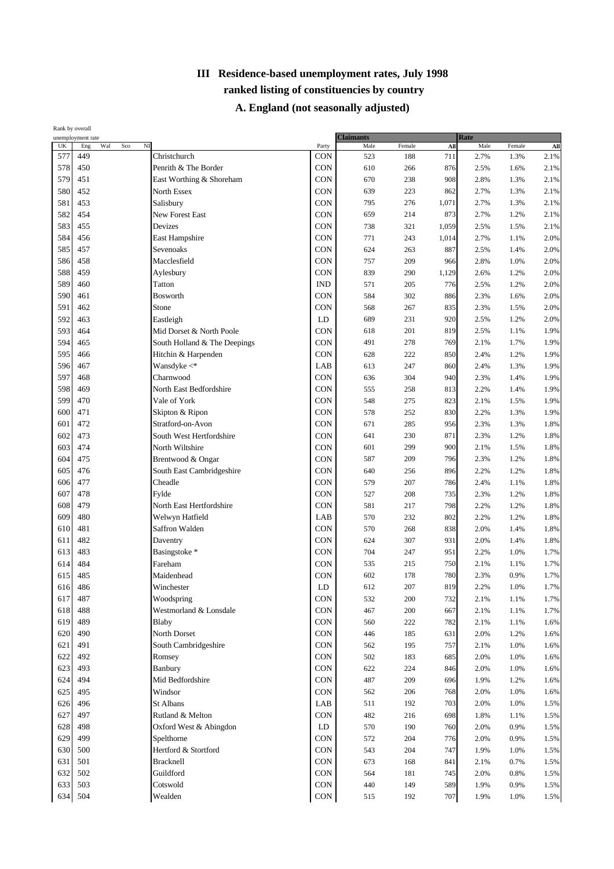|                                 | Rank by overall<br>unemployment rate |                              |            | <b>Claimants</b> |        |       | Rate |        |      |
|---------------------------------|--------------------------------------|------------------------------|------------|------------------|--------|-------|------|--------|------|
| $\ensuremath{\text{UK}}\xspace$ | $_{\rm NI}$<br>Wal<br>Sco<br>Eng     |                              | Party      | Male             | Female | AII   | Male | Female | AII  |
| 577                             | 449                                  | Christchurch                 | <b>CON</b> | 523              | 188    | 711   | 2.7% | 1.3%   | 2.1% |
| 578                             | 450                                  | Penrith & The Border         | <b>CON</b> | 610              | 266    | 876   | 2.5% | 1.6%   | 2.1% |
| 579                             | 451                                  | East Worthing & Shoreham     | <b>CON</b> | 670              | 238    | 908   | 2.8% | 1.3%   | 2.1% |
| 580                             | 452                                  | North Essex                  | CON        | 639              | 223    | 862   | 2.7% | 1.3%   | 2.1% |
| 581                             | 453                                  | Salisbury                    | CON        | 795              | 276    | 1,071 | 2.7% | 1.3%   | 2.1% |
| 582                             | 454                                  | <b>New Forest East</b>       | CON        | 659              | 214    | 873   | 2.7% | 1.2%   | 2.1% |
| 583                             | 455                                  | Devizes                      | <b>CON</b> | 738              | 321    | 1,059 | 2.5% | 1.5%   | 2.1% |
| 584                             | 456                                  | East Hampshire               | CON        | 771              | 243    | 1,014 | 2.7% | 1.1%   | 2.0% |
| 585                             | 457                                  | Sevenoaks                    | CON        | 624              | 263    | 887   | 2.5% | 1.4%   | 2.0% |
| 586                             | 458                                  | Macclesfield                 | CON        | 757              | 209    | 966   | 2.8% | 1.0%   | 2.0% |
| 588                             | 459                                  | Aylesbury                    | CON        | 839              | 290    | 1,129 | 2.6% | 1.2%   | 2.0% |
| 589                             | 460                                  | Tatton                       | <b>IND</b> | 571              | 205    | 776   | 2.5% | 1.2%   | 2.0% |
| 590                             | 461                                  | Bosworth                     | CON        | 584              | 302    | 886   | 2.3% | 1.6%   | 2.0% |
| 591                             | 462                                  | Stone                        | CON        | 568              | 267    | 835   | 2.3% | 1.5%   | 2.0% |
| 592                             | 463                                  | Eastleigh                    | LD         | 689              | 231    | 920   | 2.5% | 1.2%   | 2.0% |
| 593                             | 464                                  | Mid Dorset & North Poole     | <b>CON</b> | 618              | 201    | 819   | 2.5% | 1.1%   | 1.9% |
| 594                             | 465                                  | South Holland & The Deepings | CON        | 491              | 278    | 769   | 2.1% | 1.7%   | 1.9% |
| 595                             | 466                                  | Hitchin & Harpenden          | CON        | 628              | 222    | 850   | 2.4% | 1.2%   | 1.9% |
| 596                             | 467                                  | Wansdyke $\lt^*$             | LAB        | 613              | 247    | 860   | 2.4% | 1.3%   | 1.9% |
| 597                             | 468                                  | Charnwood                    | CON        | 636              | 304    | 940   | 2.3% | 1.4%   | 1.9% |
| 598                             | 469                                  | North East Bedfordshire      | CON        | 555              | 258    | 813   | 2.2% | 1.4%   | 1.9% |
| 599                             | 470                                  | Vale of York                 | <b>CON</b> | 548              | 275    | 823   | 2.1% | 1.5%   | 1.9% |
| 600                             | 471                                  | Skipton & Ripon              | <b>CON</b> | 578              | 252    | 830   | 2.2% | 1.3%   | 1.9% |
| 601                             | 472                                  | Stratford-on-Avon            | <b>CON</b> | 671              | 285    | 956   | 2.3% | 1.3%   | 1.8% |
| 602                             | 473                                  | South West Hertfordshire     | CON        | 641              | 230    | 871   | 2.3% | 1.2%   | 1.8% |
| 603                             | 474                                  | North Wiltshire              | CON        | 601              | 299    | 900   | 2.1% | 1.5%   | 1.8% |
| 604                             | 475                                  | Brentwood & Ongar            | CON        | 587              | 209    | 796   | 2.3% | 1.2%   | 1.8% |
| 605                             | 476                                  | South East Cambridgeshire    | <b>CON</b> | 640              | 256    | 896   | 2.2% | 1.2%   | 1.8% |
| 606                             | 477                                  | Cheadle                      | CON        | 579              | 207    | 786   | 2.4% | 1.1%   | 1.8% |
| 607                             | 478                                  | Fylde                        | <b>CON</b> | 527              | 208    | 735   | 2.3% | 1.2%   | 1.8% |
| 608                             | 479                                  | North East Hertfordshire     | CON        | 581              | 217    | 798   | 2.2% | 1.2%   | 1.8% |
| 609                             | 480                                  | Welwyn Hatfield              | LAB        | 570              | 232    | 802   | 2.2% | 1.2%   | 1.8% |
| 610                             | 481                                  | Saffron Walden               | CON        | 570              | 268    | 838   | 2.0% | 1.4%   | 1.8% |
| 611                             | 482                                  | Daventry                     | <b>CON</b> | 624              | 307    | 931   | 2.0% | 1.4%   | 1.8% |
| 613                             | 483                                  | Basingstoke *                | CON        | 704              | 247    | 951   | 2.2% | 1.0%   | 1.7% |
| 614                             | 484                                  | Fareham                      | CON        | 535              | 215    | 750   | 2.1% | 1.1%   | 1.7% |
| 615                             | 485                                  | Maidenhead                   | <b>CON</b> | 602              | 178    | 780   | 2.3% | 0.9%   | 1.7% |
| 616                             | 486                                  | Winchester                   | ${\rm LD}$ | 612              | 207    | 819   | 2.2% | 1.0%   | 1.7% |
| 617                             | 487                                  | Woodspring                   | CON        | 532              | 200    | 732   | 2.1% | 1.1%   | 1.7% |
| 618                             | 488                                  | Westmorland & Lonsdale       | <b>CON</b> | 467              | 200    | 667   | 2.1% | 1.1%   | 1.7% |
| 619                             | 489                                  | Blaby                        | <b>CON</b> | 560              | 222    | 782   | 2.1% | 1.1%   | 1.6% |
| 620                             | 490                                  | North Dorset                 | CON        | 446              | 185    | 631   | 2.0% | 1.2%   | 1.6% |
| 621                             | 491                                  | South Cambridgeshire         | <b>CON</b> | 562              | 195    | 757   | 2.1% | 1.0%   | 1.6% |
| 622                             | 492                                  | Romsey                       | CON        | 502              | 183    | 685   | 2.0% | 1.0%   | 1.6% |
| 623                             | 493                                  | Banbury                      | <b>CON</b> | 622              | 224    | 846   | 2.0% | 1.0%   | 1.6% |
| 624                             | 494                                  | Mid Bedfordshire             | <b>CON</b> | 487              | 209    | 696   | 1.9% | 1.2%   | 1.6% |
| 625                             | 495                                  | Windsor                      | CON        | 562              | 206    | 768   | 2.0% | 1.0%   | 1.6% |
| 626                             | 496                                  | St Albans                    | LAB        | 511              | 192    | 703   | 2.0% | 1.0%   | 1.5% |
| 627                             | 497                                  | Rutland & Melton             | <b>CON</b> | 482              | 216    | 698   | 1.8% | 1.1%   | 1.5% |
| 628                             | 498                                  | Oxford West & Abingdon       | LD         | 570              | 190    | 760   | 2.0% | 0.9%   | 1.5% |
| 629                             | 499                                  | Spelthorne                   | <b>CON</b> | 572              | 204    | 776   | 2.0% | 0.9%   | 1.5% |
| 630                             | 500                                  | Hertford & Stortford         | CON        | 543              | 204    | 747   | 1.9% | 1.0%   | 1.5% |
| 631                             | 501                                  | <b>Bracknell</b>             | <b>CON</b> | 673              | 168    | 841   | 2.1% | 0.7%   | 1.5% |
| 632                             | 502                                  | Guildford                    | <b>CON</b> | 564              | 181    | 745   | 2.0% | 0.8%   | 1.5% |
| 633                             | 503                                  | Cotswold                     | CON        | 440              | 149    | 589   | 1.9% | 0.9%   | 1.5% |
| 634                             | 504                                  | Wealden                      | CON        | 515              | 192    | 707   | 1.9% | 1.0%   | 1.5% |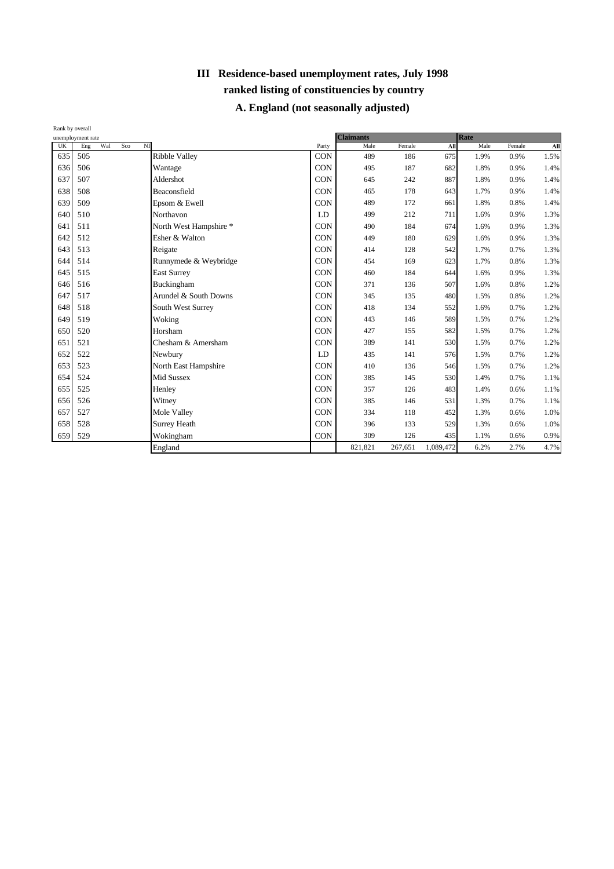| Rank by overall |                                     |                        |            |                  |         |           |      |        |      |
|-----------------|-------------------------------------|------------------------|------------|------------------|---------|-----------|------|--------|------|
|                 | unemployment rate                   |                        |            | <b>Claimants</b> |         |           | Rate |        |      |
| UK              | Wal<br>N <sub>I</sub><br>Eng<br>Sco |                        | Party      | Male             | Female  | All       | Male | Female | All  |
| 635             | 505                                 | <b>Ribble Valley</b>   | <b>CON</b> | 489              | 186     | 675       | 1.9% | 0.9%   | 1.5% |
| 636             | 506                                 | Wantage                | <b>CON</b> | 495              | 187     | 682       | 1.8% | 0.9%   | 1.4% |
| 637             | 507                                 | Aldershot              | <b>CON</b> | 645              | 242     | 887       | 1.8% | 0.9%   | 1.4% |
| 638             | 508                                 | Beaconsfield           | <b>CON</b> | 465              | 178     | 643       | 1.7% | 0.9%   | 1.4% |
| 639             | 509                                 | Epsom & Ewell          | <b>CON</b> | 489              | 172     | 661       | 1.8% | 0.8%   | 1.4% |
| 640             | 510                                 | Northavon              | LD         | 499              | 212     | 711       | 1.6% | 0.9%   | 1.3% |
| 641             | 511                                 | North West Hampshire * | CON        | 490              | 184     | 674       | 1.6% | 0.9%   | 1.3% |
| 642             | 512                                 | Esher & Walton         | <b>CON</b> | 449              | 180     | 629       | 1.6% | 0.9%   | 1.3% |
| 643             | 513                                 | Reigate                | <b>CON</b> | 414              | 128     | 542       | 1.7% | 0.7%   | 1.3% |
| 644             | 514                                 | Runnymede & Weybridge  | <b>CON</b> | 454              | 169     | 623       | 1.7% | 0.8%   | 1.3% |
| 645             | 515                                 | <b>East Surrey</b>     | CON        | 460              | 184     | 644       | 1.6% | 0.9%   | 1.3% |
| 646             | 516                                 | Buckingham             | <b>CON</b> | 371              | 136     | 507       | 1.6% | 0.8%   | 1.2% |
| 647             | 517                                 | Arundel & South Downs  | <b>CON</b> | 345              | 135     | 480       | 1.5% | 0.8%   | 1.2% |
| 648             | 518                                 | South West Surrey      | <b>CON</b> | 418              | 134     | 552       | 1.6% | 0.7%   | 1.2% |
| 649             | 519                                 | Woking                 | <b>CON</b> | 443              | 146     | 589       | 1.5% | 0.7%   | 1.2% |
| 650             | 520                                 | Horsham                | <b>CON</b> | 427              | 155     | 582       | 1.5% | 0.7%   | 1.2% |
| 651             | 521                                 | Chesham & Amersham     | <b>CON</b> | 389              | 141     | 530       | 1.5% | 0.7%   | 1.2% |
| 652             | 522                                 | Newbury                | LD         | 435              | 141     | 576       | 1.5% | 0.7%   | 1.2% |
| 653             | 523                                 | North East Hampshire   | <b>CON</b> | 410              | 136     | 546       | 1.5% | 0.7%   | 1.2% |
| 654             | 524                                 | <b>Mid Sussex</b>      | CON        | 385              | 145     | 530       | 1.4% | 0.7%   | 1.1% |
| 655             | 525                                 | Henley                 | <b>CON</b> | 357              | 126     | 483       | 1.4% | 0.6%   | 1.1% |
| 656             | 526                                 | Witney                 | <b>CON</b> | 385              | 146     | 531       | 1.3% | 0.7%   | 1.1% |
| 657             | 527                                 | Mole Valley            | CON        | 334              | 118     | 452       | 1.3% | 0.6%   | 1.0% |
| 658             | 528                                 | Surrey Heath           | <b>CON</b> | 396              | 133     | 529       | 1.3% | 0.6%   | 1.0% |
| 659             | 529                                 | Wokingham              | <b>CON</b> | 309              | 126     | 435       | 1.1% | 0.6%   | 0.9% |
|                 |                                     | England                |            | 821,821          | 267,651 | 1,089,472 | 6.2% | 2.7%   | 4.7% |
|                 |                                     |                        |            |                  |         |           |      |        |      |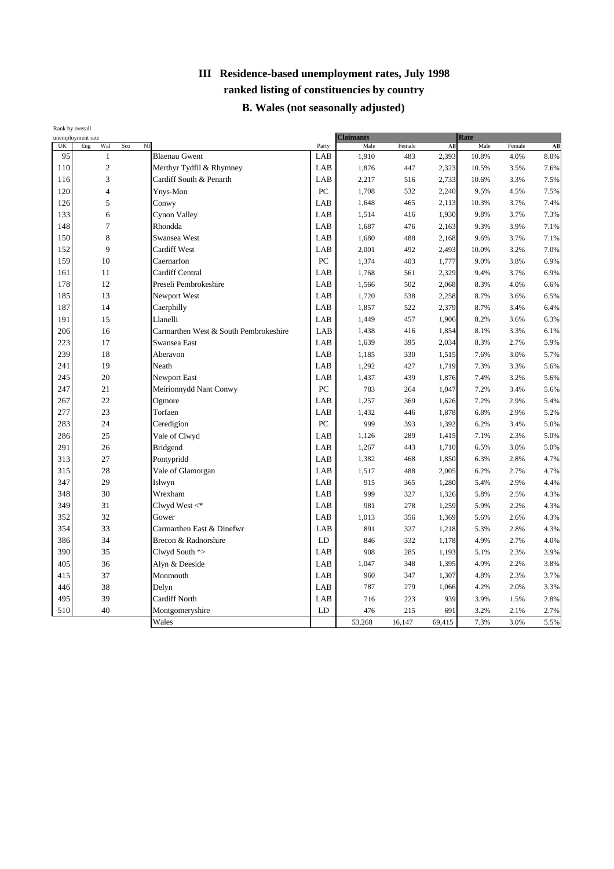#### **B. Wales (not seasonally adjusted)**

| Rank by overall |                                 |                       |                                       |       |                          |        |        |              |        |      |
|-----------------|---------------------------------|-----------------------|---------------------------------------|-------|--------------------------|--------|--------|--------------|--------|------|
| UK              | unemployment rate<br>Wal<br>Eng | $\overline{M}$<br>Sco |                                       | Party | <b>Claimants</b><br>Male | Female | All    | Rate<br>Male | Female | All  |
| 95              | $\mathbf{1}$                    |                       | <b>Blaenau Gwent</b>                  | LAB   | 1,910                    | 483    | 2,393  | 10.8%        | 4.0%   | 8.0% |
| 110             | $\overline{c}$                  |                       | Merthyr Tydfil & Rhymney              | LAB   | 1,876                    | 447    | 2,323  | 10.5%        | 3.5%   | 7.6% |
| 116             | 3                               |                       | Cardiff South & Penarth               | LAB   | 2,217                    | 516    | 2,733  | 10.6%        | 3.3%   | 7.5% |
| 120             | $\overline{4}$                  |                       | Ynys-Mon                              | PC    | 1,708                    | 532    | 2,240  | 9.5%         | 4.5%   | 7.5% |
| 126             | 5                               |                       | Conwy                                 | LAB   | 1,648                    | 465    | 2,113  | 10.3%        | 3.7%   | 7.4% |
| 133             | 6                               |                       | Cynon Valley                          | LAB   | 1,514                    | 416    | 1,930  | 9.8%         | 3.7%   | 7.3% |
| 148             | $\tau$                          |                       | Rhondda                               | LAB   | 1,687                    | 476    | 2,163  | 9.3%         | 3.9%   | 7.1% |
| 150             | $\,$ 8 $\,$                     |                       | Swansea West                          | LAB   | 1,680                    | 488    | 2,168  | 9.6%         | 3.7%   | 7.1% |
| 152             | 9                               |                       | <b>Cardiff West</b>                   | LAB   | 2,001                    | 492    | 2,493  | 10.0%        | 3.2%   | 7.0% |
| 159             | 10                              |                       | Caernarfon                            | PC    | 1,374                    | 403    | 1,777  | 9.0%         | 3.8%   | 6.9% |
| 161             | 11                              |                       | <b>Cardiff Central</b>                | LAB   | 1,768                    | 561    | 2,329  | 9.4%         | 3.7%   | 6.9% |
| 178             | 12                              |                       | Preseli Pembrokeshire                 | LAB   | 1,566                    | 502    | 2,068  | 8.3%         | 4.0%   | 6.6% |
| 185             | 13                              |                       | Newport West                          | LAB   | 1,720                    | 538    | 2,258  | 8.7%         | 3.6%   | 6.5% |
| 187             | 14                              |                       | Caerphilly                            | LAB   | 1,857                    | 522    | 2,379  | 8.7%         | 3.4%   | 6.4% |
| 191             | 15                              |                       | Llanelli                              | LAB   | 1,449                    | 457    | 1,906  | 8.2%         | 3.6%   | 6.3% |
| 206             | 16                              |                       | Carmarthen West & South Pembrokeshire | LAB   | 1,438                    | 416    | 1,854  | 8.1%         | 3.3%   | 6.1% |
| 223             | 17                              |                       | Swansea East                          | LAB   | 1,639                    | 395    | 2,034  | 8.3%         | 2.7%   | 5.9% |
| 239             | 18                              |                       | Aberavon                              | LAB   | 1,185                    | 330    | 1,515  | 7.6%         | 3.0%   | 5.7% |
| 241             | 19                              |                       | Neath                                 | LAB   | 1,292                    | 427    | 1,719  | 7.3%         | 3.3%   | 5.6% |
| 245             | 20                              |                       | <b>Newport East</b>                   | LAB   | 1,437                    | 439    | 1,876  | 7.4%         | 3.2%   | 5.6% |
| 247             | 21                              |                       | Meirionnydd Nant Conwy                | PC    | 783                      | 264    | 1,047  | 7.2%         | 3.4%   | 5.6% |
| 267             | 22                              |                       | Ogmore                                | LAB   | 1,257                    | 369    | 1,626  | 7.2%         | 2.9%   | 5.4% |
| 277             | 23                              |                       | Torfaen                               | LAB   | 1,432                    | 446    | 1,878  | 6.8%         | 2.9%   | 5.2% |
| 283             | 24                              |                       | Ceredigion                            | PC    | 999                      | 393    | 1,392  | 6.2%         | 3.4%   | 5.0% |
| 286             | 25                              |                       | Vale of Clwyd                         | LAB   | 1,126                    | 289    | 1,415  | 7.1%         | 2.3%   | 5.0% |
| 291             | 26                              |                       | <b>Bridgend</b>                       | LAB   | 1,267                    | 443    | 1,710  | 6.5%         | 3.0%   | 5.0% |
| 313             | 27                              |                       | Pontypridd                            | LAB   | 1,382                    | 468    | 1,850  | 6.3%         | 2.8%   | 4.7% |
| 315             | 28                              |                       | Vale of Glamorgan                     | LAB   | 1,517                    | 488    | 2,005  | 6.2%         | 2.7%   | 4.7% |
| 347             | 29                              |                       | Islwyn                                | LAB   | 915                      | 365    | 1,280  | 5.4%         | 2.9%   | 4.4% |
| 348             | 30                              |                       | Wrexham                               | LAB   | 999                      | 327    | 1,326  | 5.8%         | 2.5%   | 4.3% |
| 349             | 31                              |                       | Clwyd West $\lt^*$                    | LAB   | 981                      | 278    | 1,259  | 5.9%         | 2.2%   | 4.3% |
| 352             | 32                              |                       | Gower                                 | LAB   | 1,013                    | 356    | 1,369  | 5.6%         | 2.6%   | 4.3% |
| 354             | 33                              |                       | Carmarthen East & Dinefwr             | LAB   | 891                      | 327    | 1,218  | 5.3%         | 2.8%   | 4.3% |
| 386             | 34                              |                       | Brecon & Radnorshire                  | LD    | 846                      | 332    | 1,178  | 4.9%         | 2.7%   | 4.0% |
| 390             | 35                              |                       | Clwyd South *>                        | LAB   | 908                      | 285    | 1,193  | 5.1%         | 2.3%   | 3.9% |
| 405             | 36                              |                       | Alyn & Deeside                        | LAB   | 1,047                    | 348    | 1,395  | 4.9%         | 2.2%   | 3.8% |
| 415             | 37                              |                       | Monmouth                              | LAB   | 960                      | 347    | 1,307  | 4.8%         | 2.3%   | 3.7% |
| 446             | 38                              |                       | Delyn                                 | LAB   | 787                      | 279    | 1,066  | 4.2%         | 2.0%   | 3.3% |
| 495             | 39                              |                       | <b>Cardiff North</b>                  | LAB   | 716                      | 223    | 939    | 3.9%         | 1.5%   | 2.8% |
| 510             | 40                              |                       | Montgomeryshire                       | LD    | 476                      | 215    | 691    | 3.2%         | 2.1%   | 2.7% |
|                 |                                 |                       | Wales                                 |       | 53,268                   | 16,147 | 69,415 | 7.3%         | 3.0%   | 5.5% |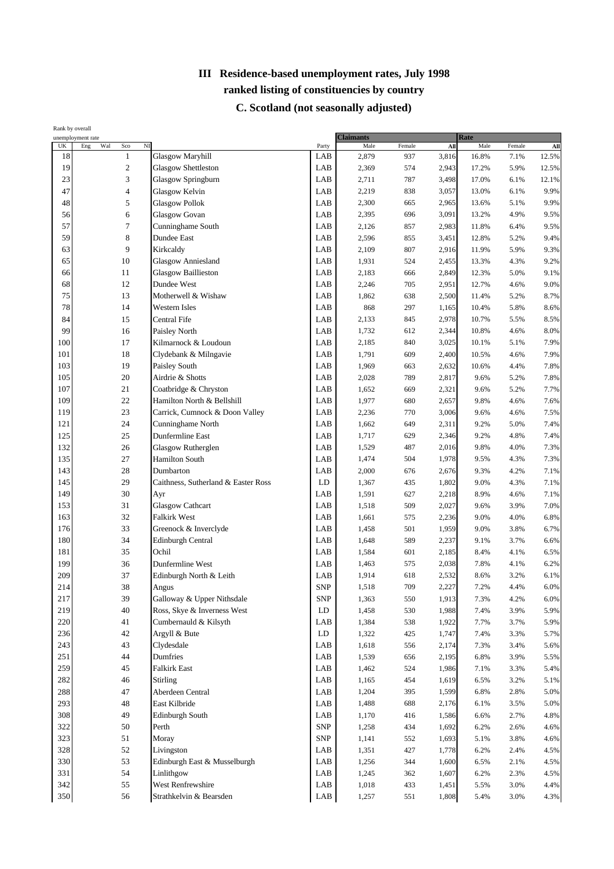## **C. Scotland (not seasonally adjusted)**

|     | Rank by overall<br>unemployment rate        |                                     |            | <b>Claimants</b> |        |                 | Rate  |              |                |
|-----|---------------------------------------------|-------------------------------------|------------|------------------|--------|-----------------|-------|--------------|----------------|
| UK  | $\rm N\hspace{-.1em}I$<br>Eng<br>Wal<br>Sco |                                     | Party      | Male             | Female | A <sub>II</sub> | Male  | Female       | $\mathbf{All}$ |
| 18  | $\mathbf{1}$                                | <b>Glasgow Maryhill</b>             | LAB        | 2,879            | 937    | 3,816           | 16.8% | 7.1%         | 12.5%          |
| 19  | $\sqrt{2}$                                  | <b>Glasgow Shettleston</b>          | LAB        | 2,369            | 574    | 2,943           | 17.2% | 5.9%         | 12.5%          |
| 23  | 3                                           | Glasgow Springburn                  | LAB        | 2,711            | 787    | 3,498           | 17.0% | 6.1%         | 12.1%          |
| 47  | 4                                           | Glasgow Kelvin                      | LAB        | 2,219            | 838    | 3,057           | 13.0% | 6.1%         | 9.9%           |
| 48  | 5                                           | <b>Glasgow Pollok</b>               | LAB        | 2,300            | 665    | 2,965           | 13.6% | 5.1%         | 9.9%           |
| 56  | 6                                           | <b>Glasgow Govan</b>                | LAB        | 2,395            | 696    | 3,091           | 13.2% | 4.9%         | 9.5%           |
| 57  | 7                                           | Cunninghame South                   | LAB        | 2,126            | 857    | 2,983           | 11.8% | 6.4%         | 9.5%           |
| 59  | 8                                           | Dundee East                         | LAB        | 2,596            | 855    | 3,451           | 12.8% | 5.2%         | 9.4%           |
| 63  | 9                                           | Kirkcaldy                           | LAB        | 2,109            | 807    | 2,916           | 11.9% | 5.9%         | 9.3%           |
| 65  | 10                                          | <b>Glasgow Anniesland</b>           | LAB        | 1,931            | 524    | 2,455           | 13.3% | 4.3%         | 9.2%           |
| 66  | 11                                          | <b>Glasgow Baillieston</b>          | LAB        | 2,183            | 666    | 2,849           | 12.3% | 5.0%         | 9.1%           |
| 68  | 12                                          | Dundee West                         | LAB        | 2,246            | 705    | 2,951           | 12.7% | 4.6%         | 9.0%           |
| 75  | 13                                          | Motherwell & Wishaw                 | LAB        | 1,862            | 638    | 2,500           | 11.4% | 5.2%         | 8.7%           |
| 78  | 14                                          | Western Isles                       | LAB        | 868              | 297    | 1,165           | 10.4% | 5.8%         | 8.6%           |
| 84  | 15                                          | Central Fife                        | LAB        | 2,133            | 845    | 2,978           | 10.7% | 5.5%         | 8.5%           |
| 99  | 16                                          | Paisley North                       | LAB        | 1,732            | 612    | 2,344           | 10.8% | 4.6%         | 8.0%           |
| 100 | 17                                          | Kilmarnock & Loudoun                | LAB        | 2,185            | 840    | 3,025           | 10.1% | 5.1%         | 7.9%           |
| 101 | 18                                          | Clydebank & Milngavie               | LAB        | 1,791            | 609    | 2,400           | 10.5% | 4.6%         | 7.9%           |
| 103 | 19                                          | Paisley South                       | LAB        | 1,969            | 663    | 2,632           | 10.6% | 4.4%         | 7.8%           |
| 105 | 20                                          | Airdrie & Shotts                    | LAB        | 2,028            | 789    | 2,817           | 9.6%  | 5.2%         | 7.8%           |
| 107 | 21                                          | Coatbridge & Chryston               | LAB        | 1,652            | 669    | 2,321           | 9.6%  | 5.2%         | 7.7%           |
| 109 | 22                                          | Hamilton North & Bellshill          | LAB        | 1,977            | 680    | 2,657           | 9.8%  | 4.6%         | 7.6%           |
| 119 | 23                                          | Carrick, Cumnock & Doon Valley      | LAB        | 2,236            | 770    | 3,006           | 9.6%  | 4.6%         | 7.5%           |
| 121 | 24                                          | Cunninghame North                   | LAB        | 1,662            | 649    | 2,311           | 9.2%  | 5.0%         | 7.4%           |
| 125 | 25                                          | Dunfermline East                    | LAB        | 1,717            | 629    | 2,346           | 9.2%  | 4.8%         | 7.4%           |
| 132 | 26                                          | Glasgow Rutherglen                  | LAB        | 1,529            | 487    | 2,016           | 9.8%  | 4.0%         | 7.3%           |
| 135 | 27                                          | <b>Hamilton South</b>               | LAB        | 1,474            | 504    | 1,978           | 9.5%  | 4.3%         | 7.3%           |
| 143 | 28                                          | Dumbarton                           | LAB        | 2,000            | 676    | 2,676           | 9.3%  | 4.2%         | 7.1%           |
| 145 | 29                                          | Caithness, Sutherland & Easter Ross | LD         | 1,367            | 435    | 1,802           | 9.0%  | 4.3%         | 7.1%           |
| 149 | 30                                          | Ayr                                 | LAB        | 1,591            | 627    | 2,218           | 8.9%  | 4.6%         | 7.1%           |
| 153 | 31                                          | <b>Glasgow Cathcart</b>             | LAB        | 1,518            | 509    | 2,027           | 9.6%  | 3.9%         | 7.0%           |
| 163 | 32                                          | Falkirk West                        | LAB        | 1,661            | 575    | 2,236           | 9.0%  | 4.0%         | 6.8%           |
| 176 | 33                                          | Greenock & Inverclyde               | LAB        | 1,458            | 501    | 1,959           | 9.0%  | 3.8%         | 6.7%           |
| 180 | 34                                          | Edinburgh Central                   | LAB        | 1,648            | 589    | 2,237           | 9.1%  | 3.7%         | 6.6%           |
| 181 | 35                                          | Ochil                               | LAB        | 1,584            | 601    | 2,185           | 8.4%  | 4.1%         | 6.5%           |
| 199 | 36                                          | Dunfermline West                    | LAB        | 1,463            | 575    | 2,038           | 7.8%  | 4.1%         | 6.2%           |
| 209 | 37                                          | Edinburgh North & Leith             | LAB        | 1,914            | 618    | 2,532           | 8.6%  | 3.2%         | 6.1%           |
| 214 | 38                                          | Angus                               | <b>SNP</b> | 1,518            | 709    | 2,227           | 7.2%  | 4.4%         | 6.0%           |
| 217 | 39                                          | Galloway & Upper Nithsdale          | <b>SNP</b> | 1,363            | 550    | 1,913           | 7.3%  | 4.2%         | 6.0%           |
| 219 | 40                                          | Ross, Skye & Inverness West         | LD         | 1,458            | 530    | 1,988           | 7.4%  | 3.9%         | 5.9%           |
| 220 | 41                                          | Cumbernauld & Kilsyth               | LAB        | 1,384            | 538    | 1,922           | 7.7%  | 3.7%         | 5.9%           |
| 236 | 42                                          | Argyll & Bute                       | LD         | 1,322            | 425    | 1,747           | 7.4%  | 3.3%         | 5.7%           |
| 243 | 43                                          | Clydesdale                          | LAB        | 1,618            | 556    | 2,174           | 7.3%  | 3.4%         | 5.6%           |
| 251 | 44                                          | Dumfries                            | LAB        | 1,539            | 656    | 2,195           | 6.8%  | 3.9%         | 5.5%           |
| 259 | 45                                          | <b>Falkirk East</b>                 | LAB        | 1,462            | 524    | 1,986           | 7.1%  | 3.3%         | 5.4%           |
| 282 | 46                                          | <b>Stirling</b>                     | LAB        | 1,165            | 454    | 1,619           | 6.5%  | 3.2%         | 5.1%           |
| 288 | 47                                          | Aberdeen Central                    | LAB        | 1,204            | 395    | 1,599           | 6.8%  | 2.8%         | 5.0%           |
| 293 | 48                                          | East Kilbride                       | LAB        | 1,488            | 688    | 2,176           | 6.1%  | 3.5%         | 5.0%           |
| 308 | 49                                          | Edinburgh South                     | LAB        | 1,170            | 416    | 1,586           | 6.6%  | 2.7%         | 4.8%           |
| 322 | 50                                          | Perth                               | <b>SNP</b> | 1,258            | 434    | 1,692           | 6.2%  | 2.6%         | 4.6%           |
| 323 | 51                                          | Moray                               | <b>SNP</b> | 1,141            | 552    | 1,693           | 5.1%  | 3.8%         | 4.6%           |
| 328 | 52                                          | Livingston                          | LAB        | 1,351            | 427    | 1,778           | 6.2%  | 2.4%         | 4.5%           |
| 330 | 53                                          | Edinburgh East & Musselburgh        | LAB        | 1,256            | 344    | 1,600           | 6.5%  | 2.1%         | 4.5%           |
| 331 | 54                                          | Linlithgow                          | LAB        |                  |        |                 |       |              | 4.5%           |
| 342 | 55                                          | West Renfrewshire                   | LAB        | 1,245            | 362    | 1,607           | 6.2%  | 2.3%<br>3.0% | 4.4%           |
| 350 | 56                                          | Strathkelvin & Bearsden             | LAB        | 1,018            | 433    | 1,451           | 5.5%  |              |                |
|     |                                             |                                     |            | 1,257            | 551    | 1,808           | 5.4%  | 3.0%         | 4.3%           |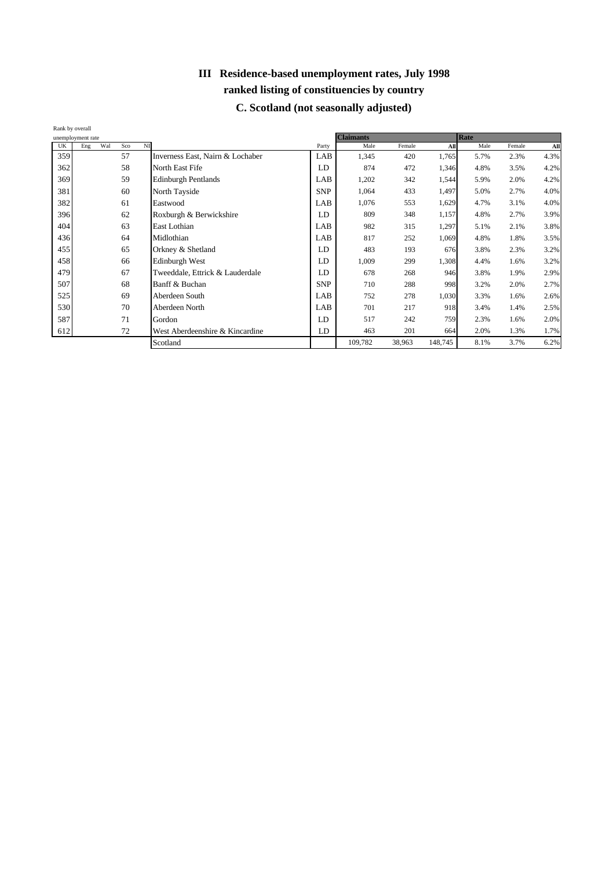| Rank by overall | unemployment rate |     |                                  |            | <b>Claimants</b> |        |         | Rate |        |      |
|-----------------|-------------------|-----|----------------------------------|------------|------------------|--------|---------|------|--------|------|
| UK              | Wal<br>Eng        | Sco | NI                               | Party      | Male             | Female | All     | Male | Female | All  |
| 359             |                   | 57  | Inverness East, Nairn & Lochaber | LAB        | 1,345            | 420    | 1,765   | 5.7% | 2.3%   | 4.3% |
| 362             |                   | 58  | North East Fife                  | LD         | 874              | 472    | 1,346   | 4.8% | 3.5%   | 4.2% |
| 369             |                   | 59  | <b>Edinburgh Pentlands</b>       | LAB        | 1,202            | 342    | 1,544   | 5.9% | 2.0%   | 4.2% |
| 381             |                   | 60  | North Tayside                    | <b>SNP</b> | 1,064            | 433    | 1,497   | 5.0% | 2.7%   | 4.0% |
| 382             |                   | 61  | Eastwood                         | LAB        | 1,076            | 553    | 1,629   | 4.7% | 3.1%   | 4.0% |
| 396             |                   | 62  | Roxburgh & Berwickshire          | LD         | 809              | 348    | 1,157   | 4.8% | 2.7%   | 3.9% |
| 404             |                   | 63  | East Lothian                     | LAB        | 982              | 315    | 1,297   | 5.1% | 2.1%   | 3.8% |
| 436             |                   | 64  | Midlothian                       | LAB        | 817              | 252    | 1,069   | 4.8% | 1.8%   | 3.5% |
| 455             |                   | 65  | Orkney & Shetland                | LD         | 483              | 193    | 676     | 3.8% | 2.3%   | 3.2% |
| 458             |                   | 66  | Edinburgh West                   | LD         | 1,009            | 299    | 1,308   | 4.4% | 1.6%   | 3.2% |
| 479             |                   | 67  | Tweeddale, Ettrick & Lauderdale  | LD         | 678              | 268    | 946     | 3.8% | 1.9%   | 2.9% |
| 507             |                   | 68  | Banff & Buchan                   | <b>SNP</b> | 710              | 288    | 998     | 3.2% | 2.0%   | 2.7% |
| 525             |                   | 69  | Aberdeen South                   | LAB        | 752              | 278    | 1,030   | 3.3% | 1.6%   | 2.6% |
| 530             |                   | 70  | Aberdeen North                   | LAB        | 701              | 217    | 918     | 3.4% | 1.4%   | 2.5% |
| 587             |                   | 71  | Gordon                           | LD         | 517              | 242    | 759     | 2.3% | 1.6%   | 2.0% |
| 612             |                   | 72  | West Aberdeenshire & Kincardine  | LD         | 463              | 201    | 664     | 2.0% | 1.3%   | 1.7% |
|                 |                   |     | Scotland                         |            | 109,782          | 38,963 | 148,745 | 8.1% | 3.7%   | 6.2% |

## **C. Scotland (not seasonally adjusted)**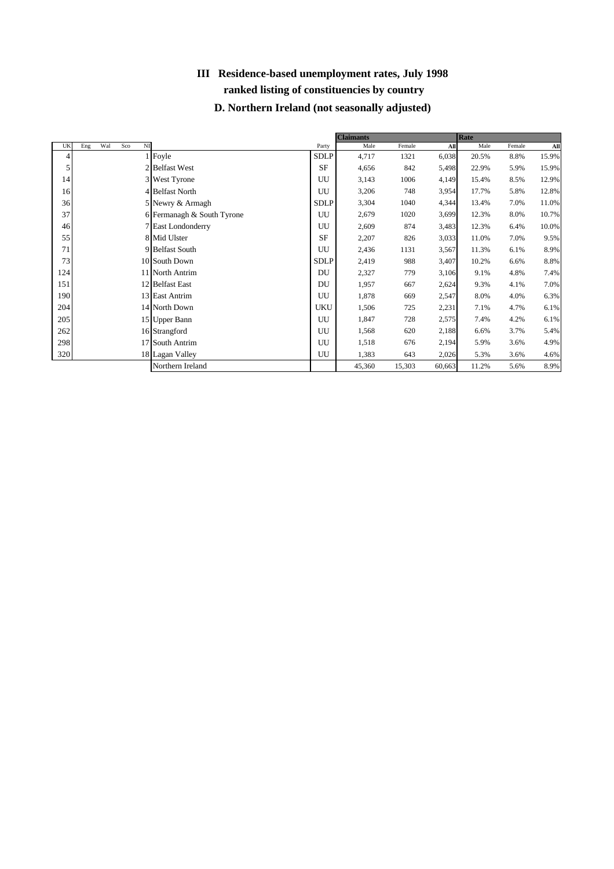## **III Residence-based unemployment rates, July 1998 ranked listing of constituencies by country D. Northern Ireland (not seasonally adjusted)**

|     |                                     |                            |             | <b>Claimants</b> |        |        | Rate  |        |       |
|-----|-------------------------------------|----------------------------|-------------|------------------|--------|--------|-------|--------|-------|
| UK  | N <sub>I</sub><br>Wal<br>Eng<br>Sco |                            | Party       | Male             | Female | All    | Male  | Female | All   |
| 4   |                                     | 1 Foyle                    | <b>SDLP</b> | 4,717            | 1321   | 6,038  | 20.5% | 8.8%   | 15.9% |
| 5   |                                     | 2 Belfast West             | <b>SF</b>   | 4,656            | 842    | 5,498  | 22.9% | 5.9%   | 15.9% |
| 14  |                                     | 3 West Tyrone              | UU          | 3,143            | 1006   | 4,149  | 15.4% | 8.5%   | 12.9% |
| 16  |                                     | 4 Belfast North            | UU          | 3,206            | 748    | 3,954  | 17.7% | 5.8%   | 12.8% |
| 36  |                                     | 5 Newry & Armagh           | SDLP        | 3,304            | 1040   | 4,344  | 13.4% | 7.0%   | 11.0% |
| 37  |                                     | 6 Fermanagh & South Tyrone | UU          | 2,679            | 1020   | 3,699  | 12.3% | 8.0%   | 10.7% |
| 46  |                                     | 7 East Londonderry         | UU          | 2,609            | 874    | 3,483  | 12.3% | 6.4%   | 10.0% |
| 55  |                                     | 8 Mid Ulster               | <b>SF</b>   | 2,207            | 826    | 3,033  | 11.0% | 7.0%   | 9.5%  |
| 71  |                                     | 9 Belfast South            | UU          | 2,436            | 1131   | 3,567  | 11.3% | 6.1%   | 8.9%  |
| 73  |                                     | 10 South Down              | <b>SDLP</b> | 2,419            | 988    | 3,407  | 10.2% | 6.6%   | 8.8%  |
| 124 |                                     | 11 North Antrim            | DU          | 2,327            | 779    | 3,106  | 9.1%  | 4.8%   | 7.4%  |
| 151 |                                     | 12 Belfast East            | DU          | 1,957            | 667    | 2,624  | 9.3%  | 4.1%   | 7.0%  |
| 190 |                                     | 13 East Antrim             | UU          | 1,878            | 669    | 2,547  | 8.0%  | 4.0%   | 6.3%  |
| 204 |                                     | 14 North Down              | <b>UKU</b>  | 1,506            | 725    | 2,231  | 7.1%  | 4.7%   | 6.1%  |
| 205 |                                     | 15 Upper Bann              | UU          | 1,847            | 728    | 2,575  | 7.4%  | 4.2%   | 6.1%  |
| 262 |                                     | 16 Strangford              | UU          | 1,568            | 620    | 2,188  | 6.6%  | 3.7%   | 5.4%  |
| 298 |                                     | 17 South Antrim            | UU          | 1,518            | 676    | 2,194  | 5.9%  | 3.6%   | 4.9%  |
| 320 |                                     | 18 Lagan Valley            | UU          | 1,383            | 643    | 2,026  | 5.3%  | 3.6%   | 4.6%  |
|     |                                     | Northern Ireland           |             | 45,360           | 15,303 | 60,663 | 11.2% | 5.6%   | 8.9%  |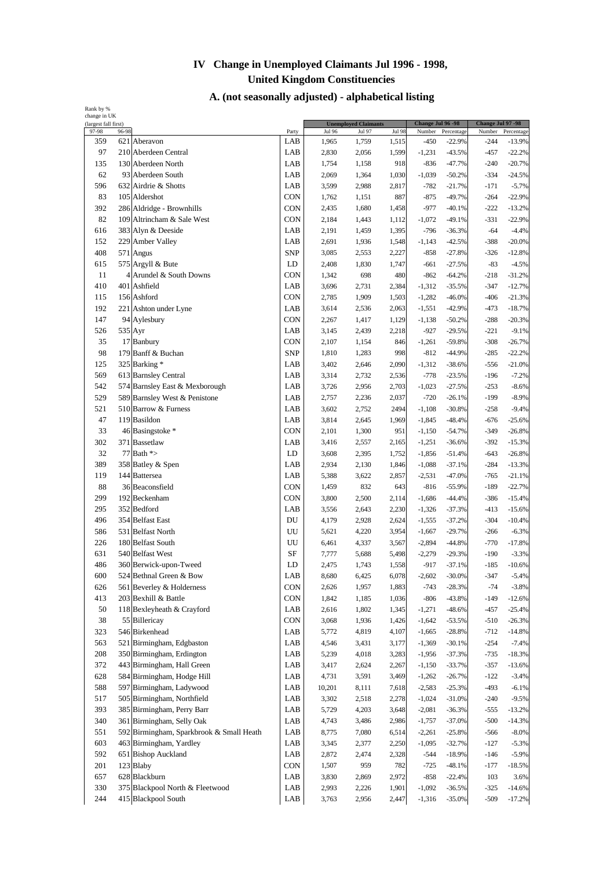| (largest fall first) |                                              |                   |                | <b>Unemployed Claimants</b> |                | Change Jul 96 - 98   |                      | Change Jul 97 -98 |                      |
|----------------------|----------------------------------------------|-------------------|----------------|-----------------------------|----------------|----------------------|----------------------|-------------------|----------------------|
| 97-98<br>359         | 96-98                                        | Party<br>LAB      | Jul 96         | Jul 97                      | Jul 98         | Number               | Percentage           | Number            | Percentage           |
|                      | 621 Aberavon                                 |                   | 1,965          | 1,759                       | 1,515          | -450                 | $-22.9%$             | -244              | $-13.9%$             |
| 97                   | 210 Aberdeen Central                         | LAB               | 2,830          | 2,056                       | 1,599          | $-1,231$             | $-43.5%$             | $-457$            | $-22.2%$             |
| 135                  | 130 Aberdeen North                           | LAB               | 1,754          | 1,158                       | 918            | $-836$               | $-47.7%$             | $-240$            | $-20.7%$             |
| 62                   | 93 Aberdeen South                            | LAB               | 2,069          | 1,364                       | 1,030          | $-1,039$             | $-50.2%$             | $-334$            | $-24.5%$             |
| 596                  | 632 Airdrie & Shotts                         | LAB               | 3,599          | 2,988                       | 2,817          | $-782$               | $-21.7%$             | $-171$            | $-5.7%$              |
| 83                   | 105 Aldershot                                | <b>CON</b>        | 1,762          | 1,151                       | 887            | $-875$               | $-49.7%$             | $-264$            | $-22.9%$             |
| 392                  | 286 Aldridge - Brownhills                    | <b>CON</b>        | 2,435          | 1,680                       | 1,458          | $-977$               | $-40.1%$             | $-222$            | $-13.2%$             |
| 82                   | 109 Altrincham & Sale West                   | CON               | 2,184          | 1,443                       | 1,112          | $-1,072$             | $-49.1%$             | $-331$            | $-22.9%$             |
| 616                  | 383 Alyn & Deeside                           | LAB               | 2,191          | 1,459                       | 1,395          | $-796$               | $-36.3%$             | $-64$             | $-4.4%$              |
| 152<br>408           | 229 Amber Valley                             | LAB<br><b>SNP</b> | 2,691          | 1,936                       | 1,548          | $-1,143$             | $-42.5%$             | -388              | $-20.0%$             |
| 615                  | 571 Angus                                    | LD                | 3,085          | 2,553                       | 2,227<br>1,747 | $-858$               | $-27.8%$             | $-326$<br>$-83$   | $-12.8%$             |
| 11                   | 575 Argyll & Bute<br>4 Arundel & South Downs | CON               | 2,408          | 1,830                       |                | $-661$               | $-27.5%$             |                   | $-4.5%$              |
| 410                  | 401 Ashfield                                 | LAB               | 1,342<br>3,696 | 698<br>2,731                | 480<br>2,384   | $-862$<br>$-1,312$   | $-64.2%$             | $-218$<br>$-347$  | $-31.2%$<br>$-12.7%$ |
|                      |                                              | <b>CON</b>        | 2,785          |                             | 1,503          |                      | $-35.5%$<br>$-46.0%$ | $-406$            |                      |
| 115<br>192           | 156 Ashford                                  | LAB               | 3,614          | 1,909<br>2,536              | 2,063          | $-1,282$<br>$-1,551$ | $-42.9%$             | $-473$            | $-21.3%$<br>$-18.7%$ |
| 147                  | 221 Ashton under Lyne                        | <b>CON</b>        |                |                             |                | $-1,138$             |                      | $-288$            |                      |
|                      | 94 Aylesbury                                 |                   | 2,267          | 1,417                       | 1,129          |                      | $-50.2%$             |                   | $-20.3%$             |
| 526                  | 535 Ayr                                      | LAB               | 3,145          | 2,439                       | 2,218          | $-927$               | $-29.5%$             | $-221$            | $-9.1%$              |
| 35                   | 17 Banbury                                   | <b>CON</b>        | 2,107          | 1,154                       | 846            | $-1,261$             | $-59.8%$             | $-308$            | $-26.7%$             |
| 98                   | 179 Banff & Buchan                           | <b>SNP</b>        | 1,810          | 1,283                       | 998            | $-812$               | $-44.9%$             | $-285$            | $-22.2%$             |
| 125                  | 325 Barking*                                 | LAB               | 3,402          | 2,646                       | 2,090          | $-1,312$             | $-38.6%$             | $-556$            | $-21.0%$             |
| 569                  | 613 Barnsley Central                         | LAB               | 3,314          | 2,732                       | 2,536          | $-778$               | $-23.5%$             | $-196$            | $-7.2%$              |
| 542                  | 574 Barnsley East & Mexborough               | LAB               | 3,726          | 2,956                       | 2,703          | $-1,023$             | $-27.5%$             | $-253$            | $-8.6%$              |
| 529                  | 589 Barnsley West & Penistone                | LAB               | 2,757          | 2,236                       | 2,037          | $-720$               | $-26.1%$             | $-199$            | $-8.9%$              |
| 521                  | 510 Barrow & Furness                         | LAB               | 3,602          | 2,752                       | 2494           | $-1,108$             | $-30.8%$             | $-258$            | $-9.4%$              |
| 47                   | 119 Basildon                                 | LAB               | 3,814          | 2,645                       | 1,969          | $-1,845$             | $-48.4%$             | $-676$            | $-25.6%$             |
| 33                   | 46 Basingstoke *                             | <b>CON</b>        | 2,101          | 1,300                       | 951            | $-1,150$             | $-54.7%$             | $-349$            | $-26.8%$             |
| 302                  | 371 Bassetlaw                                | LAB               | 3,416          | 2,557                       | 2,165          | $-1,251$             | $-36.6%$             | $-392$            | $-15.3%$             |
| 32                   | 77 Bath *>                                   | LD                | 3,608          | 2,395                       | 1,752          | $-1,856$             | $-51.4%$             | $-643$            | $-26.8%$             |
| 389                  | 358 Batley & Spen                            | LAB               | 2,934          | 2,130                       | 1,846          | $-1,088$             | $-37.1%$             | $-284$            | $-13.3%$             |
| 119                  | 144 Battersea                                | LAB               | 5,388          | 3,622                       | 2,857          | $-2,531$             | $-47.0%$             | $-765$            | $-21.1%$             |
| 88                   | 36 Beaconsfield                              | <b>CON</b>        | 1,459          | 832                         | 643            | $-816$               | $-55.9%$             | $-189$            | $-22.7%$             |
| 299                  | 192 Beckenham                                | CON               | 3,800          | 2,500                       | 2,114          | $-1,686$             | $-44.4%$             | $-386$            | $-15.4%$             |
| 295                  | 352 Bedford                                  | LAB               | 3,556          | 2,643                       | 2,230          | $-1,326$             | $-37.3%$             | $-413$            | $-15.6%$             |
| 496                  | 354 Belfast East                             | DU                | 4,179          | 2,928                       | 2,624          | $-1,555$             | $-37.2%$             | $-304$            | $-10.4%$             |
| 586                  | 531 Belfast North                            | UU                | 5,621          | 4,220                       | 3,954          | $-1,667$             | $-29.7%$             | $-266$            | $-6.3%$              |
| 226                  | 180 Belfast South                            | UU                | 6,461          | 4,337                       | 3,567          | $-2,894$             | $-44.8%$             | $-770$            | $-17.8%$             |
| 631                  | 540 Belfast West                             | SF                | 7,777          | 5,688                       | 5,498          | $-2,279$             | $-29.3%$             | $-190$            | $-3.3%$              |
| 486                  | 360 Berwick-upon-Tweed                       | LD                | 2,475          | 1,743                       | 1,558          | -917                 | $-37.1%$             | $-185$            | $-10.6%$             |
| 600                  | 524 Bethnal Green & Bow                      | LAB               | 8,680          | 6,425                       | 6,078          | $-2,602$             | $-30.0\%$            | -347              | $-5.4%$              |
| 626                  | 561 Beverley & Holderness                    | <b>CON</b>        | 2,626          | 1,957                       | 1,883          | $-743$               | $-28.3%$             | $-74$             | $-3.8%$              |
| 413                  | 203 Bexhill & Battle                         | <b>CON</b>        | 1,842          | 1,185                       | 1,036          | $-806$               | $-43.8%$             | $-149$            | $-12.6%$             |
| 50                   | 118 Bexleyheath & Crayford                   | LAB               | 2,616          | 1,802                       | 1,345          | $-1,271$             | $-48.6%$             | $-457$            | $-25.4%$             |
| 38                   | 55 Billericay                                | CON               | 3,068          | 1,936                       | 1,426          | $-1,642$             | $-53.5%$             | $-510$            | $-26.3%$             |
| 323                  | 546 Birkenhead                               | LAB               | 5,772          | 4,819                       | 4,107          | $-1,665$             | $-28.8%$             | $-712$            | $-14.8%$             |
| 563                  | 521 Birmingham, Edgbaston                    | LAB               | 4,546          | 3,431                       | 3,177          | $-1,369$             | $-30.1%$             | $-254$            | $-7.4%$              |
| 208                  | 350 Birmingham, Erdington                    | LAB               | 5,239          | 4,018                       | 3,283          | $-1,956$             | $-37.3%$             | $-735$            | $-18.3%$             |
| 372                  | 443 Birmingham, Hall Green                   | LAB               | 3,417          | 2,624                       | 2,267          | $-1,150$             | $-33.7%$             | $-357$            | $-13.6%$             |
| 628                  | 584 Birmingham, Hodge Hill                   | LAB               | 4,731          | 3,591                       | 3,469          | $-1,262$             | $-26.7%$             | $-122$            | $-3.4%$              |
| 588                  | 597 Birmingham, Ladywood                     | LAB               | 10,201         | 8,111                       | 7,618          | $-2,583$             | $-25.3%$             | $-493$            | $-6.1%$              |
| 517                  | 505 Birmingham, Northfield                   | LAB               | 3,302          | 2,518                       | 2,278          | $-1,024$             | $-31.0%$             | $-240$            | $-9.5%$              |
| 393                  | 385 Birmingham, Perry Barr                   | LAB               | 5,729          | 4,203                       | 3,648          | $-2,081$             | $-36.3%$             | $-555$            | $-13.2%$             |
| 340                  | 361 Birmingham, Selly Oak                    | LAB               | 4,743          | 3,486                       | 2,986          | $-1,757$             | $-37.0%$             | $-500$            | $-14.3%$             |
| 551                  | 592 Birmingham, Sparkbrook & Small Heath     | LAB               | 8,775          | 7,080                       | 6,514          | $-2,261$             | $-25.8%$             | $-566$            | $-8.0%$              |
| 603                  | 463 Birmingham, Yardley                      | LAB               | 3,345          | 2,377                       | 2,250          | $-1,095$             | $-32.7%$             | $-127$            | $-5.3%$              |
| 592                  | 651 Bishop Auckland                          | LAB               | 2,872          | 2,474                       | 2,328          | $-544$               | $-18.9%$             | $-146$            | $-5.9%$              |
| 201                  | 123 Blaby                                    | <b>CON</b>        | 1,507          | 959                         | 782            | $-725$               | $-48.1%$             | $-177$            | $-18.5%$             |
| 657                  | 628 Blackburn                                | LAB               | 3,830          | 2,869                       | 2,972          | $-858$               | $-22.4%$             | 103               | 3.6%                 |
| 330                  | 375 Blackpool North & Fleetwood              | LAB               | 2,993          | 2,226                       | 1,901          | $-1,092$             | $-36.5%$             | $-325$            | $-14.6%$             |
| 244                  | 415 Blackpool South                          | LAB               | 3,763          | 2,956                       | 2,447          | $-1,316$             | $-35.0%$             | $-509$            | $-17.2%$             |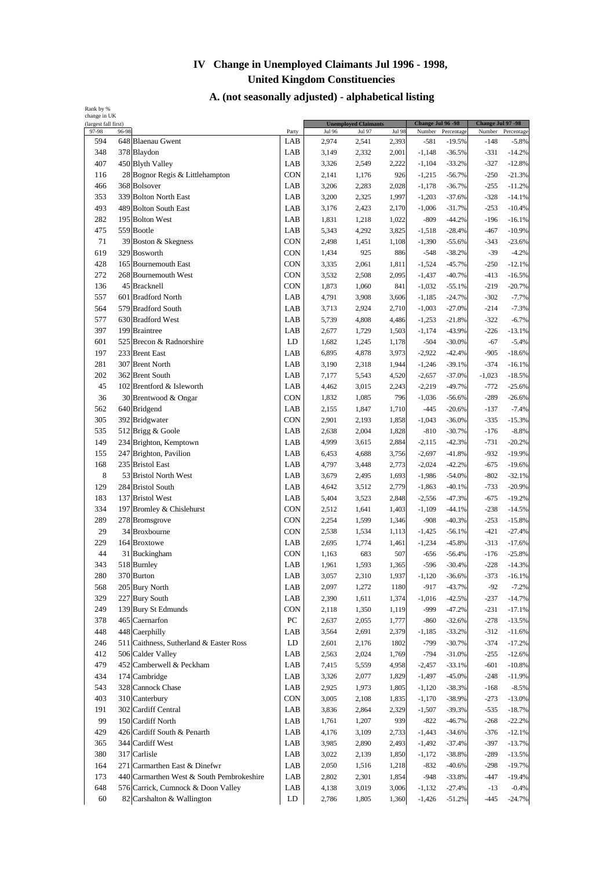| Rank by %<br>change in UK |       |                                           |            |        |                             |               |                   |            |                   |            |
|---------------------------|-------|-------------------------------------------|------------|--------|-----------------------------|---------------|-------------------|------------|-------------------|------------|
| (largest fall first)      |       |                                           |            |        | <b>Unemployed Claimants</b> |               | Change Jul 96 -98 |            | Change Jul 97 -98 |            |
| 97-98                     | 96-98 |                                           | Party      | Jul 96 | Jul 97                      | <b>Jul 98</b> | Number            | Percentage | Number            | Percentage |
| 594                       |       | 648 Blaenau Gwent                         | LAB        | 2,974  | 2,541                       | 2,393         | $-581$            | $-19.5%$   | $-148$            | $-5.8%$    |
| 348                       |       | 378 Blaydon                               | LAB        | 3,149  | 2,332                       | 2,001         | $-1,148$          | $-36.5%$   | $-331$            | $-14.2%$   |
| 407                       |       | 450 Blyth Valley                          | LAB        | 3,326  | 2,549                       | 2,222         | $-1,104$          | $-33.2%$   | $-327$            | $-12.8%$   |
| 116                       |       | 28 Bognor Regis & Littlehampton           | CON        | 2,141  | 1,176                       | 926           | $-1,215$          | $-56.7%$   | $-250$            | $-21.3%$   |
| 466                       |       | 368 Bolsover                              | LAB        | 3,206  | 2,283                       | 2,028         | $-1,178$          | $-36.7%$   | $-255$            | $-11.2%$   |
| 353                       |       | 339 Bolton North East                     | LAB        | 3,200  | 2,325                       | 1,997         | $-1,203$          | $-37.6%$   | $-328$            | $-14.1%$   |
| 493                       |       | 489 Bolton South East                     | LAB        | 3,176  | 2,423                       | 2,170         | $-1,006$          | $-31.7%$   | $-253$            | $-10.4%$   |
| 282                       |       | 195 Bolton West                           | LAB        | 1,831  | 1,218                       | 1,022         | $-809$            | $-44.2%$   | $-196$            | $-16.1%$   |
| 475                       |       | 559 Bootle                                | LAB        | 5,343  | 4,292                       | 3,825         | $-1,518$          | $-28.4%$   | $-467$            | $-10.9%$   |
| 71                        |       | 39 Boston & Skegness                      | <b>CON</b> | 2,498  | 1,451                       | 1,108         | $-1,390$          | $-55.6%$   | $-343$            | $-23.6%$   |
| 619                       |       | 329 Bosworth                              | <b>CON</b> | 1,434  | 925                         | 886           | $-548$            | $-38.2%$   | $-39$             | $-4.2%$    |
| 428                       |       | 165 Bournemouth East                      | <b>CON</b> | 3,335  | 2,061                       | 1,811         | $-1,524$          | $-45.7%$   | $-250$            | $-12.1%$   |
| 272                       |       | 268 Bournemouth West                      | CON        | 3,532  | 2,508                       | 2,095         | $-1,437$          | $-40.7%$   | $-413$            | $-16.5%$   |
| 136                       |       | 45 Bracknell                              | CON        | 1,873  | 1,060                       | 841           | $-1,032$          | $-55.1%$   | $-219$            | $-20.7%$   |
| 557                       |       | 601 Bradford North                        | LAB        | 4,791  | 3,908                       | 3,606         | $-1,185$          | $-24.7%$   | $-302$            | $-7.7%$    |
| 564                       |       | 579 Bradford South                        | LAB        | 3,713  | 2,924                       | 2,710         | $-1,003$          | $-27.0%$   | $-214$            | $-7.3%$    |
| 577                       |       | 630 Bradford West                         | LAB        | 5,739  | 4,808                       | 4,486         | $-1,253$          | $-21.8%$   | $-322$            | $-6.7%$    |
| 397                       |       | 199 Braintree                             | LAB        | 2,677  | 1,729                       | 1,503         | $-1,174$          | $-43.9%$   | $-226$            | $-13.1%$   |
| 601                       |       | 525 Brecon & Radnorshire                  | LD         | 1,682  | 1,245                       | 1,178         | $-504$            | $-30.0%$   | $-67$             | $-5.4%$    |
| 197                       |       | 233 Brent East                            | LAB        | 6,895  | 4,878                       | 3,973         | $-2,922$          | $-42.4%$   | $-905$            | $-18.6%$   |
| 281                       |       | 307 Brent North                           | LAB        | 3,190  | 2,318                       | 1,944         | $-1,246$          | $-39.1%$   | $-374$            | $-16.1%$   |
| 202                       |       | 362 Brent South                           | LAB        | 7,177  | 5,543                       | 4,520         | $-2,657$          | $-37.0%$   | $-1,023$          | $-18.5%$   |
| 45                        |       | 102 Brentford & Isleworth                 | LAB        | 4,462  | 3,015                       | 2,243         | $-2,219$          | $-49.7%$   | $-772$            | $-25.6%$   |
| 36                        |       | 30 Brentwood & Ongar                      | CON        | 1,832  | 1,085                       | 796           | $-1,036$          | $-56.6%$   | $-289$            | $-26.6%$   |
| 562                       |       | 640 Bridgend                              | LAB        | 2,155  | 1,847                       | 1,710         | $-445$            | $-20.6%$   | $-137$            | $-7.4%$    |
| 305                       |       | 392 Bridgwater                            | <b>CON</b> | 2,901  | 2,193                       | 1,858         | $-1,043$          | $-36.0%$   | $-335$            | $-15.3%$   |
| 535                       |       | 512 Brigg & Goole                         | LAB        | 2,638  | 2,004                       | 1,828         | $-810$            | $-30.7%$   | $-176$            | $-8.8%$    |
| 149                       |       | 234 Brighton, Kemptown                    | LAB        | 4,999  | 3,615                       | 2,884         | $-2,115$          | $-42.3%$   | $-731$            | $-20.2%$   |
| 155                       |       | 247 Brighton, Pavilion                    | LAB        | 6,453  | 4,688                       | 3,756         | $-2,697$          | $-41.8%$   | $-932$            | $-19.9%$   |
| 168                       |       | 235 Bristol East                          | LAB        | 4,797  | 3,448                       | 2,773         | $-2,024$          | $-42.2%$   | $-675$            | $-19.6%$   |
| 8                         |       | 53 Bristol North West                     | LAB        | 3,679  | 2,495                       | 1,693         | $-1,986$          | $-54.0%$   | $-802$            | $-32.1%$   |
| 129                       |       | 284 Bristol South                         | LAB        | 4,642  | 3,512                       | 2,779         | $-1,863$          | $-40.1%$   | $-733$            | $-20.9%$   |
| 183                       |       | 137 Bristol West                          | LAB        | 5,404  | 3,523                       | 2,848         | $-2,556$          | $-47.3%$   | $-675$            | $-19.2%$   |
| 334                       |       | 197 Bromley & Chislehurst                 | CON        | 2,512  | 1,641                       | 1,403         | $-1,109$          | $-44.1%$   | $-238$            | $-14.5%$   |
| 289                       |       | 278 Bromsgrove                            | <b>CON</b> | 2,254  | 1,599                       | 1,346         | $-908$            | $-40.3%$   | $-253$            | $-15.8%$   |
| 29                        |       | 34 Broxbourne                             | <b>CON</b> | 2,538  | 1,534                       | 1,113         | $-1,425$          | $-56.1%$   | $-421$            | $-27.4%$   |
| 229                       |       | 164 Broxtowe                              | LAB        | 2,695  | 1,774                       | 1,461         | $-1,234$          | $-45.8%$   | $-313$            | $-17.6%$   |
| 44                        |       | 31 Buckingham                             | <b>CON</b> | 1,163  | 683                         | 507           | $-656$            | $-56.4%$   | $-176$            | $-25.8%$   |
| 343                       |       | 518 Burnley                               | LAB        | 1,961  | 1,593                       | 1,365         | $-596$            | $-30.4%$   | $-228$            | $-14.3%$   |
| 280                       |       | 370 Burton                                | LAB        | 3,057  | 2,310                       | 1,937         | $-1,120$          | $-36.6%$   | $-373$            | $-16.1%$   |
| 568                       |       | 205 Bury North                            | LAB        | 2,097  | 1,272                       | 1180          | $-917$            | $-43.7%$   | $-92$             | $-7.2%$    |
| 329                       |       | 227 Bury South                            | LAB        | 2,390  | 1,611                       | 1,374         | $-1,016$          | $-42.5%$   | $-237$            | $-14.7%$   |
| 249                       |       | 139 Bury St Edmunds                       | CON        | 2,118  | 1,350                       | 1,119         | -999              | $-47.2%$   | $-231$            | $-17.1%$   |
| 378                       |       | 465 Caernarfon                            | PC         | 2,637  | 2,055                       | 1,777         | $-860$            | $-32.6%$   | $-278$            | $-13.5%$   |
| 448                       |       | 448 Caerphilly                            | LAB        | 3,564  | 2,691                       | 2,379         | $-1,185$          | $-33.2%$   | $-312$            | $-11.6%$   |
| 246                       |       | 511 Caithness, Sutherland & Easter Ross   | LD         | 2,601  | 2,176                       | 1802          | $-799$            | $-30.7%$   | $-374$            | $-17.2%$   |
| 412                       |       | 506 Calder Valley                         | LAB        | 2,563  | 2,024                       | 1,769         | $-794$            | $-31.0%$   | $-255$            | $-12.6%$   |
| 479                       |       | 452 Camberwell & Peckham                  | LAB        | 7,415  | 5,559                       | 4,958         | $-2,457$          | $-33.1%$   | $-601$            | $-10.8%$   |
| 434                       |       | 174 Cambridge                             | LAB        | 3,326  | 2,077                       | 1,829         | $-1,497$          | $-45.0%$   | $-248$            | $-11.9%$   |
| 543                       |       | 328 Cannock Chase                         | LAB        | 2,925  | 1,973                       | 1,805         | $-1,120$          | $-38.3%$   | $-168$            | $-8.5%$    |
| 403                       |       | 310 Canterbury                            | <b>CON</b> | 3,005  | 2,108                       | 1,835         | $-1,170$          | $-38.9%$   | $-273$            | $-13.0%$   |
| 191                       |       | 302 Cardiff Central                       | LAB        | 3,836  | 2,864                       | 2,329         | $-1,507$          | $-39.3%$   | $-535$            | $-18.7%$   |
| 99                        |       | 150 Cardiff North                         | LAB        | 1,761  | 1,207                       | 939           | $-822$            | $-46.7%$   | $-268$            | $-22.2%$   |
| 429                       |       | 426 Cardiff South & Penarth               | LAB        | 4,176  | 3,109                       | 2,733         | $-1,443$          | $-34.6%$   | $-376$            | $-12.1%$   |
| 365                       |       | 344 Cardiff West                          | LAB        | 3,985  | 2,890                       | 2,493         | $-1,492$          | $-37.4%$   | $-397$            | $-13.7%$   |
| 380                       |       | 317 Carlisle                              | LAB        | 3,022  | 2,139                       | 1,850         | $-1,172$          | $-38.8%$   | $-289$            | $-13.5%$   |
| 164                       |       | 271 Carmarthen East & Dinefwr             | LAB        | 2,050  | 1,516                       | 1,218         | $-832$            | $-40.6%$   | $-298$            | $-19.7%$   |
| 173                       |       | 440 Carmarthen West & South Pembrokeshire | LAB        | 2,802  | 2,301                       | 1,854         | $-948$            | $-33.8%$   | $-447$            | $-19.4%$   |
| 648                       |       | 576 Carrick, Cumnock & Doon Valley        | LAB        | 4,138  | 3,019                       | 3,006         | $-1,132$          | $-27.4%$   | $-13$             | $-0.4%$    |
| 60                        |       | 82 Carshalton & Wallington                | LD         |        |                             |               |                   |            |                   |            |
|                           |       |                                           |            | 2,786  | 1,805                       | 1,360         | $-1,426$          | $-51.2%$   | $-445$            | $-24.7%$   |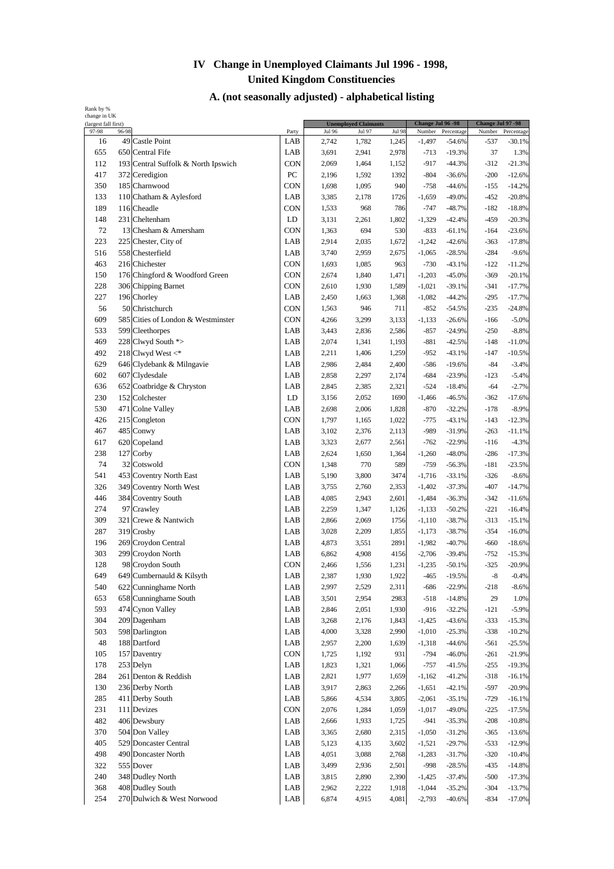| (largest fall first)<br>97-98 | 96-98 |                                     | Party      | <b>Jul 96</b> | <b>Unemployed Claimants</b><br>Jul 97 | <b>Jul 98</b> | Number   | Change Jul 96 - 98<br>Percentage | Change Jul 97 -98<br>Number | Percentage |
|-------------------------------|-------|-------------------------------------|------------|---------------|---------------------------------------|---------------|----------|----------------------------------|-----------------------------|------------|
| 16                            |       | 49 Castle Point                     | LAB        | 2,742         | 1,782                                 | 1,245         | $-1,497$ | $-54.6%$                         | -537                        | $-30.1%$   |
| 655                           |       | 650 Central Fife                    | LAB        | 3,691         | 2,941                                 | 2,978         | $-713$   | $-19.3%$                         | 37                          | 1.3%       |
|                               |       |                                     |            |               |                                       |               |          |                                  |                             |            |
| 112                           |       | 193 Central Suffolk & North Ipswich | CON        | 2,069         | 1,464                                 | 1,152         | $-917$   | $-44.3%$                         | $-312$                      | $-21.3%$   |
| 417                           |       | 372 Ceredigion                      | PC         | 2,196         | 1,592                                 | 1392          | $-804$   | $-36.6%$                         | $-200$                      | $-12.6%$   |
| 350                           |       | 185 Charnwood                       | <b>CON</b> | 1,698         | 1,095                                 | 940           | $-758$   | $-44.6%$                         | $-155$                      | $-14.2%$   |
| 133                           |       | 110 Chatham & Aylesford             | LAB        | 3,385         | 2,178                                 | 1726          | $-1,659$ | $-49.0%$                         | $-452$                      | $-20.8%$   |
| 189                           |       | 116 Cheadle                         | <b>CON</b> | 1,533         | 968                                   | 786           | $-747$   | $-48.7%$                         | $-182$                      | $-18.8%$   |
| 148                           |       | 231 Cheltenham                      | LD         | 3,131         | 2,261                                 | 1,802         | $-1,329$ | $-42.4%$                         | $-459$                      | $-20.3%$   |
| 72                            |       | 13 Chesham & Amersham               | <b>CON</b> | 1,363         | 694                                   | 530           | $-833$   | $-61.1%$                         | $-164$                      | $-23.6%$   |
| 223                           |       | 225 Chester, City of                | LAB        | 2,914         | 2,035                                 | 1,672         | $-1,242$ | $-42.6%$                         | $-363$                      | $-17.8%$   |
| 516                           |       | 558 Chesterfield                    | LAB        | 3,740         | 2,959                                 | 2,675         | $-1,065$ | $-28.5%$                         | $-284$                      | $-9.6%$    |
| 463                           |       | 216 Chichester                      | CON        | 1,693         | 1,085                                 | 963           | $-730$   | $-43.1%$                         | $-122$                      | $-11.2%$   |
| 150                           |       | 176 Chingford & Woodford Green      | CON        | 2,674         | 1,840                                 | 1,471         | $-1,203$ | $-45.0%$                         | $-369$                      | $-20.1%$   |
| 228                           |       | 306 Chipping Barnet                 | <b>CON</b> | 2,610         | 1,930                                 | 1,589         | $-1,021$ | $-39.1%$                         | $-341$                      | $-17.7%$   |
| 227                           |       | 196 Chorley                         | LAB        | 2,450         | 1,663                                 | 1,368         | $-1,082$ | $-44.2%$                         | $-295$                      | $-17.7%$   |
| 56                            |       | 50 Christchurch                     | CON        | 1,563         | 946                                   | 711           | $-852$   | $-54.5%$                         | $-235$                      | $-24.8%$   |
|                               |       |                                     |            |               |                                       |               |          |                                  |                             |            |
| 609                           |       | 585 Cities of London & Westminster  | <b>CON</b> | 4,266         | 3,299                                 | 3,133         | $-1,133$ | $-26.6%$                         | $-166$                      | $-5.0%$    |
| 533                           |       | 599 Cleethorpes                     | LAB        | 3,443         | 2,836                                 | 2,586         | $-857$   | $-24.9%$                         | $-250$                      | $-8.8%$    |
| 469                           |       | 228 Clwyd South *>                  | LAB        | 2,074         | 1,341                                 | 1,193         | $-881$   | $-42.5%$                         | $-148$                      | $-11.0%$   |
| 492                           |       | 218 Clwyd West <*                   | LAB        | 2,211         | 1,406                                 | 1,259         | $-952$   | $-43.1%$                         | $-147$                      | $-10.5%$   |
| 629                           |       | 646 Clydebank & Milngavie           | LAB        | 2,986         | 2,484                                 | 2,400         | $-586$   | $-19.6%$                         | $-84$                       | $-3.4%$    |
| 602                           |       | 607 Clydesdale                      | LAB        | 2,858         | 2,297                                 | 2,174         | $-684$   | $-23.9%$                         | $-123$                      | $-5.4%$    |
| 636                           |       | 652 Coatbridge & Chryston           | LAB        | 2,845         | 2,385                                 | 2,321         | $-524$   | $-18.4%$                         | $-64$                       | $-2.7%$    |
| 230                           |       | 152 Colchester                      | LD         | 3,156         | 2,052                                 | 1690          | $-1,466$ | $-46.5%$                         | $-362$                      | $-17.6%$   |
| 530                           |       | 471 Colne Valley                    | LAB        | 2,698         | 2,006                                 | 1,828         | $-870$   | $-32.2%$                         | $-178$                      | $-8.9%$    |
| 426                           |       | 215 Congleton                       | <b>CON</b> | 1,797         | 1,165                                 | 1,022         | $-775$   | $-43.1%$                         | $-143$                      | $-12.3%$   |
| 467                           |       | 485 Conwy                           | LAB        | 3,102         | 2,376                                 | 2,113         | $-989$   | $-31.9%$                         | $-263$                      | $-11.1%$   |
| 617                           |       | 620 Copeland                        | LAB        | 3,323         | 2,677                                 | 2,561         | $-762$   | $-22.9%$                         | $-116$                      | $-4.3%$    |
| 238                           |       | 127 Corby                           | LAB        | 2,624         | 1,650                                 | 1,364         | $-1,260$ | $-48.0%$                         | $-286$                      | $-17.3%$   |
| 74                            |       | 32 Cotswold                         | <b>CON</b> | 1,348         | 770                                   | 589           | $-759$   | $-56.3%$                         | $-181$                      | $-23.5%$   |
|                               |       |                                     |            |               |                                       |               |          |                                  |                             |            |
| 541                           |       | 453 Coventry North East             | LAB        | 5,190         | 3,800                                 | 3474          | $-1,716$ | $-33.1%$                         | $-326$                      | $-8.6%$    |
| 326                           |       | 349 Coventry North West             | LAB        | 3,755         | 2,760                                 | 2,353         | $-1,402$ | $-37.3%$                         | $-407$                      | $-14.7%$   |
| 446                           |       | 384 Coventry South                  | LAB        | 4,085         | 2,943                                 | 2,601         | $-1,484$ | $-36.3%$                         | $-342$                      | $-11.6%$   |
| 274                           |       | 97 Crawley                          | LAB        | 2,259         | 1,347                                 | 1,126         | $-1,133$ | $-50.2%$                         | $-221$                      | $-16.4%$   |
| 309                           |       | 321 Crewe & Nantwich                | LAB        | 2,866         | 2,069                                 | 1756          | $-1,110$ | $-38.7%$                         | $-313$                      | $-15.1%$   |
| 287                           |       | 319 Crosby                          | LAB        | 3,028         | 2,209                                 | 1,855         | $-1,173$ | $-38.7%$                         | $-354$                      | $-16.0%$   |
| 196                           |       | 269 Croydon Central                 | LAB        | 4,873         | 3,551                                 | 2891          | $-1,982$ | $-40.7%$                         | $-660$                      | $-18.6%$   |
| 303                           |       | 299 Croydon North                   | LAB        | 6,862         | 4,908                                 | 4156          | $-2,706$ | $-39.4%$                         | $-752$                      | $-15.3%$   |
| 128                           |       | 98 Croydon South                    | CON        | 2,466         | 1,556                                 | 1,231         | $-1,235$ | $-50.1%$                         | $-325$                      | $-20.9%$   |
| 649                           |       | 649 Cumbernauld & Kilsyth           | LAB        | 2,387         | 1,930                                 | 1,922         | $-465$   | $-19.5%$                         | -8                          | $-0.4%$    |
| 540                           |       | 622 Cunninghame North               | LAB        | 2,997         | 2,529                                 | 2,311         | $-686$   | $-22.9%$                         | $-218$                      | $-8.6%$    |
| 653                           |       | 658 Cunninghame South               | LAB        | 3,501         | 2,954                                 | 2983          | $-518$   | $-14.8%$                         | 29                          | 1.0%       |
| 593                           |       | 474 Cynon Valley                    | LAB        | 2,846         | 2,051                                 | 1,930         | $-916$   | $-32.2%$                         | $-121$                      | $-5.9%$    |
| 304                           |       | 209 Dagenham                        | LAB        |               |                                       |               |          |                                  |                             |            |
|                               |       |                                     |            | 3,268         | 2,176                                 | 1,843         | $-1,425$ | $-43.6%$                         | $-333$                      | $-15.3%$   |
| 503                           |       | 598 Darlington                      | LAB        | 4,000         | 3,328                                 | 2,990         | $-1,010$ | $-25.3%$                         | $-338$                      | $-10.2%$   |
| 48                            |       | 188 Dartford                        | LAB        | 2,957         | 2,200                                 | 1,639         | $-1,318$ | $-44.6%$                         | $-561$                      | $-25.5%$   |
| 105                           |       | 157 Daventry                        | CON        | 1,725         | 1,192                                 | 931           | $-794$   | $-46.0%$                         | $-261$                      | $-21.9%$   |
| 178                           |       | 253 Delyn                           | LAB        | 1,823         | 1,321                                 | 1,066         | $-757$   | $-41.5%$                         | $-255$                      | $-19.3%$   |
| 284                           |       | 261 Denton & Reddish                | LAB        | 2,821         | 1,977                                 | 1,659         | $-1,162$ | $-41.2%$                         | $-318$                      | $-16.1%$   |
| 130                           |       | 236 Derby North                     | LAB        | 3,917         | 2,863                                 | 2,266         | $-1,651$ | $-42.1%$                         | $-597$                      | $-20.9%$   |
| 285                           |       | 411 Derby South                     | LAB        | 5,866         | 4,534                                 | 3,805         | $-2,061$ | $-35.1%$                         | $-729$                      | $-16.1%$   |
| 231                           |       | 111 Devizes                         | CON        | 2,076         | 1,284                                 | 1,059         | $-1,017$ | $-49.0%$                         | $-225$                      | $-17.5%$   |
| 482                           |       | 406 Dewsbury                        | LAB        | 2,666         | 1,933                                 | 1,725         | $-941$   | $-35.3%$                         | $-208$                      | $-10.8%$   |
| 370                           |       | 504 Don Valley                      | LAB        | 3,365         | 2,680                                 | 2,315         | $-1,050$ | $-31.2%$                         | $-365$                      | $-13.6%$   |
| 405                           |       | 529 Doncaster Central               | LAB        | 5,123         | 4,135                                 | 3,602         | $-1,521$ | $-29.7%$                         | $-533$                      | $-12.9%$   |
|                               |       |                                     |            |               |                                       |               |          |                                  |                             |            |
| 498                           |       | 490 Doncaster North                 | LAB        | 4,051         | 3,088                                 | 2,768         | $-1,283$ | $-31.7%$                         | $-320$                      | $-10.4%$   |
| 322                           |       | 555 Dover                           | LAB        | 3,499         | 2,936                                 | 2,501         | $-998$   | $-28.5%$                         | $-435$                      | $-14.8%$   |
| 240                           |       | 348 Dudley North                    | LAB        | 3,815         | 2,890                                 | 2,390         | $-1,425$ | $-37.4%$                         | $-500$                      | $-17.3%$   |
| 368                           |       | 408 Dudley South                    | LAB        | 2,962         | 2,222                                 | 1,918         | $-1,044$ | $-35.2%$                         | $-304$                      | $-13.7%$   |
| 254                           |       | 270 Dulwich & West Norwood          | LAB        | 6,874         | 4,915                                 | 4,081         | $-2,793$ | $-40.6%$                         | $-834$                      | $-17.0%$   |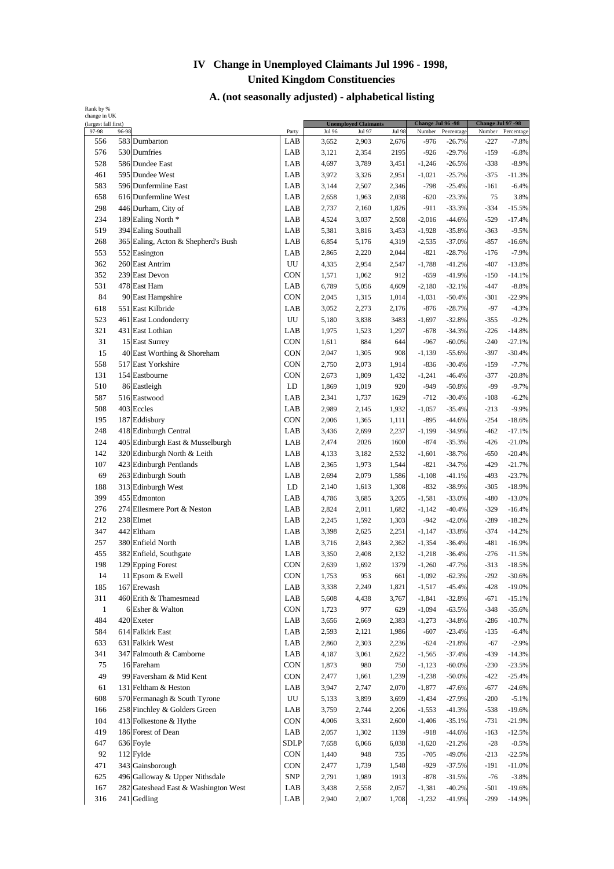| (largest fall first)<br>97-98 | 96-98 |                                                   | Party            | <b>Jul 96</b> | <b>Unemployed Claimants</b><br>Jul 97 | <b>Jul 98</b> | Change Jul 96 -98<br>Number | Percentage           | Change Jul 97 -98<br>Number | Percentage |
|-------------------------------|-------|---------------------------------------------------|------------------|---------------|---------------------------------------|---------------|-----------------------------|----------------------|-----------------------------|------------|
| 556                           |       | 583 Dumbarton                                     | LAB              | 3,652         | 2,903                                 | 2,676         | $-976$                      | $-26.7%$             | -227                        | $-7.8%$    |
| 576                           |       | 530 Dumfries                                      | LAB              | 3,121         | 2,354                                 | 2195          | $-926$                      | $-29.7%$             | $-159$                      | $-6.8%$    |
| 528                           |       | 586 Dundee East                                   | LAB              | 4,697         | 3,789                                 | 3,451         | $-1,246$                    | $-26.5%$             | $-338$                      | $-8.9%$    |
| 461                           |       | 595 Dundee West                                   | LAB              | 3,972         | 3,326                                 | 2,951         | $-1,021$                    | $-25.7%$             | $-375$                      | $-11.3%$   |
| 583                           |       | 596 Dunfermline East                              | LAB              | 3,144         | 2,507                                 | 2,346         | $-798$                      | $-25.4%$             | $-161$                      | $-6.4%$    |
| 658                           |       | 616 Dunfermline West                              | LAB              | 2,658         | 1,963                                 | 2,038         | $-620$                      | $-23.3%$             | 75                          | 3.8%       |
| 298                           |       | 446 Durham, City of                               | LAB              | 2,737         | 2,160                                 | 1,826         | $-911$                      | $-33.3%$             | $-334$                      | $-15.5%$   |
| 234                           |       | 189 Ealing North *                                | LAB              | 4,524         | 3,037                                 | 2,508         | $-2,016$                    | $-44.6%$             | $-529$                      | $-17.4%$   |
| 519                           |       | 394 Ealing Southall                               | LAB              | 5,381         | 3,816                                 | 3,453         | $-1,928$                    | $-35.8%$             | $-363$                      | $-9.5%$    |
| 268                           |       | 365 Ealing, Acton & Shepherd's Bush               | LAB              | 6,854         | 5,176                                 | 4,319         | $-2,535$                    | $-37.0%$             | $-857$                      | $-16.6%$   |
| 553                           |       | 552 Easington                                     | LAB              | 2,865         | 2,220                                 | 2,044         | $-821$                      | $-28.7%$             | $-176$                      | $-7.9%$    |
| 362                           |       | 260 East Antrim                                   | UU               | 4,335         | 2,954                                 | 2,547         | $-1,788$                    | $-41.2%$             | $-407$                      | $-13.8%$   |
| 352                           |       | 239 East Devon                                    | <b>CON</b>       | 1,571         | 1,062                                 | 912           | $-659$                      | $-41.9%$             | $-150$                      | $-14.1%$   |
| 531                           |       | 478 East Ham                                      | LAB              | 6,789         | 5,056                                 | 4,609         | $-2,180$                    | $-32.1%$             | $-447$                      | $-8.8%$    |
| 84                            |       | 90 East Hampshire                                 | <b>CON</b>       | 2,045         | 1,315                                 | 1,014         | $-1,031$                    | $-50.4%$             | $-301$                      | $-22.9%$   |
| 618                           |       | 551 East Kilbride                                 | LAB              | 3,052         | 2,273                                 | 2,176         | $-876$                      | $-28.7%$             | $-97$                       | $-4.3%$    |
| 523                           |       | 461 East Londonderry                              | UU               | 5,180         | 3,838                                 | 3483          | $-1,697$                    | $-32.8%$             | $-355$                      | $-9.2%$    |
| 321                           |       | 431 East Lothian                                  | LAB              | 1,975         |                                       |               | $-678$                      |                      | $-226$                      | $-14.8%$   |
| 31                            |       |                                                   | CON              | 1,611         | 1,523<br>884                          | 1,297<br>644  | $-967$                      | $-34.3%$<br>$-60.0%$ | $-240$                      | $-27.1%$   |
|                               |       | 15 East Surrey                                    | CON              |               |                                       | 908           |                             |                      |                             |            |
| 15<br>558                     |       | 40 East Worthing & Shoreham<br>517 East Yorkshire | CON              | 2,047         | 1,305                                 |               | $-1,139$                    | $-55.6%$             | $-397$                      | $-30.4%$   |
|                               |       |                                                   |                  | 2,750         | 2,073                                 | 1,914         | $-836$                      | $-30.4%$<br>$-46.4%$ | $-159$                      | $-7.7%$    |
| 131                           |       | 154 Eastbourne                                    | <b>CON</b>       | 2,673         | 1,809                                 | 1,432         | $-1,241$<br>$-949$          |                      | $-377$<br>$-99$             | $-20.8%$   |
| 510                           |       | 86 Eastleigh                                      | LD               | 1,869         | 1,019                                 | 920           |                             | $-50.8%$             |                             | $-9.7%$    |
| 587                           |       | 516 Eastwood                                      | LAB              | 2,341         | 1,737                                 | 1629          | $-712$                      | $-30.4%$             | $-108$                      | $-6.2%$    |
| 508                           |       | 403 Eccles                                        | LAB              | 2,989         | 2,145                                 | 1,932         | $-1,057$                    | $-35.4%$             | $-213$                      | $-9.9%$    |
| 195                           |       | 187 Eddisbury                                     | CON              | 2,006         | 1,365                                 | 1,111         | $-895$                      | $-44.6%$             | $-254$                      | $-18.6%$   |
| 248                           |       | 418 Edinburgh Central                             | LAB              | 3,436         | 2,699                                 | 2,237         | $-1,199$                    | $-34.9%$             | $-462$                      | $-17.1%$   |
| 124                           |       | 405 Edinburgh East & Musselburgh                  | LAB              | 2,474         | 2026                                  | 1600          | $-874$                      | $-35.3%$             | $-426$                      | $-21.0%$   |
| 142                           |       | 320 Edinburgh North & Leith                       | LAB              | 4,133         | 3,182                                 | 2,532         | $-1,601$                    | $-38.7%$             | $-650$                      | $-20.4%$   |
| 107                           |       | 423 Edinburgh Pentlands                           | LAB              | 2,365         | 1,973                                 | 1,544         | $-821$                      | $-34.7%$             | $-429$                      | $-21.7%$   |
| 69                            |       | 263 Edinburgh South                               | LAB              | 2,694         | 2,079                                 | 1,586         | $-1,108$                    | $-41.1%$             | $-493$                      | $-23.7%$   |
| 188                           |       | 313 Edinburgh West                                | LD               | 2,140         | 1,613                                 | 1,308         | $-832$                      | $-38.9%$             | $-305$                      | $-18.9%$   |
| 399                           |       | 455 Edmonton                                      | LAB              | 4,786         | 3,685                                 | 3,205         | $-1,581$                    | $-33.0%$             | $-480$                      | $-13.0%$   |
| 276                           |       | 274 Ellesmere Port & Neston                       | LAB              | 2,824         | 2,011                                 | 1,682         | $-1,142$                    | $-40.4%$             | $-329$                      | $-16.4%$   |
| 212                           |       | 238 Elmet                                         | LAB              | 2,245         | 1,592                                 | 1,303         | $-942$                      | $-42.0%$             | $-289$                      | $-18.2%$   |
| 347                           |       | 442 Eltham                                        | LAB              | 3,398         | 2,625                                 | 2,251         | $-1,147$                    | $-33.8%$             | $-374$                      | $-14.2%$   |
| 257                           |       | 380 Enfield North                                 | LAB              | 3,716         | 2,843                                 | 2,362         | $-1,354$                    | $-36.4%$             | $-481$                      | $-16.9%$   |
| 455                           |       | 382 Enfield, Southgate                            | LAB              | 3,350         | 2,408                                 | 2,132         | $-1,218$                    | $-36.4%$             | $-276$                      | $-11.5%$   |
| 198                           |       | 129 Epping Forest                                 | <b>CON</b>       | 2,639         | 1,692                                 | 1379          | $-1,260$                    | $-47.7%$             | $-313$                      | $-18.5%$   |
| 14                            |       | 11 Epsom & Ewell                                  | CON              | 1,753         | 953                                   | 661           | $-1,092$                    | $-62.3%$             | $-292$                      | $-30.6%$   |
| 185                           |       | 167 Erewash                                       | LAB              | 3,338         | 2,249                                 | 1,821         | $-1,517$                    | $-45.4%$             | $-428$                      | $-19.0%$   |
| 311                           |       | 460 Erith & Thamesmead                            | LAB              | 5,608         | 4,438                                 | 3,767         | $-1,841$                    | $-32.8%$             | $-671$                      | $-15.1%$   |
| $\mathbf{1}$                  |       | 6 Esher & Walton                                  | CON              | 1,723         | 977                                   | 629           | $-1,094$                    | $-63.5%$             | $-348$                      | $-35.6%$   |
| 484                           |       | 420 Exeter                                        | LAB              | 3,656         | 2,669                                 | 2,383         | $-1,273$                    | $-34.8%$             | $-286$                      | $-10.7%$   |
| 584                           |       | 614 Falkirk East                                  | LAB              | 2,593         | 2,121                                 | 1,986         | $-607$                      | $-23.4%$             | $-135$                      | $-6.4%$    |
| 633                           |       | 631 Falkirk West                                  | LAB              | 2,860         | 2,303                                 | 2,236         | $-624$                      | $-21.8%$             | $-67$                       | $-2.9%$    |
| 341                           |       | 347 Falmouth & Camborne                           | LAB              | 4,187         | 3,061                                 | 2,622         | $-1,565$                    | $-37.4%$             | $-439$                      | $-14.3%$   |
| 75                            |       | 16 Fareham                                        | CON              | 1,873         | 980                                   | 750           | $-1,123$                    | $-60.0\%$            | $-230$                      | $-23.5%$   |
| 49                            |       | 99 Faversham & Mid Kent                           | <b>CON</b>       | 2,477         | 1,661                                 | 1,239         | $-1,238$                    | $-50.0\%$            | $-422$                      | $-25.4%$   |
| 61                            |       | 131 Feltham & Heston                              | LAB              | 3,947         | 2,747                                 | 2,070         | $-1,877$                    | $-47.6%$             | $-677$                      | $-24.6%$   |
| 608                           |       | 570 Fermanagh & South Tyrone                      | ${\rm U}{\rm U}$ | 5,133         | 3,899                                 | 3,699         | $-1,434$                    | $-27.9%$             | $-200$                      | $-5.1%$    |
| 166                           |       | 258 Finchley & Golders Green                      | LAB              | 3,759         | 2,744                                 | 2,206         | $-1,553$                    | $-41.3%$             | $-538$                      | $-19.6%$   |
| 104                           |       | 413 Folkestone & Hythe                            | CON              | 4,006         | 3,331                                 | 2,600         | $-1,406$                    | $-35.1%$             | $-731$                      | $-21.9%$   |
| 419                           |       | 186 Forest of Dean                                | LAB              | 2,057         | 1,302                                 | 1139          | $-918$                      | $-44.6%$             | $-163$                      | $-12.5%$   |
| 647                           |       | 636 Foyle                                         | <b>SDLP</b>      | 7,658         | 6,066                                 | 6,038         | $-1,620$                    | $-21.2%$             | $-28$                       | $-0.5%$    |
| 92                            |       | 112 Fylde                                         | <b>CON</b>       | 1,440         | 948                                   | 735           | $-705$                      | $-49.0%$             | $-213$                      | $-22.5%$   |
| 471                           |       | 343 Gainsborough                                  | <b>CON</b>       | 2,477         | 1,739                                 | 1,548         | $-929$                      | $-37.5%$             | -191                        | $-11.0%$   |
| 625                           |       | 496 Galloway & Upper Nithsdale                    | <b>SNP</b>       | 2,791         | 1,989                                 | 1913          | $-878$                      | $-31.5%$             | $-76$                       | $-3.8%$    |
| 167                           |       | 282 Gateshead East & Washington West              | LAB              | 3,438         | 2,558                                 | 2,057         | $-1,381$                    | $-40.2%$             | $-501$                      | $-19.6%$   |
| 316                           |       | 241 Gedling                                       | LAB              | 2,940         | 2,007                                 | 1,708         | $-1,232$                    | $-41.9%$             | $-299$                      | $-14.9%$   |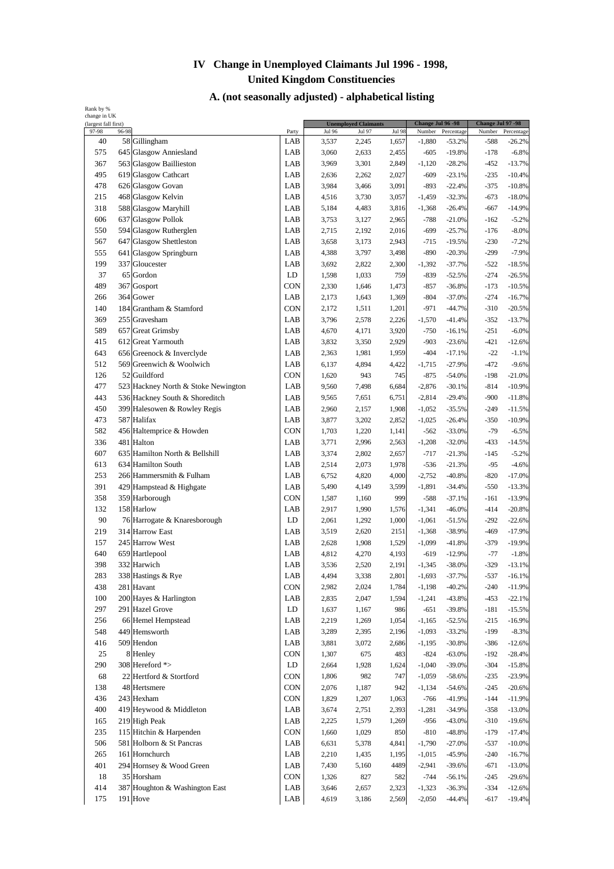| (largest fall first)<br>97-98 | 96-98 |                                             | Party      | <b>Jul 96</b>  | <b>Unemployed Claimants</b><br>Jul 97 | <b>Jul 98</b>  | Change Jul 96 - 98<br>Number | Percentage           | Change Jul 97 -98<br>Number | Percentage         |
|-------------------------------|-------|---------------------------------------------|------------|----------------|---------------------------------------|----------------|------------------------------|----------------------|-----------------------------|--------------------|
| 40                            |       | 58 Gillingham                               | LAB        | 3,537          | 2,245                                 | 1,657          | $-1,880$                     | $-53.2%$             | -588                        | $-26.2%$           |
| 575                           |       | 645 Glasgow Anniesland                      | LAB        | 3,060          | 2,633                                 | 2,455          | $-605$                       | $-19.8%$             | $-178$                      | $-6.8%$            |
| 367                           |       | 563 Glasgow Baillieston                     | LAB        | 3,969          | 3,301                                 | 2,849          | $-1,120$                     | $-28.2%$             | $-452$                      | $-13.7%$           |
| 495                           |       | 619 Glasgow Cathcart                        | LAB        | 2,636          | 2,262                                 | 2,027          | $-609$                       | $-23.1%$             | $-235$                      | $-10.4%$           |
| 478                           |       | 626 Glasgow Govan                           | LAB        | 3,984          | 3,466                                 | 3,091          | $-893$                       | $-22.4%$             | $-375$                      | $-10.8%$           |
| 215                           |       | 468 Glasgow Kelvin                          | LAB        | 4,516          | 3,730                                 | 3,057          | $-1,459$                     | $-32.3%$             | $-673$                      | $-18.0%$           |
| 318                           |       | 588 Glasgow Maryhill                        | LAB        | 5,184          | 4,483                                 | 3,816          | $-1,368$                     | $-26.4%$             | $-667$                      | $-14.9%$           |
| 606                           |       | 637 Glasgow Pollok                          | LAB        | 3,753          | 3,127                                 | 2,965          | $-788$                       | $-21.0%$             | $-162$                      | $-5.2%$            |
| 550                           |       | 594 Glasgow Rutherglen                      | LAB        | 2,715          | 2,192                                 | 2,016          | $-699$                       | $-25.7%$             | $-176$                      | $-8.0%$            |
| 567                           |       | 647 Glasgow Shettleston                     | LAB        | 3,658          | 3,173                                 | 2,943          | $-715$                       | $-19.5%$             | $-230$                      | $-7.2%$            |
| 555                           |       | 641 Glasgow Springburn                      | LAB        | 4,388          | 3,797                                 | 3,498          | $-890$                       | $-20.3%$             | $-299$                      | $-7.9%$            |
| 199                           |       | 337 Gloucester                              | LAB        | 3,692          | 2,822                                 | 2,300          | $-1,392$                     | $-37.7%$             | $-522$                      | $-18.5%$           |
| 37                            |       | 65 Gordon                                   | LD         | 1,598          | 1,033                                 | 759            | $-839$                       | $-52.5%$             | $-274$                      | $-26.5%$           |
| 489                           |       | 367 Gosport                                 | <b>CON</b> | 2,330          | 1,646                                 | 1,473          | $-857$                       | $-36.8%$             | $-173$                      | $-10.5%$           |
| 266                           |       | 364 Gower                                   | LAB        | 2,173          | 1,643                                 | 1,369          | $-804$                       | $-37.0%$             | $-274$                      | $-16.7%$           |
| 140                           |       | 184 Grantham & Stamford                     | <b>CON</b> | 2,172          | 1,511                                 | 1,201          | $-971$                       | $-44.7%$             | $-310$                      | $-20.5%$           |
| 369                           |       | 255 Gravesham                               | LAB        | 3,796          | 2,578                                 | 2,226          | $-1,570$                     | $-41.4%$             | $-352$                      | $-13.7%$           |
| 589                           |       | 657 Great Grimsby                           | LAB        | 4,670          | 4,171                                 | 3,920          | $-750$                       | $-16.1%$             | $-251$                      | $-6.0%$            |
| 415                           |       | 612 Great Yarmouth                          | LAB        | 3,832          | 3,350                                 | 2,929          | $-903$                       | $-23.6%$             | $-421$                      | $-12.6%$           |
| 643                           |       | 656 Greenock & Inverclyde                   | LAB        | 2,363          | 1,981                                 | 1,959          | $-404$                       | $-17.1%$             | $-22$                       | $-1.1%$            |
| 512                           |       | 569 Greenwich & Woolwich                    | LAB        | 6,137          | 4,894                                 | 4,422          | $-1,715$                     | $-27.9%$             | $-472$                      | $-9.6%$            |
| 126                           |       | 52 Guildford                                | <b>CON</b> | 1,620          | 943                                   | 745            | $-875$                       | $-54.0%$             | $-198$                      | $-21.0%$           |
| 477                           |       | 523 Hackney North & Stoke Newington         | LAB        | 9,560          | 7,498                                 | 6,684          | $-2,876$                     | $-30.1%$             | $-814$                      | $-10.9%$           |
| 443                           |       | 536 Hackney South & Shoreditch              | LAB        | 9,565          | 7,651                                 | 6,751          | $-2,814$                     | $-29.4%$             | $-900$                      | $-11.8%$           |
| 450                           |       |                                             | LAB        | 2,960          | 2,157                                 | 1,908          | $-1,052$                     | $-35.5%$             | $-249$                      | $-11.5%$           |
| 473                           |       | 399 Halesowen & Rowley Regis<br>587 Halifax | LAB        | 3,877          | 3,202                                 | 2,852          | $-1,025$                     | $-26.4%$             | $-350$                      | $-10.9%$           |
| 582                           |       | 456 Haltemprice & Howden                    | CON        |                |                                       |                |                              |                      | $-79$                       |                    |
|                               |       | 481 Halton                                  | LAB        | 1,703          | 1,220                                 | 1,141          | $-562$                       | $-33.0%$             |                             | $-6.5%$            |
| 336<br>607                    |       | 635 Hamilton North & Bellshill              | LAB        | 3,771          | 2,996                                 | 2,563          | $-1,208$                     | $-32.0%$             | $-433$                      | $-14.5%$           |
|                               |       | 634 Hamilton South                          |            | 3,374<br>2,514 | 2,802<br>2,073                        | 2,657          | $-717$<br>$-536$             | $-21.3%$<br>$-21.3%$ | $-145$<br>$-95$             | $-5.2%$<br>$-4.6%$ |
| 613<br>253                    |       | 266 Hammersmith & Fulham                    | LAB<br>LAB | 6,752          | 4,820                                 | 1,978<br>4,000 | $-2,752$                     | $-40.8%$             | $-820$                      | $-17.0%$           |
| 391                           |       |                                             | LAB        |                | 4,149                                 | 3,599          | $-1,891$                     | $-34.4%$             | $-550$                      | $-13.3%$           |
| 358                           |       | 429 Hampstead & Highgate<br>359 Harborough  | CON        | 5,490          |                                       | 999            |                              |                      | $-161$                      |                    |
|                               |       | 158 Harlow                                  |            | 1,587          | 1,160                                 |                | $-588$                       | $-37.1%$             |                             | $-13.9%$           |
| 132                           |       |                                             | LAB        | 2,917          | 1,990                                 | 1,576          | $-1,341$                     | $-46.0%$             | $-414$                      | $-20.8%$           |
| 90                            |       | 76 Harrogate & Knaresborough                | LD         | 2,061          | 1,292                                 | 1,000          | $-1,061$                     | $-51.5%$             | $-292$                      | $-22.6%$           |
| 219                           |       | 314 Harrow East                             | LAB        | 3,519          | 2,620                                 | 2151           | $-1,368$                     | $-38.9%$             | $-469$                      | $-17.9%$           |
| 157                           |       | 245 Harrow West                             | LAB        | 2,628          | 1,908                                 | 1,529          | $-1,099$                     | $-41.8%$             | $-379$                      | $-19.9%$           |
| 640                           |       | 659 Hartlepool                              | LAB        | 4,812          | 4,270                                 | 4,193          | $-619$                       | $-12.9%$             | $-77$                       | $-1.8%$            |
| 398                           |       | 332 Harwich                                 | LAB        | 3,536          | 2,520                                 | 2,191          | $-1,345$                     | $-38.0%$             | $-329$                      | $-13.1%$           |
| 283                           |       | 338 Hastings & Rye                          | LAB        | 4,494          | 3,338                                 | 2,801          | $-1,693$                     | $-37.7%$             | $-537$                      | $-16.1%$           |
| 438                           |       | 281 Havant                                  | CON        | 2,982          | 2,024                                 | 1,784          | $-1,198$                     | $-40.2%$             | $-240$                      | $-11.9%$           |
| 100                           |       | 200 Hayes & Harlington                      | LAB        | 2,835          | 2,047                                 | 1,594          | $-1,241$                     | $-43.8%$             | $-453$                      | $-22.1%$           |
| 297                           |       | 291 Hazel Grove                             | ${\rm LD}$ | 1,637          | 1,167                                 | 986            | $-651$                       | $-39.8%$             | $-181$                      | $-15.5%$           |
| 256                           |       | 66 Hemel Hempstead                          | LAB        | 2,219          | 1,269                                 | 1,054          | $-1,165$                     | $-52.5%$             | $-215$                      | $-16.9%$           |
| 548                           |       | 449 Hemsworth                               | LAB        | 3,289          | 2,395                                 | 2,196          | $-1,093$                     | $-33.2%$             | $-199$                      | $-8.3%$            |
| 416                           |       | 509 Hendon                                  | LAB        | 3,881          | 3,072                                 | 2,686          | $-1,195$                     | $-30.8%$             | $-386$                      | $-12.6%$           |
| 25                            |       | 8 Henley                                    | <b>CON</b> | 1,307          | 675                                   | 483            | $-824$                       | $-63.0%$             | $-192$                      | $-28.4%$           |
| 290                           |       | 308 Hereford *>                             | LD         | 2,664          | 1,928                                 | 1,624          | $-1,040$                     | $-39.0%$             | $-304$                      | $-15.8%$           |
| 68                            |       | 22 Hertford & Stortford                     | <b>CON</b> | 1,806          | 982                                   | 747            | $-1,059$                     | $-58.6%$             | $-235$                      | $-23.9%$           |
| 138                           |       | 48 Hertsmere                                | <b>CON</b> | 2,076          | 1,187                                 | 942            | $-1,134$                     | $-54.6%$             | $-245$                      | $-20.6%$           |
| 436                           |       | 243 Hexham                                  | CON        | 1,829          | 1,207                                 | 1,063          | $-766$                       | $-41.9%$             | $-144$                      | $-11.9%$           |
| 400                           |       | 419 Heywood & Middleton                     | LAB        | 3,674          | 2,751                                 | 2,393          | $-1,281$                     | $-34.9%$             | $-358$                      | $-13.0%$           |
| 165                           |       | 219 High Peak                               | LAB        | 2,225          | 1,579                                 | 1,269          | $-956$                       | $-43.0%$             | $-310$                      | $-19.6%$           |
| 235                           |       | 115 Hitchin & Harpenden                     | <b>CON</b> | 1,660          | 1,029                                 | 850            | $-810$                       | $-48.8%$             | $-179$                      | $-17.4%$           |
| 506                           |       | 581 Holborn & St Pancras                    | LAB        | 6,631          | 5,378                                 | 4,841          | $-1,790$                     | $-27.0%$             | $-537$                      | $-10.0%$           |
| 265                           |       | 161 Hornchurch                              | LAB        | 2,210          | 1,435                                 | 1,195          | $-1,015$                     | $-45.9%$             | $-240$                      | $-16.7%$           |
| 401                           |       | 294 Hornsey & Wood Green                    | LAB        | 7,430          | 5,160                                 | 4489           | $-2,941$                     | $-39.6%$             | $-671$                      | $-13.0%$           |
| 18                            |       | 35 Horsham                                  | CON        | 1,326          | 827                                   | 582            | $-744$                       | $-56.1%$             | $-245$                      | $-29.6%$           |
| 414                           |       | 387 Houghton & Washington East              | LAB        | 3,646          | 2,657                                 | 2,323          | $-1,323$                     | $-36.3%$             | $-334$                      | $-12.6%$           |
| 175                           |       | 191 Hove                                    | LAB        | 4,619          | 3,186                                 | 2,569          | $-2,050$                     | $-44.4%$             | $-617$                      | $-19.4%$           |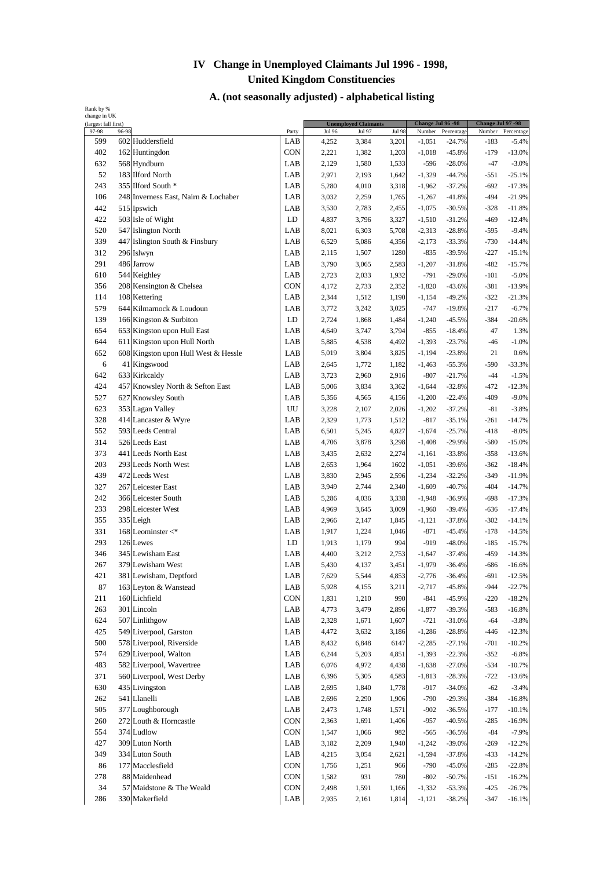| (largest fall first) | change in UK |                                      |                   |                | <b>Unemployed Claimants</b> |              | Change Jul 96 -98  |                      | Change Jul 97 -98 |                      |
|----------------------|--------------|--------------------------------------|-------------------|----------------|-----------------------------|--------------|--------------------|----------------------|-------------------|----------------------|
| 97-98                | 96-98        |                                      | Party             | Jul 96         | Jul 97                      | Jul 98       | Number             | Percentage           | Number            | Percentage           |
| 599                  |              | 602 Huddersfield                     | LAB               | 4,252          | 3,384                       | 3,201        | $-1,051$           | $-24.7%$             | $-183$            | $-5.4%$              |
| 402                  |              | 162 Huntingdon                       | <b>CON</b>        | 2,221          | 1,382                       | 1,203        | $-1,018$           | $-45.8%$             | $-179$            | $-13.0%$             |
| 632                  |              | 568 Hyndburn                         | LAB               | 2,129          | 1,580                       | 1,533        | $-596$             | $-28.0%$             | $-47$             | $-3.0%$              |
| 52                   |              | 183 Ilford North                     | LAB               | 2,971          | 2,193                       | 1,642        | $-1,329$           | $-44.7%$             | $-551$            | $-25.1%$             |
| 243                  |              | 355 Ilford South *                   | LAB               | 5,280          | 4,010                       | 3,318        | $-1,962$           | $-37.2%$             | $-692$            | $-17.3%$             |
| 106                  |              | 248 Inverness East, Nairn & Lochaber | LAB               | 3,032          | 2,259                       | 1,765        | $-1,267$           | $-41.8%$             | $-494$            | $-21.9%$             |
| 442                  |              | 515 Ipswich                          | LAB               | 3,530          | 2,783                       | 2,455        | $-1,075$           | $-30.5%$             | $-328$            | $-11.8%$             |
| 422                  |              | 503 Isle of Wight                    | LD                | 4,837          | 3,796                       | 3,327        | $-1,510$           | $-31.2%$             | $-469$            | $-12.4%$             |
| 520                  |              | 547 Islington North                  | LAB               | 8,021          | 6,303                       | 5,708        | $-2,313$           | $-28.8%$             | $-595$            | $-9.4%$              |
| 339                  |              | 447 Islington South & Finsbury       | LAB               | 6,529          | 5,086                       | 4,356        | $-2,173$           | $-33.3%$             | $-730$            | $-14.4%$             |
| 312                  |              | 296 Islwyn                           | LAB               | 2,115          | 1,507                       | 1280         | $-835$             | $-39.5%$             | $-227$            | $-15.1%$             |
| 291                  |              | 486 Jarrow                           | LAB               | 3,790          | 3,065                       | 2,583        | $-1,207$           | $-31.8%$             | $-482$            | $-15.7%$             |
| 610                  |              | 544 Keighley                         | LAB               | 2,723          | 2,033                       | 1,932        | $-791$             | $-29.0%$             | $-101$            | $-5.0%$              |
| 356                  |              | 208 Kensington & Chelsea             | CON               | 4,172          | 2,733                       | 2,352        | $-1,820$           | $-43.6%$             | $-381$            | $-13.9%$             |
| 114                  |              | 108 Kettering                        | LAB               | 2,344          | 1,512                       | 1,190        | $-1,154$           | $-49.2%$             | $-322$            | -21.3%               |
| 579                  |              | 644 Kilmarnock & Loudoun             | LAB               | 3,772          | 3,242                       | 3,025        | $-747$             | $-19.8%$             | $-217$            | $-6.7%$              |
| 139                  |              | 166 Kingston & Surbiton              | LD                | 2,724          | 1,868                       | 1,484        | $-1,240$           | $-45.5%$             | $-384$            | $-20.6%$             |
| 654                  |              | 653 Kingston upon Hull East          | LAB               | 4,649          | 3,747                       | 3,794        | $-855$             | $-18.4%$             | 47                | 1.3%                 |
| 644                  |              | 611 Kingston upon Hull North         | LAB               | 5,885          | 4,538                       | 4,492        | $-1,393$           | $-23.7%$             | $-46$             | $-1.0%$              |
| 652                  |              | 608 Kingston upon Hull West & Hessle | LAB               | 5,019          | 3,804                       | 3,825        | $-1,194$           | $-23.8%$             | 21                | 0.6%                 |
| 6                    |              | 41 Kingswood                         | LAB               | 2,645          | 1,772                       | 1,182        | $-1,463$           | $-55.3%$             | $-590$            | $-33.3%$             |
| 642                  |              | 633 Kirkcaldy                        | LAB               | 3,723          | 2,960                       | 2,916        | $-807$             | $-21.7%$             | $-44$             | $-1.5%$              |
| 424                  |              | 457 Knowsley North & Sefton East     | LAB               | 5,006          | 3,834                       | 3,362        | $-1,644$           | $-32.8%$             | $-472$            | $-12.3%$             |
| 527                  |              | 627 Knowsley South                   | LAB               | 5,356          | 4,565                       | 4,156        | $-1,200$           | $-22.4%$             | $-409$            | $-9.0%$              |
| 623                  |              | 353 Lagan Valley                     | UU                | 3,228          | 2,107                       | 2,026        | $-1,202$           | $-37.2%$             | $-81$             | $-3.8%$              |
| 328                  |              | 414 Lancaster & Wyre                 | LAB               | 2,329          | 1,773                       | 1,512        | $-817$             | $-35.1%$             | $-261$            | $-14.7%$             |
| 552                  |              | 593 Leeds Central                    | LAB               | 6,501          | 5,245                       | 4,827        | $-1,674$           | $-25.7%$             | $-418$            | $-8.0%$              |
| 314                  |              | 526 Leeds East                       | LAB               | 4,706          | 3,878                       | 3,298        | $-1,408$           | $-29.9%$             | $-580$            | $-15.0%$             |
| 373                  |              | 441 Leeds North East                 | LAB               | 3,435          | 2,632                       | 2,274        | $-1,161$           | $-33.8%$             | $-358$            | $-13.6%$             |
| 203                  |              | 293 Leeds North West                 | LAB               | 2,653          | 1,964                       | 1602         | $-1,051$           | $-39.6%$             | $-362$            | $-18.4%$             |
| 439                  |              | 472 Leeds West                       | LAB               | 3,830          | 2,945                       | 2,596        | $-1,234$           | $-32.2%$             | $-349$            | $-11.9%$             |
| 327                  |              | 267 Leicester East                   | LAB               | 3,949          | 2,744                       | 2,340        | $-1,609$           | $-40.7%$             | $-404$            | $-14.7%$             |
| 242                  |              | 366 Leicester South                  | LAB               | 5,286          | 4,036                       | 3,338        | $-1,948$           | $-36.9%$             | $-698$            | $-17.3%$             |
| 233                  |              | 298 Leicester West                   | LAB               | 4,969          | 3,645                       | 3,009        | $-1,960$           | $-39.4%$             | $-636$            | $-17.4%$             |
| 355                  |              | 335 Leigh                            | LAB               | 2,966          | 2,147                       | 1,845        | $-1,121$           | $-37.8%$             | $-302$            | $-14.1%$             |
| 331                  |              | 168 Leominster $\lt^*$               | LAB               | 1,917          | 1,224                       | 1,046        | $-871$             | $-45.4%$             | $-178$            | $-14.5%$             |
| 293                  |              | 126 Lewes                            | LD                | 1,913          | 1,179                       | 994          | $-919$             | $-48.0%$             | $-185$            | $-15.7%$             |
| 346                  |              | 345 Lewisham East                    | LAB               | 4,400          | 3,212                       | 2,753        | $-1,647$           | $-37.4%$             | $-459$            | $-14.3%$             |
| 267                  |              | 379 Lewisham West                    | LAB               | 5,430          | 4,137                       | 3,451        | $-1,979$           | 36.4%                | -686              | $-16.6%$             |
| 421                  |              | 381 Lewisham, Deptford               | LAB               | 7,629          | 5,544                       | 4,853        | $-2,776$           | $-36.4%$             | $-691$            | $-12.5%$             |
| 87                   |              | 163 Leyton & Wanstead                | LAB               | 5,928          | 4,155                       | 3,211        | $-2,717$           | $-45.8%$             | $-944$            | $-22.7%$             |
| 211                  |              | 160 Lichfield                        | <b>CON</b>        | 1,831          | 1,210                       | 990          | $-841$             | $-45.9%$             | $-220$            | $-18.2%$             |
| 263                  |              | 301 Lincoln                          | LAB               | 4,773          | 3,479                       | 2,896        | $-1,877$           | $-39.3%$             | $-583$            | $-16.8%$             |
| 624                  |              | 507 Linlithgow                       | LAB               | 2,328          | 1,671                       | 1,607        | $-721$             | $-31.0%$             | $-64$             | $-3.8%$              |
| 425                  |              | 549 Liverpool, Garston               | LAB               | 4,472          | 3,632                       | 3,186        | $-1,286$           | $-28.8%$             | $-446$            | $-12.3%$             |
| 500                  |              | 578 Liverpool, Riverside             | LAB               | 8,432          | 6,848                       | 6147         | $-2,285$           | $-27.1%$             | $-701$            | $-10.2%$             |
| 574                  |              | 629 Liverpool, Walton                | LAB               | 6,244          | 5,203                       | 4,851        | $-1,393$           | $-22.3%$             | $-352$            | $-6.8%$              |
| 483                  |              | 582 Liverpool, Wavertree             | LAB               | 6,076          | 4,972                       | 4,438        | $-1,638$           | $-27.0%$             | $-534$            | $-10.7%$             |
| 371                  |              | 560 Liverpool, West Derby            | LAB               | 6,396          | 5,305                       | 4,583        | $-1,813$           | $-28.3%$             | $-722$            | $-13.6%$             |
| 630                  |              | 435 Livingston                       | LAB               | 2,695          | 1,840                       | 1,778        | $-917$             | $-34.0%$             | $-62$             | $-3.4%$              |
| 262                  |              | 541 Llanelli                         | LAB               | 2,696          | 2,290                       | 1,906        | $-790$             | $-29.3%$             | $-384$            | $-16.8%$             |
| 505                  |              | 377 Loughborough                     | LAB               | 2,473          | 1,748                       | 1,571        | $-902$             | $-36.5%$             | $-177$            | $-10.1%$             |
| 260                  |              | 272 Louth & Horncastle               | CON               | 2,363          | 1,691                       | 1,406        | $-957$             | $-40.5%$             | $-285$            | $-16.9%$             |
| 554                  |              | 374 Ludlow                           | <b>CON</b>        | 1,547          | 1,066                       | 982          | -565               | $-36.5%$             | $-84$             | $-7.9%$              |
| 427                  |              | 309 Luton North                      | LAB               | 3,182          | 2,209                       | 1,940        | $-1,242$           | $-39.0%$             | $-269$            | $-12.2%$             |
| 349                  |              | 334 Luton South                      | LAB               | 4,215          | 3,054                       | 2,621        | $-1,594$           | $-37.8%$             | $-433$            | $-14.2%$             |
| 86                   |              | 177 Macclesfield                     | CON               | 1,756          | 1,251                       | 966          | $-790$             | $-45.0%$             | $-285$            | $-22.8%$             |
| 278                  |              | 88 Maidenhead                        | CON<br><b>CON</b> | 1,582<br>2,498 | 931<br>1,591                | 780<br>1,166 | $-802$<br>$-1,332$ | $-50.7%$<br>$-53.3%$ | -151<br>$-425$    | $-16.2%$<br>$-26.7%$ |
| 34                   |              | 57 Maidstone & The Weald             |                   |                |                             |              |                    |                      |                   |                      |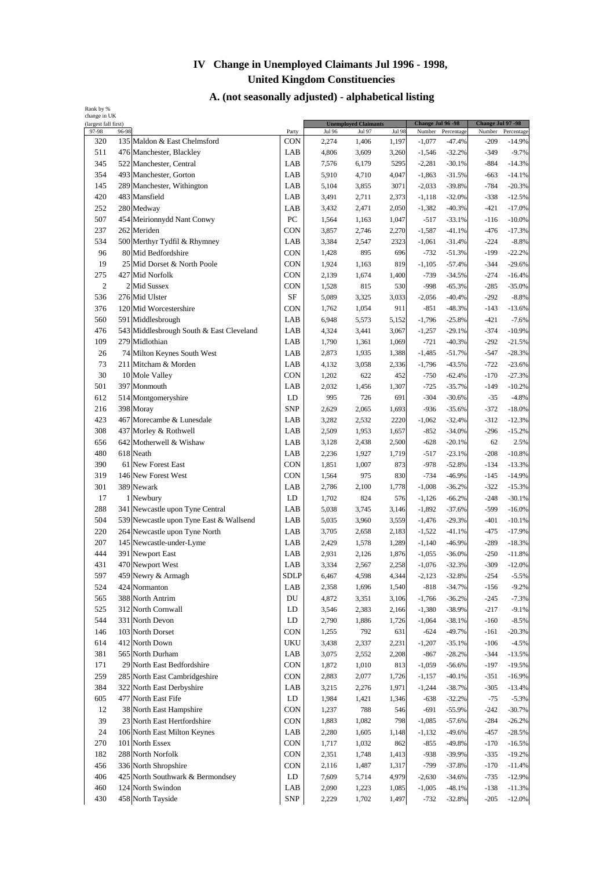| (largest fall first) |       |                                          |             |               | <b>Unemployed Claimants</b> |               | Change Jul 96 -98 |            | Change Jul 97 -98 |            |
|----------------------|-------|------------------------------------------|-------------|---------------|-----------------------------|---------------|-------------------|------------|-------------------|------------|
| 97-98                | 96-98 | 135 Maldon & East Chelmsford             | Party       | <b>Jul 96</b> | Jul 97                      | <b>Jul 98</b> | Number            | Percentage | Number            | Percentage |
| 320                  |       |                                          | CON         | 2,274         | 1,406                       | 1,197         | $-1,077$          | $-47.4%$   | -209              | $-14.9%$   |
| 511                  |       | 476 Manchester, Blackley                 | LAB         | 4,806         | 3,609                       | 3,260         | $-1,546$          | $-32.2%$   | $-349$            | $-9.7%$    |
| 345                  |       | 522 Manchester, Central                  | LAB         | 7,576         | 6,179                       | 5295          | $-2,281$          | $-30.1%$   | $-884$            | $-14.3%$   |
| 354                  |       | 493 Manchester, Gorton                   | LAB         | 5,910         | 4,710                       | 4,047         | $-1,863$          | $-31.5%$   | -663              | $-14.1%$   |
| 145                  |       | 289 Manchester, Withington               | LAB         | 5,104         | 3,855                       | 3071          | $-2,033$          | $-39.8%$   | $-784$            | $-20.3%$   |
| 420                  |       | 483 Mansfield                            | LAB         | 3,491         | 2,711                       | 2,373         | $-1,118$          | $-32.0%$   | $-338$            | $-12.5%$   |
| 252                  |       | 280 Medway                               | LAB         | 3,432         | 2,471                       | 2,050         | $-1,382$          | $-40.3%$   | $-421$            | $-17.0%$   |
| 507                  |       | 454 Meirionnydd Nant Conwy               | PC          | 1,564         | 1,163                       | 1,047         | $-517$            | $-33.1%$   | $-116$            | $-10.0%$   |
| 237                  |       | 262 Meriden                              | <b>CON</b>  | 3,857         | 2,746                       | 2,270         | $-1,587$          | $-41.1%$   | $-476$            | $-17.3%$   |
| 534                  |       | 500 Merthyr Tydfil & Rhymney             | LAB         | 3,384         | 2,547                       | 2323          | $-1,061$          | $-31.4%$   | $-224$            | $-8.8%$    |
| 96                   |       | 80 Mid Bedfordshire                      | CON         | 1,428         | 895                         | 696           | $-732$            | $-51.3%$   | $-199$            | $-22.2%$   |
| 19                   |       | 25 Mid Dorset & North Poole              | <b>CON</b>  | 1,924         | 1,163                       | 819           | $-1,105$          | $-57.4%$   | $-344$            | $-29.6%$   |
| 275                  |       | 427 Mid Norfolk                          | CON         | 2,139         | 1,674                       | 1,400         | $-739$            | $-34.5%$   | $-274$            | $-16.4%$   |
| 2                    |       | 2 Mid Sussex                             | <b>CON</b>  | 1,528         | 815                         | 530           | $-998$            | $-65.3%$   | $-285$            | $-35.0%$   |
| 536                  |       | 276 Mid Ulster                           | <b>SF</b>   | 5,089         | 3,325                       | 3,033         | $-2,056$          | $-40.4%$   | $-292$            | $-8.8%$    |
| 376                  |       | 120 Mid Worcestershire                   | CON         | 1,762         | 1,054                       | 911           | $-851$            | $-48.3%$   | $-143$            | $-13.6%$   |
| 560                  |       | 591 Middlesbrough                        | LAB         | 6,948         | 5,573                       | 5,152         | $-1,796$          | $-25.8%$   | $-421$            | $-7.6%$    |
| 476                  |       | 543 Middlesbrough South & East Cleveland | LAB         | 4,324         | 3,441                       | 3,067         | $-1,257$          | $-29.1%$   | $-374$            | $-10.9%$   |
| 109                  |       | 279 Midlothian                           | LAB         | 1,790         | 1,361                       | 1,069         | $-721$            | $-40.3%$   | $-292$            | $-21.5%$   |
| 26                   |       | 74 Milton Keynes South West              | LAB         | 2,873         | 1,935                       | 1,388         | $-1,485$          | $-51.7%$   | $-547$            | $-28.3%$   |
| 73                   |       | 211 Mitcham & Morden                     | LAB         | 4,132         | 3,058                       | 2,336         | $-1,796$          | $-43.5%$   | $-722$            | $-23.6%$   |
| 30                   |       | 10 Mole Valley                           | <b>CON</b>  | 1,202         | 622                         | 452           | $-750$            | $-62.4%$   | $-170$            | $-27.3%$   |
| 501                  |       | 397 Monmouth                             | LAB         | 2,032         | 1,456                       | 1,307         | $-725$            | $-35.7%$   | $-149$            | $-10.2%$   |
| 612                  |       | 514 Montgomeryshire                      | LD          | 995           | 726                         | 691           | $-304$            | $-30.6%$   | $-35$             | $-4.8%$    |
| 216                  |       | 398 Moray                                | <b>SNP</b>  | 2,629         | 2,065                       | 1,693         | $-936$            | $-35.6%$   | $-372$            | $-18.0%$   |
| 423                  |       | 467 Morecambe & Lunesdale                | LAB         | 3,282         | 2,532                       | 2220          | $-1,062$          | $-32.4%$   | $-312$            | $-12.3%$   |
| 308                  |       | 437 Morley & Rothwell                    | LAB         | 2,509         | 1,953                       | 1,657         | $-852$            | $-34.0%$   | $-296$            | $-15.2%$   |
| 656                  |       | 642 Motherwell & Wishaw                  | LAB         | 3,128         | 2,438                       | 2,500         | $-628$            | $-20.1%$   | 62                | 2.5%       |
| 480                  |       | 618 Neath                                | LAB         | 2,236         | 1,927                       | 1,719         | $-517$            | $-23.1%$   | $-208$            | $-10.8%$   |
| 390                  |       | 61 New Forest East                       | <b>CON</b>  | 1,851         | 1,007                       | 873           | $-978$            | $-52.8%$   | $-134$            | $-13.3%$   |
| 319                  |       | 146 New Forest West                      | <b>CON</b>  | 1,564         | 975                         | 830           | $-734$            | $-46.9%$   | $-145$            | $-14.9%$   |
| 301                  |       | 389 Newark                               | LAB         | 2,786         | 2,100                       | 1,778         | $-1,008$          | $-36.2%$   | $-322$            | $-15.3%$   |
| 17                   |       | 1 Newbury                                | LD          | 1,702         | 824                         | 576           | $-1,126$          | $-66.2%$   | $-248$            | $-30.1%$   |
| 288                  |       | 341 Newcastle upon Tyne Central          | LAB         | 5,038         | 3,745                       | 3,146         | $-1,892$          | $-37.6%$   | -599              | $-16.0%$   |
| 504                  |       | 539 Newcastle upon Tyne East & Wallsend  | LAB         | 5,035         | 3,960                       | 3,559         | $-1,476$          | $-29.3%$   | $-401$            | $-10.1%$   |
| 220                  |       | 264 Newcastle upon Tyne North            | LAB         | 3,705         | 2,658                       | 2,183         | $-1,522$          | $-41.1%$   | $-475$            | $-17.9%$   |
| 207                  |       | 145 Newcastle-under-Lyme                 | LAB         | 2,429         | 1,578                       | 1,289         | $-1,140$          | $-46.9%$   | $-289$            | $-18.3%$   |
| 444                  |       | 391 Newport East                         | LAB         | 2,931         | 2,126                       | 1,876         | $-1,055$          | $-36.0%$   | $-250$            | $-11.8%$   |
| 431                  |       | 470 Newport West                         | LAB         | 3,334         | 2,567                       | 2,258         | $-1,076$          | $-32.3%$   | $-309$            | $-12.0%$   |
| 597                  |       | 459 Newry & Armagh                       | <b>SDLP</b> | 6,467         | 4,598                       | 4,344         | $-2,123$          | $-32.8%$   | $-254$            | $-5.5%$    |
| 524                  |       | 424 Normanton                            | LAB         | 2,358         | 1,696                       | 1,540         | $-818$            | $-34.7%$   | $-156$            | $-9.2%$    |
| 565                  |       | 388 North Antrim                         | DU          | 4,872         | 3,351                       | 3,106         | $-1,766$          | $-36.2%$   | $-245$            | $-7.3%$    |
| 525                  |       | 312 North Cornwall                       | LD          | 3,546         | 2,383                       | 2,166         | $-1,380$          | $-38.9%$   | $-217$            | $-9.1%$    |
| 544                  |       | 331 North Devon                          | LD          | 2,790         | 1,886                       | 1,726         | $-1,064$          | $-38.1%$   | $-160$            | $-8.5%$    |
| 146                  |       | 103 North Dorset                         | <b>CON</b>  | 1,255         | 792                         | 631           | $-624$            | $-49.7%$   | $-161$            | $-20.3%$   |
| 614                  |       | 412 North Down                           | <b>UKU</b>  | 3,438         | 2,337                       | 2,231         | $-1,207$          | $-35.1%$   | $-106$            | $-4.5%$    |
| 381                  |       | 565 North Durham                         | LAB         | 3,075         | 2,552                       | 2,208         | $-867$            | $-28.2%$   | $-344$            | $-13.5%$   |
| 171                  |       | 29 North East Bedfordshire               | CON         | 1,872         | 1,010                       | 813           | $-1,059$          | $-56.6%$   | $-197$            | $-19.5%$   |
| 259                  |       | 285 North East Cambridgeshire            | <b>CON</b>  | 2,883         | 2,077                       | 1,726         | $-1,157$          | $-40.1%$   | $-351$            | $-16.9%$   |
| 384                  |       | 322 North East Derbyshire                | LAB         | 3,215         | 2,276                       | 1,971         | $-1,244$          | $-38.7%$   | $-305$            | $-13.4%$   |
| 605                  |       | 477 North East Fife                      | ${\rm LD}$  | 1,984         | 1,421                       | 1,346         | $-638$            | $-32.2%$   | $-75$             | $-5.3%$    |
| 12                   |       | 38 North East Hampshire                  | CON         | 1,237         | 788                         | 546           | $-691$            | $-55.9%$   | $-242$            | $-30.7%$   |
| 39                   |       | 23 North East Hertfordshire              | CON         | 1,883         | 1,082                       | 798           | $-1,085$          | $-57.6%$   | $-284$            | $-26.2%$   |
| 24                   |       | 106 North East Milton Keynes             | LAB         | 2,280         | 1,605                       | 1,148         | $-1,132$          | $-49.6%$   | $-457$            | $-28.5%$   |
| 270                  |       | 101 North Essex                          | <b>CON</b>  | 1,717         | 1,032                       | 862           | $-855$            | $-49.8%$   | $-170$            | $-16.5%$   |
| 182                  |       | 288 North Norfolk                        | <b>CON</b>  | 2,351         | 1,748                       | 1,413         | $-938$            | -39.9%     | $-335$            | $-19.2%$   |
| 456                  |       | 336 North Shropshire                     | <b>CON</b>  | 2,116         | 1,487                       | 1,317         | $-799$            | $-37.8%$   | $-170$            | $-11.4%$   |
| 406                  |       | 425 North Southwark & Bermondsey         | LD          | 7,609         | 5,714                       | 4,979         | $-2,630$          | $-34.6%$   | $-735$            | $-12.9%$   |
| 460                  |       | 124 North Swindon                        | LAB         | 2,090         | 1,223                       | 1,085         | $-1,005$          | $-48.1%$   | $-138$            | $-11.3%$   |
|                      |       | 458 North Tayside                        | SNP         | 2,229         | 1,702                       | 1,497         | $-732$            | $-32.8%$   | $-205$            | $-12.0%$   |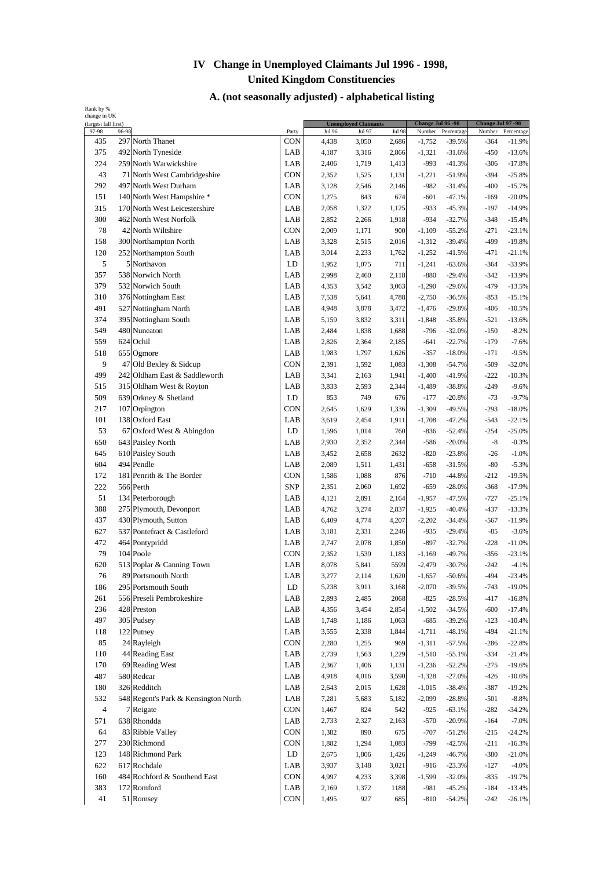| (largest fall first)    |       |                                      |                        |                        | <b>Unemployed Claimants</b> |                        | Change Jul 96 -98  |                        | Change Jul 97 -98 |                        |
|-------------------------|-------|--------------------------------------|------------------------|------------------------|-----------------------------|------------------------|--------------------|------------------------|-------------------|------------------------|
| 97-98<br>435            | 96-98 | 297 North Thanet                     | Party<br><b>CON</b>    | <b>Jul 96</b><br>4,438 | Jul 97<br>3,050             | <b>Jul 98</b><br>2,686 | Number<br>$-1,752$ | Percentage<br>$-39.5%$ | Number<br>-364    | Percentage<br>$-11.9%$ |
| 375                     |       | 492 North Tyneside                   | LAB                    | 4,187                  | 3,316                       | 2,866                  | $-1,321$           | $-31.6%$               | $-450$            | $-13.6%$               |
| 224                     |       | 259 North Warwickshire               | LAB                    | 2,406                  | 1,719                       | 1,413                  | $-993$             | $-41.3%$               | $-306$            | $-17.8%$               |
| 43                      |       | 71 North West Cambridgeshire         | <b>CON</b>             | 2,352                  | 1,525                       | 1,131                  | $-1,221$           | $-51.9%$               | $-394$            | $-25.8%$               |
| 292                     |       | 497 North West Durham                | LAB                    | 3,128                  | 2,546                       | 2,146                  | $-982$             | $-31.4%$               | $-400$            | $-15.7%$               |
| 151                     |       | 140 North West Hampshire *           | <b>CON</b>             | 1,275                  | 843                         | 674                    | $-601$             | $-47.1%$               | $-169$            | $-20.0%$               |
| 315                     |       | 170 North West Leicestershire        | LAB                    |                        |                             |                        |                    |                        | $-197$            | $-14.9%$               |
| 300                     |       | 462 North West Norfolk               | LAB                    | 2,058                  | 1,322                       | 1,125                  | $-933$<br>$-934$   | $-45.3%$               | $-348$            |                        |
|                         |       | 42 North Wiltshire                   | CON                    | 2,852                  | 2,266                       | 1,918<br>900           |                    | $-32.7%$               | $-271$            | $-15.4%$               |
| 78                      |       |                                      |                        | 2,009                  | 1,171                       |                        | $-1,109$           | $-55.2%$               |                   | $-23.1%$               |
| 158                     |       | 300 Northampton North                | LAB                    | 3,328                  | 2,515                       | 2,016                  | $-1,312$           | $-39.4%$               | -499              | $-19.8%$               |
| 120<br>5                |       | 252 Northampton South                | LAB                    | 3,014                  | 2,233                       | 1,762                  | $-1,252$           | $-41.5%$               | -471              | $-21.1%$               |
|                         |       | 5 Northavon                          | LD                     | 1,952                  | 1,075                       | 711                    | $-1,241$           | $-63.6%$               | $-364$            | $-33.9%$               |
| 357                     |       | 538 Norwich North                    | LAB                    | 2,998                  | 2,460                       | 2,118                  | $-880$             | $-29.4%$               | $-342$            | $-13.9%$               |
| 379                     |       | 532 Norwich South                    | LAB                    | 4,353                  | 3,542                       | 3,063                  | $-1,290$           | $-29.6%$               | $-479$            | $-13.5%$               |
| 310                     |       | 376 Nottingham East                  | LAB                    | 7,538                  | 5,641                       | 4,788                  | $-2,750$           | $-36.5%$               | $-853$            | $-15.1%$               |
| 491                     |       | 527 Nottingham North                 | LAB                    | 4,948                  | 3,878                       | 3,472                  | $-1,476$           | $-29.8%$               | $-406$            | $-10.5%$               |
| 374                     |       | 395 Nottingham South                 | LAB                    | 5,159                  | 3,832                       | 3,311                  | $-1,848$           | $-35.8%$               | $-521$            | $-13.6%$               |
| 549                     |       | 480 Nuneaton                         | LAB                    | 2,484                  | 1,838                       | 1,688                  | $-796$             | $-32.0%$               | $-150$            | $-8.2%$                |
| 559                     |       | 624 Ochil                            | LAB                    | 2,826                  | 2,364                       | 2,185                  | $-641$             | $-22.7%$               | $-179$            | $-7.6%$                |
| 518                     |       | 655 Ogmore                           | LAB                    | 1,983                  | 1,797                       | 1,626                  | $-357$             | $-18.0%$               | $-171$            | $-9.5%$                |
| 9                       |       | 47 Old Bexley & Sidcup               | <b>CON</b>             | 2,391                  | 1,592                       | 1,083                  | $-1,308$           | $-54.7%$               | $-509$            | $-32.0%$               |
| 499                     |       | 242 Oldham East & Saddleworth        | LAB                    | 3,341                  | 2,163                       | 1,941                  | $-1,400$           | $-41.9%$               | $-222$            | $-10.3%$               |
| 515                     |       | 315 Oldham West & Royton             | LAB                    | 3,833                  | 2,593                       | 2,344                  | $-1,489$           | $-38.8%$               | $-249$            | $-9.6%$                |
| 509                     |       | 639 Orkney & Shetland                | LD                     | 853                    | 749                         | 676                    | $-177$             | $-20.8%$               | $-73$             | $-9.7%$                |
| 217                     |       | 107 Orpington                        | <b>CON</b>             | 2,645                  | 1,629                       | 1,336                  | $-1,309$           | $-49.5%$               | $-293$            | $-18.0%$               |
| 101                     |       | 138 Oxford East                      | LAB                    | 3,619                  | 2,454                       | 1,911                  | $-1,708$           | $-47.2%$               | $-543$            | $-22.1%$               |
| 53                      |       | 67 Oxford West & Abingdon            | LD                     | 1,596                  | 1,014                       | 760                    | $-836$             | $-52.4%$               | $-254$            | $-25.0%$               |
| 650                     |       | 643 Paisley North                    | LAB                    | 2,930                  | 2,352                       | 2,344                  | $-586$             | $-20.0%$               | $-8$              | $-0.3%$                |
| 645                     |       | 610 Paisley South                    | LAB                    | 3,452                  | 2,658                       | 2632                   | $-820$             | $-23.8%$               | $-26$             | $-1.0%$                |
| 604                     |       | 494 Pendle                           | LAB                    | 2,089                  | 1,511                       | 1,431                  | $-658$             | $-31.5%$               | $-80$             | $-5.3%$                |
| 172                     |       | 181 Penrith & The Border             | <b>CON</b>             | 1,586                  | 1,088                       | 876                    | $-710$             | $-44.8%$               | $-212$            | $-19.5%$               |
| 222                     |       | 566 Perth                            | <b>SNP</b>             | 2,351                  | 2,060                       | 1,692                  | $-659$             | $-28.0%$               | $-368$            | $-17.9%$               |
| 51                      |       | 134 Peterborough                     | LAB                    | 4,121                  | 2,891                       | 2,164                  | $-1,957$           | $-47.5%$               | $-727$            | $-25.1%$               |
| 388                     |       | 275 Plymouth, Devonport              | LAB                    | 4,762                  | 3,274                       | 2,837                  | $-1,925$           | $-40.4%$               | $-437$            | $-13.3%$               |
| 437                     |       | 430 Plymouth, Sutton                 | LAB                    | 6,409                  | 4,774                       | 4,207                  | $-2,202$           | $-34.4%$               | -567              | $-11.9%$               |
| 627                     |       | 537 Pontefract & Castleford          | LAB                    | 3,181                  | 2,331                       | 2,246                  | $-935$             | $-29.4%$               | $-85$             | $-3.6%$                |
| 472                     |       | 464 Pontypridd                       | LAB                    | 2,747                  | 2,078                       | 1,850                  | $-897$             | $-32.7%$               | $-228$            | $-11.0%$               |
| 79                      |       | 104 Poole                            | CON                    | 2,352                  | 1,539                       | 1,183                  | $-1,169$           | $-49.7%$               | $-356$            | $-23.1%$               |
| 620                     |       | 513 Poplar & Canning Town            | LAB                    | 8,078                  | 5,841                       | 5599                   | $-2,479$           | $-30.7%$               | $-242$            | $-4.1%$                |
| 76                      |       | 89 Portsmouth North                  | LAB                    | 3,277                  | 2,114                       | 1,620                  | $-1,657$           | $-50.6%$               | $-494$            | $-23.4%$               |
| 186                     |       | 295 Portsmouth South                 | ${\rm LD}$             | 5,238                  | 3,911                       | 3,168                  | $-2,070$           | $-39.5%$               | $-743$            | $-19.0%$               |
| 261                     |       | 556 Preseli Pembrokeshire            | LAB                    | 2,893                  | 2,485                       | 2068                   | $-825$             | $-28.5%$               | $-417$            | $-16.8%$               |
| 236                     |       | 428 Preston                          | LAB                    | 4,356                  | 3,454                       | 2,854                  | $-1,502$           | $-34.5%$               | $-600$            | $-17.4%$               |
| 497                     |       | 305 Pudsey                           | LAB                    | 1,748                  | 1,186                       | 1,063                  | $-685$             | $-39.2%$               | $-123$            | $-10.4%$               |
| 118                     |       | 122 Putney                           | LAB                    | 3,555                  | 2,338                       | 1,844                  | $-1,711$           | $-48.1%$               | -494              | $-21.1%$               |
| 85                      |       | 24 Rayleigh                          | CON                    | 2,280                  | 1,255                       | 969                    | $-1,311$           | $-57.5%$               | $-286$            | $-22.8%$               |
| 110                     |       | 44 Reading East                      | LAB                    | 2,739                  | 1,563                       | 1,229                  | $-1,510$           | $-55.1%$               | $-334$            | $-21.4%$               |
| 170                     |       | 69 Reading West                      | LAB                    | 2,367                  | 1,406                       | 1,131                  | $-1,236$           | $-52.2%$               | $-275$            | $-19.6%$               |
| 487                     |       | 580 Redcar                           | LAB                    | 4,918                  | 4,016                       | 3,590                  | $-1,328$           | $-27.0%$               | $-426$            | $-10.6%$               |
| 180                     |       | 326 Redditch                         | LAB                    | 2,643                  | 2,015                       | 1,628                  | $-1,015$           | $-38.4%$               | $-387$            | $-19.2%$               |
| 532                     |       | 548 Regent's Park & Kensington North | LAB                    | 7,281                  | 5,683                       | 5,182                  | $-2,099$           | $-28.8%$               | $-501$            | $-8.8%$                |
| $\overline{\mathbf{4}}$ |       | 7 Reigate                            | CON                    | 1,467                  | 824                         | 542                    | $-925$             | $-63.1%$               | $-282$            | $-34.2%$               |
| 571                     |       | 638 Rhondda                          | LAB                    | 2,733                  | 2,327                       | 2,163                  | $-570$             | $-20.9%$               | $-164$            | $-7.0%$                |
| 64                      |       | 83 Ribble Valley                     | <b>CON</b>             | 1,382                  | 890                         | 675                    | $-707$             | $-51.2%$               | $-215$            | $-24.2%$               |
| 277                     |       | 230 Richmond                         | CON                    | 1,882                  | 1,294                       | 1,083                  | $-799$             | $-42.5%$               | $-211$            | $-16.3%$               |
| 123                     |       | 148 Richmond Park                    | $\mathbf{L}\mathbf{D}$ | 2,675                  | 1,806                       | 1,426                  | $-1,249$           | $-46.7%$               | $-380$            | $-21.0%$               |
| 622                     |       | 617 Rochdale                         | LAB                    | 3,937                  | 3,148                       | 3,021                  | $-916$             | $-23.3%$               | $-127$            | $-4.0%$                |
| 160                     |       | 484 Rochford & Southend East         | CON                    | 4,997                  | 4,233                       | 3,398                  | $-1,599$           | $-32.0%$               | $-835$            | $-19.7%$               |
| 383                     |       | 172 Romford                          | LAB                    | 2,169                  | 1,372                       | 1188                   | $-981$             | $-45.2%$               | $-184$            | $-13.4%$               |
|                         |       | 51 Romsey                            | CON                    | 1,495                  | 927                         | 685                    | $-810$             | $-54.2%$               | $-242$            | $-26.1%$               |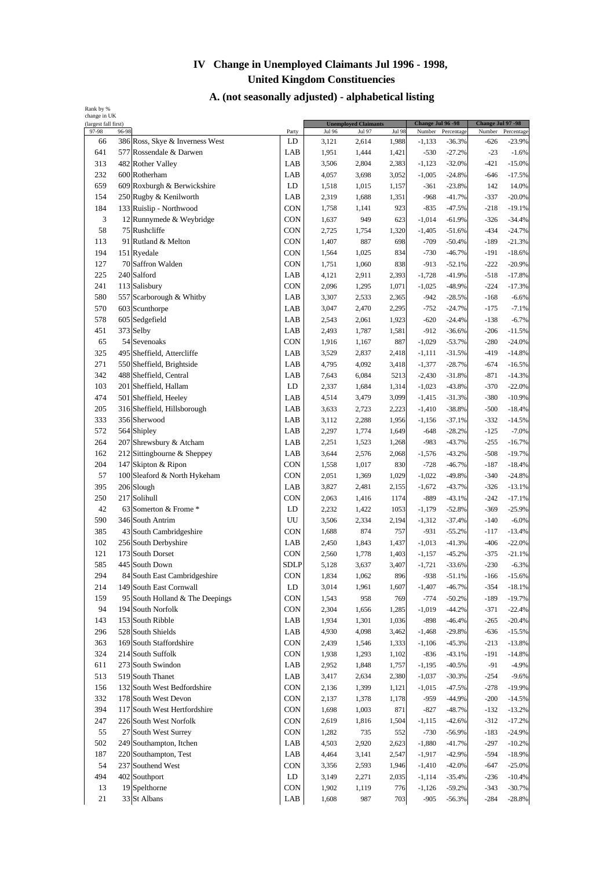| (largest fall first) |       |                                    |                   |                        | <b>Unemployed Claimants</b> |                        | Change Jul 96 -98  |                        | Change Jul 97 -98 |                        |
|----------------------|-------|------------------------------------|-------------------|------------------------|-----------------------------|------------------------|--------------------|------------------------|-------------------|------------------------|
| 97-98<br>66          | 96-98 | 386 Ross, Skye & Inverness West    | Party<br>LD       | <b>Jul 96</b><br>3,121 | Jul 97<br>2,614             | <b>Jul 98</b><br>1,988 | Number<br>$-1,133$ | Percentage<br>$-36.3%$ | Number<br>-626    | Percentage<br>$-23.9%$ |
| 641                  |       | 577 Rossendale & Darwen            | LAB               | 1,951                  | 1,444                       | 1,421                  | $-530$             | $-27.2%$               | $-23$             | $-1.6%$                |
| 313                  |       | 482 Rother Valley                  | LAB               | 3,506                  | 2,804                       | 2,383                  | $-1,123$           | $-32.0%$               | $-421$            | $-15.0%$               |
| 232                  |       | 600 Rotherham                      | LAB               | 4,057                  | 3,698                       | 3,052                  | $-1,005$           | $-24.8%$               | $-646$            | $-17.5%$               |
| 659                  |       | 609 Roxburgh & Berwickshire        | LD                | 1,518                  | 1,015                       | 1,157                  | $-361$             | $-23.8%$               | 142               | 14.0%                  |
| 154                  |       | 250 Rugby & Kenilworth             | LAB               | 2,319                  | 1,688                       | 1,351                  | $-968$             | $-41.7%$               | $-337$            | $-20.0%$               |
| 184                  |       | 133 Ruislip - Northwood            | <b>CON</b>        | 1,758                  | 1,141                       | 923                    | $-835$             | $-47.5%$               | $-218$            | $-19.1%$               |
| 3                    |       | 12 Runnymede & Weybridge           | CON               |                        | 949                         |                        | $-1,014$           |                        | $-326$            |                        |
| 58                   |       | 75 Rushcliffe                      | CON               | 1,637<br>2,725         |                             | 623                    |                    | $-61.9%$               | $-434$            | $-34.4%$<br>$-24.7%$   |
|                      |       |                                    |                   |                        | 1,754<br>887                | 1,320                  | $-1,405$           | $-51.6%$               |                   |                        |
| 113<br>194           |       | 91 Rutland & Melton<br>151 Ryedale | CON<br><b>CON</b> | 1,407                  |                             | 698                    | $-709$             | $-50.4%$               | $-189$            | $-21.3%$               |
|                      |       |                                    |                   | 1,564                  | 1,025                       | 834                    | $-730$             | $-46.7%$               | -191              | $-18.6%$               |
| 127                  |       | 70 Saffron Walden                  | CON               | 1,751                  | 1,060                       | 838                    | $-913$             | $-52.1%$               | $-222$            | $-20.9%$               |
| 225                  |       | 240 Salford                        | LAB               | 4,121                  | 2,911                       | 2,393                  | $-1,728$           | $-41.9%$               | $-518$            | $-17.8%$               |
| 241                  |       | 113 Salisbury                      | CON               | 2,096                  | 1,295                       | 1,071                  | $-1,025$           | $-48.9%$               | $-224$            | $-17.3%$               |
| 580                  |       | 557 Scarborough & Whitby           | LAB               | 3,307                  | 2,533                       | 2,365                  | $-942$             | $-28.5%$               | $-168$            | $-6.6%$                |
| 570                  |       | 603 Scunthorpe                     | LAB               | 3,047                  | 2,470                       | 2,295                  | $-752$             | $-24.7%$               | $-175$            | $-7.1%$                |
| 578                  |       | 605 Sedgefield                     | LAB               | 2,543                  | 2,061                       | 1,923                  | $-620$             | $-24.4%$               | $-138$            | $-6.7%$                |
| 451                  |       | 373 Selby                          | LAB               | 2,493                  | 1,787                       | 1,581                  | $-912$             | $-36.6%$               | $-206$            | $-11.5%$               |
| 65                   |       | 54 Sevenoaks                       | <b>CON</b>        | 1,916                  | 1,167                       | 887                    | $-1,029$           | $-53.7%$               | $-280$            | $-24.0%$               |
| 325                  |       | 495 Sheffield, Attercliffe         | LAB               | 3,529                  | 2,837                       | 2,418                  | $-1,111$           | $-31.5%$               | $-419$            | $-14.8%$               |
| 271                  |       | 550 Sheffield, Brightside          | LAB               | 4,795                  | 4,092                       | 3,418                  | $-1,377$           | $-28.7%$               | $-674$            | $-16.5%$               |
| 342                  |       | 488 Sheffield, Central             | LAB               | 7,643                  | 6,084                       | 5213                   | $-2,430$           | $-31.8%$               | $-871$            | $-14.3%$               |
| 103                  |       | 201 Sheffield, Hallam              | LD                | 2,337                  | 1,684                       | 1,314                  | $-1,023$           | $-43.8%$               | $-370$            | $-22.0%$               |
| 474                  |       | 501 Sheffield, Heeley              | LAB               | 4,514                  | 3,479                       | 3,099                  | $-1,415$           | $-31.3%$               | $-380$            | $-10.9%$               |
| 205                  |       | 316 Sheffield, Hillsborough        | LAB               | 3,633                  | 2,723                       | 2,223                  | $-1,410$           | $-38.8%$               | $-500$            | $-18.4%$               |
| 333                  |       | 356 Sherwood                       | LAB               | 3,112                  | 2,288                       | 1,956                  | $-1,156$           | $-37.1%$               | $-332$            | $-14.5%$               |
| 572                  |       | 564 Shipley                        | LAB               | 2,297                  | 1,774                       | 1,649                  | $-648$             | $-28.2%$               | $-125$            | $-7.0%$                |
| 264                  |       | 207 Shrewsbury & Atcham            | LAB               | 2,251                  | 1,523                       | 1,268                  | $-983$             | $-43.7%$               | $-255$            | $-16.7%$               |
| 162                  |       | 212 Sittingbourne & Sheppey        | LAB               | 3,644                  | 2,576                       | 2,068                  | $-1,576$           | $-43.2%$               | $-508$            | $-19.7%$               |
| 204                  |       | 147 Skipton & Ripon                | <b>CON</b>        | 1,558                  | 1,017                       | 830                    | $-728$             | $-46.7%$               | $-187$            | $-18.4%$               |
| 57                   |       | 100 Sleaford & North Hykeham       | <b>CON</b>        | 2,051                  | 1,369                       | 1,029                  | $-1,022$           | $-49.8%$               | $-340$            | $-24.8%$               |
| 395                  |       | 206 Slough                         | LAB               | 3,827                  | 2,481                       | 2,155                  | $-1,672$           | $-43.7%$               | $-326$            | $-13.1%$               |
| 250                  |       | 217 Solihull                       | CON               | 2,063                  | 1,416                       | 1174                   | $-889$             | $-43.1%$               | $-242$            | $-17.1%$               |
| 42                   |       | 63 Somerton & Frome *              | LD                | 2,232                  | 1,422                       | 1053                   | $-1,179$           | $-52.8%$               | $-369$            | $-25.9%$               |
| 590                  |       | 346 South Antrim                   | UU                | 3,506                  | 2,334                       | 2,194                  | $-1,312$           | $-37.4%$               | $-140$            | $-6.0%$                |
| 385                  |       | 43 South Cambridgeshire            | CON               | 1,688                  | 874                         | 757                    | $-931$             | $-55.2%$               | $-117$            | $-13.4%$               |
| 102                  |       | 256 South Derbyshire               | LAB               | 2,450                  | 1,843                       | 1,437                  | $-1,013$           | $-41.3%$               | $-406$            | $-22.0%$               |
| 121                  |       | 173 South Dorset                   | CON               | 2,560                  | 1,778                       | 1,403                  | $-1,157$           | $-45.2%$               | $-375$            | $-21.1%$               |
| 585                  |       | 445 South Down                     | <b>SDLP</b>       | 5,128                  | 3,637                       | 3,407                  | $-1,721$           | $-33.6%$               | $-230$            | $-6.3%$                |
| 294                  |       | 84 South East Cambridgeshire       | CON               | 1,834                  | 1,062                       | 896                    | $-938$             | $-51.1%$               | $-166$            | $-15.6%$               |
| 214                  |       | 149 South East Cornwall            | LD                | 3,014                  | 1,961                       | 1,607                  | $-1,407$           | $-46.7%$               | $-354$            | $-18.1%$               |
| 159                  |       | 95 South Holland & The Deepings    | CON               | 1,543                  | 958                         | 769                    | $-774$             | $-50.2%$               | $-189$            | $-19.7%$               |
| 94                   |       | 194 South Norfolk                  | CON               | 2,304                  | 1,656                       | 1,285                  | $-1,019$           | $-44.2%$               | $-371$            | $-22.4%$               |
| 143                  |       | 153 South Ribble                   | LAB               | 1,934                  | 1,301                       | 1,036                  | $-898$             | $-46.4%$               | $-265$            | $-20.4%$               |
| 296                  |       | 528 South Shields                  | LAB               | 4,930                  | 4,098                       | 3,462                  | $-1,468$           | $-29.8%$               | $-636$            | $-15.5%$               |
| 363                  |       | 169 South Staffordshire            | CON               | 2,439                  | 1,546                       | 1,333                  | $-1,106$           | $-45.3%$               | $-213$            | $-13.8%$               |
| 324                  |       | 214 South Suffolk                  | <b>CON</b>        | 1,938                  | 1,293                       | 1,102                  | $-836$             | $-43.1%$               | -191              | $-14.8%$               |
| 611                  |       | 273 South Swindon                  | LAB               | 2,952                  | 1,848                       | 1,757                  | $-1,195$           | $-40.5%$               | $-91$             | $-4.9%$                |
| 513                  |       | 519 South Thanet                   | LAB               | 3,417                  | 2,634                       | 2,380                  | $-1,037$           | $-30.3%$               | $-254$            | $-9.6%$                |
| 156                  |       | 132 South West Bedfordshire        | <b>CON</b>        | 2,136                  | 1,399                       | 1,121                  | $-1,015$           | $-47.5%$               | $-278$            | $-19.9%$               |
| 332                  |       | 178 South West Devon               | CON               | 2,137                  | 1,378                       | 1,178                  | $-959$             | $-44.9%$               | $-200$            | $-14.5%$               |
| 394                  |       | 117 South West Hertfordshire       | <b>CON</b>        | 1,698                  | 1,003                       | 871                    | $-827$             | $-48.7%$               | $-132$            | $-13.2%$               |
| 247                  |       | 226 South West Norfolk             | CON               | 2,619                  | 1,816                       | 1,504                  | $-1,115$           | $-42.6%$               | $-312$            | $-17.2%$               |
| 55                   |       | 27 South West Surrey               | <b>CON</b>        | 1,282                  | 735                         | 552                    | $-730$             | $-56.9%$               | $-183$            | $-24.9%$               |
| 502                  |       | 249 Southampton, Itchen            | LAB               | 4,503                  | 2,920                       | 2,623                  | $-1,880$           | $-41.7%$               | $-297$            | $-10.2%$               |
| 187                  |       | 220 Southampton, Test              | LAB               | 4,464                  | 3,141                       | 2,547                  | $-1,917$           | $-42.9%$               | $-594$            | $-18.9%$               |
| 54                   |       | 237 Southend West                  | <b>CON</b>        | 3,356                  | 2,593                       | 1,946                  | $-1,410$           | $-42.0%$               | $-647$            | $-25.0%$               |
| 494                  |       | 402 Southport                      | LD                | 3,149                  | 2,271                       | 2,035                  | $-1,114$           | $-35.4%$               | $-236$            | $-10.4%$               |
| 13                   |       | 19 Spelthorne                      | <b>CON</b>        | 1,902                  | 1,119                       | 776                    | $-1,126$           | $-59.2%$               | $-343$            | $-30.7%$               |
| 21                   |       | 33 St Albans                       | LAB               | 1,608                  | 987                         | 703                    | $-905$             | $-56.3%$               | $-284$            | $-28.8%$               |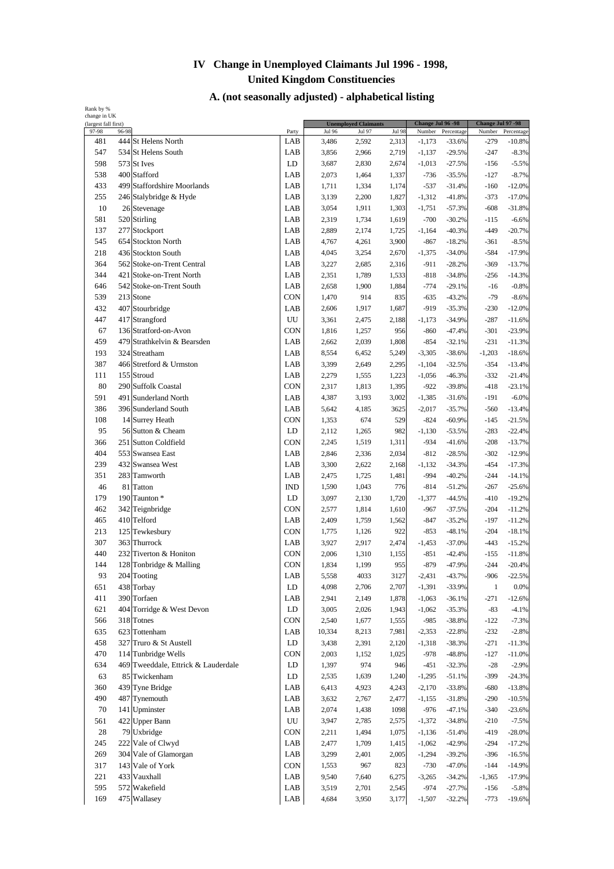| (largest fall first) |       |                                     |                  |        | <b>Unemployed Claimants</b> |               | Change Jul 96 -98 |            | Change Jul 97 -98 |            |
|----------------------|-------|-------------------------------------|------------------|--------|-----------------------------|---------------|-------------------|------------|-------------------|------------|
| 97-98                | 96-98 |                                     | Party            | Jul 96 | Jul 97                      | <b>Jul 98</b> | Number            | Percentage | Number            | Percentage |
| 481                  |       | 444 St Helens North                 | LAB              | 3,486  | 2,592                       | 2,313         | $-1,173$          | $-33.6%$   | $-279$            | $-10.8%$   |
| 547                  |       | 534 St Helens South                 | LAB              | 3,856  | 2,966                       | 2,719         | $-1,137$          | $-29.5%$   | $-247$            | $-8.3%$    |
| 598                  |       | 573 St Ives                         | LD               | 3,687  | 2,830                       | 2,674         | $-1,013$          | $-27.5%$   | $-156$            | $-5.5%$    |
| 538                  |       | 400 Stafford                        | LAB              | 2,073  | 1,464                       | 1,337         | $-736$            | $-35.5%$   | $-127$            | $-8.7%$    |
| 433                  |       | 499 Staffordshire Moorlands         | LAB              | 1,711  | 1,334                       | 1,174         | $-537$            | $-31.4%$   | $-160$            | $-12.0%$   |
| 255                  |       | 246 Stalybridge & Hyde              | LAB              | 3,139  | 2,200                       | 1,827         | $-1,312$          | $-41.8%$   | $-373$            | $-17.0%$   |
| 10                   |       | 26 Stevenage                        | LAB              | 3,054  | 1,911                       | 1,303         | $-1,751$          | $-57.3%$   | $-608$            | $-31.8%$   |
| 581                  |       | 520 Stirling                        | LAB              | 2,319  | 1,734                       | 1,619         | $-700$            | $-30.2%$   | $-115$            | $-6.6%$    |
| 137                  |       | 277 Stockport                       | LAB              | 2,889  | 2,174                       | 1,725         | $-1,164$          | $-40.3%$   | $-449$            | $-20.7%$   |
| 545                  |       | 654 Stockton North                  | LAB              | 4,767  | 4,261                       | 3,900         | $-867$            | $-18.2%$   | $-361$            | $-8.5%$    |
| 218                  |       | 436 Stockton South                  | LAB              | 4,045  | 3,254                       | 2,670         | $-1,375$          | $-34.0%$   | $-584$            | $-17.9%$   |
| 364                  |       | 562 Stoke-on-Trent Central          | LAB              | 3,227  | 2,685                       | 2,316         | $-911$            | $-28.2%$   | $-369$            | $-13.7%$   |
| 344                  |       | 421 Stoke-on-Trent North            | LAB              | 2,351  | 1,789                       | 1,533         | $-818$            | $-34.8%$   | $-256$            | $-14.3%$   |
| 646                  |       | 542 Stoke-on-Trent South            | LAB              | 2,658  | 1,900                       | 1,884         | $-774$            | $-29.1%$   | $-16$             | $-0.8%$    |
| 539                  |       | 213 Stone                           | <b>CON</b>       | 1,470  | 914                         | 835           | $-635$            | $-43.2%$   | $-79$             | $-8.6%$    |
| 432                  |       | 407 Stourbridge                     | LAB              | 2,606  | 1,917                       | 1,687         | $-919$            | $-35.3%$   | $-230$            | $-12.0%$   |
| 447                  |       | 417 Strangford                      | UU               | 3,361  | 2,475                       | 2,188         | $-1,173$          | $-34.9%$   | $-287$            | $-11.6%$   |
| 67                   |       | 136 Stratford-on-Avon               | <b>CON</b>       | 1,816  | 1,257                       | 956           | $-860$            | $-47.4%$   | $-301$            | $-23.9%$   |
| 459                  |       | 479 Strathkelvin & Bearsden         | LAB              | 2,662  | 2,039                       | 1,808         | $-854$            | $-32.1%$   | $-231$            | $-11.3%$   |
| 193                  |       | 324 Streatham                       | LAB              | 8,554  | 6,452                       | 5,249         | $-3,305$          | $-38.6%$   | $-1,203$          | $-18.6%$   |
| 387                  |       | 466 Stretford & Urmston             | LAB              | 3,399  | 2,649                       | 2,295         | $-1,104$          | $-32.5%$   | $-354$            | $-13.4%$   |
| 111                  |       | 155 Stroud                          | LAB              | 2,279  | 1,555                       | 1,223         | $-1,056$          | $-46.3%$   | $-332$            | $-21.4%$   |
| 80                   |       | 290 Suffolk Coastal                 | CON              | 2,317  | 1,813                       | 1,395         | $-922$            | $-39.8%$   | $-418$            | $-23.1%$   |
| 591                  |       | 491 Sunderland North                | LAB              | 4,387  | 3,193                       | 3,002         | $-1,385$          | $-31.6%$   | $-191$            | $-6.0%$    |
| 386                  |       | 396 Sunderland South                | LAB              | 5,642  | 4,185                       | 3625          | $-2,017$          | $-35.7%$   | $-560$            | $-13.4%$   |
| 108                  |       | 14 Surrey Heath                     | CON              | 1,353  | 674                         | 529           | $-824$            | $-60.9%$   | $-145$            | $-21.5%$   |
| 95                   |       | 56 Sutton & Cheam                   | LD               | 2,112  | 1,265                       | 982           | $-1,130$          | $-53.5%$   | $-283$            | $-22.4%$   |
| 366                  |       | 251 Sutton Coldfield                | CON              | 2,245  | 1,519                       | 1,311         | $-934$            | $-41.6%$   | $-208$            | $-13.7%$   |
| 404                  |       | 553 Swansea East                    | LAB              | 2,846  | 2,336                       | 2,034         | $-812$            | $-28.5%$   | $-302$            | $-12.9%$   |
| 239                  |       | 432 Swansea West                    | LAB              | 3,300  | 2,622                       | 2,168         | $-1,132$          | $-34.3%$   | $-454$            | $-17.3%$   |
| 351                  |       | 283 Tamworth                        | LAB              | 2,475  | 1,725                       | 1,481         | $-994$            | $-40.2%$   | $-244$            | $-14.1%$   |
| 46                   |       | 81 Tatton                           | <b>IND</b>       | 1,590  | 1,043                       | 776           | $-814$            | $-51.2%$   | $-267$            | $-25.6%$   |
| 179                  |       | 190 Taunton *                       | LD               | 3,097  | 2,130                       | 1,720         | $-1,377$          | $-44.5%$   | $-410$            | $-19.2%$   |
| 462                  |       | 342 Teignbridge                     | <b>CON</b>       | 2,577  | 1,814                       | 1,610         | $-967$            | $-37.5%$   | $-204$            | $-11.2%$   |
| 465                  |       | 410 Telford                         | LAB              | 2,409  | 1,759                       | 1,562         | $-847$            | $-35.2%$   | $-197$            | $-11.2%$   |
| 213                  |       | 125 Tewkesbury                      | CON              | 1,775  | 1,126                       | 922           | $-853$            | $-48.1%$   | $-204$            | $-18.1%$   |
| 307                  |       | 363 Thurrock                        | LAB              | 3,927  | 2,917                       | 2,474         | $-1,453$          | $-37.0%$   | $-443$            | $-15.2%$   |
| 440                  |       | 232 Tiverton & Honiton              | CON              | 2,006  | 1,310                       | 1,155         | $-851$            | $-42.4%$   | $-155$            | $-11.8%$   |
| 144                  |       | 128 Tonbridge & Malling             | CON              | 1,834  | 1,199                       | 955           | $-879$            | $-47.9%$   | $-244$            | $-20.4%$   |
| 93                   |       | 204 Tooting                         | LAB              | 5,558  | 4033                        | 3127          | $-2,431$          | $-43.7%$   | $-906$            | $-22.5%$   |
| 651                  |       | 438 Torbay                          | LD               | 4,098  | 2,706                       | 2,707         | $-1,391$          | $-33.9%$   | $\mathbf{1}$      | 0.0%       |
| 411                  |       | 390 Torfaen                         | LAB              | 2,941  | 2,149                       | 1,878         | $-1,063$          | $-36.1%$   | $-271$            | $-12.6%$   |
| 621                  |       | 404 Torridge & West Devon           | LD               | 3,005  | 2,026                       | 1,943         | $-1,062$          | $-35.3%$   | $-83$             | $-4.1%$    |
| 566                  |       | 318 Totnes                          | CON              | 2,540  | 1,677                       | 1,555         | $-985$            | $-38.8%$   | $-122$            | $-7.3%$    |
| 635                  |       | 623 Tottenham                       | LAB              | 10,334 | 8,213                       | 7,981         | $-2,353$          | $-22.8%$   | $-232$            | $-2.8%$    |
| 458                  |       | 327 Truro & St Austell              | ${\rm LD}$       | 3,438  | 2,391                       | 2,120         | $-1,318$          | $-38.3%$   | $-271$            | $-11.3%$   |
| 470                  |       | 114 Tunbridge Wells                 | <b>CON</b>       | 2,003  | 1,152                       | 1,025         | $-978$            | $-48.8%$   | $-127$            | $-11.0%$   |
| 634                  |       | 469 Tweeddale, Ettrick & Lauderdale | LD               | 1,397  | 974                         | 946           | $-451$            | $-32.3%$   | $-28$             | $-2.9%$    |
| 63                   |       | 85 Twickenham                       | LD               | 2,535  | 1,639                       | 1,240         | $-1,295$          | $-51.1%$   | $-399$            | $-24.3%$   |
| 360                  |       | 439 Tyne Bridge                     | LAB              | 6,413  | 4,923                       | 4,243         | $-2,170$          | $-33.8%$   | $-680$            | $-13.8%$   |
| 490                  |       | 487 Tynemouth                       | LAB              | 3,632  | 2,767                       | 2,477         | $-1,155$          | $-31.8%$   | $-290$            | $-10.5%$   |
| 70                   |       | 141 Upminster                       | LAB              | 2,074  | 1,438                       | 1098          | $-976$            | $-47.1%$   | $-340$            | $-23.6%$   |
| 561                  |       | 422 Upper Bann                      | ${\rm U}{\rm U}$ | 3,947  | 2,785                       | 2,575         | $-1,372$          | $-34.8%$   | $-210$            | $-7.5%$    |
| 28                   |       | 79 Uxbridge                         | <b>CON</b>       | 2,211  | 1,494                       | 1,075         | $-1,136$          | $-51.4%$   | $-419$            | $-28.0%$   |
| 245                  |       | 222 Vale of Clwyd                   | LAB              | 2,477  | 1,709                       | 1,415         | $-1,062$          | $-42.9%$   | $-294$            | $-17.2%$   |
| 269                  |       | 304 Vale of Glamorgan               | LAB              | 3,299  | 2,401                       | 2,005         | $-1,294$          | $-39.2%$   | $-396$            | $-16.5%$   |
| 317                  |       | 143 Vale of York                    | CON              | 1,553  | 967                         | 823           | $-730$            | $-47.0%$   | $-144$            | $-14.9%$   |
| 221                  |       | 433 Vauxhall                        | LAB              | 9,540  | 7,640                       | 6,275         | $-3,265$          | $-34.2%$   | $-1,365$          | $-17.9%$   |
| 595                  |       | 572 Wakefield                       | LAB              | 3,519  | 2,701                       | 2,545         | $-974$            | $-27.7%$   | $-156$            | $-5.8%$    |
| 169                  |       | 475 Wallasey                        | LAB              | 4,684  | 3,950                       | 3,177         | $-1,507$          | $-32.2%$   | $-773$            | $-19.6%$   |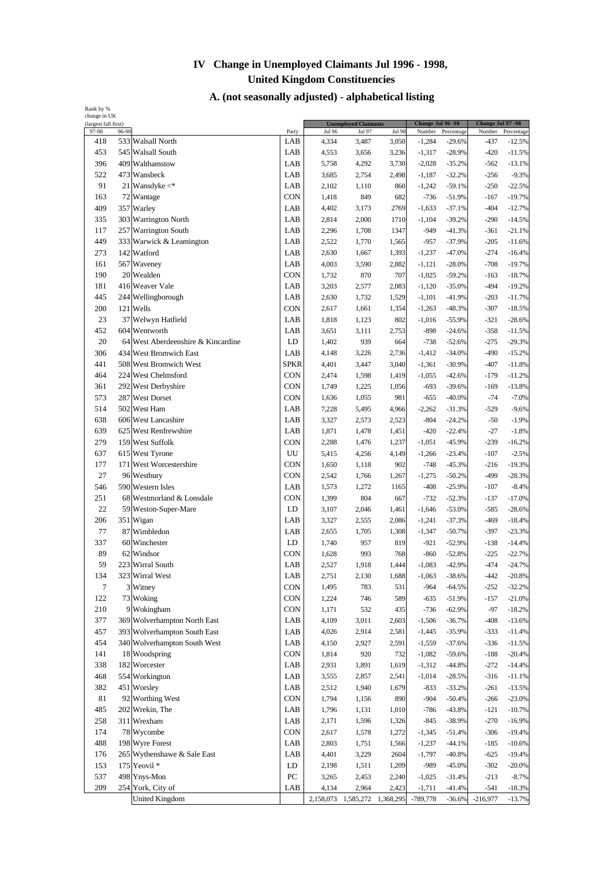| Rank by %<br>change in UK |       |                                    |                  |                 |                               |                 |                    |                        |                   |                        |
|---------------------------|-------|------------------------------------|------------------|-----------------|-------------------------------|-----------------|--------------------|------------------------|-------------------|------------------------|
| (largest fall first)      |       |                                    |                  |                 | <b>Unemployed Claimants</b>   |                 | Change Jul 96 - 98 |                        | Change Jul 97 -98 |                        |
| 97-98<br>418              | 96-98 | 533 Walsall North                  | Party<br>LAB     | Jul 96<br>4,334 | Jul 97<br>3,487               | Jul 98<br>3,050 | Number<br>$-1,284$ | Percentage<br>$-29.6%$ | Number<br>$-437$  | Percentage<br>$-12.5%$ |
| 453                       |       | 545 Walsall South                  | LAB              | 4,553           | 3,656                         | 3,236           | $-1,317$           | $-28.9%$               | $-420$            | $-11.5%$               |
| 396                       |       | 409 Walthamstow                    | LAB              | 5,758           | 4,292                         | 3,730           | $-2,028$           | $-35.2%$               | $-562$            | $-13.1%$               |
| 522                       |       | 473 Wansbeck                       | LAB              | 3,685           | 2,754                         | 2,498           | $-1,187$           | $-32.2%$               | $-256$            | $-9.3%$                |
| 91                        |       | 21 Wansdyke $\lt^*$                | LAB              | 2,102           | 1,110                         | 860             | $-1,242$           | $-59.1%$               | $-250$            | $-22.5%$               |
| 163                       |       | 72 Wantage                         | <b>CON</b>       | 1,418           | 849                           | 682             | $-736$             | $-51.9%$               | $-167$            | $-19.7%$               |
| 409                       |       | 357 Warley                         | LAB              | 4,402           | 3,173                         | 2769            | $-1,633$           | $-37.1%$               | $-404$            | $-12.7%$               |
| 335                       |       | 303 Warrington North               | LAB              | 2,814           | 2,000                         | 1710            | $-1,104$           | $-39.2%$               | $-290$            | $-14.5%$               |
| 117                       |       | 257 Warrington South               | LAB              | 2,296           | 1,708                         | 1347            | $-949$             | $-41.3%$               | $-361$            | $-21.1%$               |
| 449                       |       | 333 Warwick & Leamington           | LAB              | 2,522           | 1,770                         | 1,565           | $-957$             | $-37.9%$               | $-205$            | $-11.6%$               |
| 273                       |       | 142 Watford                        | LAB              | 2,630           | 1,667                         | 1,393           | $-1,237$           | $-47.0%$               | $-274$            | $-16.4%$               |
| 161                       |       | 567 Waveney                        | LAB              | 4,003           | 3,590                         | 2,882           | $-1,121$           | $-28.0%$               | $-708$            | $-19.7%$               |
| 190                       |       | 20 Wealden                         | CON              | 1,732           | 870                           | 707             | $-1,025$           | $-59.2%$               | $-163$            | $-18.7%$               |
| 181                       |       | 416 Weaver Vale                    | LAB              | 3,203           | 2,577                         | 2,083           | $-1,120$           | $-35.0%$               | $-494$            | $-19.2%$               |
| 445                       |       | 244 Wellingborough                 | LAB              | 2,630           | 1,732                         | 1,529           | $-1,101$           | $-41.9%$               | $-203$            | $-11.7%$               |
| 200                       |       | 121 Wells                          | <b>CON</b>       | 2,617           | 1,661                         | 1,354           | $-1,263$           | $-48.3%$               | $-307$            | $-18.5%$               |
| 23                        |       | 37 Welwyn Hatfield                 | LAB              | 1,818           | 1,123                         | 802             | $-1,016$           | $-55.9%$               | $-321$            | $-28.6%$               |
| 452                       |       | 604 Wentworth                      | LAB              | 3,651           | 3,111                         | 2,753           | $-898$             | $-24.6%$               | $-358$            | $-11.5%$               |
| 20                        |       | 64 West Aberdeenshire & Kincardine | LD               | 1,402           | 939                           | 664             | $-738$             | $-52.6%$               | $-275$            | $-29.3%$               |
| 306                       |       | 434 West Bromwich East             | LAB              | 4,148           | 3,226                         | 2,736           | $-1,412$           | $-34.0%$               | $-490$            | $-15.2%$               |
| 441                       |       | 508 West Bromwich West             | SPKR             | 4,401           | 3,447                         | 3,040           | $-1,361$           | $-30.9%$               | $-407$            | $-11.8%$               |
| 464                       |       | 224 West Chelmsford                | <b>CON</b>       | 2,474           | 1,598                         | 1,419           | $-1,055$           | $-42.6%$               | $-179$            | $-11.2%$               |
| 361                       |       | 292 West Derbyshire                | <b>CON</b>       | 1,749           | 1,225                         | 1,056           | $-693$             | $-39.6%$               | $-169$            | $-13.8%$               |
| 573                       |       | 287 West Dorset                    | CON              | 1,636           | 1,055                         | 981             | $-655$             | $-40.0%$               | $-74$             | $-7.0%$                |
| 514                       |       | 502 West Ham                       | LAB              | 7,228           | 5,495                         | 4,966           | $-2,262$           | $-31.3%$               | $-529$            | $-9.6%$                |
| 638                       |       | 606 West Lancashire                | LAB              | 3,327           | 2,573                         | 2,523           | $-804$             | $-24.2%$               | $-50$             | $-1.9%$                |
| 639                       |       | 625 West Renfrewshire              | LAB              | 1,871           | 1,478                         | 1,451           | $-420$             | $-22.4%$               | $-27$             | $-1.8%$                |
| 279                       |       | 159 West Suffolk                   | CON              | 2,288           | 1,476                         | 1,237           | $-1,051$           | $-45.9%$               | $-239$            | $-16.2%$               |
| 637                       |       | 615 West Tyrone                    | UU               | 5,415           | 4,256                         | 4,149           | $-1,266$           | $-23.4%$               | $-107$            | $-2.5%$                |
| 177                       |       | 171 West Worcestershire            | <b>CON</b>       | 1,650           | 1,118                         | 902             | $-748$             | $-45.3%$               | $-216$            | $-19.3%$               |
| 27                        |       | 96 Westbury                        | <b>CON</b>       | 2,542           | 1,766                         | 1,267           | $-1,275$           | $-50.2%$               | $-499$            | $-28.3%$               |
| 546                       |       | 590 Western Isles                  | LAB              | 1,573           | 1,272                         | 1165            | $-408$             | $-25.9%$               | $-107$            | $-8.4%$                |
| 251                       |       | 68 Westmorland & Lonsdale          | CON              | 1,399           | 804                           | 667             | $-732$             | $-52.3%$               | $-137$            | $-17.0%$               |
| 22                        |       | 59 Weston-Super-Mare               | LD               | 3,107           | 2,046                         | 1,461           | $-1,646$           | $-53.0%$               | $-585$            | $-28.6%$               |
| 206                       |       | 351 Wigan                          | LAB              | 3,327           | 2,555                         | 2,086           | $-1,241$           | $-37.3%$               | $-469$            | $-18.4%$               |
| 77                        |       | 87 Wimbledon                       | LAB              | 2,655           | 1,705                         | 1,308           | $-1,347$           | $-50.7%$               | $-397$            | $-23.3%$               |
| 337                       |       | 60 Winchester                      | LD               | 1,740           | 957                           | 819             | $-921$             | $-52.9%$               | $-138$            | $-14.4%$               |
| 89                        |       | 62 Windsor                         | CON              | 1,628           | 993                           | 768             | $-860$             | $-52.8%$               | $-225$            | $-22.7%$               |
| 59                        |       | 223 Wirral South                   | LAB              | 2,527           | 1,918                         | 1,444           | $-1,083$           | $-42.9%$               | $-474$            | $-24.7%$               |
| 134                       |       | 323 Wirral West                    | LAB              | 2,751           | 2,130                         | 1,688           | $-1,063$           | $-38.6%$               | $-442$            | $-20.8%$               |
| $\boldsymbol{7}$          |       | 3 Witney                           | <b>CON</b>       | 1,495           | 783                           | 531             | $-964$             | $-64.5%$               | $-252$            | $-32.2%$               |
| 122                       |       | 73 Woking                          | <b>CON</b>       | 1,224           | 746                           | 589             | $-635$             | $-51.9%$               | $-157$            | $-21.0%$               |
| 210                       |       | 9 Wokingham                        | <b>CON</b>       | 1,171           | 532                           | 435             | $-736$             | $-62.9%$               | $-97$             | $-18.2%$               |
| 377                       |       | 369 Wolverhampton North East       | LAB              | 4,109           | 3,011                         | 2,603           | $-1,506$           | $-36.7%$               | $-408$            | $-13.6%$               |
| 457                       |       | 393 Wolverhampton South East       | LAB              | 4,026           | 2,914                         | 2,581           | -1,445             | $-35.9%$               | $-333$            | $-11.4%$               |
| 454                       |       | 340 Wolverhampton South West       | LAB              | 4,150           | 2,927                         | 2,591           | $-1,559$           | $-37.6%$               | $-336$            | $-11.5%$               |
| 141                       |       | 18 Woodspring                      | <b>CON</b>       | 1,814           | 920                           | 732             | $-1,082$           | $-59.6%$               | $-188$            | $-20.4%$               |
| 338                       |       | 182 Worcester                      | LAB              | 2,931           | 1,891                         | 1,619           | $-1,312$           | $-44.8%$               | $-272$            | $-14.4%$               |
| 468                       |       | 554 Workington                     | LAB              | 3,555           | 2,857                         | 2,541           | $-1,014$           | $-28.5%$               | $-316$            | $-11.1%$               |
| 382                       |       | 451 Worsley                        | LAB              | 2,512           | 1,940                         | 1,679           | $-833$             | $-33.2%$               | $-261$            | $-13.5%$               |
| $81\,$                    |       | 92 Worthing West                   | <b>CON</b>       | 1,794           | 1,156                         | 890             | $-904$             | $-50.4%$               | $-266$            | $-23.0%$               |
| 485                       |       | 202 Wrekin, The                    | LAB              | 1,796           | 1,131                         | 1,010           | $-786$             | $-43.8%$               | $-121$            | $-10.7%$               |
| 258                       |       | 311 Wrexham                        | LAB              | 2,171           | 1,596                         | 1,326           | $-845$             | $-38.9%$               | $-270$            | $-16.9%$               |
| 174                       |       | 78 Wycombe                         | CON              | 2,617           | 1,578                         | 1,272           | $-1,345$           | $-51.4%$               | $-306$            | $-19.4%$               |
| 488                       |       | 198 Wyre Forest                    | LAB              | 2,803           | 1,751                         | 1,566           | $-1,237$           | $-44.1%$               | $-185$            | $-10.6%$               |
| 176                       |       | 265 Wythenshawe & Sale East        | LAB              | 4,401           | 3,229                         | 2604            | $-1,797$           | $-40.8%$               | $-625$            | $-19.4%$               |
| 153                       |       | 175 Yeovil *                       | LD               | 2,198           | 1,511                         | 1,209           | $-989$             | $-45.0%$               | $-302$            | $-20.0\%$              |
| 537                       |       | 498 Ynys-Mon                       | ${\rm P}{\bf C}$ | 3,265           | 2,453                         | 2,240           | $-1,025$           | $-31.4%$               | $-213$            | $-8.7%$                |
| 209                       |       | 254 York, City of                  | LAB              | 4,134           | 2,964                         | 2,423           | $-1,711$           | $-41.4%$               | $-541$            | $-18.3%$               |
|                           |       | <b>United Kingdom</b>              |                  |                 | 2,158,073 1,585,272 1,368,295 |                 | $-789,778$         | $-36.6%$               | $-216,977$        | $-13.7%$               |